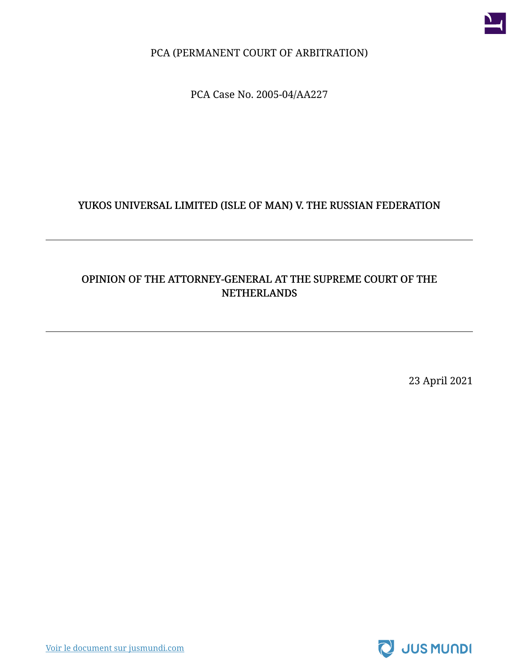

PCA (PERMANENT COURT OF ARBITRATION)

PCA Case No. 2005-04/AA227

#### YUKOS UNIVERSAL LIMITED (ISLE OF MAN) V. THE RUSSIAN FEDERATION

#### OPINION OF THE ATTORNEY-GENERAL AT THE SUPREME COURT OF THE NETHERLANDS

23 April 2021

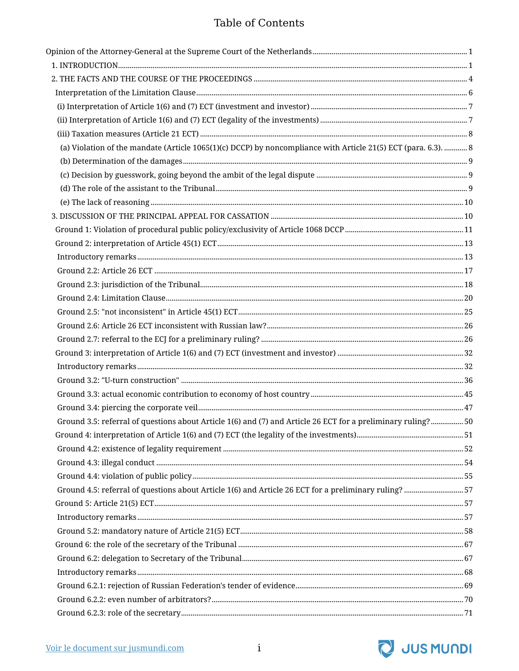#### Table of Contents

| (a) Violation of the mandate (Article 1065(1)(c) DCCP) by noncompliance with Article 21(5) ECT (para. 6.3).  8 |  |
|----------------------------------------------------------------------------------------------------------------|--|
|                                                                                                                |  |
|                                                                                                                |  |
|                                                                                                                |  |
|                                                                                                                |  |
|                                                                                                                |  |
|                                                                                                                |  |
|                                                                                                                |  |
|                                                                                                                |  |
|                                                                                                                |  |
|                                                                                                                |  |
|                                                                                                                |  |
|                                                                                                                |  |
|                                                                                                                |  |
|                                                                                                                |  |
|                                                                                                                |  |
|                                                                                                                |  |
|                                                                                                                |  |
|                                                                                                                |  |
|                                                                                                                |  |
| Ground 3.5: referral of questions about Article 1(6) and (7) and Article 26 ECT for a preliminary ruling?50    |  |
|                                                                                                                |  |
|                                                                                                                |  |
|                                                                                                                |  |
|                                                                                                                |  |
| Ground 4.5: referral of questions about Article 1(6) and Article 26 ECT for a preliminary ruling? 57           |  |
|                                                                                                                |  |
|                                                                                                                |  |
|                                                                                                                |  |
|                                                                                                                |  |
|                                                                                                                |  |
|                                                                                                                |  |
|                                                                                                                |  |
|                                                                                                                |  |
|                                                                                                                |  |

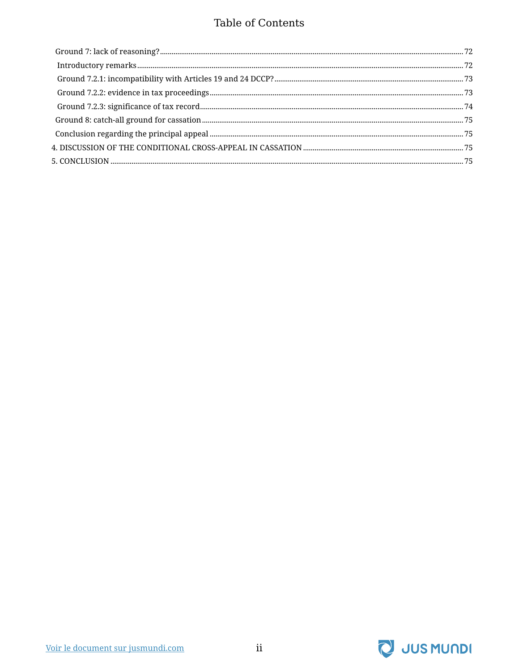#### Table of Contents

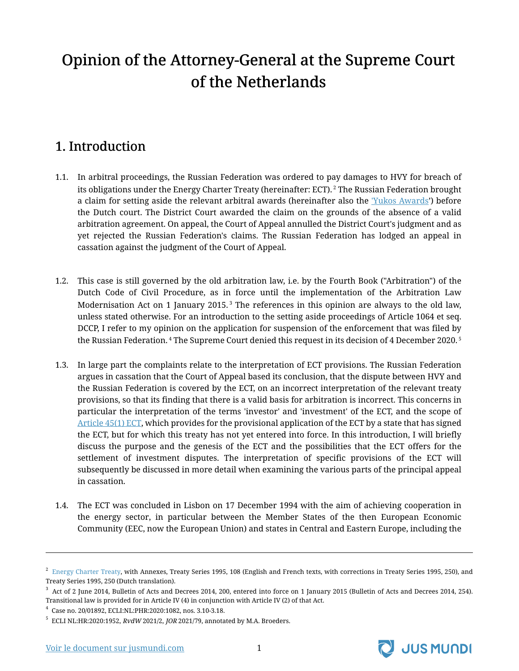# <span id="page-3-0"></span>Opinion of the Attorney-General at the Supreme Court of the Netherlands

## <span id="page-3-1"></span>1. Introduction

- 1.1. In arbitral proceedings, the Russian Federation was ordered to pay damages to HVY for breach of its obligations under the Energy Charter Treaty (hereinafter: ECT).  $2$  The Russian Federation brought a claim for setting aside the relevant arbitral awards (hereinafter also the ['Yukos Awards'](https://jusmundi.com/en/document/h/VkVabHFaZE1BSjY0RitpYTBTdEc4Uy9nYkdoN01STUs2c3RzODQ0TW5COWhkU2N3MUgzV2dhSXBPWjhza1hBcE5oMHJBVjhDdTIveFMrRTZzVWtPVzJyWTNjd0NSQzFJd25FSG9JLzNHWjRsVmtwYTl1VlVnZVBYRjJFbUx5WUxzWC9iVGorZTlmb1plcWlZbEZRSjZTRlkzU0t1bkF4ZzNiRjJPckNuRGE0REVzemw3ZCthYjFDdVF6QjNoaE5OTXNqMElnZyt4UUx1TllRajlZZnp0QT09)) before the Dutch court. The District Court awarded the claim on the grounds of the absence of a valid arbitration agreement. On appeal, the Court of Appeal annulled the District Court's judgment and as yet rejected the Russian Federation's claims. The Russian Federation has lodged an appeal in cassation against the judgment of the Court of Appeal.
- 1.2. This case is still governed by the old arbitration law, i.e. by the Fourth Book ("Arbitration") of the Dutch Code of Civil Procedure, as in force until the implementation of the Arbitration Law Modernisation Act on 1 January 2015. $3$  The references in this opinion are always to the old law, unless stated otherwise. For an introduction to the setting aside proceedings of Article 1064 et seq. DCCP, I refer to my opinion on the application for suspension of the enforcement that was filed by the Russian Federation. <sup>4</sup> The Supreme Court denied this request in its decision of 4 December 2020.<sup>5</sup>
- 1.3. In large part the complaints relate to the interpretation of ECT provisions. The Russian Federation argues in cassation that the Court of Appeal based its conclusion, that the dispute between HVY and the Russian Federation is covered by the ECT, on an incorrect interpretation of the relevant treaty provisions, so that its finding that there is a valid basis for arbitration is incorrect. This concerns in particular the interpretation of the terms 'investor' and 'investment' of the ECT, and the scope of [Article 45\(1\) ECT,](https://jusmundi.com/en/document/h/clljWVJHbGxISEg0VUZMdWNJazE2TnJ3Mmxwb2NlQ1R3cmNjQXR1UDFhaUg5bDhhczBqUjlmYmVtWWhITFNjK3dCV0JaSFlDK3BFbFIyL0xvSHhiR2sxdnZtV2R3TDJsQUR2Q0hoUUhPeWlwUFRXK0ZmSTJDNUVyTytCd1RRNTNjZ05Tdy9FMGVhb3p3Ky9uOE9DSXdBPT0=) which provides for the provisional application of the ECT by a state that has signed the ECT, but for which this treaty has not yet entered into force. In this introduction, I will briefly discuss the purpose and the genesis of the ECT and the possibilities that the ECT offers for the settlement of investment disputes. The interpretation of specific provisions of the ECT will subsequently be discussed in more detail when examining the various parts of the principal appeal in cassation.
- 1.4. The ECT was concluded in Lisbon on 17 December 1994 with the aim of achieving cooperation in the energy sector, in particular between the Member States of the then European Economic Community (EEC, now the European Union) and states in Central and Eastern Europe, including the



 $^{\rm 2}$  [Energy Charter Treaty](https://jusmundi.com/en/document/h/clljWVJHbGxISEg0VUZMdWNJazE2TnJ3Mmxwb2NlQ1R3cmNjQXR1UDFhaUg5bDhhczBqUjlmYmVtWWhITFNjK3dCV0JaSFlDK3BFbFIyL0xvSHhiR2sxdnZtV2R3TDJsQUR2Q0hoUUhPeWgvdVNQMWZac3FEZFU2cERHQXJzMTc=), with Annexes, Treaty Series 1995, 108 (English and French texts, with corrections in Treaty Series 1995, 250), and Treaty Series 1995, 250 (Dutch translation).

 $^3\,$  Act of 2 June 2014, Bulletin of Acts and Decrees 2014, 200, entered into force on 1 January 2015 (Bulletin of Acts and Decrees 2014, 254). Transitional law is provided for in Article IV (4) in conjunction with Article IV (2) of that Act.

<sup>4</sup> Case no. 20/01892, ECLI:NL:PHR:2020:1082, nos. 3.10-3.18.

 $^5\,$  ECLI NL:HR:2020:1952,  $RvdW$  2021/2, JOR 2021/79, annotated by M.A. Broeders.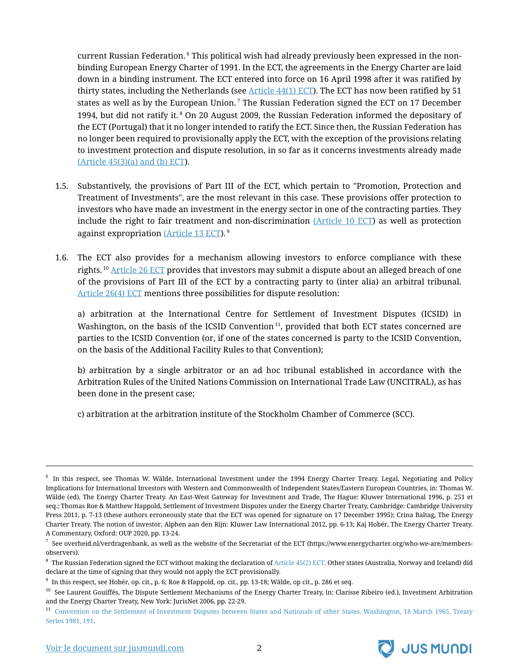current Russian Federation. $6$  This political wish had already previously been expressed in the nonbinding European Energy Charter of 1991. In the ECT, the agreements in the Energy Charter are laid down in a binding instrument. The ECT entered into force on 16 April 1998 after it was ratified by thirty states, including the Netherlands (see  $\Delta$ rticle  $44(1)$  ECT). The ECT has now been ratified by 51 states as well as by the European Union.<sup>7</sup> The Russian Federation signed the ECT on 17 December 1994, but did not ratify it. $8$  On 20 August 2009, the Russian Federation informed the depositary of the ECT (Portugal) that it no longer intended to ratify the ECT. Since then, the Russian Federation has no longer been required to provisionally apply the ECT, with the exception of the provisions relating to investment protection and dispute resolution, in so far as it concerns investments already made  $(Article 45(3)(a) and (b) ECT)$ .

- 1.5. Substantively, the provisions of Part III of the ECT, which pertain to "Promotion, Protection and Treatment of Investments", are the most relevant in this case. These provisions offer protection to investors who have made an investment in the energy sector in one of the contracting parties. They include the right to fair treatment and non-discrimination [\(Article 10 ECT\)](https://jusmundi.com/en/document/h/clljWVJHbGxISEg0VUZMdWNJazE2TnJ3Mmxwb2NlQ1R3cmNjQXR1UDFhaUg5bDhhczBqUjlmYmVtWWhITFNjK3dCV0JaSFlDK3BFbFIyL0xvSHhiR2sxdnZtV2R3TDJsQUR2Q0hoUUhPeWlwUFRXK0ZmSTJDNUVyTytCd1RRNTNwNkRVK2cyRTRPTEFRV3I2NVhkYlVnPT0=) as well as protection against expropriation [\(Article 13 ECT\)](https://jusmundi.com/en/document/h/clljWVJHbGxISEg0VUZMdWNJazE2TnJ3Mmxwb2NlQ1R3cmNjQXR1UDFhaUg5bDhhczBqUjlmYmVtWWhITFNjK3dCV0JaSFlDK3BFbFIyL0xvSHhiR2sxdnZtV2R3TDJsQUR2Q0hoUUhPeWlwUFRXK0ZmSTJDNUVyTytCd1RRNTNSYXViUlpqUzFGenBGbnhsRUZWM3pRPT0=).<sup>9</sup>
- 1.6. The ECT also provides for a mechanism allowing investors to enforce compliance with these rights. <sup>10</sup> [Article 26 ECT](https://jusmundi.com/en/document/h/clljWVJHbGxISEg0VUZMdWNJazE2TnJ3Mmxwb2NlQ1R3cmNjQXR1UDFhaUg5bDhhczBqUjlmYmVtWWhITFNjK3dCV0JaSFlDK3BFbFIyL0xvSHhiR2sxdnZtV2R3TDJsQUR2Q0hoUUhPeWlwUFRXK0ZmSTJDNUVyTytCd1RRNTNDQmJGNXZZVGpGLzhUODVQMzdWbEl3PT0=) provides that investors may submit a dispute about an alleged breach of one of the provisions of Part III of the ECT by a contracting party to (inter alia) an arbitral tribunal. [Article 26\(4\) ECT](https://jusmundi.com/en/document/h/clljWVJHbGxISEg0VUZMdWNJazE2TnJ3Mmxwb2NlQ1R3cmNjQXR1UDFhaUg5bDhhczBqUjlmYmVtWWhITFNjK3dCV0JaSFlDK3BFbFIyL0xvSHhiR2sxdnZtV2R3TDJsQUR2Q0hoUUhPeWlwUFRXK0ZmSTJDNUVyTytCd1RRNTNNaVZDc1BhdGJnYlh1NUxvK3MvZk9BPT0=) mentions three possibilities for dispute resolution:

a) arbitration at the International Centre for Settlement of Investment Disputes (ICSID) in Washington, on the basis of the ICSID Convention<sup>11</sup>, provided that both ECT states concerned are parties to the ICSID Convention (or, if one of the states concerned is party to the ICSID Convention, on the basis of the Additional Facility Rules to that Convention);

b) arbitration by a single arbitrator or an ad hoc tribunal established in accordance with the Arbitration Rules of the United Nations Commission on International Trade Law (UNCITRAL), as has been done in the present case;

c) arbitration at the arbitration institute of the Stockholm Chamber of Commerce (SCC).



 $^6\,$  In this respect, see Thomas W. Wälde, International Investment under the 1994 Energy Charter Treaty. Legal, Negotiating and Policy Implications for International Investors with Western and Commonwealth of Independent States/Eastern European Countries, in: Thomas W. Wälde (ed), The Energy Charter Treaty. An East-West Gateway for Investment and Trade, The Hague: Kluwer International 1996, p. 251 et seq.; Thomas Roe & Matthew Happold, Settlement of Investment Disputes under the Energy Charter Treaty, Cambridge: Cambridge University Press 2011, p. 7-13 (these authors erroneously state that the ECT was opened for signature on 17 December 1995); Crina Baltag, The Energy Charter Treaty. The notion of investor, Alphen aan den Rijn: Kluwer Law International 2012, pp. 6-13; Kaj Hobér, The Energy Charter Treaty. A Commentary, Oxford: OUP 2020, pp. 13-24.

 $^7$  See overheid.nl/verdragenbank, as well as the website of the Secretariat of the ECT (https://www.energycharter.org/who-we-are/membersobservers).

 $^8\,$  The Russian Federation signed the ECT without making the declaration of  $\rm Article$  45(2) ECT. Other states (Australia, Norway and Iceland) did declare at the time of signing that they would not apply the ECT provisionally.

 $^9\,$  In this respect, see Hobér, op. cit., p. 6; Roe & Happold, op. cit., pp. 13-18; Wälde, op cit., p. 286 et seq.

 $10$  See Laurent Gouiffés, The Dispute Settlement Mechanisms of the Energy Charter Treaty, in: Clarisse Ribeiro (ed.), Investment Arbitration and the Energy Charter Treaty, New York: JurisNet 2006, pp. 22-29.

<sup>11</sup> [Convention on the Settlement of Investment Disputes between States and Nationals of other States, Washington, 18 March 1965, Treaty](https://jusmundi.com/en/document/h/S2VVN09EOGhRRHg0SlZ3SS9qUjlwSUhxOWpSbTk0ZGxsOTFuVUV3TlRXRzdrWGQyOWVoOUU0WjNBM2sxaGo0NWZ1RWpXU01heVNtdmxZZGJZRnc1dFJFMHlTYlBrTzFZbHFsK1Q5aHljTlowZUFWeHp6d1NxU0JqVXlid0dDQUo2TFlxOXJvenRhU1lvRHdFSXdtclVZdWozWS81bXZUL2JnelpFa0krdzRFRjBOUmZiRzFmb2h4d0NjWVdyN2lmaWcvWWE0UTZ3WCtReWtYZ2tuREMxQT09) [Series 1981, 191.](https://jusmundi.com/en/document/h/S2VVN09EOGhRRHg0SlZ3SS9qUjlwSUhxOWpSbTk0ZGxsOTFuVUV3TlRXRzdrWGQyOWVoOUU0WjNBM2sxaGo0NWZ1RWpXU01heVNtdmxZZGJZRnc1dFJFMHlTYlBrTzFZbHFsK1Q5aHljTlowZUFWeHp6d1NxU0JqVXlid0dDQUo2TFlxOXJvenRhU1lvRHdFSXdtclVZdWozWS81bXZUL2JnelpFa0krdzRFRjBOUmZiRzFmb2h4d0NjWVdyN2lmaWcvWWE0UTZ3WCtReWtYZ2tuREMxQT09)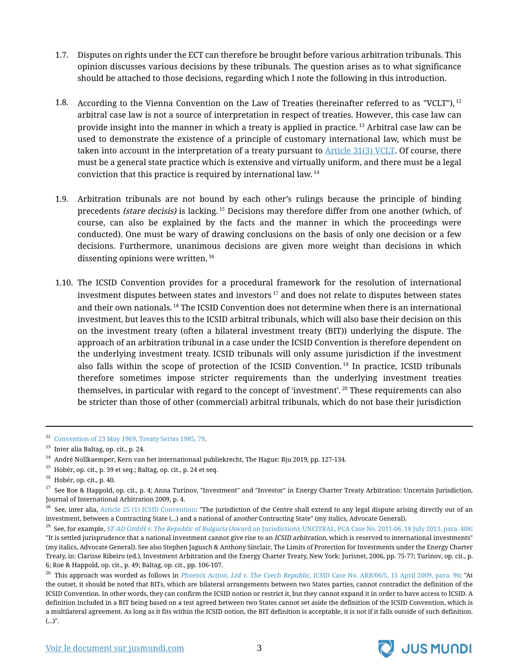- 1.7. Disputes on rights under the ECT can therefore be brought before various arbitration tribunals. This opinion discusses various decisions by these tribunals. The question arises as to what significance should be attached to those decisions, regarding which I note the following in this introduction.
- 1.8. According to the Vienna Convention on the Law of Treaties (hereinafter referred to as "VCLT"),  $^{12}$ arbitral case law is not a source of interpretation in respect of treaties. However, this case law can provide insight into the manner in which a treaty is applied in practice. <sup>13</sup> Arbitral case law can be used to demonstrate the existence of a principle of customary international law, which must be taken into account in the interpretation of a treaty pursuant to  $\text{Article } 31(3)$  VCLT. Of course, there must be a general state practice which is extensive and virtually uniform, and there must be a legal conviction that this practice is required by international law. 14
- 1.9. Arbitration tribunals are not bound by each other's rulings because the principle of binding precedents *(stare decisis)* is lacking.<sup>15</sup> Decisions may therefore differ from one another (which, of course, can also be explained by the facts and the manner in which the proceedings were conducted). One must be wary of drawing conclusions on the basis of only one decision or a few decisions. Furthermore, unanimous decisions are given more weight than decisions in which dissenting opinions were written. <sup>16</sup>
- 1.10. The ICSID Convention provides for a procedural framework for the resolution of international investment disputes between states and investors<sup>17</sup> and does not relate to disputes between states and their own nationals. <sup>18</sup> The ICSID Convention does not determine when there is an international investment, but leaves this to the ICSID arbitral tribunals, which will also base their decision on this on the investment treaty (often a bilateral investment treaty (BIT)) underlying the dispute. The approach of an arbitration tribunal in a case under the ICSID Convention is therefore dependent on the underlying investment treaty. ICSID tribunals will only assume jurisdiction if the investment also falls within the scope of protection of the ICSID Convention. <sup>19</sup> In practice, ICSID tribunals therefore sometimes impose stricter requirements than the underlying investment treaties themselves, in particular with regard to the concept of 'investment'.<sup>20</sup> These requirements can also be stricter than those of other (commercial) arbitral tribunals, which do not base their jurisdiction



<sup>12</sup> [Convention of 23 May 1969, Treaty Series 1985, 79.](https://jusmundi.com/en/document/h/NVFwR2lWbkFqaXdJRmhJT3hnNFo0NEhoLzFzTjdSbU9icGpNYlQ0N3hXUjByQUw3dW1hT1I5OW90REYzWjlFYW1iQm0xR2ZxcmE5MFIwL3EyeU1DWUVRbENBMnU5S3g1dERqLzZnTWNMRHc3U0YwLzlEK2VYZ1FOT1ZFUEszei8yM25adnZnUXlFS0VUZE44K1VxYnNFSWthUlBsT2ZpNWh3eUE2MTVGaXpnPQ==)

 $13$  Inter alia Baltag, op. cit., p. 24.

<sup>14</sup> André Nollkaemper, Kern van het internationaal publiekrecht, The Hague: Bju 2019, pp. 127-134.

 $15$  Hobér, op. cit., p. 39 et seq.; Baltag, op. cit., p. 24 et seq.

 $16$  Hobér, op. cit., p. 40.

 $17$  See Roe & Happold, op. cit., p. 4; Anna Turinov, "Investment" and "Investor" in Energy Charter Treaty Arbitration: Uncertain Jurisdiction, Journal of International Arbitration 2009, p. 4.

<sup>&</sup>lt;sup>18</sup> See, inter alia, [Article 25 \(1\) ICSID Convention:](https://jusmundi.com/en/document/h/S2VVN09EOGhRRHg0SlZ3SS9qUjlwSUhxOWpSbTk0ZGxsOTFuVUV3TlRXRzdrWGQyOWVoOUU0WjNBM2sxaGo0NWZ1RWpXU01heVNtdmxZZGJZRnc1dFJFMHlTYlBrTzFZbHFsK1Q5aHljTlowZUFWeHp6d1NxU0JqVXlid0dDQUo2TFlxOXJvenRhU1lvRHdFSXdtclVZdWozWS81bXZUL2JnelpFa0krdzRFRjBOUmZiRzFmb2h4d0NjWVdyN2lmejIwdEViUGRSSTY3c0JBMWRCNGExOEY5U0hON2lOM0FKQlAzNE9Fd2s4QT0=) "The jurisdiction of the Centre shall extend to any legal dispute arising directly out of an investment, between a Contracting State (...) and a national of another Contracting State" (my italics, Advocate General).

<sup>&</sup>lt;sup>19</sup> See, for example, *ST-AD GmbH v. The Republic of Bulgaria* [\(Award on Jurisdiction\), UNCITRAL, PCA Case No. 2011-06, 18 July 2013, para. 408:](https://jusmundi.com/en/document/h/Q2VNTDRpSXlneXptN1FpSEc3R25NbXdQcjZuWENtNU5wS01YbUV2QVZ0MTBjTHM0SVpGUk9MdVJIdTFIR052ei9ZZU1kQ2JxNURwVU5HaUtkRzFQd2FnOTNiV1NzOW1nZUNrN3ZyUXNmU0tNeWx4M3ZJK21JbW9EaTdPYWRkNUhXeFFtVDBFWkxVVWZRcTZiYi9rSDZRPT0=) "It is settled jurisprudence that a national investment cannot give rise to an ICSID arbitration, which is reserved to international investments" (my italics, Advocate General). See also Stephen Jagusch & Anthony Sinclair, The Limits of Protection for Investments under the Energy Charter Treaty, in: Clarisse Ribeiro (ed.), Investment Arbitration and the Energy Charter Treaty, New York: Jurisnet, 2006, pp. 75-77; Turinov, op. cit., p. 6; Roe & Happold, op. cit., p. 49; Baltag, op. cit., pp. 106-107.

<sup>&</sup>lt;sup>20</sup> This approach was worded as follows in *Phoenix Action, Ltd v. The Czech Republic*, [ICSID Case No. ARB/06/5, 15 April 2009, para. 96:](https://jusmundi.com/en/document/h/YU5kbXRLQ3FoUlVCUkd3aytHdkJLdmNWWjBYVWFVdm9EMy8xWkVTLzV5ZHluWWFZMlM0THBROGFaSUhuM0sxaFg3T1cwWlNxUTMvK0YxQnJIVTlPUm5TaGhJZHRTbmhsNE4rUUtYY2FxcjlzR29WdXU5MktYTVJGRW1hWlZUUzg=) "At the outset, it should be noted that BITs, which are bilateral arrangements between two States parties, cannot contradict the definition of the ICSID Convention. In other words, they can confirm the ICSID notion or restrict it, but they cannot expand it in order to have access to ICSID. A definition included in a BIT being based on a test agreed between two States cannot set aside the definition of the ICSID Convention, which is a multilateral agreement. As long as it fits within the ICSID notion, the BIT definition is acceptable, it is not if it falls outside of such definition. (...)".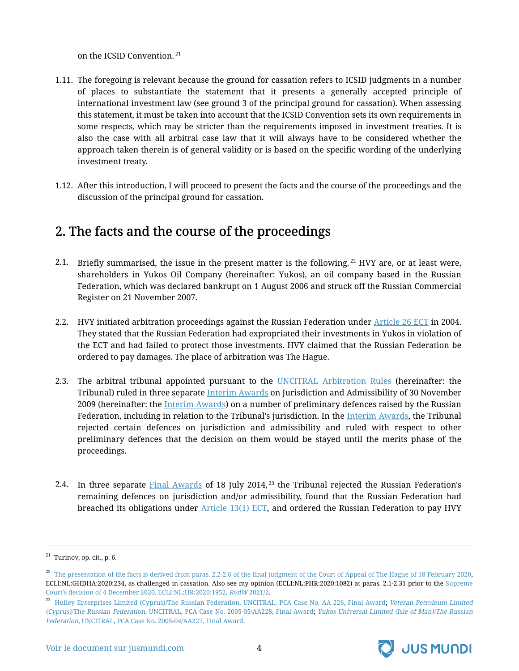on the ICSID Convention. <sup>21</sup>

- 1.11. The foregoing is relevant because the ground for cassation refers to ICSID judgments in a number of places to substantiate the statement that it presents a generally accepted principle of international investment law (see ground 3 of the principal ground for cassation). When assessing this statement, it must be taken into account that the ICSID Convention sets its own requirements in some respects, which may be stricter than the requirements imposed in investment treaties. It is also the case with all arbitral case law that it will always have to be considered whether the approach taken therein is of general validity or is based on the specific wording of the underlying investment treaty.
- 1.12. After this introduction, I will proceed to present the facts and the course of the proceedings and the discussion of the principal ground for cassation.

## <span id="page-6-0"></span>2. The facts and the course of the proceedings

- 2.1. Briefly summarised, the issue in the present matter is the following.<sup>22</sup> HVY are, or at least were, shareholders in Yukos Oil Company (hereinafter: Yukos), an oil company based in the Russian Federation, which was declared bankrupt on 1 August 2006 and struck off the Russian Commercial Register on 21 November 2007.
- 2.2. HVY initiated arbitration proceedings against the Russian Federation under <u>[Article 26 ECT](https://jusmundi.com/en/document/h/clljWVJHbGxISEg0VUZMdWNJazE2TnJ3Mmxwb2NlQ1R3cmNjQXR1UDFhaUg5bDhhczBqUjlmYmVtWWhITFNjK3dCV0JaSFlDK3BFbFIyL0xvSHhiR2sxdnZtV2R3TDJsQUR2Q0hoUUhPeWlwUFRXK0ZmSTJDNUVyTytCd1RRNTNDQmJGNXZZVGpGLzhUODVQMzdWbEl3PT0=)</u> in 2004. They stated that the Russian Federation had expropriated their investments in Yukos in violation of the ECT and had failed to protect those investments. HVY claimed that the Russian Federation be ordered to pay damages. The place of arbitration was The Hague.
- 2.3. The arbitral tribunal appointed pursuant to the <u>[UNCITRAL Arbitration Rules](https://jusmundi.com/en/document/h/K3c3WHBLTUlqbG80TVZ5dlN0TWIyT1BOMVlIY3VQdXZSYUtDM1ZKZkkxaVlid1lJcUFSVHR1VHNrQ2dYZzdVNGk3VHlybFpHc0JZMlJjNEFtNHZGdmxQQ3ZaTFpwdE5PRXFwR1lndDRuNzQ9)</u> (hereinafter: the Tribunal) ruled in three separate [Interim Awards](https://jusmundi.com/en/document/h/Q1R5eVdRTnMrUFpDRW56M0paKzVxNjgrZE5NY0FhN2VhaGVyeWViekNiNk9WeHZhZTgxeWxWemsxcVdhelUzdmxYUG52N3huSmdtSCtPSXJkRFdjdGtIT01vSDg2WXAxM2NXRmhWOE1taE1BaGM4UnMxQVpoWmxJWTNHeWpDajE2Z1hueUNzQXdFWVU0eEhQaks1MHFROWZIL3pHVkFOeEM4RkNKdi90NXl1TVp2UmJNVVJ0bmIxTUNvTHBFZGl1) on Jurisdiction and Admissibility of 30 November 2009 (hereinafter: the [Interim Awards](https://jusmundi.com/en/document/h/Q1R5eVdRTnMrUFpDRW56M0paKzVxNjgrZE5NY0FhN2VhaGVyeWViekNiNk9WeHZhZTgxeWxWemsxcVdhelUzdmxYUG52N3huSmdtSCtPSXJkRFdjdGtIT01vSDg2WXAxM2NXRmhWOE1taE1BaGM4UnMxQVpoWmxJWTNHeWpDajE2Z1hueUNzQXdFWVU0eEhQaks1MHFROWZIL3pHVkFOeEM4RkNKdi90NXl1TVp2UmJNVVJ0bmIxTUNvTHBFZGl1)) on a number of preliminary defences raised by the Russian Federation, including in relation to the Tribunal's jurisdiction. In the [Interim Awards,](https://jusmundi.com/en/document/h/Q1R5eVdRTnMrUFpDRW56M0paKzVxNjgrZE5NY0FhN2VhaGVyeWViekNiNk9WeHZhZTgxeWxWemsxcVdhelUzdmxYUG52N3huSmdtSCtPSXJkRFdjdGtIT01vSDg2WXAxM2NXRmhWOE1taE1BaGM4UnMxQVpoWmxJWTNHeWpDajE2Z1hueUNzQXdFWVU0eEhQaks1MHFROWZIL3pHVkFOeEM4RkNKdi90NXl1TVp2UmJNVVJ0bmIxTUNvTHBFZGl1) the Tribunal rejected certain defences on jurisdiction and admissibility and ruled with respect to other preliminary defences that the decision on them would be stayed until the merits phase of the proceedings.
- 2.4. In three separate <u>[Final Awards](https://jusmundi.com/en/document/h/WUZmZ2Vxcm9ndzJhVW44NThxNzZRZnNTeHpSMDBLRTQ5dURoNEozQ3BqbDZxSzBnTmdsY3N0UjNPaVlFUVNvZ1NWNDErcTFNYUcxamFIVW91aG1zdHdEeDQ1K0NWOE5seURVOTY2QmZDaWNlVnR2a0g5V3k5T0w1NjcxSTZzdVE=)</u> of 18 July 2014,<sup>23</sup> the Tribunal rejected the Russian Federation's remaining defences on jurisdiction and/or admissibility, found that the Russian Federation had breached its obligations under  $\text{Article 13(1)}$  ECT, and ordered the Russian Federation to pay HVY



 $21$  Turinov, op. cit., p. 6.

<sup>&</sup>lt;sup>22</sup> [The presentation of the facts is derived from paras. 2.2-2.6 of the final judgment of the Court of Appeal of The Hague of 18 February 2020](https://jusmundi.com/en/document/h/VkVabHFaZE1BSjY0RitpYTBTdEc4Uy9nYkdoN01STUs2c3RzODQ0TW5COWhkU2N3MUgzV2dhSXBPWjhza1hBcE5oMHJBVjhDdTIveFMrRTZzVWtPVzNzd3pPbW93MkN5S0hZYUV4V2VVZlJ0WTE0SVJHdFgwcnRpM29jaHR5TkVuMXpNWmpNOStydURHTWNxckIzT0xCc2lMR0xkZjh6UVh5Vjg5YXZQS2l0YVloRzBoQlpSZEtpWTJ2eHo4dWtUZVhIVFpwcnRsSXBMSWptY1B2RGF3dz09), ECLI:NL:GHDHA:2020:234, as challenged in cassation. Also see my opinion (ECLI:NL:PHR:2020:1082) at paras. 2.1-2.31 prior to the [Supreme](https://jusmundi.com/en/document/h/VkVabHFaZE1BSjY0RitpYTBTdEc4Uy9nYkdoN01STUs2c3RzODQ0TW5COWhkU2N3MUgzV2dhSXBPWjhza1hBcE5oMHJBVjhDdTIveFMrRTZzVWtPVzNzd3pPbW93MkN5S0hZYUV4V2VVZlRUbTMxRWhFdEVmYlpIdVd6RkhMU2xUa3gyeEdNTTV1VkxGM3RBQ0cya2VPNWo1cXhRaDBOMjh1elBCdVVjQVhkL1kxQ2xuRm85ZXYzWmVkVFlLbGRuajMwRGtXQVpGZnlQOS9OQXBJc0VHQT09) [Court's decision of 4 December 2020, ECLI:NL:HR:2020:1952,](https://jusmundi.com/en/document/h/VkVabHFaZE1BSjY0RitpYTBTdEc4Uy9nYkdoN01STUs2c3RzODQ0TW5COWhkU2N3MUgzV2dhSXBPWjhza1hBcE5oMHJBVjhDdTIveFMrRTZzVWtPVzNzd3pPbW93MkN5S0hZYUV4V2VVZlRUbTMxRWhFdEVmYlpIdVd6RkhMU2xUa3gyeEdNTTV1VkxGM3RBQ0cya2VPNWo1cXhRaDBOMjh1elBCdVVjQVhkL1kxQ2xuRm85ZXYzWmVkVFlLbGRuajMwRGtXQVpGZnlQOS9OQXBJc0VHQT09) RvdW 2021/2.

<sup>&</sup>lt;sup>23</sup> [Hulley Enterprises Limited \(Cyprus\)/The Russian Federation](https://jusmundi.com/en/document/h/WUZmZ2Vxcm9ndzJhVW44NThxNzZRZnNTeHpSMDBLRTQ5dURoNEozQ3BqbDZxSzBnTmdsY3N0UjNPaVlFUVNvZ1NWNDErcTFNYUcxamFIVW91aG1zdHdEeDQ1K0NWOE5seURVOTY2QmZDaWNlVnR2a0g5V3k5T0w1NjcxSTZzdVE=), UNCITRAL, PCA Case No. AA 226, Final Award; Veteran [Petroleum](https://jusmundi.com/en/document/h/Q1R5eVdRTnMrUFpDRW56M0paKzVxNjgrZE5NY0FhN2VhaGVyeWViekNiNk9WeHZhZTgxeWxWemsxcVdhelUzdmxYUG52N3huSmdtSCtPSXJkRFdjdGdnYld5SEhUUVl1SE04MlYzOGpzN0VmUUV5Vmd1MWlpbXdDdGhkZnA0bUwxU2J6d2V3RDlTQ1V2ZTdveXMwdW1BPT0=) Limited (Cyprus)/The Russian Federation, [UNCITRAL, PCA Case No. 2005-05/AA228, Final Award](https://jusmundi.com/en/document/h/Q1R5eVdRTnMrUFpDRW56M0paKzVxNjgrZE5NY0FhN2VhaGVyeWViekNiNk9WeHZhZTgxeWxWemsxcVdhelUzdmxYUG52N3huSmdtSCtPSXJkRFdjdGdnYld5SEhUUVl1SE04MlYzOGpzN0VmUUV5Vmd1MWlpbXdDdGhkZnA0bUwxU2J6d2V3RDlTQ1V2ZTdveXMwdW1BPT0=); Yukos Universal Limited (Isle of [Man\)/The](https://jusmundi.com/en/document/h/VkVabHFaZE1BSjY0RitpYTBTdEc4Uy9nYkdoN01STUs2c3RzODQ0TW5COWhkU2N3MUgzV2dhSXBPWjhza1hBcE5oMHJBVjhDdTIveFMrRTZzVWtPVzRhR083ZGZ1Z2VJaHEzTVBlVnRTNmRzMEtBeU5tS1grb3lKbmdOSjJSZkZERGIvU0ZSa1lLd1ZmMklIQWxKSzVnPT0=) Russian Federation, [UNCITRAL, PCA Case No. 2005-04/AA227, Final Award](https://jusmundi.com/en/document/h/VkVabHFaZE1BSjY0RitpYTBTdEc4Uy9nYkdoN01STUs2c3RzODQ0TW5COWhkU2N3MUgzV2dhSXBPWjhza1hBcE5oMHJBVjhDdTIveFMrRTZzVWtPVzRhR083ZGZ1Z2VJaHEzTVBlVnRTNmRzMEtBeU5tS1grb3lKbmdOSjJSZkZERGIvU0ZSa1lLd1ZmMklIQWxKSzVnPT0=).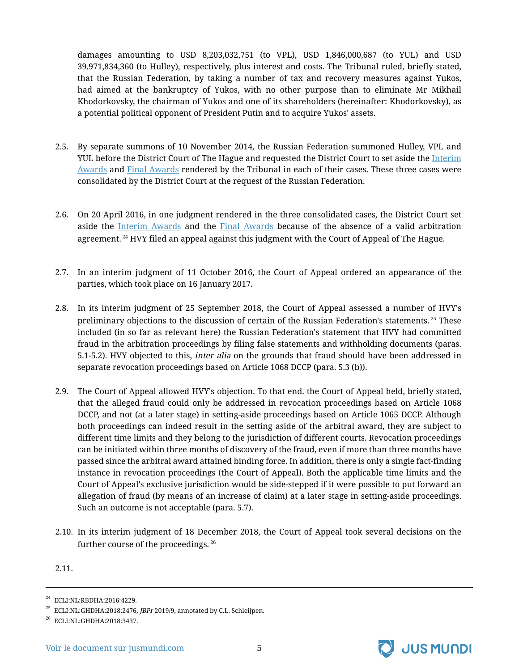damages amounting to USD 8,203,032,751 (to VPL), USD 1,846,000,687 (to YUL) and USD 39,971,834,360 (to Hulley), respectively, plus interest and costs. The Tribunal ruled, briefly stated, that the Russian Federation, by taking a number of tax and recovery measures against Yukos, had aimed at the bankruptcy of Yukos, with no other purpose than to eliminate Mr Mikhail Khodorkovsky, the chairman of Yukos and one of its shareholders (hereinafter: Khodorkovsky), as a potential political opponent of President Putin and to acquire Yukos' assets.

- 2.5. By separate summons of 10 November 2014, the Russian Federation summoned Hulley, VPL and YUL before the District Court of The Hague and requested the District Court to set aside the [Interim](https://jusmundi.com/en/document/h/VkVabHFaZE1BSjY0RitpYTBTdEc4Uy9nYkdoN01STUs2c3RzODQ0TW5COWhkU2N3MUgzV2dhSXBPWjhza1hBcE5oMHJBVjhDdTIveFMrRTZzVWtPVzJyWTNjd0NSQzFJd25FSG9JLzNHWjRsVmtwYTl1VlVnZVBYRjJFbUx5WUxzWC9iVGorZTlmb1plcWlZbEZRSjZTRlkzU0t1bkF4ZzNiRjJPckNuRGE0REVzemw3ZCthYjFDdVF6QjNoaE5OTXNqMElnZyt4UUx1TllRajlZZnp0QT09) [Awards](https://jusmundi.com/en/document/h/VkVabHFaZE1BSjY0RitpYTBTdEc4Uy9nYkdoN01STUs2c3RzODQ0TW5COWhkU2N3MUgzV2dhSXBPWjhza1hBcE5oMHJBVjhDdTIveFMrRTZzVWtPVzJyWTNjd0NSQzFJd25FSG9JLzNHWjRsVmtwYTl1VlVnZVBYRjJFbUx5WUxzWC9iVGorZTlmb1plcWlZbEZRSjZTRlkzU0t1bkF4ZzNiRjJPckNuRGE0REVzemw3ZCthYjFDdVF6QjNoaE5OTXNqMElnZyt4UUx1TllRajlZZnp0QT09) and [Final Awards](https://jusmundi.com/en/document/h/WUZmZ2Vxcm9ndzJhVW44NThxNzZRZnNTeHpSMDBLRTQ5dURoNEozQ3BqbDZxSzBnTmdsY3N0UjNPaVlFUVNvZ1NWNDErcTFNYUcxamFIVW91aG1zdHdEeDQ1K0NWOE5seURVOTY2QmZDaWNlVnR2a0g5V3k5T0w1NjcxSTZzdVE=) rendered by the Tribunal in each of their cases. These three cases were consolidated by the District Court at the request of the Russian Federation.
- 2.6. On 20 April 2016, in one judgment rendered in the three consolidated cases, the District Court set aside the [Interim Awards](https://jusmundi.com/en/document/h/WUZmZ2Vxcm9ndzJhVW44NThxNzZRZnNTeHpSMDBLRTQ5dURoNEozQ3BqbDZxSzBnTmdsY3N0UjNPaVlFUVNvZ1VJdXdwdi8rUjRSZk9pRlpCWlBHYTU1SFJIbi9vTVphbUFaTTVjVy9maE9vUytXTlFSSUZyVzlHNVVMZ2laZHV5ZEdYaDJvQXZjK1V3SFB6TVZIRkR5ektBZ3JWaXZldHF1clh4YmVzZERISHliNVJQQ3diVGxkbDJ4dGlLbjdX) and the [Final Awards](https://jusmundi.com/en/document/h/Q1R5eVdRTnMrUFpDRW56M0paKzVxNjgrZE5NY0FhN2VhaGVyeWViekNiNk9WeHZhZTgxeWxWemsxcVdhelUzdmxYUG52N3huSmdtSCtPSXJkRFdjdGdnYld5SEhUUVl1SE04MlYzOGpzN0VmUUV5Vmd1MWlpbXdDdGhkZnA0bUwxU2J6d2V3RDlTQ1V2ZTdveXMwdW1BPT0=) because of the absence of a valid arbitration agreement.  $^{24}$  HVY filed an appeal against this judgment with the Court of Appeal of The Hague.
- 2.7. In an interim judgment of 11 October 2016, the Court of Appeal ordered an appearance of the parties, which took place on 16 January 2017.
- 2.8. In its interim judgment of 25 September 2018, the Court of Appeal assessed a number of HVY's preliminary objections to the discussion of certain of the Russian Federation's statements.<sup>25</sup> These included (in so far as relevant here) the Russian Federation's statement that HVY had committed fraud in the arbitration proceedings by filing false statements and withholding documents (paras. 5.1-5.2). HVY objected to this, *inter alia* on the grounds that fraud should have been addressed in separate revocation proceedings based on Article 1068 DCCP (para. 5.3 (b)).
- 2.9. The Court of Appeal allowed HVY's objection. To that end. the Court of Appeal held, briefly stated, that the alleged fraud could only be addressed in revocation proceedings based on Article 1068 DCCP, and not (at a later stage) in setting-aside proceedings based on Article 1065 DCCP. Although both proceedings can indeed result in the setting aside of the arbitral award, they are subject to different time limits and they belong to the jurisdiction of different courts. Revocation proceedings can be initiated within three months of discovery of the fraud, even if more than three months have passed since the arbitral award attained binding force. In addition, there is only a single fact-finding instance in revocation proceedings (the Court of Appeal). Both the applicable time limits and the Court of Appeal's exclusive jurisdiction would be side-stepped if it were possible to put forward an allegation of fraud (by means of an increase of claim) at a later stage in setting-aside proceedings. Such an outcome is not acceptable (para. 5.7).
- 2.10. In its interim judgment of 18 December 2018, the Court of Appeal took several decisions on the further course of the proceedings. <sup>26</sup>
- 2.11.



<sup>24</sup> ECLI:NL:RBDHA:2016:4229.

<sup>&</sup>lt;sup>25</sup> ECLI:NL:GHDHA:2018:2476, *JBPr* 2019/9, annotated by C.L. Schleijpen.

<sup>26</sup> ECLI:NL:GHDHA:2018:3437.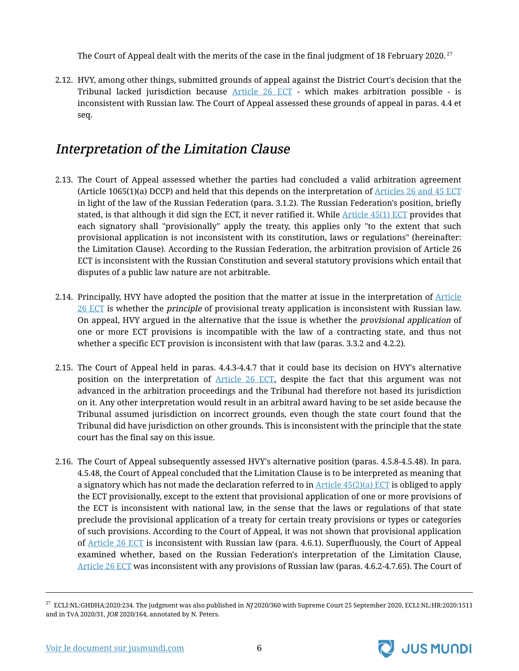The Court of Appeal dealt with the merits of the case in the final judgment of 18 February 2020.<sup>27</sup>

2.12. HVY, among other things, submitted grounds of appeal against the District Court's decision that the Tribunal lacked jurisdiction because **[Article 26 ECT](https://jusmundi.com/en/document/h/clljWVJHbGxISEg0VUZMdWNJazE2TnJ3Mmxwb2NlQ1R3cmNjQXR1UDFhaUg5bDhhczBqUjlmYmVtWWhITFNjK3dCV0JaSFlDK3BFbFIyL0xvSHhiR2sxdnZtV2R3TDJsQUR2Q0hoUUhPeWlwUFRXK0ZmSTJDNUVyTytCd1RRNTNDQmJGNXZZVGpGLzhUODVQMzdWbEl3PT0=)** - which makes arbitration possible - is inconsistent with Russian law. The Court of Appeal assessed these grounds of appeal in paras. 4.4 et seq.

### <span id="page-8-0"></span>Interpretation of the Limitation Clause

- 2.13. The Court of Appeal assessed whether the parties had concluded a valid arbitration agreement (Article 1065(1)(a) DCCP) and held that this depends on the interpretation of  $\Delta$ rticles 26 and 45 ECT in light of the law of the Russian Federation (para. 3.1.2). The Russian Federation's position, briefly stated, is that although it did sign the ECT, it never ratified it. While  $\triangle$ rticle  $45(1)$  ECT provides that each signatory shall "provisionally" apply the treaty, this applies only "to the extent that such provisional application is not inconsistent with its constitution, laws or regulations" (hereinafter: the Limitation Clause). According to the Russian Federation, the arbitration provision of Article 26 ECT is inconsistent with the Russian Constitution and several statutory provisions which entail that disputes of a public law nature are not arbitrable.
- 2.14. Principally, HVY have adopted the position that the matter at issue in the interpretation of <u>[Article](https://jusmundi.com/en/document/h/clljWVJHbGxISEg0VUZMdWNJazE2TnJ3Mmxwb2NlQ1R3cmNjQXR1UDFhaUg5bDhhczBqUjlmYmVtWWhITFNjK3dCV0JaSFlDK3BFbFIyL0xvSHhiR2sxdnZtV2R3TDJsQUR2Q0hoUUhPeWlwUFRXK0ZmSTJDNUVyTytCd1RRNTNDQmJGNXZZVGpGLzhUODVQMzdWbEl3PT0=)</u> [26 ECT](https://jusmundi.com/en/document/h/clljWVJHbGxISEg0VUZMdWNJazE2TnJ3Mmxwb2NlQ1R3cmNjQXR1UDFhaUg5bDhhczBqUjlmYmVtWWhITFNjK3dCV0JaSFlDK3BFbFIyL0xvSHhiR2sxdnZtV2R3TDJsQUR2Q0hoUUhPeWlwUFRXK0ZmSTJDNUVyTytCd1RRNTNDQmJGNXZZVGpGLzhUODVQMzdWbEl3PT0=) is whether the *principle* of provisional treaty application is inconsistent with Russian law. On appeal, HVY argued in the alternative that the issue is whether the provisional application of one or more ECT provisions is incompatible with the law of a contracting state, and thus not whether a specific ECT provision is inconsistent with that law (paras. 3.3.2 and 4.2.2).
- 2.15. The Court of Appeal held in paras. 4.4.3-4.4.7 that it could base its decision on HVY's alternative position on the interpretation of [Article 26 ECT,](https://jusmundi.com/en/document/h/clljWVJHbGxISEg0VUZMdWNJazE2TnJ3Mmxwb2NlQ1R3cmNjQXR1UDFhaUg5bDhhczBqUjlmYmVtWWhITFNjK3dCV0JaSFlDK3BFbFIyL0xvSHhiR2sxdnZtV2R3TDJsQUR2Q0hoUUhPeWlwUFRXK0ZmSTJDNUVyTytCd1RRNTNDQmJGNXZZVGpGLzhUODVQMzdWbEl3PT0=) despite the fact that this argument was not advanced in the arbitration proceedings and the Tribunal had therefore not based its jurisdiction on it. Any other interpretation would result in an arbitral award having to be set aside because the Tribunal assumed jurisdiction on incorrect grounds, even though the state court found that the Tribunal did have jurisdiction on other grounds. This is inconsistent with the principle that the state court has the final say on this issue.
- 2.16. The Court of Appeal subsequently assessed HVY's alternative position (paras. 4.5.8-4.5.48). In para. 4.5.48, the Court of Appeal concluded that the Limitation Clause is to be interpreted as meaning that a signatory which has not made the declaration referred to in  $\text{Article }45(2)(a)$  ECT is obliged to apply the ECT provisionally, except to the extent that provisional application of one or more provisions of the ECT is inconsistent with national law, in the sense that the laws or regulations of that state preclude the provisional application of a treaty for certain treaty provisions or types or categories of such provisions. According to the Court of Appeal, it was not shown that provisional application of [Article 26 ECT](https://jusmundi.com/en/document/h/clljWVJHbGxISEg0VUZMdWNJazE2TnJ3Mmxwb2NlQ1R3cmNjQXR1UDFhaUg5bDhhczBqUjlmYmVtWWhITFNjK3dCV0JaSFlDK3BFbFIyL0xvSHhiR2sxdnZtV2R3TDJsQUR2Q0hoUUhPeWlwUFRXK0ZmSTJDNUVyTytCd1RRNTNDQmJGNXZZVGpGLzhUODVQMzdWbEl3PT0=) is inconsistent with Russian law (para. 4.6.1). Superfluously, the Court of Appeal examined whether, based on the Russian Federation's interpretation of the Limitation Clause, [Article 26 ECT](https://jusmundi.com/en/document/h/clljWVJHbGxISEg0VUZMdWNJazE2TnJ3Mmxwb2NlQ1R3cmNjQXR1UDFhaUg5bDhhczBqUjlmYmVtWWhITFNjK3dCV0JaSFlDK3BFbFIyL0xvSHhiR2sxdnZtV2R3TDJsQUR2Q0hoUUhPeWlwUFRXK0ZmSTJDNUVyTytCd1RRNTNDQmJGNXZZVGpGLzhUODVQMzdWbEl3PT0=) was inconsistent with any provisions of Russian law (paras. 4.6.2-4.7.65). The Court of

 $^{27}$  ECLI:NL:GHDHA:2020:234. The judgment was also published in NJ 2020/360 with Supreme Court 25 September 2020, ECLI:NL:HR:2020:1511 and in TvA 2020/31, JOR 2020/164, annotated by N. Peters.



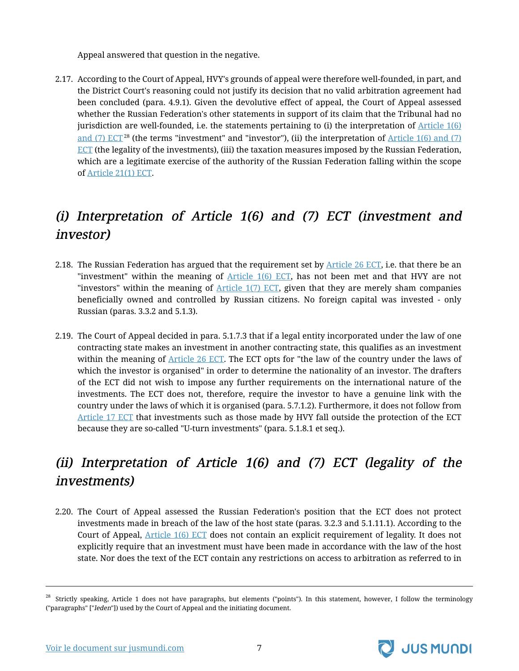Appeal answered that question in the negative.

2.17. According to the Court of Appeal, HVY's grounds of appeal were therefore well-founded, in part, and the District Court's reasoning could not justify its decision that no valid arbitration agreement had been concluded (para. 4.9.1). Given the devolutive effect of appeal, the Court of Appeal assessed whether the Russian Federation's other statements in support of its claim that the Tribunal had no jurisdiction are well-founded, i.e. the statements pertaining to (i) the interpretation of  $\Delta$ rticle  $1(6)$ [and \(7\) ECT](https://jusmundi.com/en/document/h/clljWVJHbGxISEg0VUZMdWNJazE2TnJ3Mmxwb2NlQ1R3cmNjQXR1UDFhaUg5bDhhczBqUjlmYmVtWWhITFNjK3dCV0JaSFlDK3BFbFIyL0xvSHhiR2sxdnZtV2R3TDJsQUR2Q0hoUUhPeWlwUFRXK0ZmSTJDNUVyTytCd1RRNTNQNGpLcDFlN0gyZ2tjejBrbVBPMGp3PT0=)<sup>28</sup> (the terms "investment" and "investor"), (ii) the interpretation of [Article 1\(6\) and \(7\)](https://jusmundi.com/en/document/h/clljWVJHbGxISEg0VUZMdWNJazE2TnJ3Mmxwb2NlQ1R3cmNjQXR1UDFhaUg5bDhhczBqUjlmYmVtWWhITFNjK3dCV0JaSFlDK3BFbFIyL0xvSHhiR2sxdnZtV2R3TDJsQUR2Q0hoUUhPeWlwUFRXK0ZmSTJDNUVyTytCd1RRNTNQNGpLcDFlN0gyZ2tjejBrbVBPMGp3PT0=) [ECT](https://jusmundi.com/en/document/h/clljWVJHbGxISEg0VUZMdWNJazE2TnJ3Mmxwb2NlQ1R3cmNjQXR1UDFhaUg5bDhhczBqUjlmYmVtWWhITFNjK3dCV0JaSFlDK3BFbFIyL0xvSHhiR2sxdnZtV2R3TDJsQUR2Q0hoUUhPeWlwUFRXK0ZmSTJDNUVyTytCd1RRNTNQNGpLcDFlN0gyZ2tjejBrbVBPMGp3PT0=) (the legality of the investments), (iii) the taxation measures imposed by the Russian Federation, which are a legitimate exercise of the authority of the Russian Federation falling within the scope of [Article 21\(1\) ECT](https://jusmundi.com/en/document/h/clljWVJHbGxISEg0VUZMdWNJazE2TnJ3Mmxwb2NlQ1R3cmNjQXR1UDFhaUg5bDhhczBqUjlmYmVtWWhITFNjK3dCV0JaSFlDK3BFbFIyL0xvSHhiR2sxdnZtV2R3TDJsQUR2Q0hoUUhPeWlwUFRXK0ZmSTJDNUVyTytCd1RRNTNld0Z0ZE9qV3FZeHI2NDZCNG1LMFZRPT0=).

## <span id="page-9-0"></span>(i) Interpretation of Article 1(6) and (7) ECT (investment and investor)

- 2.18. The Russian Federation has argued that the requirement set by <u>Article 26 ECT</u>, i.e. that there be an "investment" within the meaning of [Article 1\(6\) ECT](https://jusmundi.com/en/document/h/clljWVJHbGxISEg0VUZMdWNJazE2TnJ3Mmxwb2NlQ1R3cmNjQXR1UDFhaUg5bDhhczBqUjlmYmVtWWhITFNjK3dCV0JaSFlDK3BFbFIyL0xvSHhiR2sxdnZtV2R3TDJsQUR2Q0hoUUhPeWlwUFRXK0ZmSTJDNUVyTytCd1RRNTNwN01Gb3dPWkZkKy8zeWpwclM0RlZBPT0=), has not been met and that HVY are not "investors" within the meaning of  $Article 1(7)$  ECT, given that they are merely sham companies beneficially owned and controlled by Russian citizens. No foreign capital was invested - only Russian (paras. 3.3.2 and 5.1.3).
- 2.19. The Court of Appeal decided in para. 5.1.7.3 that if a legal entity incorporated under the law of one contracting state makes an investment in another contracting state, this qualifies as an investment within the meaning of **[Article 26 ECT](https://jusmundi.com/en/document/h/clljWVJHbGxISEg0VUZMdWNJazE2TnJ3Mmxwb2NlQ1R3cmNjQXR1UDFhaUg5bDhhczBqUjlmYmVtWWhITFNjK3dCV0JaSFlDK3BFbFIyL0xvSHhiR2sxdnZtV2R3TDJsQUR2Q0hoUUhPeWlwUFRXK0ZmSTJDNUVyTytCd1RRNTNDQmJGNXZZVGpGLzhUODVQMzdWbEl3PT0=)**. The ECT opts for "the law of the country under the laws of which the investor is organised" in order to determine the nationality of an investor. The drafters of the ECT did not wish to impose any further requirements on the international nature of the investments. The ECT does not, therefore, require the investor to have a genuine link with the country under the laws of which it is organised (para. 5.7.1.2). Furthermore, it does not follow from [Article 17 ECT](https://jusmundi.com/en/document/h/clljWVJHbGxISEg0VUZMdWNJazE2TnJ3Mmxwb2NlQ1R3cmNjQXR1UDFhaUg5bDhhczBqUjlmYmVtWWhITFNjK3dCV0JaSFlDK3BFbFIyL0xvSHhiR2sxdnZtV2R3TDJsQUR2Q0hoUUhPeWlwUFRXK0ZmSTJDNUVyTytCd1RRNTNrTFNKdXRuc1d2YTVWckFIWE9rMld3PT0=) that investments such as those made by HVY fall outside the protection of the ECT because they are so-called "U-turn investments" (para. 5.1.8.1 et seq.).

# <span id="page-9-1"></span>(ii) Interpretation of Article 1(6) and (7) ECT (legality of the investments)

2.20. The Court of Appeal assessed the Russian Federation's position that the ECT does not protect investments made in breach of the law of the host state (paras. 3.2.3 and 5.1.11.1). According to the Court of Appeal, [Article 1\(6\) ECT](https://jusmundi.com/en/document/h/clljWVJHbGxISEg0VUZMdWNJazE2TnJ3Mmxwb2NlQ1R3cmNjQXR1UDFhaUg5bDhhczBqUjlmYmVtWWhITFNjK3dCV0JaSFlDK3BFbFIyL0xvSHhiR2sxdnZtV2R3TDJsQUR2Q0hoUUhPeWlwUFRXK0ZmSTJDNUVyTytCd1RRNTNwN01Gb3dPWkZkKy8zeWpwclM0RlZBPT0=) does not contain an explicit requirement of legality. It does not explicitly require that an investment must have been made in accordance with the law of the host state. Nor does the text of the ECT contain any restrictions on access to arbitration as referred to in

<sup>&</sup>lt;sup>28</sup> Strictly speaking, Article 1 does not have paragraphs, but elements ("points"). In this statement, however, I follow the terminology ("paragraphs" ["leden"]) used by the Court of Appeal and the initiating document.



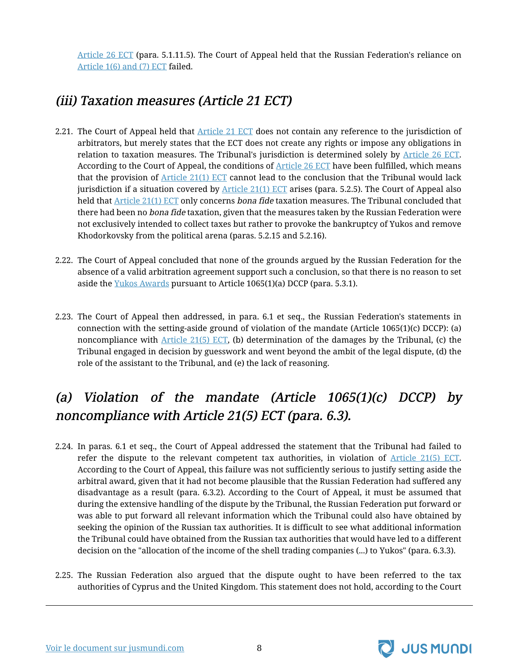[Article 26 ECT](https://jusmundi.com/en/document/h/clljWVJHbGxISEg0VUZMdWNJazE2TnJ3Mmxwb2NlQ1R3cmNjQXR1UDFhaUg5bDhhczBqUjlmYmVtWWhITFNjK3dCV0JaSFlDK3BFbFIyL0xvSHhiR2sxdnZtV2R3TDJsQUR2Q0hoUUhPeWlwUFRXK0ZmSTJDNUVyTytCd1RRNTNDQmJGNXZZVGpGLzhUODVQMzdWbEl3PT0=) (para. 5.1.11.5). The Court of Appeal held that the Russian Federation's reliance on [Article 1\(6\) and \(7\) ECT](https://jusmundi.com/en/document/h/clljWVJHbGxISEg0VUZMdWNJazE2TnJ3Mmxwb2NlQ1R3cmNjQXR1UDFhaUg5bDhhczBqUjlmYmVtWWhITFNjK3dCV0JaSFlDK3BFbFIyL0xvSHhiR2sxdnZtV2R3TDJsQUR2Q0hoUUhPeWlwUFRXK0ZmSTJDNUVyTytCd1RRNTNQNGpLcDFlN0gyZ2tjejBrbVBPMGp3PT0=) failed.

## <span id="page-10-0"></span>(iii) Taxation measures (Article 21 ECT)

- 2.21. The Court of Appeal held that <u>[Article 21 ECT](https://jusmundi.com/en/document/h/clljWVJHbGxISEg0VUZMdWNJazE2TnJ3Mmxwb2NlQ1R3cmNjQXR1UDFhaUg5bDhhczBqUjlmYmVtWWhITFNjK3dCV0JaSFlDK3BFbFIyL0xvSHhiR2sxdnZtV2R3TDJsQUR2Q0hoUUhPeWlwUFRXK0ZmSTJDNUVyTytCd1RRNTN1Q1N5b1ZkSFFxMjRaOGlnb2hPZHR3PT0=)</u> does not contain any reference to the jurisdiction of arbitrators, but merely states that the ECT does not create any rights or impose any obligations in relation to taxation measures. The Tribunal's jurisdiction is determined solely by [Article 26 ECT](https://jusmundi.com/en/document/h/clljWVJHbGxISEg0VUZMdWNJazE2TnJ3Mmxwb2NlQ1R3cmNjQXR1UDFhaUg5bDhhczBqUjlmYmVtWWhITFNjK3dCV0JaSFlDK3BFbFIyL0xvSHhiR2sxdnZtV2R3TDJsQUR2Q0hoUUhPeWlwUFRXK0ZmSTJDNUVyTytCd1RRNTNDQmJGNXZZVGpGLzhUODVQMzdWbEl3PT0=). According to the Court of Appeal, the conditions of [Article 26 ECT](https://jusmundi.com/en/document/h/clljWVJHbGxISEg0VUZMdWNJazE2TnJ3Mmxwb2NlQ1R3cmNjQXR1UDFhaUg5bDhhczBqUjlmYmVtWWhITFNjK3dCV0JaSFlDK3BFbFIyL0xvSHhiR2sxdnZtV2R3TDJsQUR2Q0hoUUhPeWlwUFRXK0ZmSTJDNUVyTytCd1RRNTNDQmJGNXZZVGpGLzhUODVQMzdWbEl3PT0=) have been fulfilled, which means that the provision of  $Article$   $21(1)$   $ECT$  cannot lead to the conclusion that the Tribunal would lack jurisdiction if a situation covered by  $\text{Article } 21(1)$  ECT arises (para. 5.2.5). The Court of Appeal also held that [Article 21\(1\) ECT](https://jusmundi.com/en/document/h/clljWVJHbGxISEg0VUZMdWNJazE2TnJ3Mmxwb2NlQ1R3cmNjQXR1UDFhaUg5bDhhczBqUjlmYmVtWWhITFNjK3dCV0JaSFlDK3BFbFIyL0xvSHhiR2sxdnZtV2R3TDJsQUR2Q0hoUUhPeWlwUFRXK0ZmSTJDNUVyTytCd1RRNTNld0Z0ZE9qV3FZeHI2NDZCNG1LMFZRPT0=) only concerns bona fide taxation measures. The Tribunal concluded that there had been no *bona fide* taxation, given that the measures taken by the Russian Federation were not exclusively intended to collect taxes but rather to provoke the bankruptcy of Yukos and remove Khodorkovsky from the political arena (paras. 5.2.15 and 5.2.16).
- 2.22. The Court of Appeal concluded that none of the grounds argued by the Russian Federation for the absence of a valid arbitration agreement support such a conclusion, so that there is no reason to set aside the [Yukos Awards](https://jusmundi.com/en/document/h/VkVabHFaZE1BSjY0RitpYTBTdEc4Uy9nYkdoN01STUs2c3RzODQ0TW5COWhkU2N3MUgzV2dhSXBPWjhza1hBcE5oMHJBVjhDdTIveFMrRTZzVWtPVzJyWTNjd0NSQzFJd25FSG9JLzNHWjRsVmtwYTl1VlVnZVBYRjJFbUx5WUxzWC9iVGorZTlmb1plcWlZbEZRSjZTRlkzU0t1bkF4ZzNiRjJPckNuRGE0REVzemw3ZCthYjFDdVF6QjNoaE5OTXNqMElnZyt4UUx1TllRajlZZnp0QT09) pursuant to Article 1065(1)(a) DCCP (para. 5.3.1).
- 2.23. The Court of Appeal then addressed, in para. 6.1 et seq., the Russian Federation's statements in connection with the setting-aside ground of violation of the mandate (Article 1065(1)(c) DCCP): (a) noncompliance with  $Article$   $21(5)$   $ECT.$  (b) determination of the damages by the Tribunal, (c) the Tribunal engaged in decision by guesswork and went beyond the ambit of the legal dispute, (d) the role of the assistant to the Tribunal, and (e) the lack of reasoning.

# <span id="page-10-1"></span>(a) Violation of the mandate (Article  $1065(1)(c)$  DCCP) by noncompliance with Article 21(5) ECT (para. 6.3).

- 2.24. In paras. 6.1 et seq., the Court of Appeal addressed the statement that the Tribunal had failed to refer the dispute to the relevant competent tax authorities, in violation of [Article 21\(5\) ECT](https://jusmundi.com/en/document/h/clljWVJHbGxISEg0VUZMdWNJazE2TnJ3Mmxwb2NlQ1R3cmNjQXR1UDFhaUg5bDhhczBqUjlmYmVtWWhITFNjK3dCV0JaSFlDK3BFbFIyL0xvSHhiR2sxdnZtV2R3TDJsQUR2Q0hoUUhPeWlwUFRXK0ZmSTJDNUVyTytCd1RRNTNZN0M0T1JTOUIwMThFQmczaHpXcTNRPT0=). According to the Court of Appeal, this failure was not sufficiently serious to justify setting aside the arbitral award, given that it had not become plausible that the Russian Federation had suffered any disadvantage as a result (para. 6.3.2). According to the Court of Appeal, it must be assumed that during the extensive handling of the dispute by the Tribunal, the Russian Federation put forward or was able to put forward all relevant information which the Tribunal could also have obtained by seeking the opinion of the Russian tax authorities. It is difficult to see what additional information the Tribunal could have obtained from the Russian tax authorities that would have led to a different decision on the "allocation of the income of the shell trading companies (...) to Yukos" (para. 6.3.3).
- 2.25. The Russian Federation also argued that the dispute ought to have been referred to the tax authorities of Cyprus and the United Kingdom. This statement does not hold, according to the Court



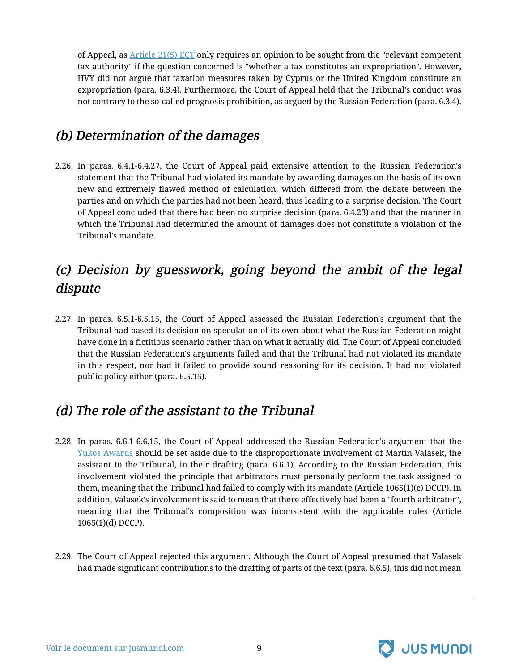of Appeal, as [Article 21\(5\) ECT](https://jusmundi.com/en/document/h/clljWVJHbGxISEg0VUZMdWNJazE2TnJ3Mmxwb2NlQ1R3cmNjQXR1UDFhaUg5bDhhczBqUjlmYmVtWWhITFNjK3dCV0JaSFlDK3BFbFIyL0xvSHhiR2sxdnZtV2R3TDJsQUR2Q0hoUUhPeWlwUFRXK0ZmSTJDNUVyTytCd1RRNTNZN0M0T1JTOUIwMThFQmczaHpXcTNRPT0=) only requires an opinion to be sought from the "relevant competent tax authority" if the question concerned is "whether a tax constitutes an expropriation". However, HVY did not argue that taxation measures taken by Cyprus or the United Kingdom constitute an expropriation (para. 6.3.4). Furthermore, the Court of Appeal held that the Tribunal's conduct was not contrary to the so-called prognosis prohibition, as argued by the Russian Federation (para. 6.3.4).

## <span id="page-11-0"></span>(b) Determination of the damages

2.26. In paras. 6.4.1-6.4.27, the Court of Appeal paid extensive attention to the Russian Federation's statement that the Tribunal had violated its mandate by awarding damages on the basis of its own new and extremely flawed method of calculation, which differed from the debate between the parties and on which the parties had not been heard, thus leading to a surprise decision. The Court of Appeal concluded that there had been no surprise decision (para. 6.4.23) and that the manner in which the Tribunal had determined the amount of damages does not constitute a violation of the Tribunal's mandate.

# <span id="page-11-1"></span>(c) Decision by guesswork, going beyond the ambit of the legal dispute

2.27. In paras. 6.5.1-6.5.15, the Court of Appeal assessed the Russian Federation's argument that the Tribunal had based its decision on speculation of its own about what the Russian Federation might have done in a fictitious scenario rather than on what it actually did. The Court of Appeal concluded that the Russian Federation's arguments failed and that the Tribunal had not violated its mandate in this respect, nor had it failed to provide sound reasoning for its decision. It had not violated public policy either (para. 6.5.15).

### <span id="page-11-2"></span>(d) The role of the assistant to the Tribunal

- 2.28. In paras. 6.6.1-6.6.15, the Court of Appeal addressed the Russian Federation's argument that the [Yukos Awards](https://jusmundi.com/en/document/h/VkVabHFaZE1BSjY0RitpYTBTdEc4Uy9nYkdoN01STUs2c3RzODQ0TW5COWhkU2N3MUgzV2dhSXBPWjhza1hBcE5oMHJBVjhDdTIveFMrRTZzVWtPVzRhR083ZGZ1Z2VJaHEzTVBlVnRTNmRzMEtBeU5tS1grb3lKbmdOSjJSZkZERGIvU0ZSa1lLd1ZmMklIQWxKSzVnPT0=) should be set aside due to the disproportionate involvement of Martin Valasek, the assistant to the Tribunal, in their drafting (para. 6.6.1). According to the Russian Federation, this involvement violated the principle that arbitrators must personally perform the task assigned to them, meaning that the Tribunal had failed to comply with its mandate (Article 1065(1)(c) DCCP). In addition, Valasek's involvement is said to mean that there effectively had been a "fourth arbitrator", meaning that the Tribunal's composition was inconsistent with the applicable rules (Article 1065(1)(d) DCCP).
- 2.29. The Court of Appeal rejected this argument. Although the Court of Appeal presumed that Valasek had made significant contributions to the drafting of parts of the text (para. 6.6.5), this did not mean

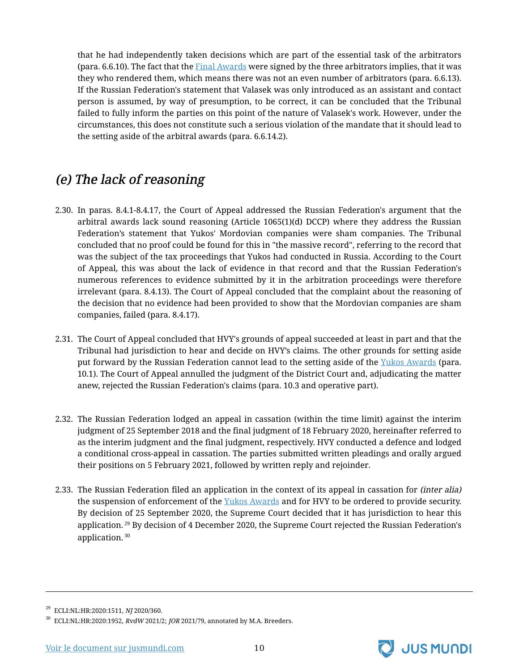that he had independently taken decisions which are part of the essential task of the arbitrators (para. 6.6.10). The fact that the [Final Awards](https://jusmundi.com/en/document/h/WUZmZ2Vxcm9ndzJhVW44NThxNzZRZnNTeHpSMDBLRTQ5dURoNEozQ3BqbDZxSzBnTmdsY3N0UjNPaVlFUVNvZ1NWNDErcTFNYUcxamFIVW91aG1zdHdEeDQ1K0NWOE5seURVOTY2QmZDaWNlVnR2a0g5V3k5T0w1NjcxSTZzdVE=) were signed by the three arbitrators implies, that it was they who rendered them, which means there was not an even number of arbitrators (para. 6.6.13). If the Russian Federation's statement that Valasek was only introduced as an assistant and contact person is assumed, by way of presumption, to be correct, it can be concluded that the Tribunal failed to fully inform the parties on this point of the nature of Valasek's work. However, under the circumstances, this does not constitute such a serious violation of the mandate that it should lead to the setting aside of the arbitral awards (para. 6.6.14.2).

## <span id="page-12-0"></span>(e) The lack of reasoning

- 2.30. In paras. 8.4.1-8.4.17, the Court of Appeal addressed the Russian Federation's argument that the arbitral awards lack sound reasoning (Article 1065(1)(d) DCCP) where they address the Russian Federation's statement that Yukos' Mordovian companies were sham companies. The Tribunal concluded that no proof could be found for this in "the massive record", referring to the record that was the subject of the tax proceedings that Yukos had conducted in Russia. According to the Court of Appeal, this was about the lack of evidence in that record and that the Russian Federation's numerous references to evidence submitted by it in the arbitration proceedings were therefore irrelevant (para. 8.4.13). The Court of Appeal concluded that the complaint about the reasoning of the decision that no evidence had been provided to show that the Mordovian companies are sham companies, failed (para. 8.4.17).
- 2.31. The Court of Appeal concluded that HVY's grounds of appeal succeeded at least in part and that the Tribunal had jurisdiction to hear and decide on HVY's claims. The other grounds for setting aside put forward by the Russian Federation cannot lead to the setting aside of the [Yukos Awards](https://jusmundi.com/en/document/h/VkVabHFaZE1BSjY0RitpYTBTdEc4Uy9nYkdoN01STUs2c3RzODQ0TW5COWhkU2N3MUgzV2dhSXBPWjhza1hBcE5oMHJBVjhDdTIveFMrRTZzVWtPVzJyWTNjd0NSQzFJd25FSG9JLzNHWjRsVmtwYTl1VlVnZVBYRjJFbUx5WUxzWC9iVGorZTlmb1plcWlZbEZRSjZTRlkzU0t1bkF4ZzNiRjJPckNuRGE0REVzemw3ZCthYjFDdVF6QjNoaE5OTXNqMElnZyt4UUx1TllRajlZZnp0QT09) (para. 10.1). The Court of Appeal annulled the judgment of the District Court and, adjudicating the matter anew, rejected the Russian Federation's claims (para. 10.3 and operative part).
- 2.32. The Russian Federation lodged an appeal in cassation (within the time limit) against the interim judgment of 25 September 2018 and the final judgment of 18 February 2020, hereinafter referred to as the interim judgment and the final judgment, respectively. HVY conducted a defence and lodged a conditional cross-appeal in cassation. The parties submitted written pleadings and orally argued their positions on 5 February 2021, followed by written reply and rejoinder.
- 2.33. The Russian Federation filed an application in the context of its appeal in cassation for (inter alia) the suspension of enforcement of the [Yukos Awards](https://jusmundi.com/en/document/h/VkVabHFaZE1BSjY0RitpYTBTdEc4Uy9nYkdoN01STUs2c3RzODQ0TW5COWhkU2N3MUgzV2dhSXBPWjhza1hBcE5oMHJBVjhDdTIveFMrRTZzVWtPVzJyWTNjd0NSQzFJd25FSG9JLzNHWjRsVmtwYTl1VlVnZVBYRjJFbUx5WUxzWC9iVGorZTlmb1plcWlZbEZRSjZTRlkzU0t1bkF4ZzNiRjJPckNuRGE0REVzemw3ZCthYjFDdVF6QjNoaE5OTXNqMElnZyt4UUx1TllRajlZZnp0QT09) and for HVY to be ordered to provide security. By decision of 25 September 2020, the Supreme Court decided that it has jurisdiction to hear this application. <sup>29</sup> By decision of 4 December 2020, the Supreme Court rejected the Russian Federation's application. <sup>30</sup>



<span id="page-12-1"></span><sup>&</sup>lt;sup>29</sup> ECLI:NL:HR:2020:1511, NJ 2020/360.

 $30$  ECLI:NL:HR:2020:1952, RvdW 2021/2; JOR 2021/79, annotated by M.A. Breeders.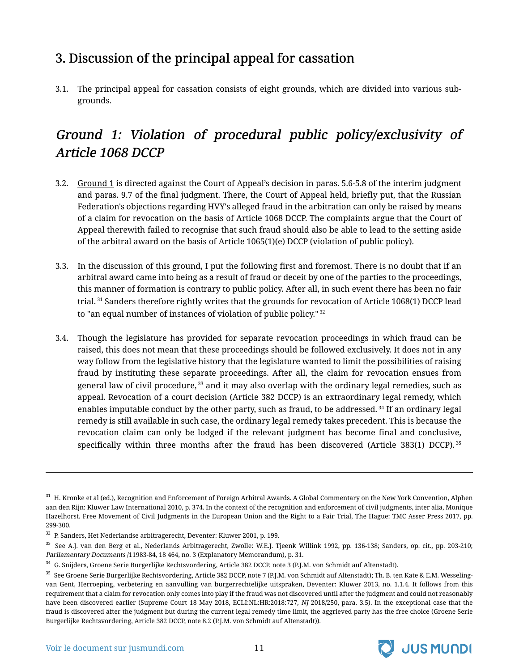## 3. Discussion of the principal appeal for cassation

3.1. The principal appeal for cassation consists of eight grounds, which are divided into various subgrounds.

# <span id="page-13-0"></span>Ground 1: Violation of procedural public policy/exclusivity of Article 1068 DCCP

- 3.2. <u>Ground 1</u> is directed against the Court of Appeal's decision in paras. 5.6-5.8 of the interim judgment and paras. 9.7 of the final judgment. There, the Court of Appeal held, briefly put, that the Russian Federation's objections regarding HVY's alleged fraud in the arbitration can only be raised by means of a claim for revocation on the basis of Article 1068 DCCP. The complaints argue that the Court of Appeal therewith failed to recognise that such fraud should also be able to lead to the setting aside of the arbitral award on the basis of Article 1065(1)(e) DCCP (violation of public policy).
- 3.3. In the discussion of this ground, I put the following first and foremost. There is no doubt that if an arbitral award came into being as a result of fraud or deceit by one of the parties to the proceedings, this manner of formation is contrary to public policy. After all, in such event there has been no fair trial. <sup>31</sup> Sanders therefore rightly writes that the grounds for revocation of Article 1068(1) DCCP lead to "an equal number of instances of violation of public policy." 32
- 3.4. Though the legislature has provided for separate revocation proceedings in which fraud can be raised, this does not mean that these proceedings should be followed exclusively. It does not in any way follow from the legislative history that the legislature wanted to limit the possibilities of raising fraud by instituting these separate proceedings. After all, the claim for revocation ensues from general law of civil procedure,<sup>33</sup> and it may also overlap with the ordinary legal remedies, such as appeal. Revocation of a court decision (Article 382 DCCP) is an extraordinary legal remedy, which enables imputable conduct by the other party, such as fraud, to be addressed.  $34$  If an ordinary legal remedy is still available in such case, the ordinary legal remedy takes precedent. This is because the revocation claim can only be lodged if the relevant judgment has become final and conclusive, specifically within three months after the fraud has been discovered (Article 383(1) DCCP).  $35$

 $35$  See Groene Serie Burgerlijke Rechtsvordering, Article 382 DCCP, note 7 (P.J.M. von Schmidt auf Altenstadt); Th. B. ten Kate & E.M. Wesselingvan Gent, Herroeping, verbetering en aanvulling van burgerrechtelijke uitspraken, Deventer: Kluwer 2013, no. 1.1.4. It follows from this requirement that a claim for revocation only comes into play if the fraud was not discovered until after the judgment and could not reasonably have been discovered earlier (Supreme Court 18 May 2018, ECLI:NL:HR:2018:727, NJ 2018/250, para. 3.5). In the exceptional case that the fraud is discovered after the judgment but during the current legal remedy time limit, the aggrieved party has the free choice (Groene Serie Burgerlijke Rechtsvordering, Article 382 DCCP, note 8.2 (P.J.M. von Schmidt auf Altenstadt)).





 $31$  H. Kronke et al (ed.), Recognition and Enforcement of Foreign Arbitral Awards. A Global Commentary on the New York Convention, Alphen aan den Rijn: Kluwer Law International 2010, p. 374. In the context of the recognition and enforcement of civil judgments, inter alia, Monique Hazelhorst. Free Movement of Civil Judgments in the European Union and the Right to a Fair Trial, The Hague: TMC Asser Press 2017, pp. 299-300.

 $^\mathrm{32}$  P. Sanders, Het Nederlandse arbitragerecht, Deventer: Kluwer 2001, p. 199.

<sup>33</sup> See A.J. van den Berg et al., Nederlands Arbitragerecht, Zwolle: W.E.J. Tjeenk Willink 1992, pp. 136-138; Sanders, op. cit., pp. 203-210; Parliamentary Documents /11983-84, 18 464, no. 3 (Explanatory Memorandum), p. 31.

 $^{34}\,$  G. Snijders, Groene Serie Burgerlijke Rechtsvordering, Article 382 DCCP, note 3 (P.J.M. von Schmidt auf Altenstadt).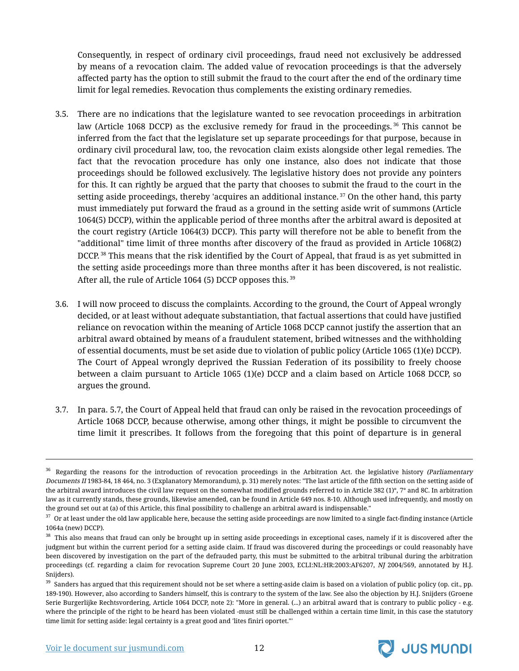Consequently, in respect of ordinary civil proceedings, fraud need not exclusively be addressed by means of a revocation claim. The added value of revocation proceedings is that the adversely affected party has the option to still submit the fraud to the court after the end of the ordinary time limit for legal remedies. Revocation thus complements the existing ordinary remedies.

- 3.5. There are no indications that the legislature wanted to see revocation proceedings in arbitration law (Article 1068 DCCP) as the exclusive remedy for fraud in the proceedings.<sup>36</sup> This cannot be inferred from the fact that the legislature set up separate proceedings for that purpose, because in ordinary civil procedural law, too, the revocation claim exists alongside other legal remedies. The fact that the revocation procedure has only one instance, also does not indicate that those proceedings should be followed exclusively. The legislative history does not provide any pointers for this. It can rightly be argued that the party that chooses to submit the fraud to the court in the setting aside proceedings, thereby 'acquires an additional instance.<sup>37</sup> On the other hand, this party must immediately put forward the fraud as a ground in the setting aside writ of summons (Article 1064(5) DCCP), within the applicable period of three months after the arbitral award is deposited at the court registry (Article 1064(3) DCCP). This party will therefore not be able to benefit from the "additional" time limit of three months after discovery of the fraud as provided in Article 1068(2) DCCP.  $^{38}$  This means that the risk identified by the Court of Appeal, that fraud is as yet submitted in the setting aside proceedings more than three months after it has been discovered, is not realistic. After all, the rule of Article 1064 (5) DCCP opposes this. 39
- 3.6. I will now proceed to discuss the complaints. According to the ground, the Court of Appeal wrongly decided, or at least without adequate substantiation, that factual assertions that could have justified reliance on revocation within the meaning of Article 1068 DCCP cannot justify the assertion that an arbitral award obtained by means of a fraudulent statement, bribed witnesses and the withholding of essential documents, must be set aside due to violation of public policy (Article 1065 (1)(e) DCCP). The Court of Appeal wrongly deprived the Russian Federation of its possibility to freely choose between a claim pursuant to Article 1065 (1)(e) DCCP and a claim based on Article 1068 DCCP, so argues the ground.
- 3.7. In para. 5.7, the Court of Appeal held that fraud can only be raised in the revocation proceedings of Article 1068 DCCP, because otherwise, among other things, it might be possible to circumvent the time limit it prescribes. It follows from the foregoing that this point of departure is in general

 $39$  Sanders has argued that this requirement should not be set where a setting-aside claim is based on a violation of public policy (op. cit., pp. 189-190). However, also according to Sanders himself, this is contrary to the system of the law. See also the objection by H.J. Snijders (Groene Serie Burgerlijke Rechtsvordering, Article 1064 DCCP, note 2): "More in general. (...) an arbitral award that is contrary to public policy - e.g. where the principle of the right to be heard has been violated -must still be challenged within a certain time limit, in this case the statutory time limit for setting aside: legal certainty is a great good and 'lites finiri oportet."'





<sup>&</sup>lt;sup>36</sup> Regarding the reasons for the introduction of revocation proceedings in the Arbitration Act. the legislative history (Parliamentary Documents II 1983-84, 18 464, no. 3 (Explanatory Memorandum), p. 31) merely notes: "The last article of the fifth section on the setting aside of the arbitral award introduces the civil law request on the somewhat modified grounds referred to in Article 382 (1)°, 7° and 8C. In arbitration law as it currently stands, these grounds, likewise amended, can be found in Article 649 nos. 8-10. Although used infrequently, and mostly on the ground set out at (a) of this Article, this final possibility to challenge an arbitral award is indispensable."

 $37$  Or at least under the old law applicable here, because the setting aside proceedings are now limited to a single fact-finding instance (Article 1064a (new) DCCP).

<sup>&</sup>lt;sup>38</sup> This also means that fraud can only be brought up in setting aside proceedings in exceptional cases, namely if it is discovered after the judgment but within the current period for a setting aside claim. If fraud was discovered during the proceedings or could reasonably have been discovered by investigation on the part of the defrauded party, this must be submitted to the arbitral tribunal during the arbitration proceedings (cf. regarding a claim for revocation Supreme Court 20 June 2003, ECLI:NL:HR:2003:AF6207, NJ 2004/569, annotated by H.J. Snijders).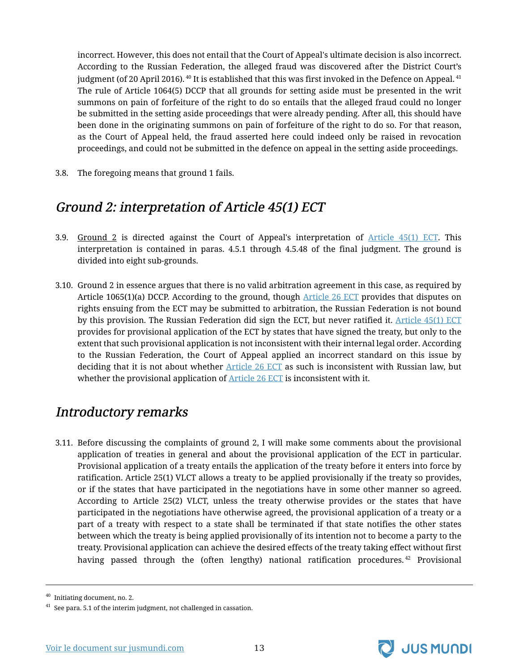incorrect. However, this does not entail that the Court of Appeal's ultimate decision is also incorrect. According to the Russian Federation, the alleged fraud was discovered after the District Court's judgment (of 20 April 2016). <sup>40</sup> It is established that this was first invoked in the Defence on Appeal. <sup>41</sup> The rule of Article 1064(5) DCCP that all grounds for setting aside must be presented in the writ summons on pain of forfeiture of the right to do so entails that the alleged fraud could no longer be submitted in the setting aside proceedings that were already pending. After all, this should have been done in the originating summons on pain of forfeiture of the right to do so. For that reason, as the Court of Appeal held, the fraud asserted here could indeed only be raised in revocation proceedings, and could not be submitted in the defence on appeal in the setting aside proceedings.

3.8. The foregoing means that ground 1 fails.

## <span id="page-15-0"></span>Ground 2: interpretation of Article 45(1) ECT

- 3.9. <u>Ground 2</u> is directed against the Court of Appeal's interpretation of <u>[Article 45\(1\) ECT](https://jusmundi.com/en/document/h/clljWVJHbGxISEg0VUZMdWNJazE2TnJ3Mmxwb2NlQ1R3cmNjQXR1UDFhaUg5bDhhczBqUjlmYmVtWWhITFNjK3dCV0JaSFlDK3BFbFIyL0xvSHhiR2sxdnZtV2R3TDJsQUR2Q0hoUUhPeWlwUFRXK0ZmSTJDNUVyTytCd1RRNTNjZ05Tdy9FMGVhb3p3Ky9uOE9DSXdBPT0=)</u>. This interpretation is contained in paras. 4.5.1 through 4.5.48 of the final judgment. The ground is divided into eight sub-grounds.
- 3.10. Ground 2 in essence argues that there is no valid arbitration agreement in this case, as required by Article 1065(1)(a) DCCP. According to the ground, though [Article 26 ECT](https://jusmundi.com/en/document/h/clljWVJHbGxISEg0VUZMdWNJazE2TnJ3Mmxwb2NlQ1R3cmNjQXR1UDFhaUg5bDhhczBqUjlmYmVtWWhITFNjK3dCV0JaSFlDK3BFbFIyL0xvSHhiR2sxdnZtV2R3TDJsQUR2Q0hoUUhPeWlwUFRXK0ZmSTJDNUVyTytCd1RRNTNDQmJGNXZZVGpGLzhUODVQMzdWbEl3PT0=) provides that disputes on rights ensuing from the ECT may be submitted to arbitration, the Russian Federation is not bound by this provision. The Russian Federation did sign the ECT, but never ratified it. [Article 45\(1\) ECT](https://jusmundi.com/en/document/h/clljWVJHbGxISEg0VUZMdWNJazE2TnJ3Mmxwb2NlQ1R3cmNjQXR1UDFhaUg5bDhhczBqUjlmYmVtWWhITFNjK3dCV0JaSFlDK3BFbFIyL0xvSHhiR2sxdnZtV2R3TDJsQUR2Q0hoUUhPeWlwUFRXK0ZmSTJDNUVyTytCd1RRNTNjZ05Tdy9FMGVhb3p3Ky9uOE9DSXdBPT0=) provides for provisional application of the ECT by states that have signed the treaty, but only to the extent that such provisional application is not inconsistent with their internal legal order. According to the Russian Federation, the Court of Appeal applied an incorrect standard on this issue by deciding that it is not about whether [Article 26 ECT](https://jusmundi.com/en/document/h/clljWVJHbGxISEg0VUZMdWNJazE2TnJ3Mmxwb2NlQ1R3cmNjQXR1UDFhaUg5bDhhczBqUjlmYmVtWWhITFNjK3dCV0JaSFlDK3BFbFIyL0xvSHhiR2sxdnZtV2R3TDJsQUR2Q0hoUUhPeWlwUFRXK0ZmSTJDNUVyTytCd1RRNTNDQmJGNXZZVGpGLzhUODVQMzdWbEl3PT0=) as such is inconsistent with Russian law, but whether the provisional application of **[Article 26 ECT](https://jusmundi.com/en/document/h/clljWVJHbGxISEg0VUZMdWNJazE2TnJ3Mmxwb2NlQ1R3cmNjQXR1UDFhaUg5bDhhczBqUjlmYmVtWWhITFNjK3dCV0JaSFlDK3BFbFIyL0xvSHhiR2sxdnZtV2R3TDJsQUR2Q0hoUUhPeWlwUFRXK0ZmSTJDNUVyTytCd1RRNTNDQmJGNXZZVGpGLzhUODVQMzdWbEl3PT0=)** is inconsistent with it.

#### <span id="page-15-1"></span>Introductory remarks

3.11. Before discussing the complaints of ground 2, I will make some comments about the provisional application of treaties in general and about the provisional application of the ECT in particular. Provisional application of a treaty entails the application of the treaty before it enters into force by ratification. Article 25(1) VLCT allows a treaty to be applied provisionally if the treaty so provides, or if the states that have participated in the negotiations have in some other manner so agreed. According to Article 25(2) VLCT, unless the treaty otherwise provides or the states that have participated in the negotiations have otherwise agreed, the provisional application of a treaty or a part of a treaty with respect to a state shall be terminated if that state notifies the other states between which the treaty is being applied provisionally of its intention not to become a party to the treaty. Provisional application can achieve the desired effects of the treaty taking effect without first having passed through the (often lengthy) national ratification procedures.<sup>42</sup> Provisional



<sup>40</sup> Initiating document, no. 2.

 $^{41}\,$  See para. 5.1 of the interim judgment, not challenged in cassation.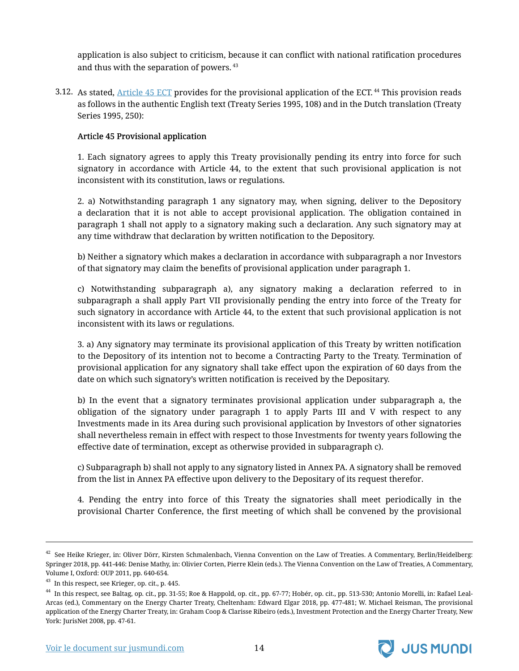application is also subject to criticism, because it can conflict with national ratification procedures and thus with the separation of powers.<sup>43</sup>

3.12. As stated, <u>[Article 45 ECT](https://jusmundi.com/en/document/h/clljWVJHbGxISEg0VUZMdWNJazE2TnJ3Mmxwb2NlQ1R3cmNjQXR1UDFhaUg5bDhhczBqUjlmYmVtWWhITFNjK3dCV0JaSFlDK3BFbFIyL0xvSHhiR2sxdnZtV2R3TDJsQUR2Q0hoUUhPeWlwUFRXK0ZmSTJDNUVyTytCd1RRNTNDQlhsK0drWUMvN3BMdmptc29leFJBPT0=)</u> provides for the provisional application of the ECT.  $^{44}$  This provision reads as follows in the authentic English text (Treaty Series 1995, 108) and in the Dutch translation (Treaty Series 1995, 250):

#### Article 45 Provisional application

1. Each signatory agrees to apply this Treaty provisionally pending its entry into force for such signatory in accordance with Article 44, to the extent that such provisional application is not inconsistent with its constitution, laws or regulations.

2. a) Notwithstanding paragraph 1 any signatory may, when signing, deliver to the Depository a declaration that it is not able to accept provisional application. The obligation contained in paragraph 1 shall not apply to a signatory making such a declaration. Any such signatory may at any time withdraw that declaration by written notification to the Depository.

b) Neither a signatory which makes a declaration in accordance with subparagraph a nor Investors of that signatory may claim the benefits of provisional application under paragraph 1.

c) Notwithstanding subparagraph a), any signatory making a declaration referred to in subparagraph a shall apply Part VII provisionally pending the entry into force of the Treaty for such signatory in accordance with Article 44, to the extent that such provisional application is not inconsistent with its laws or regulations.

3. a) Any signatory may terminate its provisional application of this Treaty by written notification to the Depository of its intention not to become a Contracting Party to the Treaty. Termination of provisional application for any signatory shall take effect upon the expiration of 60 days from the date on which such signatory's written notification is received by the Depositary.

b) In the event that a signatory terminates provisional application under subparagraph a, the obligation of the signatory under paragraph 1 to apply Parts III and V with respect to any Investments made in its Area during such provisional application by Investors of other signatories shall nevertheless remain in effect with respect to those Investments for twenty years following the effective date of termination, except as otherwise provided in subparagraph c).

c) Subparagraph b) shall not apply to any signatory listed in Annex PA. A signatory shall be removed from the list in Annex PA effective upon delivery to the Depositary of its request therefor.

4. Pending the entry into force of this Treaty the signatories shall meet periodically in the provisional Charter Conference, the first meeting of which shall be convened by the provisional



 $42$  See Heike Krieger, in: Oliver Dörr, Kirsten Schmalenbach, Vienna Convention on the Law of Treaties. A Commentary, Berlin/Heidelberg: Springer 2018, pp. 441-446: Denise Mathy, in: Olivier Corten, Pierre Klein (eds.). The Vienna Convention on the Law of Treaties, A Commentary, Volume I, Oxford: OUP 2011, pp. 640-654.

<sup>43</sup> In this respect, see Krieger, op. cit., p. 445.

<sup>&</sup>lt;sup>44</sup> In this respect, see Baltag, op. cit., pp. 31-55; Roe & Happold, op. cit., pp. 67-77; Hobér, op. cit., pp. 513-530; Antonio Morelli, in: Rafael Leal-Arcas (ed.), Commentary on the Energy Charter Treaty, Cheltenham: Edward Elgar 2018, pp. 477-481; W. Michael Reisman, The provisional application of the Energy Charter Treaty, in: Graham Coop & Clarisse Ribeiro (eds.), Investment Protection and the Energy Charter Treaty, New York: JurisNet 2008, pp. 47-61.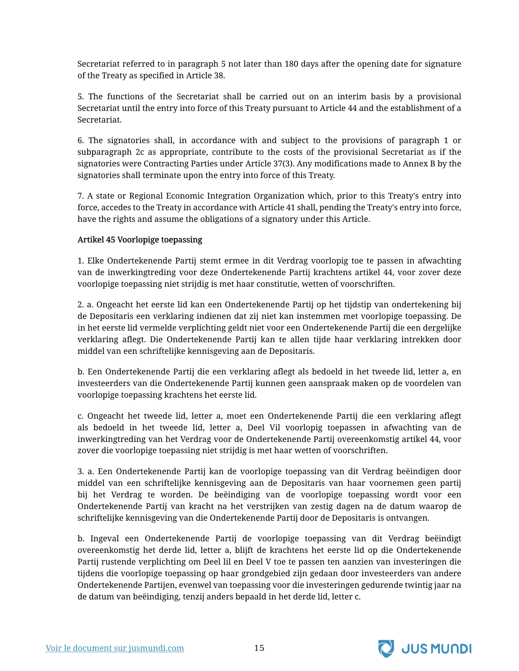Secretariat referred to in paragraph 5 not later than 180 days after the opening date for signature of the Treaty as specified in Article 38.

5. The functions of the Secretariat shall be carried out on an interim basis by a provisional Secretariat until the entry into force of this Treaty pursuant to Article 44 and the establishment of a Secretariat.

6. The signatories shall, in accordance with and subject to the provisions of paragraph 1 or subparagraph 2c as appropriate, contribute to the costs of the provisional Secretariat as if the signatories were Contracting Parties under Article 37(3). Any modifications made to Annex B by the signatories shall terminate upon the entry into force of this Treaty.

7. A state or Regional Economic Integration Organization which, prior to this Treaty's entry into force, accedes to the Treaty in accordance with Article 41 shall, pending the Treaty's entry into force, have the rights and assume the obligations of a signatory under this Article.

#### Artikel 45 Voorlopige toepassing

1. Elke Ondertekenende Partij stemt ermee in dit Verdrag voorlopig toe te passen in afwachting van de inwerkingtreding voor deze Ondertekenende Partij krachtens artikel 44, voor zover deze voorlopige toepassing niet strijdig is met haar constitutie, wetten of voorschriften.

2. a. Ongeacht het eerste lid kan een Ondertekenende Partij op het tijdstip van ondertekening bij de Depositaris een verklaring indienen dat zij niet kan instemmen met voorlopige toepassing. De in het eerste lid vermelde verplichting geldt niet voor een Ondertekenende Partij die een dergelijke verklaring aflegt. Die Ondertekenende Partij kan te allen tijde haar verklaring intrekken door middel van een schriftelijke kennisgeving aan de Depositaris.

b. Een Ondertekenende Partij die een verklaring aflegt als bedoeld in het tweede lid, letter a, en investeerders van die Ondertekenende Partij kunnen geen aanspraak maken op de voordelen van voorlopige toepassing krachtens het eerste lid.

c. Ongeacht het tweede lid, letter a, moet een Ondertekenende Partij die een verklaring aflegt als bedoeld in het tweede lid, letter a, Deel Vil voorlopig toepassen in afwachting van de inwerkingtreding van het Verdrag voor de Ondertekenende Partij overeenkomstig artikel 44, voor zover die voorlopige toepassing niet strijdig is met haar wetten of voorschriften.

3. a. Een Ondertekenende Partij kan de voorlopige toepassing van dit Verdrag beëindigen door middel van een schriftelijke kennisgeving aan de Depositaris van haar voornemen geen partij bij het Verdrag te worden. De beëindiging van de voorlopige toepassing wordt voor een Ondertekenende Partij van kracht na het verstrijken van zestig dagen na de datum waarop de schriftelijke kennisgeving van die Ondertekenende Partij door de Depositaris is ontvangen.

b. Ingeval een Ondertekenende Partij de voorlopige toepassing van dit Verdrag beëindigt overeenkomstig het derde lid, letter a, blijft de krachtens het eerste lid op die Ondertekenende Partij rustende verplichting om Deel lil en Deel V toe te passen ten aanzien van investeringen die tijdens die voorlopige toepassing op haar grondgebied zijn gedaan door investeerders van andere Ondertekenende Partijen, evenwel van toepassing voor die investeringen gedurende twintig jaar na de datum van beëindiging, tenzij anders bepaald in het derde lid, letter c.

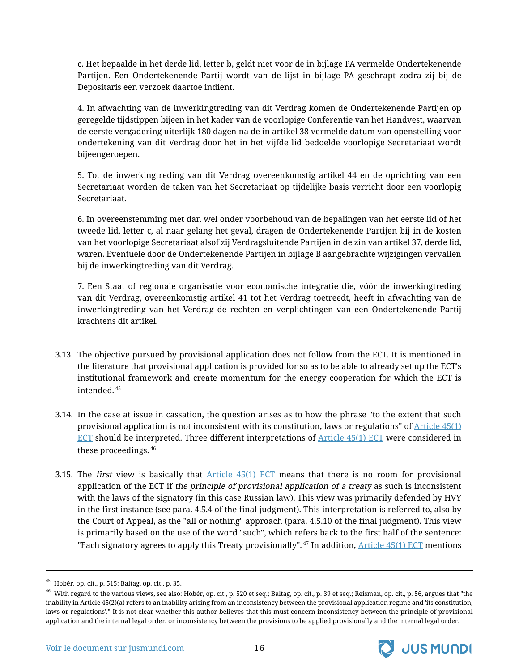c. Het bepaalde in het derde lid, letter b, geldt niet voor de in bijlage PA vermelde Ondertekenende Partijen. Een Ondertekenende Partij wordt van de lijst in bijlage PA geschrapt zodra zij bij de Depositaris een verzoek daartoe indient.

4. In afwachting van de inwerkingtreding van dit Verdrag komen de Ondertekenende Partijen op geregelde tijdstippen bijeen in het kader van de voorlopige Conferentie van het Handvest, waarvan de eerste vergadering uiterlijk 180 dagen na de in artikel 38 vermelde datum van openstelling voor ondertekening van dit Verdrag door het in het vijfde lid bedoelde voorlopige Secretariaat wordt bijeengeroepen.

5. Tot de inwerkingtreding van dit Verdrag overeenkomstig artikel 44 en de oprichting van een Secretariaat worden de taken van het Secretariaat op tijdelijke basis verricht door een voorlopig Secretariaat.

6. In overeenstemming met dan wel onder voorbehoud van de bepalingen van het eerste lid of het tweede lid, letter c, al naar gelang het geval, dragen de Ondertekenende Partijen bij in de kosten van het voorlopige Secretariaat alsof zij Verdragsluitende Partijen in de zin van artikel 37, derde lid, waren. Eventuele door de Ondertekenende Partijen in bijlage B aangebrachte wijzigingen vervallen bij de inwerkingtreding van dit Verdrag.

7. Een Staat of regionale organisatie voor economische integratie die, vóór de inwerkingtreding van dit Verdrag, overeenkomstig artikel 41 tot het Verdrag toetreedt, heeft in afwachting van de inwerkingtreding van het Verdrag de rechten en verplichtingen van een Ondertekenende Partij krachtens dit artikel.

- 3.13. The objective pursued by provisional application does not follow from the ECT. It is mentioned in the literature that provisional application is provided for so as to be able to already set up the ECT's institutional framework and create momentum for the energy cooperation for which the ECT is intended. <sup>45</sup>
- 3.14. In the case at issue in cassation, the question arises as to how the phrase "to the extent that such provisional application is not inconsistent with its constitution, laws or regulations" of  $\text{Article }45(1)$ [ECT](https://jusmundi.com/en/document/h/clljWVJHbGxISEg0VUZMdWNJazE2TnJ3Mmxwb2NlQ1R3cmNjQXR1UDFhaUg5bDhhczBqUjlmYmVtWWhITFNjK3dCV0JaSFlDK3BFbFIyL0xvSHhiR2sxdnZtV2R3TDJsQUR2Q0hoUUhPeWlwUFRXK0ZmSTJDNUVyTytCd1RRNTNjZ05Tdy9FMGVhb3p3Ky9uOE9DSXdBPT0=) should be interpreted. Three different interpretations of [Article 45\(1\) ECT](https://jusmundi.com/en/document/h/clljWVJHbGxISEg0VUZMdWNJazE2TnJ3Mmxwb2NlQ1R3cmNjQXR1UDFhaUg5bDhhczBqUjlmYmVtWWhITFNjK3dCV0JaSFlDK3BFbFIyL0xvSHhiR2sxdnZtV2R3TDJsQUR2Q0hoUUhPeWlwUFRXK0ZmSTJDNUVyTytCd1RRNTNjZ05Tdy9FMGVhb3p3Ky9uOE9DSXdBPT0=) were considered in these proceedings. <sup>46</sup>
- 3.15. The *first* view is basically that  $\overline{\text{Article 45(1) ECT}}$  $\overline{\text{Article 45(1) ECT}}$  $\overline{\text{Article 45(1) ECT}}$  means that there is no room for provisional application of the ECT if the principle of provisional application of <sup>a</sup> treaty as such is inconsistent with the laws of the signatory (in this case Russian law). This view was primarily defended by HVY in the first instance (see para. 4.5.4 of the final judgment). This interpretation is referred to, also by the Court of Appeal, as the "all or nothing" approach (para. 4.5.10 of the final judgment). This view is primarily based on the use of the word "such", which refers back to the first half of the sentence: "Each signatory agrees to apply this Treaty provisionally".  $47$  In addition, Article  $45(1)$  ECT mentions



<sup>45</sup> Hobér, op. cit., p. 515: Baltag, op. cit., p. 35.

 $^{46}$  With regard to the various views, see also: Hobér, op. cit., p. 520 et seq.; Baltag, op. cit., p. 39 et seq.; Reisman, op. cit., p. 56, argues that "the inability in Article 45(2)(a) refers to an inability arising from an inconsistency between the provisional application regime and 'its constitution, laws or regulations'." It is not clear whether this author believes that this must concern inconsistency between the principle of provisional application and the internal legal order, or inconsistency between the provisions to be applied provisionally and the internal legal order.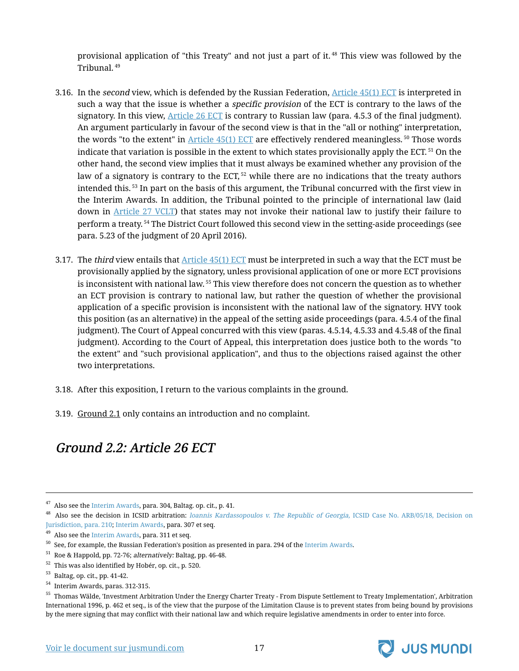provisional application of "this Treaty" and not just a part of it.<sup>48</sup> This view was followed by the Tribunal. <sup>49</sup>

- 3.16. In the *second* view, which is defended by the Russian Federation, <u>[Article 45\(1\) ECT](https://jusmundi.com/en/document/h/clljWVJHbGxISEg0VUZMdWNJazE2TnJ3Mmxwb2NlQ1R3cmNjQXR1UDFhaUg5bDhhczBqUjlmYmVtWWhITFNjK3dCV0JaSFlDK3BFbFIyL0xvSHhiR2sxdnZtV2R3TDJsQUR2Q0hoUUhPeWlwUFRXK0ZmSTJDNUVyTytCd1RRNTNjZ05Tdy9FMGVhb3p3Ky9uOE9DSXdBPT0=)</u> is interpreted in such a way that the issue is whether a *specific provision* of the ECT is contrary to the laws of the signatory. In this view,  $\Delta$ rticle 26 ECT is contrary to Russian law (para. 4.5.3 of the final judgment). An argument particularly in favour of the second view is that in the "all or nothing" interpretation, the words "to the extent" in  $Article 45(1) ECT$  are effectively rendered meaningless.<sup>50</sup> Those words indicate that variation is possible in the extent to which states provisionally apply the ECT.  $^{\rm 51}$  On the other hand, the second view implies that it must always be examined whether any provision of the law of a signatory is contrary to the ECT, $^{52}$  while there are no indications that the treaty authors intended this. <sup>53</sup> In part on the basis of this argument, the Tribunal concurred with the first view in the Interim Awards. In addition, the Tribunal pointed to the principle of international law (laid down in [Article 27 VCLT](https://jusmundi.com/en/document/h/NVFwR2lWbkFqaXdJRmhJT3hnNFo0NEhoLzFzTjdSbU9icGpNYlQ0N3hXUjByQUw3dW1hT1I5OW90REYzWjlFYW1iQm0xR2ZxcmE5MFIwL3EyeU1DWUVRbENBMnU5S3g1dERqLzZnTWNMRHc3U0YwLzlEK2VYZ1FOT1ZFUEszei8yM25adnZnUXlFS0VUZE44K1VxYnNKd3huY2hCK3BlSlM1b0JwaTlUN2hzPQ==)) that states may not invoke their national law to justify their failure to perform a treaty. <sup>54</sup> The District Court followed this second view in the setting-aside proceedings (see para. 5.23 of the judgment of 20 April 2016).
- 3.17. The *third* view entails that <u>[Article 45\(1\) ECT](https://jusmundi.com/en/document/h/clljWVJHbGxISEg0VUZMdWNJazE2TnJ3Mmxwb2NlQ1R3cmNjQXR1UDFhaUg5bDhhczBqUjlmYmVtWWhITFNjK3dCV0JaSFlDK3BFbFIyL0xvSHhiR2sxdnZtV2R3TDJsQUR2Q0hoUUhPeWlwUFRXK0ZmSTJDNUVyTytCd1RRNTNjZ05Tdy9FMGVhb3p3Ky9uOE9DSXdBPT0=)</u> must be interpreted in such a way that the ECT must be provisionally applied by the signatory, unless provisional application of one or more ECT provisions is inconsistent with national law.  $^{\rm 55}$  This view therefore does not concern the question as to whether an ECT provision is contrary to national law, but rather the question of whether the provisional application of a specific provision is inconsistent with the national law of the signatory. HVY took this position (as an alternative) in the appeal of the setting aside proceedings (para. 4.5.4 of the final judgment). The Court of Appeal concurred with this view (paras. 4.5.14, 4.5.33 and 4.5.48 of the final judgment). According to the Court of Appeal, this interpretation does justice both to the words "to the extent" and "such provisional application", and thus to the objections raised against the other two interpretations.
- 3.18. After this exposition, I return to the various complaints in the ground.
- 3.19. Ground 2.1 only contains an introduction and no complaint.

## <span id="page-19-0"></span>Ground 2.2: Article 26 ECT

<sup>&</sup>lt;sup>55</sup> Thomas Wälde, 'Investment Arbitration Under the Energy Charter Treaty - From Dispute Settlement to Treaty Implementation', Arbitration International 1996, p. 462 et seq., is of the view that the purpose of the Limitation Clause is to prevent states from being bound by provisions by the mere signing that may conflict with their national law and which require legislative amendments in order to enter into force.





 $47$  Also see the [Interim Awards](https://jusmundi.com/en/document/h/WUZmZ2Vxcm9ndzJhVW44NThxNzZRZnNTeHpSMDBLRTQ5dURoNEozQ3BqbDZxSzBnTmdsY3N0UjNPaVlFUVNvZ1VJdXdwdi8rUjRSZk9pRlpCWlBHYTU1SFJIbi9vTVphbUFaTTVjVy9maE9vUytXTlFSSUZyVzlHNVVMZ2laZHV5ZEdYaDJvQXZjK1V3SFB6TVZIRkR5ektBZ3JWaXZldHF1clh4YmVzZERISHliNVJQQ3diVGxkbDJ4dGlLbjdX), para. 304, Baltag. op. cit., p. 41.

<sup>&</sup>lt;sup>48</sup> Also see the decision in ICSID arbitration: *loannis Kardassopoulos v. The Republic of Georgia*, [ICSID Case No. ARB/05/18, Decision on](https://jusmundi.com/en/document/h/UW9UNk92TDM4MkY5MzZSd2lGT2lhRzFLVFAvRnMwbXNaNmd4ZU9YdmdKM04waU5PbUl2UG5MRHN1V2FFS1BpVThjbEhvL2dXcm1LY2FTWHdhUkpFS3lEbUlnb3AxQUgzK2Nvbkx5S1M0bkZaclBQb1Z0dGlrb0s4UjB6NnlLY2pYeEN0dG82aHNQWWFrRlowMnV0VHZ3PT0=) [Jurisdiction, para. 210](https://jusmundi.com/en/document/h/UW9UNk92TDM4MkY5MzZSd2lGT2lhRzFLVFAvRnMwbXNaNmd4ZU9YdmdKM04waU5PbUl2UG5MRHN1V2FFS1BpVThjbEhvL2dXcm1LY2FTWHdhUkpFS3lEbUlnb3AxQUgzK2Nvbkx5S1M0bkZaclBQb1Z0dGlrb0s4UjB6NnlLY2pYeEN0dG82aHNQWWFrRlowMnV0VHZ3PT0=); [Interim Awards,](https://jusmundi.com/en/document/h/WUZmZ2Vxcm9ndzJhVW44NThxNzZRZnNTeHpSMDBLRTQ5dURoNEozQ3BqbDZxSzBnTmdsY3N0UjNPaVlFUVNvZ1VJdXdwdi8rUjRSZk9pRlpCWlBHYTU1SFJIbi9vTVphbUFaTTVjVy9maE9vUytXTlFSSUZyVzlHNVVMZ2laZHV5ZEdYaDJvQXZjK1V3SFB6TVZIRkR5ektBZ3JWaXZldHF1clh4YmVzZERISHliNVJQQ3diVGxkbDJ4dGlLbjdX) para. 307 et seq.

 $49$  Also see the [Interim Awards](https://jusmundi.com/en/document/h/WUZmZ2Vxcm9ndzJhVW44NThxNzZRZnNTeHpSMDBLRTQ5dURoNEozQ3BqbDZxSzBnTmdsY3N0UjNPaVlFUVNvZ1VJdXdwdi8rUjRSZk9pRlpCWlBHYTU1SFJIbi9vTVphbUFaTTVjVy9maE9vUytXTlFSSUZyVzlHNVVMZ2laZHV5ZEdYaDJvQXZjK1V3SFB6TVZIRkR5ektBZ3JWaXZldHF1clh4YmVzZERISHliNVJQQ3diVGxkbDJ4dGlLbjdX), para. 311 et seq.

<sup>50</sup> See, for example, the Russian Federation's position as presented in para. 294 of the [Interim Awards](https://jusmundi.com/en/document/h/WUZmZ2Vxcm9ndzJhVW44NThxNzZRZnNTeHpSMDBLRTQ5dURoNEozQ3BqbDZxSzBnTmdsY3N0UjNPaVlFUVNvZ1VJdXdwdi8rUjRSZk9pRlpCWlBHYTU1SFJIbi9vTVphbUFaTTVjVy9maE9vUytXTlFSSUZyVzlHNVVMZ2laZHV5ZEdYaDJvQXZjK1V3SFB6TVZIRkR5ektBZ3JWaXZldHF1clh4YmVzZERISHliNVJQQ3diVGxkbDJ4dGlLbjdX).

<sup>51</sup> Roe & Happold, pp. 72-76; alternatively: Baltag, pp. 46-48.

 $52$  This was also identified by Hobér, op. cit., p. 520.

<sup>53</sup> Baltag, op. cit., pp. 41-42.

<sup>54</sup> Interim Awards, paras. 312-315.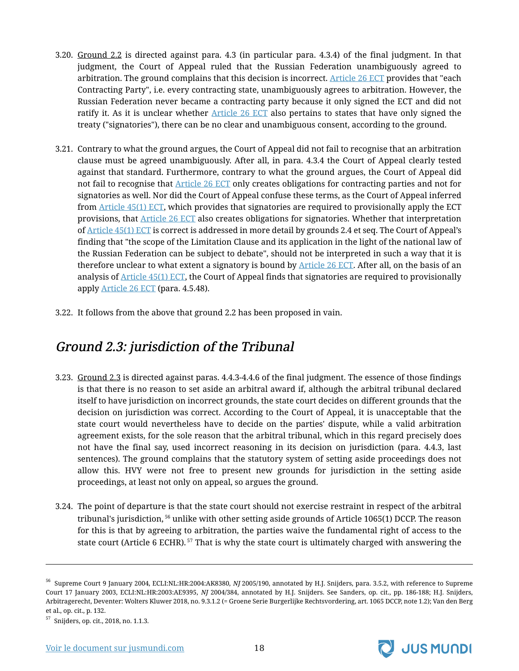- 3.20. <u>Ground 2.2</u> is directed against para. 4.3 (in particular para. 4.3.4) of the final judgment. In that judgment, the Court of Appeal ruled that the Russian Federation unambiguously agreed to arbitration. The ground complains that this decision is incorrect. [Article 26 ECT](https://jusmundi.com/en/document/h/clljWVJHbGxISEg0VUZMdWNJazE2TnJ3Mmxwb2NlQ1R3cmNjQXR1UDFhaUg5bDhhczBqUjlmYmVtWWhITFNjK3dCV0JaSFlDK3BFbFIyL0xvSHhiR2sxdnZtV2R3TDJsQUR2Q0hoUUhPeWlwUFRXK0ZmSTJDNUVyTytCd1RRNTNDQmJGNXZZVGpGLzhUODVQMzdWbEl3PT0=) provides that "each Contracting Party", i.e. every contracting state, unambiguously agrees to arbitration. However, the Russian Federation never became a contracting party because it only signed the ECT and did not ratify it. As it is unclear whether  $\Delta$ rticle 26 ECT also pertains to states that have only signed the treaty ("signatories"), there can be no clear and unambiguous consent, according to the ground.
- 3.21. Contrary to what the ground argues, the Court of Appeal did not fail to recognise that an arbitration clause must be agreed unambiguously. After all, in para. 4.3.4 the Court of Appeal clearly tested against that standard. Furthermore, contrary to what the ground argues, the Court of Appeal did not fail to recognise that [Article 26 ECT](https://jusmundi.com/en/document/h/clljWVJHbGxISEg0VUZMdWNJazE2TnJ3Mmxwb2NlQ1R3cmNjQXR1UDFhaUg5bDhhczBqUjlmYmVtWWhITFNjK3dCV0JaSFlDK3BFbFIyL0xvSHhiR2sxdnZtV2R3TDJsQUR2Q0hoUUhPeWlwUFRXK0ZmSTJDNUVyTytCd1RRNTNDQmJGNXZZVGpGLzhUODVQMzdWbEl3PT0=) only creates obligations for contracting parties and not for signatories as well. Nor did the Court of Appeal confuse these terms, as the Court of Appeal inferred from  $Article 45(1) ECT$ , which provides that signatories are required to provisionally apply the ECT provisions, that [Article 26 ECT](https://jusmundi.com/en/document/h/clljWVJHbGxISEg0VUZMdWNJazE2TnJ3Mmxwb2NlQ1R3cmNjQXR1UDFhaUg5bDhhczBqUjlmYmVtWWhITFNjK3dCV0JaSFlDK3BFbFIyL0xvSHhiR2sxdnZtV2R3TDJsQUR2Q0hoUUhPeWlwUFRXK0ZmSTJDNUVyTytCd1RRNTNDQmJGNXZZVGpGLzhUODVQMzdWbEl3PT0=) also creates obligations for signatories. Whether that interpretation of [Article 45\(1\) ECT](https://jusmundi.com/en/document/h/clljWVJHbGxISEg0VUZMdWNJazE2TnJ3Mmxwb2NlQ1R3cmNjQXR1UDFhaUg5bDhhczBqUjlmYmVtWWhITFNjK3dCV0JaSFlDK3BFbFIyL0xvSHhiR2sxdnZtV2R3TDJsQUR2Q0hoUUhPeWlwUFRXK0ZmSTJDNUVyTytCd1RRNTNjZ05Tdy9FMGVhb3p3Ky9uOE9DSXdBPT0=) is correct is addressed in more detail by grounds 2.4 et seq. The Court of Appeal's finding that "the scope of the Limitation Clause and its application in the light of the national law of the Russian Federation can be subject to debate", should not be interpreted in such a way that it is therefore unclear to what extent a signatory is bound by **Article 26 ECT**. After all, on the basis of an analysis of [Article 45\(1\) ECT](https://jusmundi.com/en/document/h/clljWVJHbGxISEg0VUZMdWNJazE2TnJ3Mmxwb2NlQ1R3cmNjQXR1UDFhaUg5bDhhczBqUjlmYmVtWWhITFNjK3dCV0JaSFlDK3BFbFIyL0xvSHhiR2sxdnZtV2R3TDJsQUR2Q0hoUUhPeWlwUFRXK0ZmSTJDNUVyTytCd1RRNTNjZ05Tdy9FMGVhb3p3Ky9uOE9DSXdBPT0=), the Court of Appeal finds that signatories are required to provisionally apply **[Article 26 ECT](https://jusmundi.com/en/document/h/clljWVJHbGxISEg0VUZMdWNJazE2TnJ3Mmxwb2NlQ1R3cmNjQXR1UDFhaUg5bDhhczBqUjlmYmVtWWhITFNjK3dCV0JaSFlDK3BFbFIyL0xvSHhiR2sxdnZtV2R3TDJsQUR2Q0hoUUhPeWlwUFRXK0ZmSTJDNUVyTytCd1RRNTNDQmJGNXZZVGpGLzhUODVQMzdWbEl3PT0=)** (para. 4.5.48).
- 3.22. It follows from the above that ground 2.2 has been proposed in vain.

## <span id="page-20-0"></span>Ground 2.3: jurisdiction of the Tribunal

- 3.23. <u>Ground 2.3</u> is directed against paras. 4.4.3-4.4.6 of the final judgment. The essence of those findings is that there is no reason to set aside an arbitral award if, although the arbitral tribunal declared itself to have jurisdiction on incorrect grounds, the state court decides on different grounds that the decision on jurisdiction was correct. According to the Court of Appeal, it is unacceptable that the state court would nevertheless have to decide on the parties' dispute, while a valid arbitration agreement exists, for the sole reason that the arbitral tribunal, which in this regard precisely does not have the final say, used incorrect reasoning in its decision on jurisdiction (para. 4.4.3, last sentences). The ground complains that the statutory system of setting aside proceedings does not allow this. HVY were not free to present new grounds for jurisdiction in the setting aside proceedings, at least not only on appeal, so argues the ground.
- 3.24. The point of departure is that the state court should not exercise restraint in respect of the arbitral tribunal's jurisdiction, <sup>56</sup> unlike with other setting aside grounds of Article 1065(1) DCCP. The reason for this is that by agreeing to arbitration, the parties waive the fundamental right of access to the state court (Article 6 ECHR).<sup>57</sup> That is why the state court is ultimately charged with answering the



<sup>56</sup> Supreme Court 9 January 2004, ECLI:NL:HR:2004:AK8380, NJ 2005/190, annotated by H.J. Snijders, para. 3.5.2, with reference to Supreme Court 17 January 2003, ECLI:NL:HR:2003:AE9395, NJ 2004/384, annotated by H.J. Snijders. See Sanders, op. cit., pp. 186-188; H.J. Snijders, Arbitragerecht, Deventer: Wolters Kluwer 2018, no. 9.3.1.2 (= Groene Serie Burgerlijke Rechtsvordering, art. 1065 DCCP, note 1.2); Van den Berg et al., op. cit., p. 132.

<sup>57</sup> Snijders, op. cit., 2018, no. 1.1.3.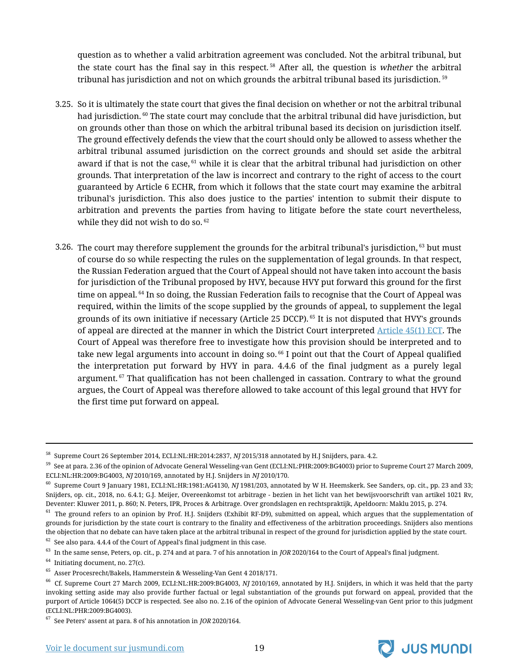question as to whether a valid arbitration agreement was concluded. Not the arbitral tribunal, but the state court has the final say in this respect.<sup>58</sup> After all, the question is whether the arbitral tribunal has jurisdiction and not on which grounds the arbitral tribunal based its jurisdiction.<sup>59</sup>

- 3.25. So it is ultimately the state court that gives the final decision on whether or not the arbitral tribunal had jurisdiction.  $60$  The state court may conclude that the arbitral tribunal did have jurisdiction, but on grounds other than those on which the arbitral tribunal based its decision on jurisdiction itself. The ground effectively defends the view that the court should only be allowed to assess whether the arbitral tribunal assumed jurisdiction on the correct grounds and should set aside the arbitral award if that is not the case,  $61$  while it is clear that the arbitral tribunal had jurisdiction on other grounds. That interpretation of the law is incorrect and contrary to the right of access to the court guaranteed by Article 6 ECHR, from which it follows that the state court may examine the arbitral tribunal's jurisdiction. This also does justice to the parties' intention to submit their dispute to arbitration and prevents the parties from having to litigate before the state court nevertheless, while they did not wish to do so.  $62$
- 3.26. The court may therefore supplement the grounds for the arbitral tribunal's jurisdiction,  $^{63}$  but must of course do so while respecting the rules on the supplementation of legal grounds. In that respect, the Russian Federation argued that the Court of Appeal should not have taken into account the basis for jurisdiction of the Tribunal proposed by HVY, because HVY put forward this ground for the first time on appeal. <sup>64</sup> In so doing, the Russian Federation fails to recognise that the Court of Appeal was required, within the limits of the scope supplied by the grounds of appeal, to supplement the legal grounds of its own initiative if necessary (Article 25 DCCP).<sup>65</sup> It is not disputed that HVY's grounds of appeal are directed at the manner in which the District Court interpreted [Article 45\(1\) ECT](https://jusmundi.com/en/document/h/clljWVJHbGxISEg0VUZMdWNJazE2TnJ3Mmxwb2NlQ1R3cmNjQXR1UDFhaUg5bDhhczBqUjlmYmVtWWhITFNjK3dCV0JaSFlDK3BFbFIyL0xvSHhiR2sxdnZtV2R3TDJsQUR2Q0hoUUhPeWlwUFRXK0ZmSTJDNUVyTytCd1RRNTNjZ05Tdy9FMGVhb3p3Ky9uOE9DSXdBPT0=). The Court of Appeal was therefore free to investigate how this provision should be interpreted and to take new legal arguments into account in doing so.<sup>66</sup> I point out that the Court of Appeal qualified the interpretation put forward by HVY in para. 4.4.6 of the final judgment as a purely legal argument.<sup>67</sup> That qualification has not been challenged in cassation. Contrary to what the ground argues, the Court of Appeal was therefore allowed to take account of this legal ground that HVY for the first time put forward on appeal.

 $^{63}$  In the same sense, Peters, op. cit., p. 274 and at para. 7 of his annotation in *JOR* 2020/164 to the Court of Appeal's final judgment.



<sup>58</sup> Supreme Court 26 September 2014, ECLI:NL:HR:2014:2837, NJ 2015/318 annotated by H.J Snijders, para. 4.2.

<sup>59</sup> See at para. 2.36 of the opinion of Advocate General Wesseling-van Gent (ECLI:NL:PHR:2009:BG4003) prior to Supreme Court 27 March 2009, ECLI:NL:HR:2009:BG4003, NJ 2010/169, annotated by H.J. Snijders in NJ 2010/170.

 $^{60}$  Supreme Court 9 January 1981, ECLI:NL:HR:1981:AG4130, NJ 1981/203, annotated by W H. Heemskerk. See Sanders, op. cit., pp. 23 and 33; Snijders, op. cit., 2018, no. 6.4.1; G.J. Meijer, Overeenkomst tot arbitrage - bezien in het licht van het bewijsvoorschrift van artikel 1021 Rv, Deventer: Kluwer 2011, p. 860; N. Peters, IPR, Proces & Arbitrage. Over grondslagen en rechtspraktijk, Apeldoorn: Maklu 2015, p. 274.

 $61$  The ground refers to an opinion by Prof. H.J. Snijders (Exhibit RF-D9), submitted on appeal, which argues that the supplementation of grounds for jurisdiction by the state court is contrary to the finality and effectiveness of the arbitration proceedings. Snijders also mentions the objection that no debate can have taken place at the arbitral tribunal in respect of the ground for jurisdiction applied by the state court.  $^{62}\,$  See also para. 4.4.4 of the Court of Appeal's final judgment in this case.

 $64$  Initiating document, no. 27(c).

 $^{65}\,$  Asser Procesrecht/Bakels, Hammerstein & Wesseling-Van Gent 4 2018/171.

<sup>&</sup>lt;sup>66</sup> Cf. Supreme Court 27 March 2009, ECLI:NL:HR:2009:BG4003, NJ 2010/169, annotated by H.J. Snijders, in which it was held that the party invoking setting aside may also provide further factual or legal substantiation of the grounds put forward on appeal, provided that the purport of Article 1064(5) DCCP is respected. See also no. 2.16 of the opinion of Advocate General Wesseling-van Gent prior to this judgment (ECLI:NL:PHR:2009:BG4003).

 $67$  See Peters' assent at para. 8 of his annotation in JOR 2020/164.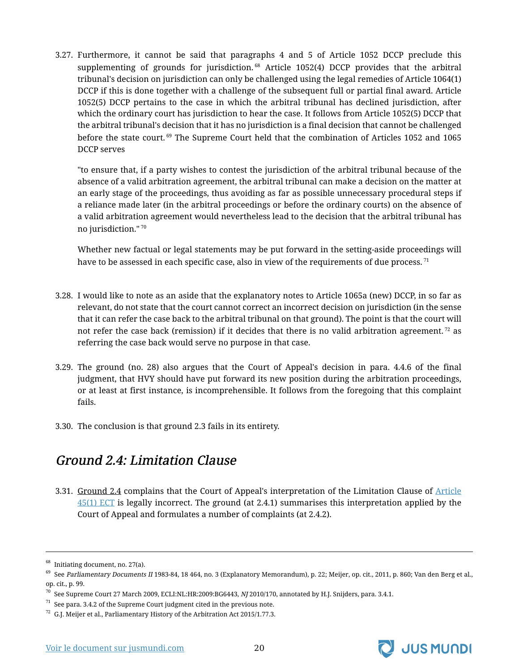3.27. Furthermore, it cannot be said that paragraphs 4 and 5 of Article 1052 DCCP preclude this supplementing of grounds for jurisdiction.<sup>68</sup> Article 1052(4) DCCP provides that the arbitral tribunal's decision on jurisdiction can only be challenged using the legal remedies of Article 1064(1) DCCP if this is done together with a challenge of the subsequent full or partial final award. Article 1052(5) DCCP pertains to the case in which the arbitral tribunal has declined jurisdiction, after which the ordinary court has jurisdiction to hear the case. It follows from Article 1052(5) DCCP that the arbitral tribunal's decision that it has no jurisdiction is a final decision that cannot be challenged before the state court. <sup>69</sup> The Supreme Court held that the combination of Articles 1052 and 1065 DCCP serves

"to ensure that, if a party wishes to contest the jurisdiction of the arbitral tribunal because of the absence of a valid arbitration agreement, the arbitral tribunal can make a decision on the matter at an early stage of the proceedings, thus avoiding as far as possible unnecessary procedural steps if a reliance made later (in the arbitral proceedings or before the ordinary courts) on the absence of a valid arbitration agreement would nevertheless lead to the decision that the arbitral tribunal has no jurisdiction." <sup>70</sup>

Whether new factual or legal statements may be put forward in the setting-aside proceedings will have to be assessed in each specific case, also in view of the requirements of due process.<sup>71</sup>

- 3.28. I would like to note as an aside that the explanatory notes to Article 1065a (new) DCCP, in so far as relevant, do not state that the court cannot correct an incorrect decision on jurisdiction (in the sense that it can refer the case back to the arbitral tribunal on that ground). The point is that the court will not refer the case back (remission) if it decides that there is no valid arbitration agreement.<sup>72</sup> as referring the case back would serve no purpose in that case.
- 3.29. The ground (no. 28) also argues that the Court of Appeal's decision in para. 4.4.6 of the final judgment, that HVY should have put forward its new position during the arbitration proceedings, or at least at first instance, is incomprehensible. It follows from the foregoing that this complaint fails.
- 3.30. The conclusion is that ground 2.3 fails in its entirety.

### <span id="page-22-0"></span>Ground 2.4: Limitation Clause

3.31. <u>Ground 2.4</u> complains that the Court of Appeal's interpretation of the Limitation Clause of <u>[Article](https://jusmundi.com/en/document/h/clljWVJHbGxISEg0VUZMdWNJazE2TnJ3Mmxwb2NlQ1R3cmNjQXR1UDFhaUg5bDhhczBqUjlmYmVtWWhITFNjK3dCV0JaSFlDK3BFbFIyL0xvSHhiR2sxdnZtV2R3TDJsQUR2Q0hoUUhPeWlwUFRXK0ZmSTJDNUVyTytCd1RRNTNjZ05Tdy9FMGVhb3p3Ky9uOE9DSXdBPT0=)</u> [45\(1\) ECT](https://jusmundi.com/en/document/h/clljWVJHbGxISEg0VUZMdWNJazE2TnJ3Mmxwb2NlQ1R3cmNjQXR1UDFhaUg5bDhhczBqUjlmYmVtWWhITFNjK3dCV0JaSFlDK3BFbFIyL0xvSHhiR2sxdnZtV2R3TDJsQUR2Q0hoUUhPeWlwUFRXK0ZmSTJDNUVyTytCd1RRNTNjZ05Tdy9FMGVhb3p3Ky9uOE9DSXdBPT0=) is legally incorrect. The ground (at 2.4.1) summarises this interpretation applied by the Court of Appeal and formulates a number of complaints (at 2.4.2).

 $68$  Initiating document, no. 27(a).

 $^{69}$  See Parliamentary Documents II 1983-84, 18 464, no. 3 (Explanatory Memorandum), p. 22; Meijer, op. cit., 2011, p. 860; Van den Berg et al., op. cit., p. 99.

 $^{70}$  See Supreme Court 27 March 2009, ECLI:NL:HR:2009:BG6443, NJ 2010/170, annotated by H.J. Snijders, para. 3.4.1.

 $71$  See para. 3.4.2 of the Supreme Court judgment cited in the previous note.

 $72$  G.J. Meijer et al., Parliamentary History of the Arbitration Act 2015/1.77.3.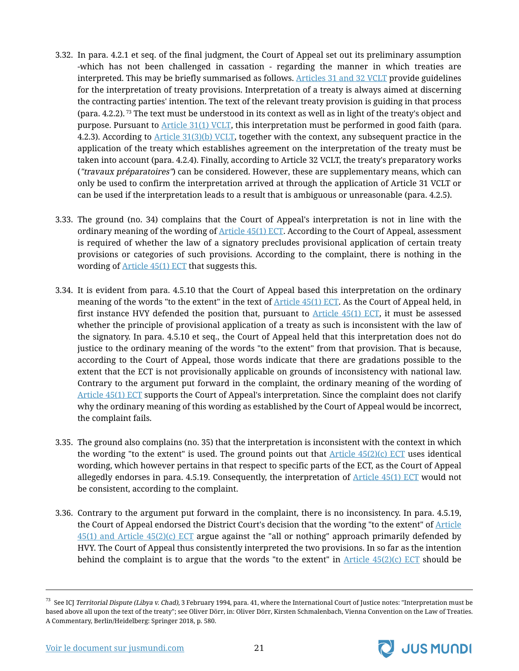- 3.32. In para. 4.2.1 et seq. of the final judgment, the Court of Appeal set out its preliminary assumption -which has not been challenged in cassation - regarding the manner in which treaties are interpreted. This may be briefly summarised as follows. [Articles 31 and 32 VCLT](https://jusmundi.com/en/document/h/NVFwR2lWbkFqaXdJRmhJT3hnNFo0NEhoLzFzTjdSbU9icGpNYlQ0N3hXUjByQUw3dW1hT1I5OW90REYzWjlFYW1iQm0xR2ZxcmE5MFIwL3EyeU1DWUVRbENBMnU5S3g1dERqLzZnTWNMRHc3U0YwLzlEK2VYZ1FOT1ZFUEszei8yM25adnZnUXlFS0VUZE44K1VxYnNNQWhnL25UaklhUkx3TnUyNUhIdlZvPQ==) provide guidelines for the interpretation of treaty provisions. Interpretation of a treaty is always aimed at discerning the contracting parties' intention. The text of the relevant treaty provision is guiding in that process (para. 4.2.2).<sup>73</sup> The text must be understood in its context as well as in light of the treaty's object and purpose. Pursuant to [Article 31\(1\) VCLT,](https://jusmundi.com/en/document/h/NVFwR2lWbkFqaXdJRmhJT3hnNFo0NEhoLzFzTjdSbU9icGpNYlQ0N3hXUjByQUw3dW1hT1I5OW90REYzWjlFYW1iQm0xR2ZxcmE5MFIwL3EyeU1DWUVRbENBMnU5S3g1dERqLzZnTWNMRHc3U0YwLzlEK2VYZ1FOT1ZFUEszei8yM25adnZnUXlFS0VUZE44K1VxYnNHZy8vTXhHVnpTL1p1WUpPMGFFYWNNPQ==) this interpretation must be performed in good faith (para. 4.2.3). According to **Article 31(3)(b) VCLT**, together with the context, any subsequent practice in the application of the treaty which establishes agreement on the interpretation of the treaty must be taken into account (para. 4.2.4). Finally, according to Article 32 VCLT, the treaty's preparatory works ("travaux préparatoires") can be considered. However, these are supplementary means, which can only be used to confirm the interpretation arrived at through the application of Article 31 VCLT or can be used if the interpretation leads to a result that is ambiguous or unreasonable (para. 4.2.5).
- 3.33. The ground (no. 34) complains that the Court of Appeal's interpretation is not in line with the ordinary meaning of the wording of [Article 45\(1\) ECT](https://jusmundi.com/en/document/h/clljWVJHbGxISEg0VUZMdWNJazE2TnJ3Mmxwb2NlQ1R3cmNjQXR1UDFhaUg5bDhhczBqUjlmYmVtWWhITFNjK3dCV0JaSFlDK3BFbFIyL0xvSHhiR2sxdnZtV2R3TDJsQUR2Q0hoUUhPeWlwUFRXK0ZmSTJDNUVyTytCd1RRNTNjZ05Tdy9FMGVhb3p3Ky9uOE9DSXdBPT0=). According to the Court of Appeal, assessment is required of whether the law of a signatory precludes provisional application of certain treaty provisions or categories of such provisions. According to the complaint, there is nothing in the wording of  $\Delta$ rticle 45(1) ECT that suggests this.
- 3.34. It is evident from para. 4.5.10 that the Court of Appeal based this interpretation on the ordinary meaning of the words "to the extent" in the text of  $\text{Article }45(1)$  ECT. As the Court of Appeal held, in first instance HVY defended the position that, pursuant to  $Article$   $45(1)$   $ECT, it$  must be assessed whether the principle of provisional application of a treaty as such is inconsistent with the law of the signatory. In para. 4.5.10 et seq., the Court of Appeal held that this interpretation does not do justice to the ordinary meaning of the words "to the extent" from that provision. That is because, according to the Court of Appeal, those words indicate that there are gradations possible to the extent that the ECT is not provisionally applicable on grounds of inconsistency with national law. Contrary to the argument put forward in the complaint, the ordinary meaning of the wording of [Article 45\(1\) ECT](https://jusmundi.com/en/document/h/clljWVJHbGxISEg0VUZMdWNJazE2TnJ3Mmxwb2NlQ1R3cmNjQXR1UDFhaUg5bDhhczBqUjlmYmVtWWhITFNjK3dCV0JaSFlDK3BFbFIyL0xvSHhiR2sxdnZtV2R3TDJsQUR2Q0hoUUhPeWlwUFRXK0ZmSTJDNUVyTytCd1RRNTNjZ05Tdy9FMGVhb3p3Ky9uOE9DSXdBPT0=) supports the Court of Appeal's interpretation. Since the complaint does not clarify why the ordinary meaning of this wording as established by the Court of Appeal would be incorrect, the complaint fails.
- 3.35. The ground also complains (no. 35) that the interpretation is inconsistent with the context in which the wording "to the extent" is used. The ground points out that  $Article\ 45(2)(c) ECT$  uses identical wording, which however pertains in that respect to specific parts of the ECT, as the Court of Appeal allegedly endorses in para. 4.5.19. Consequently, the interpretation of  $\text{Article }45(1)$  ECT would not be consistent, according to the complaint.
- 3.36. Contrary to the argument put forward in the complaint, there is no inconsistency. In para. 4.5.19, the Court of Appeal endorsed the District Court's decision that the wording "to the extent" of [Article](https://jusmundi.com/en/document/h/clljWVJHbGxISEg0VUZMdWNJazE2TnJ3Mmxwb2NlQ1R3cmNjQXR1UDFhaUg5bDhhczBqUjlmYmVtWWhITFNjK3dCV0JaSFlDK3BFbFIyL0xvSHhiR2sxdnZtV2R3TDJsQUR2Q0hoUUhPeWlwUFRXK0ZmSTJDNUVyTytCd1RRNTNjZ05Tdy9FMGVhb3p3Ky9uOE9DSXdBPT0=) 45(1) and [Article 45\(2\)\(c\) ECT](https://jusmundi.com/en/document/h/clljWVJHbGxISEg0VUZMdWNJazE2TnJ3Mmxwb2NlQ1R3cmNjQXR1UDFhaUg5bDhhczBqUjlmYmVtWWhITFNjK3dCV0JaSFlDK3BFbFIyL0xvSHhiR2sxdnZtV2R3TDJsQUR2Q0hoUUhPeWlwUFRXK0ZmSTJDNUVyTytCd1RRNTNjZ05Tdy9FMGVhb3p3Ky9uOE9DSXdBPT0=) argue against the "all or nothing" approach primarily defended by HVY. The Court of Appeal thus consistently interpreted the two provisions. In so far as the intention behind the complaint is to argue that the words "to the extent" in  $\text{Article }45(2)(c)$  ECT should be



 $^{73}$  See ICJ Territorial Dispute (Libya v. Chad), 3 February 1994, para. 41, where the International Court of Justice notes: "Interpretation must be based above all upon the text of the treaty"; see Oliver Dörr, in: Oliver Dörr, Kirsten Schmalenbach, Vienna Convention on the Law of Treaties. A Commentary, Berlin/Heidelberg: Springer 2018, p. 580.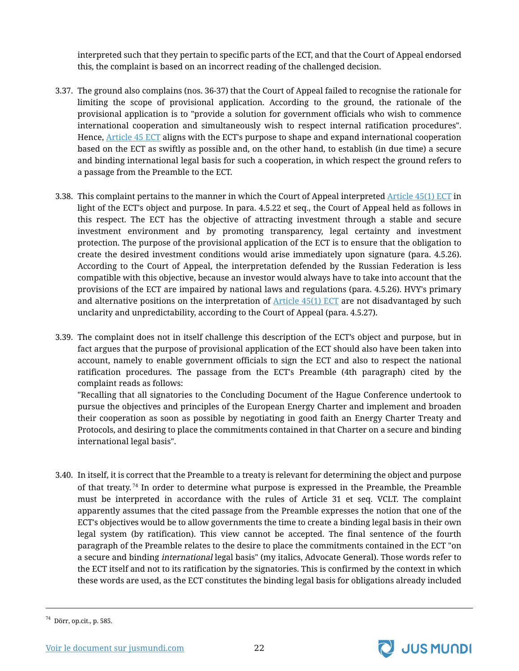interpreted such that they pertain to specific parts of the ECT, and that the Court of Appeal endorsed this, the complaint is based on an incorrect reading of the challenged decision.

- 3.37. The ground also complains (nos. 36-37) that the Court of Appeal failed to recognise the rationale for limiting the scope of provisional application. According to the ground, the rationale of the provisional application is to "provide a solution for government officials who wish to commence international cooperation and simultaneously wish to respect internal ratification procedures". Hence, [Article 45 ECT](https://jusmundi.com/en/document/h/clljWVJHbGxISEg0VUZMdWNJazE2TnJ3Mmxwb2NlQ1R3cmNjQXR1UDFhaUg5bDhhczBqUjlmYmVtWWhITFNjK3dCV0JaSFlDK3BFbFIyL0xvSHhiR2sxdnZtV2R3TDJsQUR2Q0hoUUhPeWlwUFRXK0ZmSTJDNUVyTytCd1RRNTNDQlhsK0drWUMvN3BMdmptc29leFJBPT0=) aligns with the ECT's purpose to shape and expand international cooperation based on the ECT as swiftly as possible and, on the other hand, to establish (in due time) a secure and binding international legal basis for such a cooperation, in which respect the ground refers to a passage from the Preamble to the ECT.
- 3.38. This complaint pertains to the manner in which the Court of Appeal interpreted  $\Delta$ rticle 45(1) ECT in light of the ECT's object and purpose. In para. 4.5.22 et seq., the Court of Appeal held as follows in this respect. The ECT has the objective of attracting investment through a stable and secure investment environment and by promoting transparency, legal certainty and investment protection. The purpose of the provisional application of the ECT is to ensure that the obligation to create the desired investment conditions would arise immediately upon signature (para. 4.5.26). According to the Court of Appeal, the interpretation defended by the Russian Federation is less compatible with this objective, because an investor would always have to take into account that the provisions of the ECT are impaired by national laws and regulations (para. 4.5.26). HVY's primary and alternative positions on the interpretation of  $\text{Article }45(1)$  ECT are not disadvantaged by such unclarity and unpredictability, according to the Court of Appeal (para. 4.5.27).
- 3.39. The complaint does not in itself challenge this description of the ECT's object and purpose, but in fact argues that the purpose of provisional application of the ECT should also have been taken into account, namely to enable government officials to sign the ECT and also to respect the national ratification procedures. The passage from the ECT's Preamble (4th paragraph) cited by the complaint reads as follows:

"Recalling that all signatories to the Concluding Document of the Hague Conference undertook to pursue the objectives and principles of the European Energy Charter and implement and broaden their cooperation as soon as possible by negotiating in good faith an Energy Charter Treaty and Protocols, and desiring to place the commitments contained in that Charter on a secure and binding international legal basis".

3.40. In itself, it is correct that the Preamble to a treaty is relevant for determining the object and purpose of that treaty. $^{74}$  In order to determine what purpose is expressed in the Preamble, the Preamble must be interpreted in accordance with the rules of Article 31 et seq. VCLT. The complaint apparently assumes that the cited passage from the Preamble expresses the notion that one of the ECT's objectives would be to allow governments the time to create a binding legal basis in their own legal system (by ratification). This view cannot be accepted. The final sentence of the fourth paragraph of the Preamble relates to the desire to place the commitments contained in the ECT "on a secure and binding international legal basis" (my italics, Advocate General). Those words refer to the ECT itself and not to its ratification by the signatories. This is confirmed by the context in which these words are used, as the ECT constitutes the binding legal basis for obligations already included



<sup>74</sup> Dörr, op.cit., p. 585.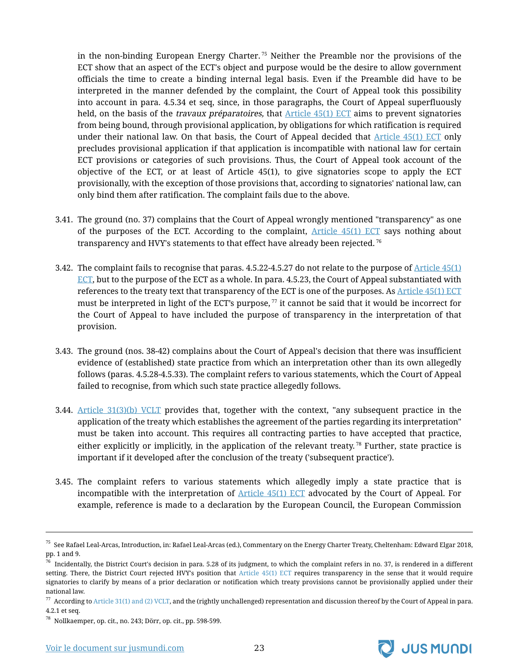in the non-binding European Energy Charter.<sup>75</sup> Neither the Preamble nor the provisions of the ECT show that an aspect of the ECT's object and purpose would be the desire to allow government officials the time to create a binding internal legal basis. Even if the Preamble did have to be interpreted in the manner defended by the complaint, the Court of Appeal took this possibility into account in para. 4.5.34 et seq, since, in those paragraphs, the Court of Appeal superfluously held, on the basis of the *travaux préparatoires*, that  $\text{Article } 45(1)$   $\text{ECT }$  aims to prevent signatories from being bound, through provisional application, by obligations for which ratification is required under their national law. On that basis, the Court of Appeal decided that [Article 45\(1\) ECT](https://jusmundi.com/en/document/h/clljWVJHbGxISEg0VUZMdWNJazE2TnJ3Mmxwb2NlQ1R3cmNjQXR1UDFhaUg5bDhhczBqUjlmYmVtWWhITFNjK3dCV0JaSFlDK3BFbFIyL0xvSHhiR2sxdnZtV2R3TDJsQUR2Q0hoUUhPeWlwUFRXK0ZmSTJDNUVyTytCd1RRNTNjZ05Tdy9FMGVhb3p3Ky9uOE9DSXdBPT0=) only precludes provisional application if that application is incompatible with national law for certain ECT provisions or categories of such provisions. Thus, the Court of Appeal took account of the objective of the ECT, or at least of Article 45(1), to give signatories scope to apply the ECT provisionally, with the exception of those provisions that, according to signatories' national law, can only bind them after ratification. The complaint fails due to the above.

- 3.41. The ground (no. 37) complains that the Court of Appeal wrongly mentioned "transparency" as one of the purposes of the ECT. According to the complaint,  $Article$  45(1) ECT says nothing about transparency and HVY's statements to that effect have already been rejected.<sup>76</sup>
- 3.42. The complaint fails to recognise that paras. 4.5.22-4.5.27 do not relate to the purpose of  $\Delta$ rticle  $45(1)$ [ECT](https://jusmundi.com/en/document/h/clljWVJHbGxISEg0VUZMdWNJazE2TnJ3Mmxwb2NlQ1R3cmNjQXR1UDFhaUg5bDhhczBqUjlmYmVtWWhITFNjK3dCV0JaSFlDK3BFbFIyL0xvSHhiR2sxdnZtV2R3TDJsQUR2Q0hoUUhPeWlwUFRXK0ZmSTJDNUVyTytCd1RRNTNjZ05Tdy9FMGVhb3p3Ky9uOE9DSXdBPT0=), but to the purpose of the ECT as a whole. In para. 4.5.23, the Court of Appeal substantiated with references to the treaty text that transparency of the ECT is one of the purposes. As  $Article\ 45(1) ECT$ must be interpreted in light of the ECT's purpose,  $77$  it cannot be said that it would be incorrect for the Court of Appeal to have included the purpose of transparency in the interpretation of that provision.
- 3.43. The ground (nos. 38-42) complains about the Court of Appeal's decision that there was insufficient evidence of (established) state practice from which an interpretation other than its own allegedly follows (paras. 4.5.28-4.5.33). The complaint refers to various statements, which the Court of Appeal failed to recognise, from which such state practice allegedly follows.
- 3.44.  $\text{Article 31(3)(b) VCLT}$  $\text{Article 31(3)(b) VCLT}$  $\text{Article 31(3)(b) VCLT}$  provides that, together with the context, "any subsequent practice in the application of the treaty which establishes the agreement of the parties regarding its interpretation" must be taken into account. This requires all contracting parties to have accepted that practice, either explicitly or implicitly, in the application of the relevant treaty. $^{78}$  Further, state practice is important if it developed after the conclusion of the treaty ('subsequent practice').
- 3.45. The complaint refers to various statements which allegedly imply a state practice that is incompatible with the interpretation of  $\Delta$ rticle  $45(1)$  ECT advocated by the Court of Appeal. For example, reference is made to a declaration by the European Council, the European Commission



<sup>&</sup>lt;sup>75</sup> See Rafael Leal-Arcas, Introduction, in: Rafael Leal-Arcas (ed.), Commentary on the Energy Charter Treaty, Cheltenham: Edward Elgar 2018, pp. 1 and 9.

 $^{76}$  Incidentally, the District Court's decision in para. 5.28 of its judgment, to which the complaint refers in no. 37, is rendered in a different setting. There, the District Court rejected HVY's position that [Article 45\(1\) ECT](https://jusmundi.com/en/document/h/clljWVJHbGxISEg0VUZMdWNJazE2TnJ3Mmxwb2NlQ1R3cmNjQXR1UDFhaUg5bDhhczBqUjlmYmVtWWhITFNjK3dCV0JaSFlDK3BFbFIyL0xvSHhiR2sxdnZtV2R3TDJsQUR2Q0hoUUhPeWlwUFRXK0ZmSTJDNUVyTytCd1RRNTNjZ05Tdy9FMGVhb3p3Ky9uOE9DSXdBPT0=) requires transparency in the sense that it would require signatories to clarify by means of a prior declaration or notification which treaty provisions cannot be provisionally applied under their national law.

 $^{77}$  According to [Article 31\(1\) and \(2\) VCLT](https://jusmundi.com/en/document/h/NVFwR2lWbkFqaXdJRmhJT3hnNFo0NEhoLzFzTjdSbU9icGpNYlQ0N3hXUjByQUw3dW1hT1I5OW90REYzWjlFYW1iQm0xR2ZxcmE5MFIwL3EyeU1DWUVRbENBMnU5S3g1dERqLzZnTWNMRHc3U0YwLzlEK2VYZ1FOT1ZFUEszei8yM25adnZnUXlFS0VUZE44K1VxYnNHZy8vTXhHVnpTL1p1WUpPMGFFYWNNPQ==), and the (rightly unchallenged) representation and discussion thereof by the Court of Appeal in para. 4.2.1 et seq.

<sup>78</sup> Nollkaemper, op. cit., no. 243; Dörr, op. cit., pp. 598-599.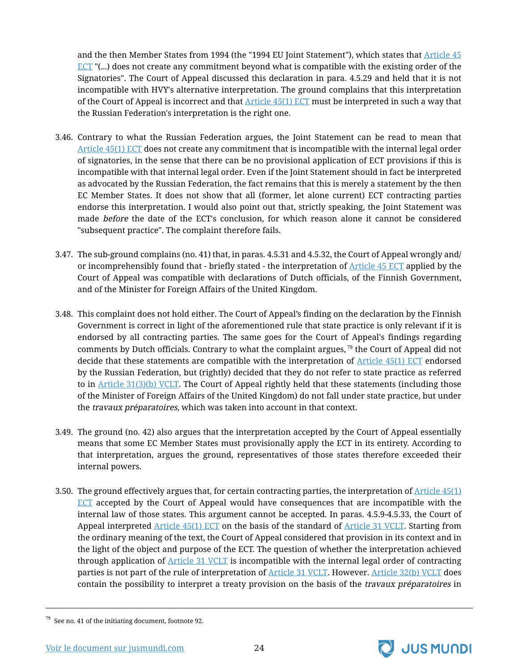and the then Member States from 1994 (the "1994 EU Joint Statement"), which states that [Article 45](https://jusmundi.com/en/document/h/clljWVJHbGxISEg0VUZMdWNJazE2TnJ3Mmxwb2NlQ1R3cmNjQXR1UDFhaUg5bDhhczBqUjlmYmVtWWhITFNjK3dCV0JaSFlDK3BFbFIyL0xvSHhiR2sxdnZtV2R3TDJsQUR2Q0hoUUhPeWlwUFRXK0ZmSTJDNUVyTytCd1RRNTNDQlhsK0drWUMvN3BMdmptc29leFJBPT0=) [ECT](https://jusmundi.com/en/document/h/clljWVJHbGxISEg0VUZMdWNJazE2TnJ3Mmxwb2NlQ1R3cmNjQXR1UDFhaUg5bDhhczBqUjlmYmVtWWhITFNjK3dCV0JaSFlDK3BFbFIyL0xvSHhiR2sxdnZtV2R3TDJsQUR2Q0hoUUhPeWlwUFRXK0ZmSTJDNUVyTytCd1RRNTNDQlhsK0drWUMvN3BMdmptc29leFJBPT0=) "(...) does not create any commitment beyond what is compatible with the existing order of the Signatories". The Court of Appeal discussed this declaration in para. 4.5.29 and held that it is not incompatible with HVY's alternative interpretation. The ground complains that this interpretation of the Court of Appeal is incorrect and that  $\text{Article }45(1)$  ECT must be interpreted in such a way that the Russian Federation's interpretation is the right one.

- 3.46. Contrary to what the Russian Federation argues, the Joint Statement can be read to mean that [Article 45\(1\) ECT](https://jusmundi.com/en/document/h/clljWVJHbGxISEg0VUZMdWNJazE2TnJ3Mmxwb2NlQ1R3cmNjQXR1UDFhaUg5bDhhczBqUjlmYmVtWWhITFNjK3dCV0JaSFlDK3BFbFIyL0xvSHhiR2sxdnZtV2R3TDJsQUR2Q0hoUUhPeWlwUFRXK0ZmSTJDNUVyTytCd1RRNTNjZ05Tdy9FMGVhb3p3Ky9uOE9DSXdBPT0=) does not create any commitment that is incompatible with the internal legal order of signatories, in the sense that there can be no provisional application of ECT provisions if this is incompatible with that internal legal order. Even if the Joint Statement should in fact be interpreted as advocated by the Russian Federation, the fact remains that this is merely a statement by the then EC Member States. It does not show that all (former, let alone current) ECT contracting parties endorse this interpretation. I would also point out that, strictly speaking, the Joint Statement was made *before* the date of the ECT's conclusion, for which reason alone it cannot be considered "subsequent practice". The complaint therefore fails.
- 3.47. The sub-ground complains (no. 41) that, in paras. 4.5.31 and 4.5.32, the Court of Appeal wrongly and/ or incomprehensibly found that - briefly stated - the interpretation of [Article 45 ECT](https://jusmundi.com/en/document/h/clljWVJHbGxISEg0VUZMdWNJazE2TnJ3Mmxwb2NlQ1R3cmNjQXR1UDFhaUg5bDhhczBqUjlmYmVtWWhITFNjK3dCV0JaSFlDK3BFbFIyL0xvSHhiR2sxdnZtV2R3TDJsQUR2Q0hoUUhPeWlwUFRXK0ZmSTJDNUVyTytCd1RRNTNDQlhsK0drWUMvN3BMdmptc29leFJBPT0=) applied by the Court of Appeal was compatible with declarations of Dutch officials, of the Finnish Government, and of the Minister for Foreign Affairs of the United Kingdom.
- 3.48. This complaint does not hold either. The Court of Appeal's finding on the declaration by the Finnish Government is correct in light of the aforementioned rule that state practice is only relevant if it is endorsed by all contracting parties. The same goes for the Court of Appeal's findings regarding comments by Dutch officials. Contrary to what the complaint argues,<sup>79</sup> the Court of Appeal did not decide that these statements are compatible with the interpretation of [Article 45\(1\) ECT](https://jusmundi.com/en/document/h/clljWVJHbGxISEg0VUZMdWNJazE2TnJ3Mmxwb2NlQ1R3cmNjQXR1UDFhaUg5bDhhczBqUjlmYmVtWWhITFNjK3dCV0JaSFlDK3BFbFIyL0xvSHhiR2sxdnZtV2R3TDJsQUR2Q0hoUUhPeWlwUFRXK0ZmSTJDNUVyTytCd1RRNTNjZ05Tdy9FMGVhb3p3Ky9uOE9DSXdBPT0=) endorsed by the Russian Federation, but (rightly) decided that they do not refer to state practice as referred to in [Article 31\(3\)\(b\) VCLT](https://jusmundi.com/en/document/h/NVFwR2lWbkFqaXdJRmhJT3hnNFo0NEhoLzFzTjdSbU9icGpNYlQ0N3hXUjByQUw3dW1hT1I5OW90REYzWjlFYW1iQm0xR2ZxcmE5MFIwL3EyeU1DWUVRbENBMnU5S3g1dERqLzZnTWNMRHc3U0YwLzlEK2VYZ1FOT1ZFUEszei8yM25adnZnUXlFS0VUZE44K1VxYnNIcDU1MDUvY1NwSTkrMG1pK0RXKzBrPQ==). The Court of Appeal rightly held that these statements (including those of the Minister of Foreign Affairs of the United Kingdom) do not fall under state practice, but under the travaux préparatoires, which was taken into account in that context.
- 3.49. The ground (no. 42) also argues that the interpretation accepted by the Court of Appeal essentially means that some EC Member States must provisionally apply the ECT in its entirety. According to that interpretation, argues the ground, representatives of those states therefore exceeded their internal powers.
- 3.50. The ground effectively argues that, for certain contracting parties, the interpretation of  $\Delta$ rticle 45(1) [ECT](https://jusmundi.com/en/document/h/clljWVJHbGxISEg0VUZMdWNJazE2TnJ3Mmxwb2NlQ1R3cmNjQXR1UDFhaUg5bDhhczBqUjlmYmVtWWhITFNjK3dCV0JaSFlDK3BFbFIyL0xvSHhiR2sxdnZtV2R3TDJsQUR2Q0hoUUhPeWlwUFRXK0ZmSTJDNUVyTytCd1RRNTNjZ05Tdy9FMGVhb3p3Ky9uOE9DSXdBPT0=) accepted by the Court of Appeal would have consequences that are incompatible with the internal law of those states. This argument cannot be accepted. In paras. 4.5.9-4.5.33, the Court of Appeal interpreted [Article 45\(1\) ECT](https://jusmundi.com/en/document/h/clljWVJHbGxISEg0VUZMdWNJazE2TnJ3Mmxwb2NlQ1R3cmNjQXR1UDFhaUg5bDhhczBqUjlmYmVtWWhITFNjK3dCV0JaSFlDK3BFbFIyL0xvSHhiR2sxdnZtV2R3TDJsQUR2Q0hoUUhPeWlwUFRXK0ZmSTJDNUVyTytCd1RRNTNjZ05Tdy9FMGVhb3p3Ky9uOE9DSXdBPT0=) on the basis of the standard of [Article 31 VCLT](https://jusmundi.com/en/document/h/NVFwR2lWbkFqaXdJRmhJT3hnNFo0NEhoLzFzTjdSbU9icGpNYlQ0N3hXUjByQUw3dW1hT1I5OW90REYzWjlFYW1iQm0xR2ZxcmE5MFIwL3EyeU1DWUVRbENBMnU5S3g1dERqLzZnTWNMRHc3U0YwLzlEK2VYZ1FOT1ZFUEszei8yM25adnZnUXlFS0VUZE44K1VxYnNNQWhnL25UaklhUkx3TnUyNUhIdlZvPQ==). Starting from the ordinary meaning of the text, the Court of Appeal considered that provision in its context and in the light of the object and purpose of the ECT. The question of whether the interpretation achieved through application of [Article 31 VCLT](https://jusmundi.com/en/document/h/NVFwR2lWbkFqaXdJRmhJT3hnNFo0NEhoLzFzTjdSbU9icGpNYlQ0N3hXUjByQUw3dW1hT1I5OW90REYzWjlFYW1iQm0xR2ZxcmE5MFIwL3EyeU1DWUVRbENBMnU5S3g1dERqLzZnTWNMRHc3U0YwLzlEK2VYZ1FOT1ZFUEszei8yM25adnZnUXlFS0VUZE44K1VxYnNNQWhnL25UaklhUkx3TnUyNUhIdlZvPQ==) is incompatible with the internal legal order of contracting parties is not part of the rule of interpretation of [Article 31 VCLT.](https://jusmundi.com/en/document/h/NVFwR2lWbkFqaXdJRmhJT3hnNFo0NEhoLzFzTjdSbU9icGpNYlQ0N3hXUjByQUw3dW1hT1I5OW90REYzWjlFYW1iQm0xR2ZxcmE5MFIwL3EyeU1DWUVRbENBMnU5S3g1dERqLzZnTWNMRHc3U0YwLzlEK2VYZ1FOT1ZFUEszei8yM25adnZnUXlFS0VUZE44K1VxYnNNQWhnL25UaklhUkx3TnUyNUhIdlZvPQ==) However. [Article 32\(b\) VCLT](https://jusmundi.com/en/document/h/NVFwR2lWbkFqaXdJRmhJT3hnNFo0NEhoLzFzTjdSbU9icGpNYlQ0N3hXUjByQUw3dW1hT1I5OW90REYzWjlFYW1iQm0xR2ZxcmE5MFIwL3EyeU1DWUVRbENBMnU5S3g1dERqLzZnTWNMRHc3U0YwLzlEK2VYZ1FOT1ZFUEszei8yM25adnZnUXlFS0VUZE44K1VxYnNLTks3YlZKY1dBWEpoMEQ1UEtwRkRVPQ==) does contain the possibility to interpret a treaty provision on the basis of the *travaux préparatoires* in

 $^{79}\,$  See no. 41 of the initiating document, footnote 92.



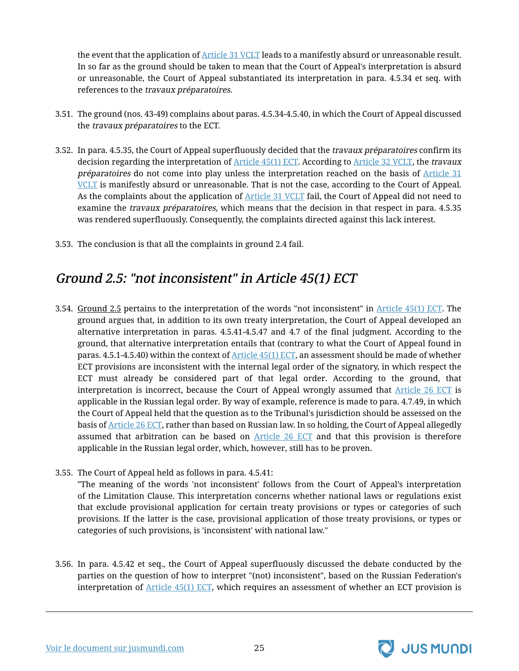the event that the application of **[Article 31 VCLT](https://jusmundi.com/en/document/h/NVFwR2lWbkFqaXdJRmhJT3hnNFo0NEhoLzFzTjdSbU9icGpNYlQ0N3hXUjByQUw3dW1hT1I5OW90REYzWjlFYW1iQm0xR2ZxcmE5MFIwL3EyeU1DWUVRbENBMnU5S3g1dERqLzZnTWNMRHc3U0YwLzlEK2VYZ1FOT1ZFUEszei8yM25adnZnUXlFS0VUZE44K1VxYnNNQWhnL25UaklhUkx3TnUyNUhIdlZvPQ==)** leads to a manifestly absurd or unreasonable result. In so far as the ground should be taken to mean that the Court of Appeal's interpretation is absurd or unreasonable, the Court of Appeal substantiated its interpretation in para. 4.5.34 et seq. with references to the travaux préparatoires.

- 3.51. The ground (nos. 43-49) complains about paras. 4.5.34-4.5.40, in which the Court of Appeal discussed the travaux préparatoires to the ECT.
- 3.52. In para. 4.5.35, the Court of Appeal superfluously decided that the *travaux préparatoires* confirm its decision regarding the interpretation of [Article 45\(1\) ECT.](https://jusmundi.com/en/document/h/clljWVJHbGxISEg0VUZMdWNJazE2TnJ3Mmxwb2NlQ1R3cmNjQXR1UDFhaUg5bDhhczBqUjlmYmVtWWhITFNjK3dCV0JaSFlDK3BFbFIyL0xvSHhiR2sxdnZtV2R3TDJsQUR2Q0hoUUhPeWlwUFRXK0ZmSTJDNUVyTytCd1RRNTNjZ05Tdy9FMGVhb3p3Ky9uOE9DSXdBPT0=) According to [Article 32 VCLT,](https://jusmundi.com/en/document/h/NVFwR2lWbkFqaXdJRmhJT3hnNFo0NEhoLzFzTjdSbU9icGpNYlQ0N3hXUjByQUw3dW1hT1I5OW90REYzWjlFYW1iQm0xR2ZxcmE5MFIwL3EyeU1DWUVRbENBMnU5S3g1dERqLzZnTWNMRHc3U0YwLzlEK2VYZ1FOT1ZFUEszei8yM25adnZnUXlFS0VUZE44K1VxYnNPZWxCWEN4MzFIRFRLN0Z4Z29jWVhzPQ==) the travaux préparatoires do not come into play unless the interpretation reached on the basis of [Article 31](https://jusmundi.com/en/document/h/NVFwR2lWbkFqaXdJRmhJT3hnNFo0NEhoLzFzTjdSbU9icGpNYlQ0N3hXUjByQUw3dW1hT1I5OW90REYzWjlFYW1iQm0xR2ZxcmE5MFIwL3EyeU1DWUVRbENBMnU5S3g1dERqLzZnTWNMRHc3U0YwLzlEK2VYZ1FOT1ZFUEszei8yM25adnZnUXlFS0VUZE44K1VxYnNNQWhnL25UaklhUkx3TnUyNUhIdlZvPQ==) [VCLT](https://jusmundi.com/en/document/h/NVFwR2lWbkFqaXdJRmhJT3hnNFo0NEhoLzFzTjdSbU9icGpNYlQ0N3hXUjByQUw3dW1hT1I5OW90REYzWjlFYW1iQm0xR2ZxcmE5MFIwL3EyeU1DWUVRbENBMnU5S3g1dERqLzZnTWNMRHc3U0YwLzlEK2VYZ1FOT1ZFUEszei8yM25adnZnUXlFS0VUZE44K1VxYnNNQWhnL25UaklhUkx3TnUyNUhIdlZvPQ==) is manifestly absurd or unreasonable. That is not the case, according to the Court of Appeal. As the complaints about the application of [Article 31 VCLT](https://jusmundi.com/en/document/h/NVFwR2lWbkFqaXdJRmhJT3hnNFo0NEhoLzFzTjdSbU9icGpNYlQ0N3hXUjByQUw3dW1hT1I5OW90REYzWjlFYW1iQm0xR2ZxcmE5MFIwL3EyeU1DWUVRbENBMnU5S3g1dERqLzZnTWNMRHc3U0YwLzlEK2VYZ1FOT1ZFUEszei8yM25adnZnUXlFS0VUZE44K1VxYnNNQWhnL25UaklhUkx3TnUyNUhIdlZvPQ==) fail, the Court of Appeal did not need to examine the *travaux préparatoires*, which means that the decision in that respect in para. 4.5.35 was rendered superfluously. Consequently, the complaints directed against this lack interest.
- 3.53. The conclusion is that all the complaints in ground 2.4 fail.

### <span id="page-27-0"></span>Ground 2.5: "not inconsistent" in Article 45(1) ECT

- 3.54. <u>Ground 2.5</u> pertains to the interpretation of the words "not inconsistent" in <u>Article 45(1) ECT</u>. The ground argues that, in addition to its own treaty interpretation, the Court of Appeal developed an alternative interpretation in paras. 4.5.41-4.5.47 and 4.7 of the final judgment. According to the ground, that alternative interpretation entails that (contrary to what the Court of Appeal found in paras. 4.5.1-4.5.40) within the context of  $\text{Article }45(1)$  ECT, an assessment should be made of whether ECT provisions are inconsistent with the internal legal order of the signatory, in which respect the ECT must already be considered part of that legal order. According to the ground, that interpretation is incorrect, because the Court of Appeal wrongly assumed that [Article 26 ECT](https://jusmundi.com/en/document/h/clljWVJHbGxISEg0VUZMdWNJazE2TnJ3Mmxwb2NlQ1R3cmNjQXR1UDFhaUg5bDhhczBqUjlmYmVtWWhITFNjK3dCV0JaSFlDK3BFbFIyL0xvSHhiR2sxdnZtV2R3TDJsQUR2Q0hoUUhPeWlwUFRXK0ZmSTJDNUVyTytCd1RRNTNDQmJGNXZZVGpGLzhUODVQMzdWbEl3PT0=) is applicable in the Russian legal order. By way of example, reference is made to para. 4.7.49, in which the Court of Appeal held that the question as to the Tribunal's jurisdiction should be assessed on the basis of [Article 26 ECT](https://jusmundi.com/en/document/h/clljWVJHbGxISEg0VUZMdWNJazE2TnJ3Mmxwb2NlQ1R3cmNjQXR1UDFhaUg5bDhhczBqUjlmYmVtWWhITFNjK3dCV0JaSFlDK3BFbFIyL0xvSHhiR2sxdnZtV2R3TDJsQUR2Q0hoUUhPeWlwUFRXK0ZmSTJDNUVyTytCd1RRNTNDQmJGNXZZVGpGLzhUODVQMzdWbEl3PT0=), rather than based on Russian law. In so holding, the Court of Appeal allegedly assumed that arbitration can be based on  $Article$   $26$   $ECT$  and that this provision is therefore applicable in the Russian legal order, which, however, still has to be proven.
- 3.55. The Court of Appeal held as follows in para. 4.5.41:

"The meaning of the words 'not inconsistent' follows from the Court of Appeal's interpretation of the Limitation Clause. This interpretation concerns whether national laws or regulations exist that exclude provisional application for certain treaty provisions or types or categories of such provisions. If the latter is the case, provisional application of those treaty provisions, or types or categories of such provisions, is 'inconsistent' with national law."

3.56. In para. 4.5.42 et seq., the Court of Appeal superfluously discussed the debate conducted by the parties on the question of how to interpret "(not) inconsistent", based on the Russian Federation's interpretation of **Article 45(1) ECT**, which requires an assessment of whether an ECT provision is



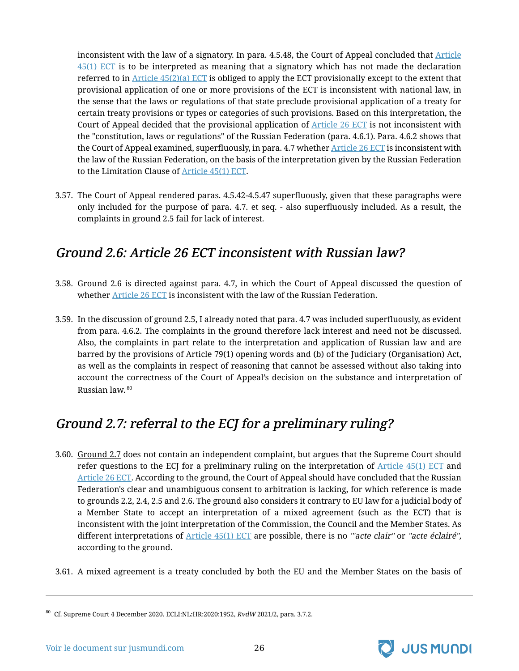inconsistent with the law of a signatory. In para. 4.5.48, the Court of Appeal concluded that [Article](https://jusmundi.com/en/document/h/clljWVJHbGxISEg0VUZMdWNJazE2TnJ3Mmxwb2NlQ1R3cmNjQXR1UDFhaUg5bDhhczBqUjlmYmVtWWhITFNjK3dCV0JaSFlDK3BFbFIyL0xvSHhiR2sxdnZtV2R3TDJsQUR2Q0hoUUhPeWlwUFRXK0ZmSTJDNUVyTytCd1RRNTNjZ05Tdy9FMGVhb3p3Ky9uOE9DSXdBPT0=) [45\(1\) ECT](https://jusmundi.com/en/document/h/clljWVJHbGxISEg0VUZMdWNJazE2TnJ3Mmxwb2NlQ1R3cmNjQXR1UDFhaUg5bDhhczBqUjlmYmVtWWhITFNjK3dCV0JaSFlDK3BFbFIyL0xvSHhiR2sxdnZtV2R3TDJsQUR2Q0hoUUhPeWlwUFRXK0ZmSTJDNUVyTytCd1RRNTNjZ05Tdy9FMGVhb3p3Ky9uOE9DSXdBPT0=) is to be interpreted as meaning that a signatory which has not made the declaration referred to in [Article 45\(2\)\(a\) ECT](https://jusmundi.com/en/document/h/clljWVJHbGxISEg0VUZMdWNJazE2TnJ3Mmxwb2NlQ1R3cmNjQXR1UDFhaUg5bDhhczBqUjlmYmVtWWhITFNjK3dCV0JaSFlDK3BFbFIyL0xvSHhiR2sxdnZtV2R3TDJsQUR2Q0hoUUhPeWlwUFRXK0ZmSTJDNUVyTytCd1RRNTNQM2ZOQU5pYWVGbUF1U1ZmMnNkYkdBPT0=) is obliged to apply the ECT provisionally except to the extent that provisional application of one or more provisions of the ECT is inconsistent with national law, in the sense that the laws or regulations of that state preclude provisional application of a treaty for certain treaty provisions or types or categories of such provisions. Based on this interpretation, the Court of Appeal decided that the provisional application of [Article 26 ECT](https://jusmundi.com/en/document/h/clljWVJHbGxISEg0VUZMdWNJazE2TnJ3Mmxwb2NlQ1R3cmNjQXR1UDFhaUg5bDhhczBqUjlmYmVtWWhITFNjK3dCV0JaSFlDK3BFbFIyL0xvSHhiR2sxdnZtV2R3TDJsQUR2Q0hoUUhPeWlwUFRXK0ZmSTJDNUVyTytCd1RRNTNDQmJGNXZZVGpGLzhUODVQMzdWbEl3PT0=) is not inconsistent with the "constitution, laws or regulations" of the Russian Federation (para. 4.6.1). Para. 4.6.2 shows that the Court of Appeal examined, superfluously, in para. 4.7 whether [Article 26 ECT](https://jusmundi.com/en/document/h/clljWVJHbGxISEg0VUZMdWNJazE2TnJ3Mmxwb2NlQ1R3cmNjQXR1UDFhaUg5bDhhczBqUjlmYmVtWWhITFNjK3dCV0JaSFlDK3BFbFIyL0xvSHhiR2sxdnZtV2R3TDJsQUR2Q0hoUUhPeWlwUFRXK0ZmSTJDNUVyTytCd1RRNTNDQmJGNXZZVGpGLzhUODVQMzdWbEl3PT0=) is inconsistent with the law of the Russian Federation, on the basis of the interpretation given by the Russian Federation to the Limitation Clause of [Article 45\(1\) ECT.](https://jusmundi.com/en/document/h/clljWVJHbGxISEg0VUZMdWNJazE2TnJ3Mmxwb2NlQ1R3cmNjQXR1UDFhaUg5bDhhczBqUjlmYmVtWWhITFNjK3dCV0JaSFlDK3BFbFIyL0xvSHhiR2sxdnZtV2R3TDJsQUR2Q0hoUUhPeWlwUFRXK0ZmSTJDNUVyTytCd1RRNTNjZ05Tdy9FMGVhb3p3Ky9uOE9DSXdBPT0=)

3.57. The Court of Appeal rendered paras. 4.5.42-4.5.47 superfluously, given that these paragraphs were only included for the purpose of para. 4.7. et seq. - also superfluously included. As a result, the complaints in ground 2.5 fail for lack of interest.

## <span id="page-28-0"></span>Ground 2.6: Article 26 ECT inconsistent with Russian law?

- 3.58. <u>Ground 2.6</u> is directed against para. 4.7, in which the Court of Appeal discussed the question of whether [Article 26 ECT](https://jusmundi.com/en/document/h/clljWVJHbGxISEg0VUZMdWNJazE2TnJ3Mmxwb2NlQ1R3cmNjQXR1UDFhaUg5bDhhczBqUjlmYmVtWWhITFNjK3dCV0JaSFlDK3BFbFIyL0xvSHhiR2sxdnZtV2R3TDJsQUR2Q0hoUUhPeWlwUFRXK0ZmSTJDNUVyTytCd1RRNTNDQmJGNXZZVGpGLzhUODVQMzdWbEl3PT0=) is inconsistent with the law of the Russian Federation.
- 3.59. In the discussion of ground 2.5, I already noted that para. 4.7 was included superfluously, as evident from para. 4.6.2. The complaints in the ground therefore lack interest and need not be discussed. Also, the complaints in part relate to the interpretation and application of Russian law and are barred by the provisions of Article 79(1) opening words and (b) of the Judiciary (Organisation) Act, as well as the complaints in respect of reasoning that cannot be assessed without also taking into account the correctness of the Court of Appeal's decision on the substance and interpretation of Russian law. 80

## <span id="page-28-1"></span>Ground 2.7: referral to the ECJ for a preliminary ruling?

- 3.60. <u>Ground 2.7</u> does not contain an independent complaint, but argues that the Supreme Court should refer questions to the ECJ for a preliminary ruling on the interpretation of  $\triangle$ rticle 45(1) ECT and [Article 26 ECT](https://jusmundi.com/en/document/h/clljWVJHbGxISEg0VUZMdWNJazE2TnJ3Mmxwb2NlQ1R3cmNjQXR1UDFhaUg5bDhhczBqUjlmYmVtWWhITFNjK3dCV0JaSFlDK3BFbFIyL0xvSHhiR2sxdnZtV2R3TDJsQUR2Q0hoUUhPeWlwUFRXK0ZmSTJDNUVyTytCd1RRNTNDQmJGNXZZVGpGLzhUODVQMzdWbEl3PT0=). According to the ground, the Court of Appeal should have concluded that the Russian Federation's clear and unambiguous consent to arbitration is lacking, for which reference is made to grounds 2.2, 2.4, 2.5 and 2.6. The ground also considers it contrary to EU law for a judicial body of a Member State to accept an interpretation of a mixed agreement (such as the ECT) that is inconsistent with the joint interpretation of the Commission, the Council and the Member States. As different interpretations of [Article 45\(1\) ECT](https://jusmundi.com/en/document/h/clljWVJHbGxISEg0VUZMdWNJazE2TnJ3Mmxwb2NlQ1R3cmNjQXR1UDFhaUg5bDhhczBqUjlmYmVtWWhITFNjK3dCV0JaSFlDK3BFbFIyL0xvSHhiR2sxdnZtV2R3TDJsQUR2Q0hoUUhPeWlwUFRXK0ZmSTJDNUVyTytCd1RRNTNjZ05Tdy9FMGVhb3p3Ky9uOE9DSXdBPT0=) are possible, there is no "acte clair" or "acte éclairé", according to the ground.
- 3.61. A mixed agreement is a treaty concluded by both the EU and the Member States on the basis of

[Voir le document sur jusmundi.com](https://jusmundi.com/fr/document/decision/en-yukos-universal-limited-isle-of-man-v-the-russian-federation-conclusion-of-the-attorney-general-at-the-supreme-court-of-the-netherlands-friday-23rd-april-2021) 26



 $80$  Cf. Supreme Court 4 December 2020. ECLI:NL:HR:2020:1952, RvdW 2021/2, para. 3.7.2.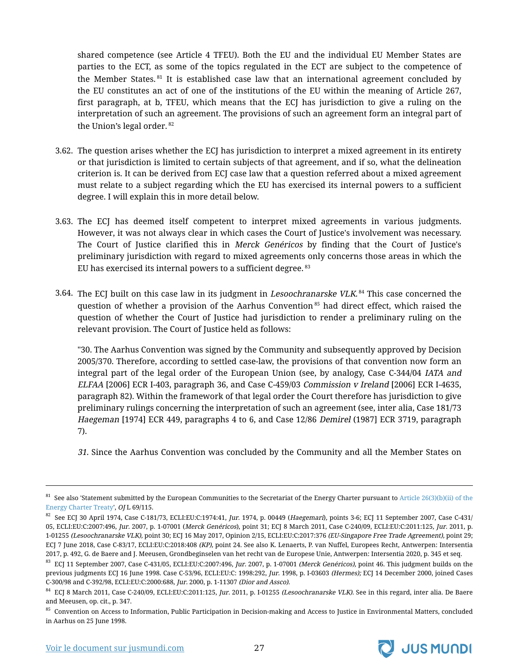shared competence (see Article 4 TFEU). Both the EU and the individual EU Member States are parties to the ECT, as some of the topics regulated in the ECT are subject to the competence of the Member States.<sup>81</sup> It is established case law that an international agreement concluded by the EU constitutes an act of one of the institutions of the EU within the meaning of Article 267, first paragraph, at b, TFEU, which means that the ECJ has jurisdiction to give a ruling on the interpretation of such an agreement. The provisions of such an agreement form an integral part of the Union's legal order. 82

- 3.62. The question arises whether the ECJ has jurisdiction to interpret a mixed agreement in its entirety or that jurisdiction is limited to certain subjects of that agreement, and if so, what the delineation criterion is. It can be derived from ECJ case law that a question referred about a mixed agreement must relate to a subject regarding which the EU has exercised its internal powers to a sufficient degree. I will explain this in more detail below.
- 3.63. The ECJ has deemed itself competent to interpret mixed agreements in various judgments. However, it was not always clear in which cases the Court of Justice's involvement was necessary. The Court of Justice clarified this in Merck Genéricos by finding that the Court of Justice's preliminary jurisdiction with regard to mixed agreements only concerns those areas in which the EU has exercised its internal powers to a sufficient degree. 83
- 3.64. The ECJ built on this case law in its judgment in  $\emph{Lesoochranarske VLK}.$   $^{84}$  This case concerned the question of whether a provision of the Aarhus Convention<sup>85</sup> had direct effect, which raised the question of whether the Court of Justice had jurisdiction to render a preliminary ruling on the relevant provision. The Court of Justice held as follows:

"30. The Aarhus Convention was signed by the Community and subsequently approved by Decision 2005/370. Therefore, according to settled case-law, the provisions of that convention now form an integral part of the legal order of the European Union (see, by analogy, Case C-344/04 IATA and ELFAA [2006] ECR I-403, paragraph 36, and Case C-459/03 Commission <sup>v</sup> Ireland [2006] ECR I-4635, paragraph 82). Within the framework of that legal order the Court therefore has jurisdiction to give preliminary rulings concerning the interpretation of such an agreement (see, inter alia, Case 181/73 Haegeman [1974] ECR 449, paragraphs 4 to 6, and Case 12/86 Demirel (1987] ECR 3719, paragraph 7).

31. Since the Aarhus Convention was concluded by the Community and all the Member States on



 $81$  See also 'Statement submitted by the European Communities to the Secretariat of the Energy Charter pursuant to [Article 26\(3\)\(b\)\(ii\) of the](https://jusmundi.com/en/document/h/clljWVJHbGxISEg0VUZMdWNJazE2TnJ3Mmxwb2NlQ1R3cmNjQXR1UDFhaUg5bDhhczBqUjlmYmVtWWhITFNjK3dCV0JaSFlDK3BFbFIyL0xvSHhiR2sxdnZtV2R3TDJsQUR2Q0hoUUhPeWlwUFRXK0ZmSTJDNUVyTytCd1RRNTNPNEU2VTZUYnBMa1ZkSHBQY2xJNFlBPT0=) [Energy Charter Treaty](https://jusmundi.com/en/document/h/clljWVJHbGxISEg0VUZMdWNJazE2TnJ3Mmxwb2NlQ1R3cmNjQXR1UDFhaUg5bDhhczBqUjlmYmVtWWhITFNjK3dCV0JaSFlDK3BFbFIyL0xvSHhiR2sxdnZtV2R3TDJsQUR2Q0hoUUhPeWlwUFRXK0ZmSTJDNUVyTytCd1RRNTNPNEU2VTZUYnBMa1ZkSHBQY2xJNFlBPT0=)', OJ L 69/115.

<sup>82</sup> See ECJ 30 April 1974, Case C-181/73, ECLI:EU:C:1974:41, Jur. 1974, p. 00449 (Haegemari), points 3-6; ECJ 11 September 2007, Case C-431/ 05, ECLI:EU:C:2007:496, Jur. 2007, p. 1-07001 (Merck Genéricos), point 31; ECJ 8 March 2011, Case C-240/09, ECLI:EU:C:2011:125, Jur. 2011, p. 1-01255 (Lesoochranarske VLK), point 30; ECJ 16 May 2017, Opinion 2/15, ECLI:EU:C:2017:376 (EU-Singapore Free Trade Agreement), point 29; ECJ 7 June 2018, Case C-83/17, ECLI:EU:C:2018:408 (KP), point 24. See also K. Lenaerts, P. van Nuffel, Europees Recht, Antwerpen: Intersentia 2017, p. 492, G. de Baere and J. Meeusen, Grondbeginselen van het recht van de Europese Unie, Antwerpen: Intersentia 2020, p. 345 et seq.

<sup>&</sup>lt;sup>83</sup> ECJ 11 September 2007, Case C-431/05, ECLI:EU:C:2007:496, Jur. 2007, p. 1-07001 (Merck Genéricos), point 46. This judgment builds on the previous judgments ECJ 16 June 1998. Case C-53/96, ECLI:EU:C: 1998:292, Jur. 1998, p. I-03603 (Hermes); ECJ 14 December 2000, joined Cases C-300/98 and C-392/98, ECLI:EU:C:2000:688, Jur. 2000, p. 1-11307 (Dior and Assco).

<sup>&</sup>lt;sup>84</sup> ECJ 8 March 2011, Case C-240/09, ECLI:EU:C:2011:125, Jur. 2011, p. I-01255 (Lesoochranarske VLK). See in this regard, inter alia. De Baere and Meeusen, op. cit., p. 347.

<sup>85</sup> Convention on Access to Information, Public Participation in Decision-making and Access to Justice in Environmental Matters, concluded in Aarhus on 25 June 1998.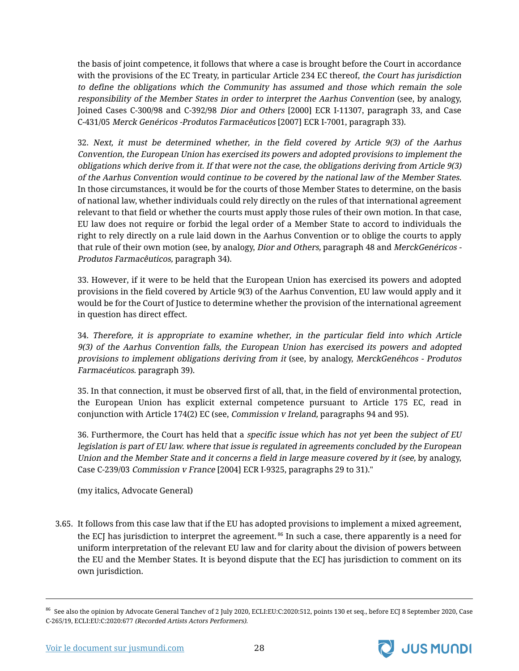the basis of joint competence, it follows that where a case is brought before the Court in accordance with the provisions of the EC Treaty, in particular Article 234 EC thereof, the Court has jurisdiction to define the obligations which the Community has assumed and those which remain the sole responsibility of the Member States in order to interpret the Aarhus Convention (see, by analogy, Joined Cases C-300/98 and C-392/98 Dior and Others [2000] ECR I-11307, paragraph 33, and Case C-431/05 Merck Genéricos -Produtos Farmacêuticos [2007] ECR I-7001, paragraph 33).

32. Next, it must be determined whether, in the field covered by Article 9(3) of the Aarhus Convention, the European Union has exercised its powers and adopted provisions to implement the obligations which derive from it. If that were not the case, the obligations deriving from Article 9(3) of the Aarhus Convention would continue to be covered by the national law of the Member States. In those circumstances, it would be for the courts of those Member States to determine, on the basis of national law, whether individuals could rely directly on the rules of that international agreement relevant to that field or whether the courts must apply those rules of their own motion. In that case, EU law does not require or forbid the legal order of a Member State to accord to individuals the right to rely directly on a rule laid down in the Aarhus Convention or to oblige the courts to apply that rule of their own motion (see, by analogy, Dior and Others, paragraph 48 and MerckGenéricos -Produtos Farmacêuticos, paragraph 34).

33. However, if it were to be held that the European Union has exercised its powers and adopted provisions in the field covered by Article 9(3) of the Aarhus Convention, EU law would apply and it would be for the Court of Justice to determine whether the provision of the international agreement in question has direct effect.

34. Therefore, it is appropriate to examine whether, in the particular field into which Article 9(3) of the Aarhus Convention falls, the European Union has exercised its powers and adopted provisions to implement obligations deriving from it (see, by analogy, MerckGenéhcos - Produtos Farmacéuticos. paragraph 39).

35. In that connection, it must be observed first of all, that, in the field of environmental protection, the European Union has explicit external competence pursuant to Article 175 EC, read in conjunction with Article 174(2) EC (see, Commission  $v$  Ireland, paragraphs 94 and 95).

36. Furthermore, the Court has held that a specific issue which has not yet been the subject of EU legislation is part of EU law. where that issue is regulated in agreements concluded by the European Union and the Member State and it concerns <sup>a</sup> field in large measure covered by it (see, by analogy, Case C-239/03 Commission v France [2004] ECR I-9325, paragraphs 29 to 31)."

(my italics, Advocate General)

3.65. It follows from this case law that if the EU has adopted provisions to implement a mixed agreement, the ECJ has jurisdiction to interpret the agreement.<sup>86</sup> In such a case, there apparently is a need for uniform interpretation of the relevant EU law and for clarity about the division of powers between the EU and the Member States. It is beyond dispute that the ECJ has jurisdiction to comment on its own jurisdiction.



<sup>86</sup> See also the opinion by Advocate General Tanchev of 2 July 2020, ECLI:EU:C:2020:512, points 130 et seq., before ECJ 8 September 2020, Case C-265/19, ECLI:EU:C:2020:677 (Recorded Artists Actors Performers).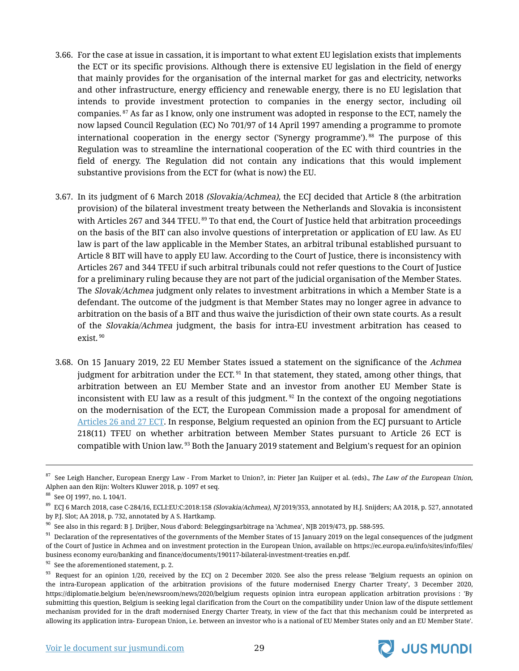- 3.66. For the case at issue in cassation, it is important to what extent EU legislation exists that implements the ECT or its specific provisions. Although there is extensive EU legislation in the field of energy that mainly provides for the organisation of the internal market for gas and electricity, networks and other infrastructure, energy efficiency and renewable energy, there is no EU legislation that intends to provide investment protection to companies in the energy sector, including oil companies. <sup>87</sup> As far as I know, only one instrument was adopted in response to the ECT, namely the now lapsed Council Regulation (EC) No 701/97 of 14 April 1997 amending a programme to promote international cooperation in the energy sector ('Synergy programme').<sup>88</sup> The purpose of this Regulation was to streamline the international cooperation of the EC with third countries in the field of energy. The Regulation did not contain any indications that this would implement substantive provisions from the ECT for (what is now) the EU.
- 3.67. In its judgment of 6 March 2018 *(Slovakia/Achmea),* the ECJ decided that Article 8 (the arbitration provision) of the bilateral investment treaty between the Netherlands and Slovakia is inconsistent with Articles 267 and 344 TFEU. 89 To that end, the Court of Justice held that arbitration proceedings on the basis of the BIT can also involve questions of interpretation or application of EU law. As EU law is part of the law applicable in the Member States, an arbitral tribunal established pursuant to Article 8 BIT will have to apply EU law. According to the Court of Justice, there is inconsistency with Articles 267 and 344 TFEU if such arbitral tribunals could not refer questions to the Court of Justice for a preliminary ruling because they are not part of the judicial organisation of the Member States. The Slovak/Achmea judgment only relates to investment arbitrations in which a Member State is a defendant. The outcome of the judgment is that Member States may no longer agree in advance to arbitration on the basis of a BIT and thus waive the jurisdiction of their own state courts. As a result of the Slovakia/Achmea judgment, the basis for intra-EU investment arbitration has ceased to exist. <sup>90</sup>
- 3.68. On 15 January 2019, 22 EU Member States issued a statement on the significance of the *Achmea* judgment for arbitration under the ECT. $^{\rm 91}$  In that statement, they stated, among other things, that arbitration between an EU Member State and an investor from another EU Member State is inconsistent with EU law as a result of this judgment.  $92$  In the context of the ongoing negotiations on the modernisation of the ECT, the European Commission made a proposal for amendment of [Articles 26 and 27 ECT](https://jusmundi.com/en/document/h/clljWVJHbGxISEg0VUZMdWNJazE2TnJ3Mmxwb2NlQ1R3cmNjQXR1UDFhaUg5bDhhczBqUjlmYmVtWWhITFNjK3dCV0JaSFlDK3BFbFIyL0xvSHhiR2sxdnZtV2R3TDJsQUR2Q0hoUUhPeWlwUFRXK0ZmSTJDNUVyTytCd1RRNTNDQmJGNXZZVGpGLzhUODVQMzdWbEl3PT0=). In response, Belgium requested an opinion from the ECJ pursuant to Article 218(11) TFEU on whether arbitration between Member States pursuant to Article 26 ECT is compatible with Union law.  $^{93}$  Both the January 2019 statement and Belgium's request for an opinion

 $93$  Request for an opinion 1/20, received by the ECJ on 2 December 2020. See also the press release 'Belgium requests an opinion on the intra-European application of the arbitration provisions of the future modernised Energy Charter Treaty', 3 December 2020, https://diplomatie.belgium be/en/newsroom/news/2020/belgium requests opinion intra european application arbitration provisions : 'By submitting this question, Belgium is seeking legal clarification from the Court on the compatibility under Union law of the dispute settlement mechanism provided for in the draft modernised Energy Charter Treaty, in view of the fact that this mechanism could be interpreted as allowing its application intra- European Union, i.e. between an investor who is a national of EU Member States only and an EU Member State'.





See Leigh Hancher, European Energy Law - From Market to Union?, in: Pieter Jan Kuijper et al. (eds)., The Law of the European Union, Alphen aan den Rijn: Wolters Kluwer 2018, p. 1097 et seq.

<sup>&</sup>lt;sup>88</sup> See OJ 1997, no. L 104/1.

 $89$  ECJ 6 March 2018, case C-284/16, ECLI:EU:C:2018:158 (Slovakia/Achmea), NJ 2019/353, annotated by H.J. Snijders; AA 2018, p. 527, annotated by P.J. Slot; AA 2018, p. 732, annotated by A S. Hartkamp.

<sup>90</sup> See also in this regard: B J. Drijber, Nous d'abord: Beleggingsarbitrage na 'Achmea', NJB 2019/473, pp. 588-595.

 $91$  Declaration of the representatives of the governments of the Member States of 15 January 2019 on the legal consequences of the judgment of the Court of Justice in Achmea and on investment protection in the European Union, available on https://ec.europa.eu/info/sites/info/files/ business economy euro/banking and finance/documents/190117-bilateral-investment-treaties en.pdf.

 $92$  See the aforementioned statement, p. 2.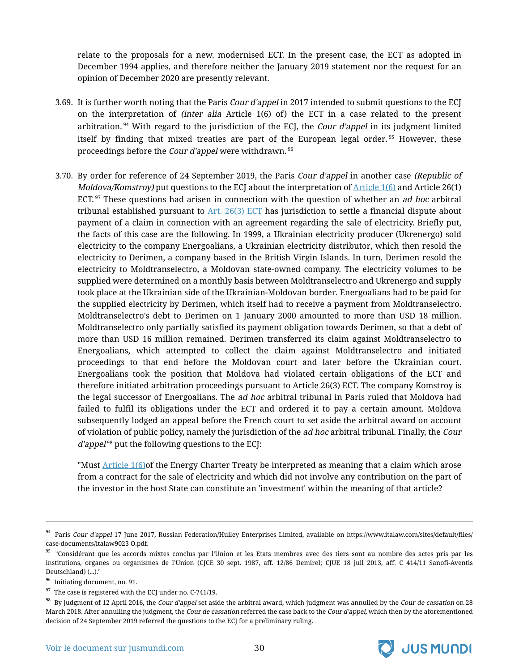relate to the proposals for a new. modernised ECT. In the present case, the ECT as adopted in December 1994 applies, and therefore neither the January 2019 statement nor the request for an opinion of December 2020 are presently relevant.

- 3.69. It is further worth noting that the Paris *Cour d'appel* in 2017 intended to submit questions to the ECJ on the interpretation of (inter alia Article 1(6) of) the ECT in a case related to the present arbitration.<sup>94</sup> With regard to the jurisdiction of the ECJ, the *Cour d'appel* in its judgment limited itself by finding that mixed treaties are part of the European legal order.<sup>95</sup> However, these proceedings before the Cour d'appel were withdrawn. 96
- 3.70. By order for reference of 24 September 2019, the Paris *Cour d'appel* in another case *(Republic of* Moldova/Komstroy) put questions to the ECJ about the interpretation of [Article 1\(6\)](https://jusmundi.com/en/document/h/clljWVJHbGxISEg0VUZMdWNJazE2TnJ3Mmxwb2NlQ1R3cmNjQXR1UDFhaUg5bDhhczBqUjlmYmVtWWhITFNjK3dCV0JaSFlDK3BFbFIyL0xvSHhiR2sxdnZtV2R3TDJsQUR2Q0hoUUhPeWlwUFRXK0ZmSTJDNUVyTytCd1RRNTNwN01Gb3dPWkZkKy8zeWpwclM0RlZBPT0=) and Article 26(1) ECT.  $\rm ^{97}$  These questions had arisen in connection with the question of whether an *ad hoc* arbitral tribunal established pursuant to  $Art. 26(3)$  ECT has jurisdiction to settle a financial dispute about payment of a claim in connection with an agreement regarding the sale of electricity. Briefly put, the facts of this case are the following. In 1999, a Ukrainian electricity producer (Ukrenergo) sold electricity to the company Energoalians, a Ukrainian electricity distributor, which then resold the electricity to Derimen, a company based in the British Virgin Islands. In turn, Derimen resold the electricity to Moldtranselectro, a Moldovan state-owned company. The electricity volumes to be supplied were determined on a monthly basis between Moldtranselectro and Ukrenergo and supply took place at the Ukrainian side of the Ukrainian-Moldovan border. Energoalians had to be paid for the supplied electricity by Derimen, which itself had to receive a payment from Moldtranselectro. Moldtranselectro's debt to Derimen on 1 January 2000 amounted to more than USD 18 million. Moldtranselectro only partially satisfied its payment obligation towards Derimen, so that a debt of more than USD 16 million remained. Derimen transferred its claim against Moldtranselectro to Energoalians, which attempted to collect the claim against Moldtranselectro and initiated proceedings to that end before the Moldovan court and later before the Ukrainian court. Energoalians took the position that Moldova had violated certain obligations of the ECT and therefore initiated arbitration proceedings pursuant to Article 26(3) ECT. The company Komstroy is the legal successor of Energoalians. The ad hoc arbitral tribunal in Paris ruled that Moldova had failed to fulfil its obligations under the ECT and ordered it to pay a certain amount. Moldova subsequently lodged an appeal before the French court to set aside the arbitral award on account of violation of public policy, namely the jurisdiction of the ad hoc arbitral tribunal. Finally, the Cour d'appel<sup>98</sup> put the following questions to the ECJ:

"Must [Article 1\(6\)o](https://jusmundi.com/en/document/h/clljWVJHbGxISEg0VUZMdWNJazE2TnJ3Mmxwb2NlQ1R3cmNjQXR1UDFhaUg5bDhhczBqUjlmYmVtWWhITFNjK3dCV0JaSFlDK3BFbFIyL0xvSHhiR2sxdnZtV2R3TDJsQUR2Q0hoUUhPeWlwUFRXK0ZmSTJDNUVyTytCd1RRNTNwN01Gb3dPWkZkKy8zeWpwclM0RlZBPT0=)f the Energy Charter Treaty be interpreted as meaning that a claim which arose from a contract for the sale of electricity and which did not involve any contribution on the part of the investor in the host State can constitute an 'investment' within the meaning of that article?



<sup>94</sup> Paris Cour d'appel 17 June 2017, Russian Federation/Hulley Enterprises Limited, available on https://www.italaw.com/sites/default/files/ case-documents/italaw9023 O.pdf.

<sup>&</sup>lt;sup>95</sup> "Considérant que les accords mixtes conclus par l'Union et les Etats membres avec des tiers sont au nombre des actes pris par les institutions, organes ou organismes de l'Union (CJCE 30 sept. 1987, aff. 12/86 Demirel; CJUE 18 juil 2013, aff. C 414/11 Sanofi-Aventis Deutschland) (...)."

<sup>&</sup>lt;sup>96</sup> Initiating document, no. 91.

 $97$  The case is registered with the ECJ under no. C-741/19.

 $98$  By judgment of 12 April 2016, the *Cour d'appel* set aside the arbitral award, which judgment was annulled by the *Cour de cassation* on 28 March 2018. After annulling the judgment, the Cour de cassation referred the case back to the Cour d'appel, which then by the aforementioned decision of 24 September 2019 referred the questions to the ECJ for a preliminary ruling.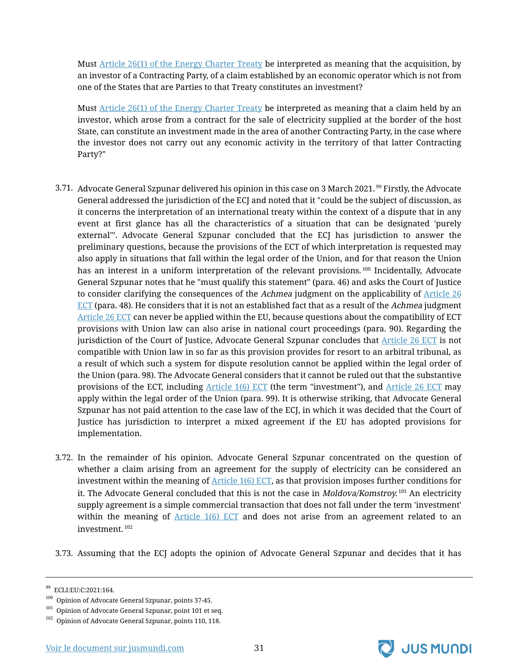Must [Article 26\(1\) of the Energy Charter Treaty](https://jusmundi.com/en/document/h/clljWVJHbGxISEg0VUZMdWNJazE2TnJ3Mmxwb2NlQ1R3cmNjQXR1UDFhaUg5bDhhczBqUjlmYmVtWWhITFNjK3dCV0JaSFlDK3BFbFIyL0xvSHhiR2sxdnZtV2R3TDJsQUR2Q0hoUUhPeWlwUFRXK0ZmSTJDNUVyTytCd1RRNTNJRVl1SUhwZG5jeEpYTHVXWjR0eCtnPT0=) be interpreted as meaning that the acquisition, by an investor of a Contracting Party, of a claim established by an economic operator which is not from one of the States that are Parties to that Treaty constitutes an investment?

Must [Article 26\(1\) of the Energy Charter Treaty](https://jusmundi.com/en/document/h/clljWVJHbGxISEg0VUZMdWNJazE2TnJ3Mmxwb2NlQ1R3cmNjQXR1UDFhaUg5bDhhczBqUjlmYmVtWWhITFNjK3dCV0JaSFlDK3BFbFIyL0xvSHhiR2sxdnZtV2R3TDJsQUR2Q0hoUUhPeWlwUFRXK0ZmSTJDNUVyTytCd1RRNTNJRVl1SUhwZG5jeEpYTHVXWjR0eCtnPT0=) be interpreted as meaning that a claim held by an investor, which arose from a contract for the sale of electricity supplied at the border of the host State, can constitute an investment made in the area of another Contracting Party, in the case where the investor does not carry out any economic activity in the territory of that latter Contracting Party?"

- 3.71. Advocate General Szpunar delivered his opinion in this case on 3 March 2021. <sup>99</sup> Firstly, the Advocate General addressed the jurisdiction of the ECJ and noted that it "could be the subject of discussion, as it concerns the interpretation of an international treaty within the context of a dispute that in any event at first glance has all the characteristics of a situation that can be designated 'purely external"'. Advocate General Szpunar concluded that the ECJ has jurisdiction to answer the preliminary questions, because the provisions of the ECT of which interpretation is requested may also apply in situations that fall within the legal order of the Union, and for that reason the Union has an interest in a uniform interpretation of the relevant provisions.<sup>100</sup> Incidentally, Advocate General Szpunar notes that he "must qualify this statement" (para. 46) and asks the Court of Justice to consider clarifying the consequences of the Achmea judgment on the applicability of [Article 26](https://jusmundi.com/en/document/h/clljWVJHbGxISEg0VUZMdWNJazE2TnJ3Mmxwb2NlQ1R3cmNjQXR1UDFhaUg5bDhhczBqUjlmYmVtWWhITFNjK3dCV0JaSFlDK3BFbFIyL0xvSHhiR2sxdnZtV2R3TDJsQUR2Q0hoUUhPeWlwUFRXK0ZmSTJDNUVyTytCd1RRNTNDQmJGNXZZVGpGLzhUODVQMzdWbEl3PT0=) [ECT](https://jusmundi.com/en/document/h/clljWVJHbGxISEg0VUZMdWNJazE2TnJ3Mmxwb2NlQ1R3cmNjQXR1UDFhaUg5bDhhczBqUjlmYmVtWWhITFNjK3dCV0JaSFlDK3BFbFIyL0xvSHhiR2sxdnZtV2R3TDJsQUR2Q0hoUUhPeWlwUFRXK0ZmSTJDNUVyTytCd1RRNTNDQmJGNXZZVGpGLzhUODVQMzdWbEl3PT0=) (para. 48). He considers that it is not an established fact that as a result of the Achmea judgment [Article 26 ECT](https://jusmundi.com/en/document/h/clljWVJHbGxISEg0VUZMdWNJazE2TnJ3Mmxwb2NlQ1R3cmNjQXR1UDFhaUg5bDhhczBqUjlmYmVtWWhITFNjK3dCV0JaSFlDK3BFbFIyL0xvSHhiR2sxdnZtV2R3TDJsQUR2Q0hoUUhPeWlwUFRXK0ZmSTJDNUVyTytCd1RRNTNDQmJGNXZZVGpGLzhUODVQMzdWbEl3PT0=) can never be applied within the EU, because questions about the compatibility of ECT provisions with Union law can also arise in national court proceedings (para. 90). Regarding the jurisdiction of the Court of Justice, Advocate General Szpunar concludes that [Article 26 ECT](https://jusmundi.com/en/document/h/clljWVJHbGxISEg0VUZMdWNJazE2TnJ3Mmxwb2NlQ1R3cmNjQXR1UDFhaUg5bDhhczBqUjlmYmVtWWhITFNjK3dCV0JaSFlDK3BFbFIyL0xvSHhiR2sxdnZtV2R3TDJsQUR2Q0hoUUhPeWlwUFRXK0ZmSTJDNUVyTytCd1RRNTNDQmJGNXZZVGpGLzhUODVQMzdWbEl3PT0=) is not compatible with Union law in so far as this provision provides for resort to an arbitral tribunal, as a result of which such a system for dispute resolution cannot be applied within the legal order of the Union (para. 98). The Advocate General considers that it cannot be ruled out that the substantive provisions of the ECT, including [Article 1\(6\) ECT](https://jusmundi.com/en/document/h/clljWVJHbGxISEg0VUZMdWNJazE2TnJ3Mmxwb2NlQ1R3cmNjQXR1UDFhaUg5bDhhczBqUjlmYmVtWWhITFNjK3dCV0JaSFlDK3BFbFIyL0xvSHhiR2sxdnZtV2R3TDJsQUR2Q0hoUUhPeWlwUFRXK0ZmSTJDNUVyTytCd1RRNTNwN01Gb3dPWkZkKy8zeWpwclM0RlZBPT0=) (the term "investment"), and [Article 26 ECT](https://jusmundi.com/en/document/h/clljWVJHbGxISEg0VUZMdWNJazE2TnJ3Mmxwb2NlQ1R3cmNjQXR1UDFhaUg5bDhhczBqUjlmYmVtWWhITFNjK3dCV0JaSFlDK3BFbFIyL0xvSHhiR2sxdnZtV2R3TDJsQUR2Q0hoUUhPeWlwUFRXK0ZmSTJDNUVyTytCd1RRNTNDQmJGNXZZVGpGLzhUODVQMzdWbEl3PT0=) may apply within the legal order of the Union (para. 99). It is otherwise striking, that Advocate General Szpunar has not paid attention to the case law of the ECJ, in which it was decided that the Court of Justice has jurisdiction to interpret a mixed agreement if the EU has adopted provisions for implementation.
- 3.72. In the remainder of his opinion. Advocate General Szpunar concentrated on the question of whether a claim arising from an agreement for the supply of electricity can be considered an investment within the meaning of  $\text{Article 1}(6)$  ECT, as that provision imposes further conditions for it. The Advocate General concluded that this is not the case in *Moldova/Komstroy.* <sup>101</sup> An electricity supply agreement is a simple commercial transaction that does not fall under the term 'investment' within the meaning of  $Article$   $1(6)$   $ECT$  and does not arise from an agreement related to an investment. <sup>102</sup>
- 3.73. Assuming that the ECJ adopts the opinion of Advocate General Szpunar and decides that it has



<sup>99</sup> ECLI:EU:C:2021:164.

<sup>100</sup> Opinion of Advocate General Szpunar, points 37-45.

 $^{101}\,$  Opinion of Advocate General Szpunar, point 101 et seq.

<sup>102</sup> Opinion of Advocate General Szpunar, points 110, 118.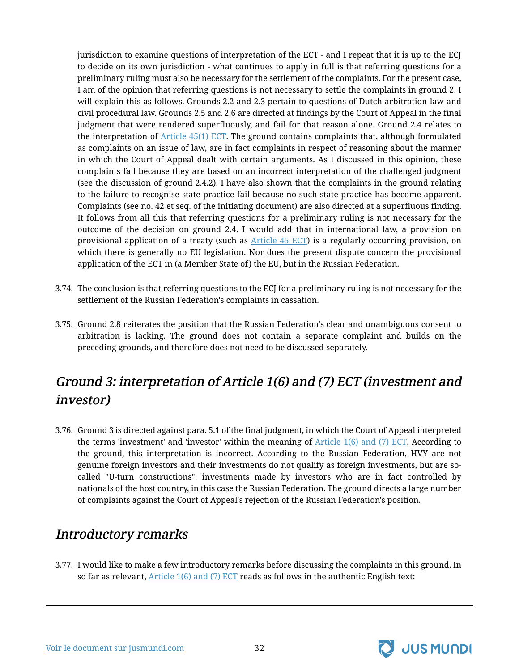jurisdiction to examine questions of interpretation of the ECT - and I repeat that it is up to the ECJ to decide on its own jurisdiction - what continues to apply in full is that referring questions for a preliminary ruling must also be necessary for the settlement of the complaints. For the present case, I am of the opinion that referring questions is not necessary to settle the complaints in ground 2. I will explain this as follows. Grounds 2.2 and 2.3 pertain to questions of Dutch arbitration law and civil procedural law. Grounds 2.5 and 2.6 are directed at findings by the Court of Appeal in the final judgment that were rendered superfluously, and fail for that reason alone. Ground 2.4 relates to the interpretation of  $Article 45(1) ECT$ . The ground contains complaints that, although formulated as complaints on an issue of law, are in fact complaints in respect of reasoning about the manner in which the Court of Appeal dealt with certain arguments. As I discussed in this opinion, these complaints fail because they are based on an incorrect interpretation of the challenged judgment (see the discussion of ground 2.4.2). I have also shown that the complaints in the ground relating to the failure to recognise state practice fail because no such state practice has become apparent. Complaints (see no. 42 et seq. of the initiating document) are also directed at a superfluous finding. It follows from all this that referring questions for a preliminary ruling is not necessary for the outcome of the decision on ground 2.4. I would add that in international law, a provision on provisional application of a treaty (such as  $Article$  45 ECT) is a regularly occurring provision, on which there is generally no EU legislation. Nor does the present dispute concern the provisional application of the ECT in (a Member State of) the EU, but in the Russian Federation.

- 3.74. The conclusion is that referring questions to the ECJ for a preliminary ruling is not necessary for the settlement of the Russian Federation's complaints in cassation.
- 3.75. <u>Ground 2.8</u> reiterates the position that the Russian Federation's clear and unambiguous consent to arbitration is lacking. The ground does not contain a separate complaint and builds on the preceding grounds, and therefore does not need to be discussed separately.

# <span id="page-34-0"></span>Ground 3: interpretation of Article 1(6) and (7) ECT (investment and investor)

3.76. <u>Ground 3</u> is directed against para. 5.1 of the final judgment, in which the Court of Appeal interpreted the terms 'investment' and 'investor' within the meaning of  $\text{Article 1}(6)$  and (7) ECT. According to the ground, this interpretation is incorrect. According to the Russian Federation, HVY are not genuine foreign investors and their investments do not qualify as foreign investments, but are socalled "U-turn constructions": investments made by investors who are in fact controlled by nationals of the host country, in this case the Russian Federation. The ground directs a large number of complaints against the Court of Appeal's rejection of the Russian Federation's position.

## <span id="page-34-1"></span>Introductory remarks

3.77. I would like to make a few introductory remarks before discussing the complaints in this ground. In so far as relevant,  $Article 1(6) and (7) ECT reads as follows in the authentic English text:$  $Article 1(6) and (7) ECT reads as follows in the authentic English text:$ 

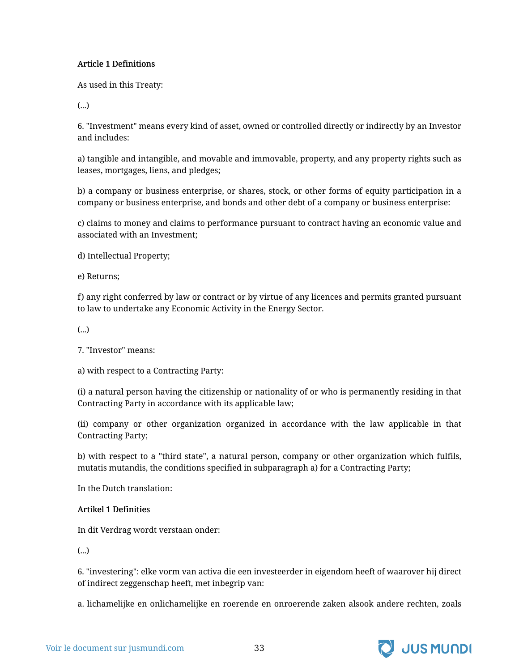#### Article 1 Definitions

As used in this Treaty:

(...)

6. "Investment" means every kind of asset, owned or controlled directly or indirectly by an Investor and includes:

a) tangible and intangible, and movable and immovable, property, and any property rights such as leases, mortgages, liens, and pledges;

b) a company or business enterprise, or shares, stock, or other forms of equity participation in a company or business enterprise, and bonds and other debt of a company or business enterprise:

c) claims to money and claims to performance pursuant to contract having an economic value and associated with an Investment;

d) Intellectual Property;

e) Returns;

f) any right conferred by law or contract or by virtue of any licences and permits granted pursuant to law to undertake any Economic Activity in the Energy Sector.

(...)

7. "Investor" means:

a) with respect to a Contracting Party:

(i) a natural person having the citizenship or nationality of or who is permanently residing in that Contracting Party in accordance with its applicable law;

(ii) company or other organization organized in accordance with the law applicable in that Contracting Party;

b) with respect to a "third state", a natural person, company or other organization which fulfils, mutatis mutandis, the conditions specified in subparagraph a) for a Contracting Party;

In the Dutch translation:

#### Artikel 1 Definities

In dit Verdrag wordt verstaan onder:

(...)

6. "investering": elke vorm van activa die een investeerder in eigendom heeft of waarover hij direct of indirect zeggenschap heeft, met inbegrip van:

a. lichamelijke en onlichamelijke en roerende en onroerende zaken alsook andere rechten, zoals

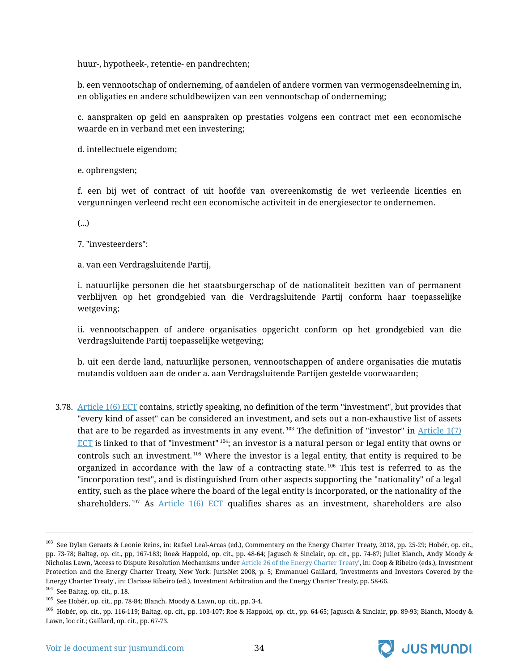huur-, hypotheek-, retentie- en pandrechten;

b. een vennootschap of onderneming, of aandelen of andere vormen van vermogensdeelneming in, en obligaties en andere schuldbewijzen van een vennootschap of onderneming;

c. aanspraken op geld en aanspraken op prestaties volgens een contract met een economische waarde en in verband met een investering;

d. intellectuele eigendom;

e. opbrengsten;

f. een bij wet of contract of uit hoofde van overeenkomstig de wet verleende licenties en vergunningen verleend recht een economische activiteit in de energiesector te ondernemen.

(...)

7. "investeerders":

a. van een Verdragsluitende Partij,

i. natuurlijke personen die het staatsburgerschap of de nationaliteit bezitten van of permanent verblijven op het grondgebied van die Verdragsluitende Partij conform haar toepasselijke wetgeving;

ii. vennootschappen of andere organisaties opgericht conform op het grondgebied van die Verdragsluitende Partij toepasselijke wetgeving;

b. uit een derde land, natuurlijke personen, vennootschappen of andere organisaties die mutatis mutandis voldoen aan de onder a. aan Verdragsluitende Partijen gestelde voorwaarden;

3.78. [Article 1\(6\) ECT](https://jusmundi.com/en/document/h/clljWVJHbGxISEg0VUZMdWNJazE2TnJ3Mmxwb2NlQ1R3cmNjQXR1UDFhaUg5bDhhczBqUjlmYmVtWWhITFNjK3dCV0JaSFlDK3BFbFIyL0xvSHhiR2sxdnZtV2R3TDJsQUR2Q0hoUUhPeWlwUFRXK0ZmSTJDNUVyTytCd1RRNTNwN01Gb3dPWkZkKy8zeWpwclM0RlZBPT0=) contains, strictly speaking, no definition of the term "investment", but provides that "every kind of asset" can be considered an investment, and sets out a non-exhaustive list of assets that are to be regarded as investments in any event.<sup>103</sup> The definition of "investor" in  $Article 1(7)$ [ECT](https://jusmundi.com/en/document/h/clljWVJHbGxISEg0VUZMdWNJazE2TnJ3Mmxwb2NlQ1R3cmNjQXR1UDFhaUg5bDhhczBqUjlmYmVtWWhITFNjK3dCV0JaSFlDK3BFbFIyL0xvSHhiR2sxdnZtV2R3TDJsQUR2Q0hoUUhPeWlwUFRXK0ZmSTJDNUVyTytCd1RRNTNQNGpLcDFlN0gyZ2tjejBrbVBPMGp3PT0=) is linked to that of "investment" 104; an investor is a natural person or legal entity that owns or controls such an investment.<sup>105</sup> Where the investor is a legal entity, that entity is required to be organized in accordance with the law of a contracting state.<sup>106</sup> This test is referred to as the "incorporation test", and is distinguished from other aspects supporting the "nationality" of a legal entity, such as the place where the board of the legal entity is incorporated, or the nationality of the shareholders.<sup>107</sup> As Article  $1(6)$  ECT qualifies shares as an investment, shareholders are also



<sup>&</sup>lt;sup>103</sup> See Dylan Geraets & Leonie Reins, in: Rafael Leal-Arcas (ed.), Commentary on the Energy Charter Treaty, 2018, pp. 25-29; Hobér, op. cit., pp. 73-78; Baltag, op. cit., pp, 167-183; Roe& Happold, op. cit., pp. 48-64; Jagusch & Sinclair, op. cit., pp. 74-87; Juliet Blanch, Andy Moody & Nicholas Lawn, 'Access to Dispute Resolution Mechanisms under [Article 26 of the Energy Charter Treaty](https://jusmundi.com/en/document/h/clljWVJHbGxISEg0VUZMdWNJazE2TnJ3Mmxwb2NlQ1R3cmNjQXR1UDFhaUg5bDhhczBqUjlmYmVtWWhITFNjK3dCV0JaSFlDK3BFbFIyL0xvSHhiR2sxdnZtV2R3TDJsQUR2Q0hoUUhPeWlwUFRXK0ZmSTJDNUVyTytCd1RRNTNDQmJGNXZZVGpGLzhUODVQMzdWbEl3PT0=)', in: Coop & Ribeiro (eds.), Investment Protection and the Energy Charter Treaty, New York: JurisNet 2008, p. 5; Emmanuel Gaillard, 'Investments and Investors Covered by the Energy Charter Treaty', in: Clarisse Ribeiro (ed.), Investment Arbitration and the Energy Charter Treaty, pp. 58-66.

<sup>104</sup> See Baltag, op. cit., p. 18.

<sup>105</sup> See Hobér, op. cit., pp. 78-84; Blanch. Moody & Lawn, op. cit., pp. 3-4.

 $^{106}$  Hobér, op. cit., pp. 116-119; Baltag, op. cit., pp. 103-107; Roe & Happold, op. cit., pp. 64-65; Jagusch & Sinclair, pp. 89-93; Blanch, Moody & Lawn, loc cit.; Gaillard, op. cit., pp. 67-73.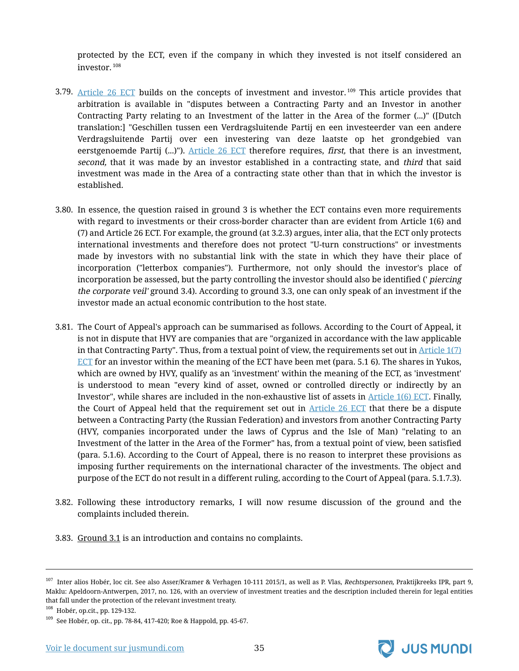protected by the ECT, even if the company in which they invested is not itself considered an investor. <sup>108</sup>

- 3.79.  $\rm Article$   $\rm 26$  ECT builds on the concepts of investment and investor.  $^{109}$  This article provides that arbitration is available in "disputes between a Contracting Party and an Investor in another Contracting Party relating to an Investment of the latter in the Area of the former (...)" ([Dutch translation:] "Geschillen tussen een Verdragsluitende Partij en een investeerder van een andere Verdragsluitende Partij over een investering van deze laatste op het grondgebied van eerstgenoemde Partij (...)"). [Article 26 ECT](https://jusmundi.com/en/document/h/clljWVJHbGxISEg0VUZMdWNJazE2TnJ3Mmxwb2NlQ1R3cmNjQXR1UDFhaUg5bDhhczBqUjlmYmVtWWhITFNjK3dCV0JaSFlDK3BFbFIyL0xvSHhiR2sxdnZtV2R3TDJsQUR2Q0hoUUhPeWlwUFRXK0ZmSTJDNUVyTytCd1RRNTNDQmJGNXZZVGpGLzhUODVQMzdWbEl3PT0=) therefore requires, first, that there is an investment, second, that it was made by an investor established in a contracting state, and third that said investment was made in the Area of a contracting state other than that in which the investor is established.
- 3.80. In essence, the question raised in ground 3 is whether the ECT contains even more requirements with regard to investments or their cross-border character than are evident from Article 1(6) and (7) and Article 26 ECT. For example, the ground (at 3.2.3) argues, inter alia, that the ECT only protects international investments and therefore does not protect "U-turn constructions" or investments made by investors with no substantial link with the state in which they have their place of incorporation ("letterbox companies"). Furthermore, not only should the investor's place of incorporation be assessed, but the party controlling the investor should also be identified (' piercing the corporate veil' ground 3.4). According to ground 3.3, one can only speak of an investment if the investor made an actual economic contribution to the host state.
- 3.81. The Court of Appeal's approach can be summarised as follows. According to the Court of Appeal, it is not in dispute that HVY are companies that are "organized in accordance with the law applicable in that Contracting Party". Thus, from a textual point of view, the requirements set out in [Article 1\(7\)](https://jusmundi.com/en/document/h/clljWVJHbGxISEg0VUZMdWNJazE2TnJ3Mmxwb2NlQ1R3cmNjQXR1UDFhaUg5bDhhczBqUjlmYmVtWWhITFNjK3dCV0JaSFlDK3BFbFIyL0xvSHhiR2sxdnZtV2R3TDJsQUR2Q0hoUUhPeWlwUFRXK0ZmSTJDNUVyTytCd1RRNTNQNGpLcDFlN0gyZ2tjejBrbVBPMGp3PT0=) [ECT](https://jusmundi.com/en/document/h/clljWVJHbGxISEg0VUZMdWNJazE2TnJ3Mmxwb2NlQ1R3cmNjQXR1UDFhaUg5bDhhczBqUjlmYmVtWWhITFNjK3dCV0JaSFlDK3BFbFIyL0xvSHhiR2sxdnZtV2R3TDJsQUR2Q0hoUUhPeWlwUFRXK0ZmSTJDNUVyTytCd1RRNTNQNGpLcDFlN0gyZ2tjejBrbVBPMGp3PT0=) for an investor within the meaning of the ECT have been met (para. 5.1 6). The shares in Yukos, which are owned by HVY, qualify as an 'investment' within the meaning of the ECT, as 'investment' is understood to mean "every kind of asset, owned or controlled directly or indirectly by an Investor", while shares are included in the non-exhaustive list of assets in [Article 1\(6\) ECT.](https://jusmundi.com/en/document/h/clljWVJHbGxISEg0VUZMdWNJazE2TnJ3Mmxwb2NlQ1R3cmNjQXR1UDFhaUg5bDhhczBqUjlmYmVtWWhITFNjK3dCV0JaSFlDK3BFbFIyL0xvSHhiR2sxdnZtV2R3TDJsQUR2Q0hoUUhPeWlwUFRXK0ZmSTJDNUVyTytCd1RRNTNwN01Gb3dPWkZkKy8zeWpwclM0RlZBPT0=) Finally, the Court of Appeal held that the requirement set out in  $\Delta$ rticle 26 ECT that there be a dispute between a Contracting Party (the Russian Federation) and investors from another Contracting Party (HVY, companies incorporated under the laws of Cyprus and the Isle of Man) "relating to an Investment of the latter in the Area of the Former" has, from a textual point of view, been satisfied (para. 5.1.6). According to the Court of Appeal, there is no reason to interpret these provisions as imposing further requirements on the international character of the investments. The object and purpose of the ECT do not result in a different ruling, according to the Court of Appeal (para. 5.1.7.3).
- 3.82. Following these introductory remarks, I will now resume discussion of the ground and the complaints included therein.
- 3.83. Ground 3.1 is an introduction and contains no complaints.



<sup>&</sup>lt;sup>107</sup> Inter alios Hobér, loc cit. See also Asser/Kramer & Verhagen 10-111 2015/1, as well as P. Vlas, Rechtspersonen, Praktijkreeks IPR, part 9, Maklu: Apeldoorn-Antwerpen, 2017, no. 126, with an overview of investment treaties and the description included therein for legal entities that fall under the protection of the relevant investment treaty.

<sup>108</sup> Hobér, op.cit., pp. 129-132.

<sup>109</sup> See Hobér, op. cit., pp. 78-84, 417-420; Roe & Happold, pp. 45-67.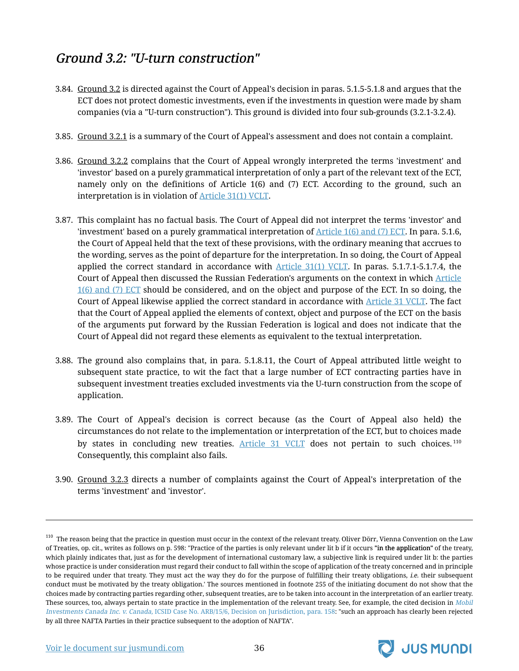## Ground 3.2: "U-turn construction"

- 3.84. <u>Ground 3.2</u> is directed against the Court of Appeal's decision in paras. 5.1.5-5.1.8 and argues that the ECT does not protect domestic investments, even if the investments in question were made by sham companies (via a "U-turn construction"). This ground is divided into four sub-grounds (3.2.1-3.2.4).
- 3.85. Ground 3.2.1 is a summary of the Court of Appeal's assessment and does not contain a complaint.
- 3.86. Ground 3.2.2 complains that the Court of Appeal wrongly interpreted the terms 'investment' and 'investor' based on a purely grammatical interpretation of only a part of the relevant text of the ECT, namely only on the definitions of Article 1(6) and (7) ECT. According to the ground, such an interpretation is in violation of [Article 31\(1\) VCLT.](https://jusmundi.com/en/document/h/NVFwR2lWbkFqaXdJRmhJT3hnNFo0NEhoLzFzTjdSbU9icGpNYlQ0N3hXUjByQUw3dW1hT1I5OW90REYzWjlFYW1iQm0xR2ZxcmE5MFIwL3EyeU1DWUVRbENBMnU5S3g1dERqLzZnTWNMRHc3U0YwLzlEK2VYZ1FOT1ZFUEszei8yM25adnZnUXlFS0VUZE44K1VxYnNHZy8vTXhHVnpTL1p1WUpPMGFFYWNNPQ==)
- 3.87. This complaint has no factual basis. The Court of Appeal did not interpret the terms 'investor' and 'investment' based on a purely grammatical interpretation of  $\Delta$ rticle 1(6) and (7) ECT. In para. 5.1.6, the Court of Appeal held that the text of these provisions, with the ordinary meaning that accrues to the wording, serves as the point of departure for the interpretation. In so doing, the Court of Appeal applied the correct standard in accordance with  $Article$  31(1) VCLT. In paras. 5.1.7.1-5.1.7.4, the Court of Appeal then discussed the Russian Federation's arguments on the context in which [Article](https://jusmundi.com/en/document/h/clljWVJHbGxISEg0VUZMdWNJazE2TnJ3Mmxwb2NlQ1R3cmNjQXR1UDFhaUg5bDhhczBqUjlmYmVtWWhITFNjK3dCV0JaSFlDK3BFbFIyL0xvSHhiR2sxdnZtV2R3TDJsQUR2Q0hoUUhPeWlwUFRXK0ZmSTJDNUVyTytCd1RRNTNwN01Gb3dPWkZkKy8zeWpwclM0RlZBPT0=) [1\(6\) and \(7\) ECT](https://jusmundi.com/en/document/h/clljWVJHbGxISEg0VUZMdWNJazE2TnJ3Mmxwb2NlQ1R3cmNjQXR1UDFhaUg5bDhhczBqUjlmYmVtWWhITFNjK3dCV0JaSFlDK3BFbFIyL0xvSHhiR2sxdnZtV2R3TDJsQUR2Q0hoUUhPeWlwUFRXK0ZmSTJDNUVyTytCd1RRNTNwN01Gb3dPWkZkKy8zeWpwclM0RlZBPT0=) should be considered, and on the object and purpose of the ECT. In so doing, the Court of Appeal likewise applied the correct standard in accordance with [Article 31 VCLT](https://jusmundi.com/en/document/h/NVFwR2lWbkFqaXdJRmhJT3hnNFo0NEhoLzFzTjdSbU9icGpNYlQ0N3hXUjByQUw3dW1hT1I5OW90REYzWjlFYW1iQm0xR2ZxcmE5MFIwL3EyeU1DWUVRbENBMnU5S3g1dERqLzZnTWNMRHc3U0YwLzlEK2VYZ1FOT1ZFUEszei8yM25adnZnUXlFS0VUZE44K1VxYnNNQWhnL25UaklhUkx3TnUyNUhIdlZvPQ==). The fact that the Court of Appeal applied the elements of context, object and purpose of the ECT on the basis of the arguments put forward by the Russian Federation is logical and does not indicate that the Court of Appeal did not regard these elements as equivalent to the textual interpretation.
- 3.88. The ground also complains that, in para. 5.1.8.11, the Court of Appeal attributed little weight to subsequent state practice, to wit the fact that a large number of ECT contracting parties have in subsequent investment treaties excluded investments via the U-turn construction from the scope of application.
- 3.89. The Court of Appeal's decision is correct because (as the Court of Appeal also held) the circumstances do not relate to the implementation or interpretation of the ECT, but to choices made by states in concluding new treaties. [Article 31 VCLT](https://jusmundi.com/en/document/h/NVFwR2lWbkFqaXdJRmhJT3hnNFo0NEhoLzFzTjdSbU9icGpNYlQ0N3hXUjByQUw3dW1hT1I5OW90REYzWjlFYW1iQm0xR2ZxcmE5MFIwL3EyeU1DWUVRbENBMnU5S3g1dERqLzZnTWNMRHc3U0YwLzlEK2VYZ1FOT1ZFUEszei8yM25adnZnUXlFS0VUZE44K1VxYnNNQWhnL25UaklhUkx3TnUyNUhIdlZvPQ==) does not pertain to such choices.<sup>110</sup> Consequently, this complaint also fails.
- 3.90. <u>Ground 3.2.3</u> directs a number of complaints against the Court of Appeal's interpretation of the terms 'investment' and 'investor'.

<sup>&</sup>lt;sup>110</sup> The reason being that the practice in question must occur in the context of the relevant treaty. Oliver Dörr, Vienna Convention on the Law of Treaties, op. cit., writes as follows on p. 598: "Practice of the parties is only relevant under lit b if it occurs "in the application" of the treaty, which plainly indicates that, just as for the development of international customary law, a subjective link is required under lit b: the parties whose practice is under consideration must regard their conduct to fall within the scope of application of the treaty concerned and in principle to be required under that treaty. They must act the way they do for the purpose of fulfilling their treaty obligations, *i.e.* their subsequent conduct must be motivated by the treaty obligation.' The sources mentioned in footnote 255 of the initiating document do not show that the choices made by contracting parties regarding other, subsequent treaties, are to be taken into account in the interpretation of an earlier treaty. These sources, too, always pertain to state practice in the implementation of the relevant treaty. See, for example, the cited decision in [Mobil](https://jusmundi.com/en/document/h/cGFyOFVLY0VSTnI2VE9qUUp5VGpmV0ZaNEJlZ0ZCSHhLaXkyK3dzbWdzc2lSNVc2Wm8wU2hMYk1QYXIzWWNlY0hZL3R3amdjYVA0REtkVTFZWFFmdWpLdVpPU3pScmJrZ2VSUWVXdzdDcFZGMFc3Sk9pdFovTWtvMlJ4bmlvd0RuanM5SjBnZGJOYWNNenN0clhMZXJnUUl4VXphZHc5Lys3U3JmUEM2M1pNckFBRThITVVmejNPOWYwdS9hWHFO) Investments Canada Inc. v. Canada, [ICSID Case No. ARB/15/6, Decision on Jurisdiction, para. 158](https://jusmundi.com/en/document/h/cGFyOFVLY0VSTnI2VE9qUUp5VGpmV0ZaNEJlZ0ZCSHhLaXkyK3dzbWdzc2lSNVc2Wm8wU2hMYk1QYXIzWWNlY0hZL3R3amdjYVA0REtkVTFZWFFmdWpLdVpPU3pScmJrZ2VSUWVXdzdDcFZGMFc3Sk9pdFovTWtvMlJ4bmlvd0RuanM5SjBnZGJOYWNNenN0clhMZXJnUUl4VXphZHc5Lys3U3JmUEM2M1pNckFBRThITVVmejNPOWYwdS9hWHFO): "such an approach has clearly been rejected by all three NAFTA Parties in their practice subsequent to the adoption of NAFTA".

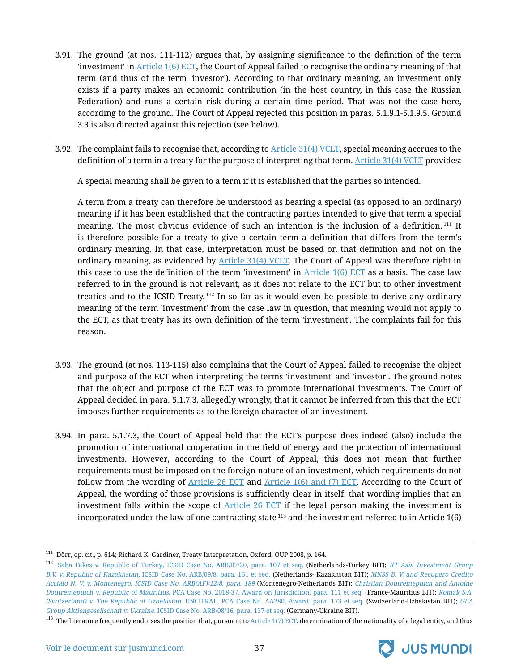- 3.91. The ground (at nos. 111-112) argues that, by assigning significance to the definition of the term 'investment' in [Article 1\(6\) ECT](https://jusmundi.com/en/document/h/clljWVJHbGxISEg0VUZMdWNJazE2TnJ3Mmxwb2NlQ1R3cmNjQXR1UDFhaUg5bDhhczBqUjlmYmVtWWhITFNjK3dCV0JaSFlDK3BFbFIyL0xvSHhiR2sxdnZtV2R3TDJsQUR2Q0hoUUhPeWlwUFRXK0ZmSTJDNUVyTytCd1RRNTNwN01Gb3dPWkZkKy8zeWpwclM0RlZBPT0=), the Court of Appeal failed to recognise the ordinary meaning of that term (and thus of the term 'investor'). According to that ordinary meaning, an investment only exists if a party makes an economic contribution (in the host country, in this case the Russian Federation) and runs a certain risk during a certain time period. That was not the case here, according to the ground. The Court of Appeal rejected this position in paras. 5.1.9.1-5.1.9.5. Ground 3.3 is also directed against this rejection (see below).
- 3.92. The complaint fails to recognise that, according to <u>Article 31(4) VCLT</u>, special meaning accrues to the definition of a term in a treaty for the purpose of interpreting that term. [Article 31\(4\) VCLT](https://jusmundi.com/en/document/h/NVFwR2lWbkFqaXdJRmhJT3hnNFo0NEhoLzFzTjdSbU9icGpNYlQ0N3hXUjByQUw3dW1hT1I5OW90REYzWjlFYW1iQm0xR2ZxcmE5MFIwL3EyeU1DWUVRbENBMnU5S3g1dERqLzZnTWNMRHc3U0YwLzlEK2VYZ1FOT1ZFUEszei8yM25adnZnUXlFS0VUZE44K1VxYnNFQXBHV3I2aXhIWldGUVZaUThydkxBPQ==) provides:

A special meaning shall be given to a term if it is established that the parties so intended.

A term from a treaty can therefore be understood as bearing a special (as opposed to an ordinary) meaning if it has been established that the contracting parties intended to give that term a special meaning. The most obvious evidence of such an intention is the inclusion of a definition. <sup>111</sup> It is therefore possible for a treaty to give a certain term a definition that differs from the term's ordinary meaning. In that case, interpretation must be based on that definition and not on the ordinary meaning, as evidenced by [Article 31\(4\) VCLT.](https://jusmundi.com/en/document/h/NVFwR2lWbkFqaXdJRmhJT3hnNFo0NEhoLzFzTjdSbU9icGpNYlQ0N3hXUjByQUw3dW1hT1I5OW90REYzWjlFYW1iQm0xR2ZxcmE5MFIwL3EyeU1DWUVRbENBMnU5S3g1dERqLzZnTWNMRHc3U0YwLzlEK2VYZ1FOT1ZFUEszei8yM25adnZnUXlFS0VUZE44K1VxYnNFQXBHV3I2aXhIWldGUVZaUThydkxBPQ==) The Court of Appeal was therefore right in this case to use the definition of the term 'investment' in  $Article 1(6) ECT$  as a basis. The case law referred to in the ground is not relevant, as it does not relate to the ECT but to other investment treaties and to the ICSID Treaty.<sup>112</sup> In so far as it would even be possible to derive any ordinary meaning of the term 'investment' from the case law in question, that meaning would not apply to the ECT, as that treaty has its own definition of the term 'investment'. The complaints fail for this reason.

- 3.93. The ground (at nos. 113-115) also complains that the Court of Appeal failed to recognise the object and purpose of the ECT when interpreting the terms 'investment' and 'investor'. The ground notes that the object and purpose of the ECT was to promote international investments. The Court of Appeal decided in para. 5.1.7.3, allegedly wrongly, that it cannot be inferred from this that the ECT imposes further requirements as to the foreign character of an investment.
- 3.94. In para. 5.1.7.3, the Court of Appeal held that the ECT's purpose does indeed (also) include the promotion of international cooperation in the field of energy and the protection of international investments. However, according to the Court of Appeal, this does not mean that further requirements must be imposed on the foreign nature of an investment, which requirements do not follow from the wording of [Article 26 ECT](https://jusmundi.com/en/document/h/clljWVJHbGxISEg0VUZMdWNJazE2TnJ3Mmxwb2NlQ1R3cmNjQXR1UDFhaUg5bDhhczBqUjlmYmVtWWhITFNjK3dCV0JaSFlDK3BFbFIyL0xvSHhiR2sxdnZtV2R3TDJsQUR2Q0hoUUhPeWlwUFRXK0ZmSTJDNUVyTytCd1RRNTNDQmJGNXZZVGpGLzhUODVQMzdWbEl3PT0=) and [Article 1\(6\) and \(7\) ECT.](https://jusmundi.com/en/document/h/clljWVJHbGxISEg0VUZMdWNJazE2TnJ3Mmxwb2NlQ1R3cmNjQXR1UDFhaUg5bDhhczBqUjlmYmVtWWhITFNjK3dCV0JaSFlDK3BFbFIyL0xvSHhiR2sxdnZtV2R3TDJsQUR2Q0hoUUhPeWlwUFRXK0ZmSTJDNUVyTytCd1RRNTNwN01Gb3dPWkZkKy8zeWpwclM0RlZBPT0=) According to the Court of Appeal, the wording of those provisions is sufficiently clear in itself: that wording implies that an investment falls within the scope of  $\Delta$ rticle 26 ECT if the legal person making the investment is incorporated under the law of one contracting state  $113$  and the investment referred to in Article 1(6)

 $^{113}\,$  The literature frequently endorses the position that, pursuant to [Article 1\(7\) ECT](https://jusmundi.com/en/document/h/clljWVJHbGxISEg0VUZMdWNJazE2TnJ3Mmxwb2NlQ1R3cmNjQXR1UDFhaUg5bDhhczBqUjlmYmVtWWhITFNjK3dCV0JaSFlDK3BFbFIyL0xvSHhiR2sxdnZtV2R3TDJsQUR2Q0hoUUhPeWlwUFRXK0ZmSTJDNUVyTytCd1RRNTNQNGpLcDFlN0gyZ2tjejBrbVBPMGp3PT0=), determination of the nationality of a legal entity, and thus



<sup>111</sup> Dörr, op. cit., p. 614; Richard K. Gardiner, Treaty Interpretation, Oxford: OUP 2008, p. 164.

<sup>&</sup>lt;sup>112</sup> Saba Fakes v. Republic of Turkey, [ICSID Case No. ARB/07/20, para. 107 et seq.](https://jusmundi.com/en/document/h/N0JKMlI3SFBSQVMvcW9aV2wvcjZxbjBHemRXVGpPUlpyRHlhSW1VYXlDekQwSENTL1R4T3ZUYkc2YmE3SmpxN1pWZ2dGNjR5Y2t5L2MxVGFkS2JEcFdCMUZXYzV4bDVLaVA4QmlMNytEU1FrMSs3a3FFd2sxUWw5U3ZSMXZxeEI=) (Netherlands-Turkey BIT); KT Asia [Investment](https://jusmundi.com/en/document/h/UCtiZW02cHBSdnpNY2ljemIwdEtCcVdPZU5KSkpyVkl1alZGRDZ5am5xQmtWZ2ZtQVhjN1VURWgweTFjMm9rTkdoMkdsbDRUWWVSTXkyd3JWWjJueEZ1YnZmQWRRVmFsaHpKYlpQc1pXeFB5Z0VMWGVFNnhPSHBYa2lJRjBzYnRyRlRXU0t5Q0FzMnlUS3BxcWV6Z2p3PT0=) Group B.V. v. Republic of Kazakhstan, [ICSID Case No. ARB/09/8, para. 161 et seq.](https://jusmundi.com/en/document/h/UCtiZW02cHBSdnpNY2ljemIwdEtCcVdPZU5KSkpyVkl1alZGRDZ5am5xQmtWZ2ZtQVhjN1VURWgweTFjMm9rTkdoMkdsbDRUWWVSTXkyd3JWWjJueEZ1YnZmQWRRVmFsaHpKYlpQc1pXeFB5Z0VMWGVFNnhPSHBYa2lJRjBzYnRyRlRXU0t5Q0FzMnlUS3BxcWV6Z2p3PT0=) (Netherlands-Kazakhstan BIT); MNSS B. V. and [Recupero](https://jusmundi.com/en/document/h/WkhCZ1VVUnRNNncxeGRuS1NrOFVuL1JjeXVGM1RFanhoek54VE9HTjU4LzZGQ1VyUjJiajl3bkpLNGpSR0oyRnU2eXoxVXM0QmFaek9CZnlOdVlhTi8vTmpsK2kyT25TOUZUbUJLWXd2R3o1L0FMWldJbEl4dXpGN25QMHNibGUyWEE0S1I4cVVBVG12d3VQS3R0bGhnPT0=) Credito Acciaio N. V. v. Montenegro, ICSID Case No. [ARB\(AF\)/12/8,](https://jusmundi.com/en/document/h/WkhCZ1VVUnRNNncxeGRuS1NrOFVuL1JjeXVGM1RFanhoek54VE9HTjU4LzZGQ1VyUjJiajl3bkpLNGpSR0oyRnU2eXoxVXM0QmFaek9CZnlOdVlhTi8vTmpsK2kyT25TOUZUbUJLWXd2R3o1L0FMWldJbEl4dXpGN25QMHNibGUyWEE0S1I4cVVBVG12d3VQS3R0bGhnPT0=) para. 189 (Montenegro-Netherlands BIT); Christian [Doutremepuich](https://jusmundi.com/en/document/h/R1BYdmpIang0ZEt3SElZQURFaUxXK3BpandYUXU2dXgyRDJMTG1xNzNGdDhNSmFKVVI0c0hVa0V6S3FnQVpoRU8yMVBnRmgyaTZtOVU2b2pTc2Q1eWV1Q0V5dUg3bDJCSlFSNlIrUy9PZkNvZFdBRm5XTFp4QStXa3JBMGlUdzd6WlIrdTFHYVMyelo5RVM4OEc4VlpyTzc1dmswQ0xTMnlOOVA4RUtmSlZvNXBIMm1IWXNSL2FGeTB2a1Z0RFVQ) and Antoine Doutremepuich v. Republic of Mauritius, [PCA Case No. 2018-37, Award on Jurisdiction, para. 111 et seq.](https://jusmundi.com/en/document/h/R1BYdmpIang0ZEt3SElZQURFaUxXK3BpandYUXU2dXgyRDJMTG1xNzNGdDhNSmFKVVI0c0hVa0V6S3FnQVpoRU8yMVBnRmgyaTZtOVU2b2pTc2Q1eWV1Q0V5dUg3bDJCSlFSNlIrUy9PZkNvZFdBRm5XTFp4QStXa3JBMGlUdzd6WlIrdTFHYVMyelo5RVM4OEc4VlpyTzc1dmswQ0xTMnlOOVA4RUtmSlZvNXBIMm1IWXNSL2FGeTB2a1Z0RFVQ) (France-Mauritius BIT); [Romak](https://jusmundi.com/en/document/h/NzMzQnJsS2RsZDZnc3J4RHlVZEMwZlkvUUl4RWVwVVMvSjV6eDRNWWRnMmRYUEdZVFMwNG9LSVFyMllWK2Z3WnpJbmdQZ2NTRjRsUzNkTk9mWWhiMy9jQUM1K1dTUXEvNTcwTHNWMVZkbUJKVGxvTmkyWnZrdnFLYkVwbzJDRjA=) S.A. (Switzerland) v. The Republic of Uzbekistan. [UNCITRAL, PCA Case No. AA280, Award, para. 173 et seq.](https://jusmundi.com/en/document/h/NzMzQnJsS2RsZDZnc3J4RHlVZEMwZlkvUUl4RWVwVVMvSjV6eDRNWWRnMmRYUEdZVFMwNG9LSVFyMllWK2Z3WnpJbmdQZ2NTRjRsUzNkTk9mWWhiMy9jQUM1K1dTUXEvNTcwTHNWMVZkbUJKVGxvTmkyWnZrdnFLYkVwbzJDRjA=) (Switzerland-Uzbekistan BIT); [GEA](https://jusmundi.com/en/document/h/VGRnYzQ1Z0xSV1o0U0txU0lEVHFhNHFOelJqWEVkaHBaQkwzOGtJRDBrcTVZWUd4SE1XVmFQVnhnQStqcmNpcU9QSVY1YXF4TkJtellSSW50SkFtVWI3eWdKeEY1UUpsaGpTdWwxK1oxbG9ZbVk5RmV4V0RQYVJWaWpVdWdpb3Y=) Group Aktiengesellschaft v. Ukraine. [ICSID Case No. ARB/08/16, para. 137 et seq.](https://jusmundi.com/en/document/h/VGRnYzQ1Z0xSV1o0U0txU0lEVHFhNHFOelJqWEVkaHBaQkwzOGtJRDBrcTVZWUd4SE1XVmFQVnhnQStqcmNpcU9QSVY1YXF4TkJtellSSW50SkFtVWI3eWdKeEY1UUpsaGpTdWwxK1oxbG9ZbVk5RmV4V0RQYVJWaWpVdWdpb3Y=) (Germany-Ukraine BIT).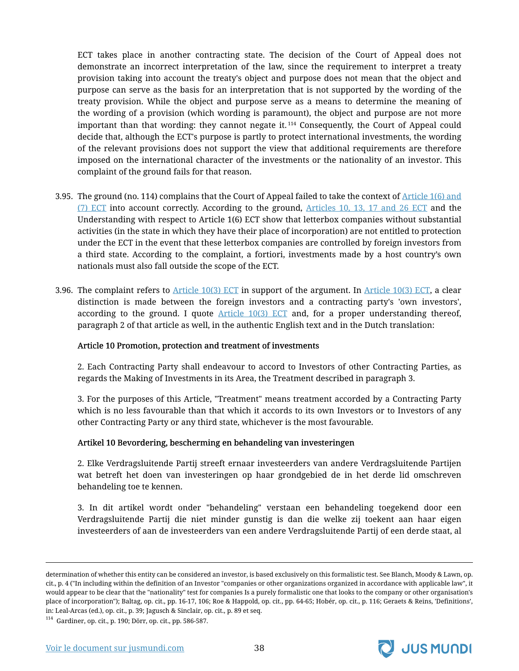ECT takes place in another contracting state. The decision of the Court of Appeal does not demonstrate an incorrect interpretation of the law, since the requirement to interpret a treaty provision taking into account the treaty's object and purpose does not mean that the object and purpose can serve as the basis for an interpretation that is not supported by the wording of the treaty provision. While the object and purpose serve as a means to determine the meaning of the wording of a provision (which wording is paramount), the object and purpose are not more important than that wording: they cannot negate it.<sup>114</sup> Consequently, the Court of Appeal could decide that, although the ECT's purpose is partly to protect international investments, the wording of the relevant provisions does not support the view that additional requirements are therefore imposed on the international character of the investments or the nationality of an investor. This complaint of the ground fails for that reason.

- 3.95. The ground (no. 114) complains that the Court of Appeal failed to take the context of <u>[Article 1\(6\) and](https://jusmundi.com/en/document/h/clljWVJHbGxISEg0VUZMdWNJazE2TnJ3Mmxwb2NlQ1R3cmNjQXR1UDFhaUg5bDhhczBqUjlmYmVtWWhITFNjK3dCV0JaSFlDK3BFbFIyL0xvSHhiR2sxdnZtV2R3TDJsQUR2Q0hoUUhPeWlwUFRXK0ZmSTJDNUVyTytCd1RRNTNwN01Gb3dPWkZkKy8zeWpwclM0RlZBPT0=)</u> [\(7\) ECT](https://jusmundi.com/en/document/h/clljWVJHbGxISEg0VUZMdWNJazE2TnJ3Mmxwb2NlQ1R3cmNjQXR1UDFhaUg5bDhhczBqUjlmYmVtWWhITFNjK3dCV0JaSFlDK3BFbFIyL0xvSHhiR2sxdnZtV2R3TDJsQUR2Q0hoUUhPeWlwUFRXK0ZmSTJDNUVyTytCd1RRNTNwN01Gb3dPWkZkKy8zeWpwclM0RlZBPT0=) into account correctly. According to the ground, [Articles 10, 13, 17 and 26 ECT](https://jusmundi.com/en/document/h/clljWVJHbGxISEg0VUZMdWNJazE2TnJ3Mmxwb2NlQ1R3cmNjQXR1UDFhaUg5bDhhczBqUjlmYmVtWWhITFNjK3dCV0JaSFlDK3BFbFIyL0xvSHhiR2sxdnZtV2R3TDJsQUR2Q0hoUUhPeWlwUFRXK0ZmSTJDNUVyTytCd1RRNTNwNkRVK2cyRTRPTEFRV3I2NVhkYlVnPT0=) and the Understanding with respect to Article 1(6) ECT show that letterbox companies without substantial activities (in the state in which they have their place of incorporation) are not entitled to protection under the ECT in the event that these letterbox companies are controlled by foreign investors from a third state. According to the complaint, a fortiori, investments made by a host country's own nationals must also fall outside the scope of the ECT.
- 3.96. The complaint refers to  $\overline{\text{Article 10(3)}$   $\text{ECT}}$  in support of the argument. In  $\overline{\text{Article 10(3)}$   $\text{ECT}}$ , a clear distinction is made between the foreign investors and a contracting party's 'own investors', according to the ground. I quote  $\text{Article } 10(3)$  ECT and, for a proper understanding thereof, paragraph 2 of that article as well, in the authentic English text and in the Dutch translation:

#### Article 10 Promotion, protection and treatment of investments

2. Each Contracting Party shall endeavour to accord to Investors of other Contracting Parties, as regards the Making of Investments in its Area, the Treatment described in paragraph 3.

3. For the purposes of this Article, "Treatment" means treatment accorded by a Contracting Party which is no less favourable than that which it accords to its own Investors or to Investors of any other Contracting Party or any third state, whichever is the most favourable.

#### Artikel 10 Bevordering, bescherming en behandeling van investeringen

2. Elke Verdragsluitende Partij streeft ernaar investeerders van andere Verdragsluitende Partijen wat betreft het doen van investeringen op haar grondgebied de in het derde lid omschreven behandeling toe te kennen.

3. In dit artikel wordt onder "behandeling" verstaan een behandeling toegekend door een Verdragsluitende Partij die niet minder gunstig is dan die welke zij toekent aan haar eigen investeerders of aan de investeerders van een andere Verdragsluitende Partij of een derde staat, al

<sup>114</sup> Gardiner, op. cit., p. 190; Dörr, op. cit., pp. 586-587.



determination of whether this entity can be considered an investor, is based exclusively on this formalistic test. See Blanch, Moody & Lawn, op. cit., p. 4 ("In including within the definition of an Investor "companies or other organizations organized in accordance with applicable law", it would appear to be clear that the "nationality" test for companies Is a purely formalistic one that looks to the company or other organisation's place of incorporation"); Baltag, op. cit., pp. 16-17, 106; Roe & Happold, op. cit., pp. 64-65; Hobér, op. cit., p. 116; Geraets & Reins, 'Definitions', in: Leal-Arcas (ed.), op. cit., p. 39; Jagusch & Sinclair, op. cit., p. 89 et seq.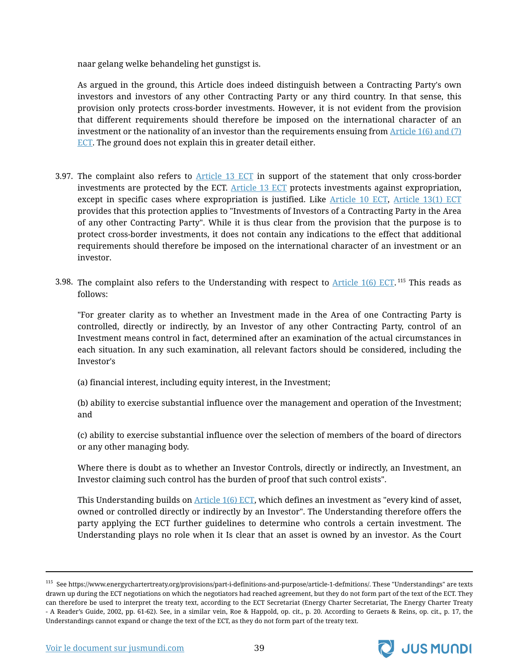naar gelang welke behandeling het gunstigst is.

As argued in the ground, this Article does indeed distinguish between a Contracting Party's own investors and investors of any other Contracting Party or any third country. In that sense, this provision only protects cross-border investments. However, it is not evident from the provision that different requirements should therefore be imposed on the international character of an investment or the nationality of an investor than the requirements ensuing from  $Article 1(6)$  and  $(7)$ [ECT](https://jusmundi.com/en/document/h/clljWVJHbGxISEg0VUZMdWNJazE2TnJ3Mmxwb2NlQ1R3cmNjQXR1UDFhaUg5bDhhczBqUjlmYmVtWWhITFNjK3dCV0JaSFlDK3BFbFIyL0xvSHhiR2sxdnZtV2R3TDJsQUR2Q0hoUUhPeWlwUFRXK0ZmSTJDNUVyTytCd1RRNTNwN01Gb3dPWkZkKy8zeWpwclM0RlZBPT0=). The ground does not explain this in greater detail either.

- 3.97. The complaint also refers to  $\overline{\text{Article 13 ECT}}$  $\overline{\text{Article 13 ECT}}$  $\overline{\text{Article 13 ECT}}$  in support of the statement that only cross-border investments are protected by the ECT. [Article 13 ECT](https://jusmundi.com/en/document/h/clljWVJHbGxISEg0VUZMdWNJazE2TnJ3Mmxwb2NlQ1R3cmNjQXR1UDFhaUg5bDhhczBqUjlmYmVtWWhITFNjK3dCV0JaSFlDK3BFbFIyL0xvSHhiR2sxdnZtV2R3TDJsQUR2Q0hoUUhPeWlwUFRXK0ZmSTJDNUVyTytCd1RRNTNSYXViUlpqUzFGenBGbnhsRUZWM3pRPT0=) protects investments against expropriation, except in specific cases where expropriation is justified. Like [Article 10 ECT](https://jusmundi.com/en/document/h/clljWVJHbGxISEg0VUZMdWNJazE2TnJ3Mmxwb2NlQ1R3cmNjQXR1UDFhaUg5bDhhczBqUjlmYmVtWWhITFNjK3dCV0JaSFlDK3BFbFIyL0xvSHhiR2sxdnZtV2R3TDJsQUR2Q0hoUUhPeWlwUFRXK0ZmSTJDNUVyTytCd1RRNTNwNkRVK2cyRTRPTEFRV3I2NVhkYlVnPT0=), [Article 13\(1\) ECT](https://jusmundi.com/en/document/h/clljWVJHbGxISEg0VUZMdWNJazE2TnJ3Mmxwb2NlQ1R3cmNjQXR1UDFhaUg5bDhhczBqUjlmYmVtWWhITFNjK3dCV0JaSFlDK3BFbFIyL0xvSHhiR2sxdnZtV2R3TDJsQUR2Q0hoUUhPeWlwUFRXK0ZmSTJDNUVyTytCd1RRNTNHYVNXaXJIVkc2VnF6T1l5UlhEYzd3PT0=) provides that this protection applies to "Investments of Investors of a Contracting Party in the Area of any other Contracting Party". While it is thus clear from the provision that the purpose is to protect cross-border investments, it does not contain any indications to the effect that additional requirements should therefore be imposed on the international character of an investment or an investor.
- 3.98. The complaint also refers to the Understanding with respect to  $\frac{\text{Article 1(6)} ECT}{15}$  This reads as follows:

"For greater clarity as to whether an Investment made in the Area of one Contracting Party is controlled, directly or indirectly, by an Investor of any other Contracting Party, control of an Investment means control in fact, determined after an examination of the actual circumstances in each situation. In any such examination, all relevant factors should be considered, including the Investor's

(a) financial interest, including equity interest, in the Investment;

(b) ability to exercise substantial influence over the management and operation of the Investment; and

(c) ability to exercise substantial influence over the selection of members of the board of directors or any other managing body.

Where there is doubt as to whether an Investor Controls, directly or indirectly, an Investment, an Investor claiming such control has the burden of proof that such control exists".

This Understanding builds on **[Article 1\(6\) ECT](https://jusmundi.com/en/document/h/clljWVJHbGxISEg0VUZMdWNJazE2TnJ3Mmxwb2NlQ1R3cmNjQXR1UDFhaUg5bDhhczBqUjlmYmVtWWhITFNjK3dCV0JaSFlDK3BFbFIyL0xvSHhiR2sxdnZtV2R3TDJsQUR2Q0hoUUhPeWlwUFRXK0ZmSTJDNUVyTytCd1RRNTNwN01Gb3dPWkZkKy8zeWpwclM0RlZBPT0=)**, which defines an investment as "every kind of asset, owned or controlled directly or indirectly by an Investor". The Understanding therefore offers the party applying the ECT further guidelines to determine who controls a certain investment. The Understanding plays no role when it Is clear that an asset is owned by an investor. As the Court



<sup>115</sup> See https://www.energychartertreaty.org/provisions/part-i-definitions-and-purpose/article-1-defmitions/. These "Understandings" are texts drawn up during the ECT negotiations on which the negotiators had reached agreement, but they do not form part of the text of the ECT. They can therefore be used to interpret the treaty text, according to the ECT Secretariat (Energy Charter Secretariat, The Energy Charter Treaty - A Reader's Guide, 2002, pp. 61-62). See, in a similar vein, Roe & Happold, op. cit., p. 20. According to Geraets & Reins, op. cit., p. 17, the Understandings cannot expand or change the text of the ECT, as they do not form part of the treaty text.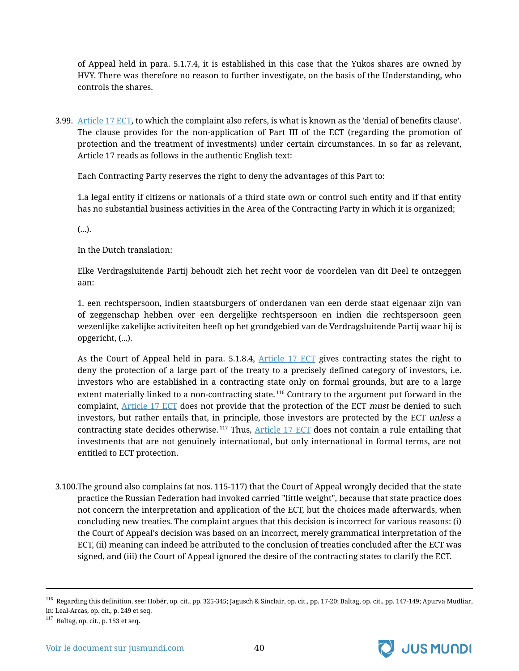of Appeal held in para. 5.1.7.4, it is established in this case that the Yukos shares are owned by HVY. There was therefore no reason to further investigate, on the basis of the Understanding, who controls the shares.

3.99. <u>[Article 17 ECT](https://jusmundi.com/en/document/h/clljWVJHbGxISEg0VUZMdWNJazE2TnJ3Mmxwb2NlQ1R3cmNjQXR1UDFhaUg5bDhhczBqUjlmYmVtWWhITFNjK3dCV0JaSFlDK3BFbFIyL0xvSHhiR2sxdnZtV2R3TDJsQUR2Q0hoUUhPeWlwUFRXK0ZmSTJDNUVyTytCd1RRNTNrTFNKdXRuc1d2YTVWckFIWE9rMld3PT0=)</u>, to which the complaint also refers, is what is known as the 'denial of benefits clause'. The clause provides for the non-application of Part III of the ECT (regarding the promotion of protection and the treatment of investments) under certain circumstances. In so far as relevant, Article 17 reads as follows in the authentic English text:

Each Contracting Party reserves the right to deny the advantages of this Part to:

1.a legal entity if citizens or nationals of a third state own or control such entity and if that entity has no substantial business activities in the Area of the Contracting Party in which it is organized;

(...).

In the Dutch translation:

Elke Verdragsluitende Partij behoudt zich het recht voor de voordelen van dit Deel te ontzeggen aan:

1. een rechtspersoon, indien staatsburgers of onderdanen van een derde staat eigenaar zijn van of zeggenschap hebben over een dergelijke rechtspersoon en indien die rechtspersoon geen wezenlijke zakelijke activiteiten heeft op het grondgebied van de Verdragsluitende Partij waar hij is opgericht, (...).

As the Court of Appeal held in para. 5.1.8.4, [Article 17 ECT](https://jusmundi.com/en/document/h/clljWVJHbGxISEg0VUZMdWNJazE2TnJ3Mmxwb2NlQ1R3cmNjQXR1UDFhaUg5bDhhczBqUjlmYmVtWWhITFNjK3dCV0JaSFlDK3BFbFIyL0xvSHhiR2sxdnZtV2R3TDJsQUR2Q0hoUUhPeWlwUFRXK0ZmSTJDNUVyTytCd1RRNTNrTFNKdXRuc1d2YTVWckFIWE9rMld3PT0=) gives contracting states the right to deny the protection of a large part of the treaty to a precisely defined category of investors, i.e. investors who are established in a contracting state only on formal grounds, but are to a large extent materially linked to a non-contracting state.<sup>116</sup> Contrary to the argument put forward in the complaint, [Article 17 ECT](https://jusmundi.com/en/document/h/clljWVJHbGxISEg0VUZMdWNJazE2TnJ3Mmxwb2NlQ1R3cmNjQXR1UDFhaUg5bDhhczBqUjlmYmVtWWhITFNjK3dCV0JaSFlDK3BFbFIyL0xvSHhiR2sxdnZtV2R3TDJsQUR2Q0hoUUhPeWlwUFRXK0ZmSTJDNUVyTytCd1RRNTNrTFNKdXRuc1d2YTVWckFIWE9rMld3PT0=) does not provide that the protection of the ECT must be denied to such investors, but rather entails that, in principle, those investors are protected by the ECT unless a contracting state decides otherwise.<sup>117</sup> Thus, [Article 17 ECT](https://jusmundi.com/en/document/h/clljWVJHbGxISEg0VUZMdWNJazE2TnJ3Mmxwb2NlQ1R3cmNjQXR1UDFhaUg5bDhhczBqUjlmYmVtWWhITFNjK3dCV0JaSFlDK3BFbFIyL0xvSHhiR2sxdnZtV2R3TDJsQUR2Q0hoUUhPeWlwUFRXK0ZmSTJDNUVyTytCd1RRNTNrTFNKdXRuc1d2YTVWckFIWE9rMld3PT0=) does not contain a rule entailing that investments that are not genuinely international, but only international in formal terms, are not entitled to ECT protection.

3.100. The ground also complains (at nos. 115-117) that the Court of Appeal wrongly decided that the state practice the Russian Federation had invoked carried "little weight", because that state practice does not concern the interpretation and application of the ECT, but the choices made afterwards, when concluding new treaties. The complaint argues that this decision is incorrect for various reasons: (i) the Court of Appeal's decision was based on an incorrect, merely grammatical interpretation of the ECT, (ii) meaning can indeed be attributed to the conclusion of treaties concluded after the ECT was signed, and (iii) the Court of Appeal ignored the desire of the contracting states to clarify the ECT.



<sup>116</sup> Regarding this definition, see: Hobér, op. cit., pp. 325-345; Jagusch & Sinclair, op. cit., pp. 17-20; Baltag, op. cit., pp. 147-149; Apurva Mudliar, in: Leal-Arcas, op. cit., p. 249 et seq.

<sup>117</sup> Baltag, op. cit., p. 153 et seq.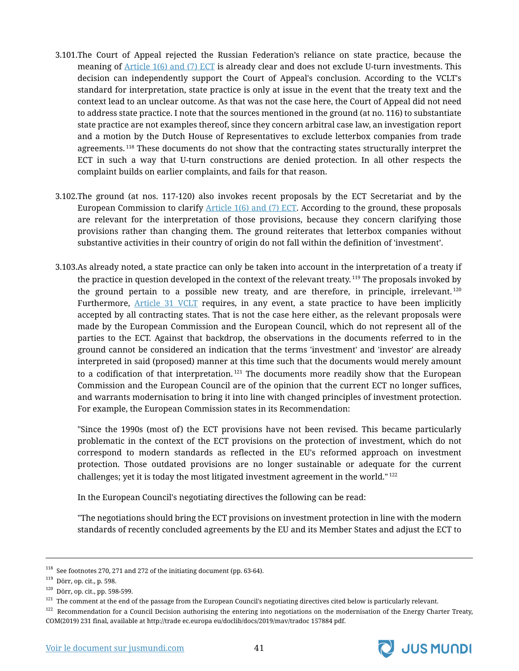- 3.101. The Court of Appeal rejected the Russian Federation's reliance on state practice, because the meaning of [Article 1\(6\) and \(7\) ECT](https://jusmundi.com/en/document/h/clljWVJHbGxISEg0VUZMdWNJazE2TnJ3Mmxwb2NlQ1R3cmNjQXR1UDFhaUg5bDhhczBqUjlmYmVtWWhITFNjK3dCV0JaSFlDK3BFbFIyL0xvSHhiR2sxdnZtV2R3TDJsQUR2Q0hoUUhPeWlwUFRXK0ZmSTJDNUVyTytCd1RRNTNwN01Gb3dPWkZkKy8zeWpwclM0RlZBPT0=) is already clear and does not exclude U-turn investments. This decision can independently support the Court of Appeal's conclusion. According to the VCLT's standard for interpretation, state practice is only at issue in the event that the treaty text and the context lead to an unclear outcome. As that was not the case here, the Court of Appeal did not need to address state practice. I note that the sources mentioned in the ground (at no. 116) to substantiate state practice are not examples thereof, since they concern arbitral case law, an investigation report and a motion by the Dutch House of Representatives to exclude letterbox companies from trade agreements.<sup>118</sup> These documents do not show that the contracting states structurally interpret the ECT in such a way that U-turn constructions are denied protection. In all other respects the complaint builds on earlier complaints, and fails for that reason.
- 3.102. The ground (at nos. 117-120) also invokes recent proposals by the ECT Secretariat and by the European Commission to clarify  $Article 1(6)$  and (7) ECT. According to the ground, these proposals are relevant for the interpretation of those provisions, because they concern clarifying those provisions rather than changing them. The ground reiterates that letterbox companies without substantive activities in their country of origin do not fall within the definition of 'investment'.
- 3.103. As already noted, a state practice can only be taken into account in the interpretation of a treaty if the practice in question developed in the context of the relevant treaty. <sup>119</sup> The proposals invoked by the ground pertain to a possible new treaty, and are therefore, in principle, irrelevant.  $120$ Furthermore, **[Article 31 VCLT](https://jusmundi.com/en/document/h/NVFwR2lWbkFqaXdJRmhJT3hnNFo0NEhoLzFzTjdSbU9icGpNYlQ0N3hXUjByQUw3dW1hT1I5OW90REYzWjlFYW1iQm0xR2ZxcmE5MFIwL3EyeU1DWUVRbENBMnU5S3g1dERqLzZnTWNMRHc3U0YwLzlEK2VYZ1FOT1ZFUEszei8yM25adnZnUXlFS0VUZE44K1VxYnNNQWhnL25UaklhUkx3TnUyNUhIdlZvPQ==)** requires, in any event, a state practice to have been implicitly accepted by all contracting states. That is not the case here either, as the relevant proposals were made by the European Commission and the European Council, which do not represent all of the parties to the ECT. Against that backdrop, the observations in the documents referred to in the ground cannot be considered an indication that the terms 'investment' and 'investor' are already interpreted in said (proposed) manner at this time such that the documents would merely amount to a codification of that interpretation.<sup>121</sup> The documents more readily show that the European Commission and the European Council are of the opinion that the current ECT no longer suffices, and warrants modernisation to bring it into line with changed principles of investment protection. For example, the European Commission states in its Recommendation:

"Since the 1990s (most of) the ECT provisions have not been revised. This became particularly problematic in the context of the ECT provisions on the protection of investment, which do not correspond to modern standards as reflected in the EU's reformed approach on investment protection. Those outdated provisions are no longer sustainable or adequate for the current challenges; yet it is today the most litigated investment agreement in the world."<sup>122</sup>

In the European Council's negotiating directives the following can be read:

"The negotiations should bring the ECT provisions on investment protection in line with the modern standards of recently concluded agreements by the EU and its Member States and adjust the ECT to



 $118$  See footnotes 270, 271 and 272 of the initiating document (pp. 63-64).

<sup>119</sup> Dörr, op. cit., p. 598.

<sup>120</sup> Dörr, op. cit., pp. 598-599.

 $121$  The comment at the end of the passage from the European Council's negotiating directives cited below is particularly relevant.

 $122$  Recommendation for a Council Decision authorising the entering into negotiations on the modernisation of the Energy Charter Treaty, COM(2019) 231 final, available at http://trade ec.europa eu/doclib/docs/2019/mav/tradoc 157884 pdf.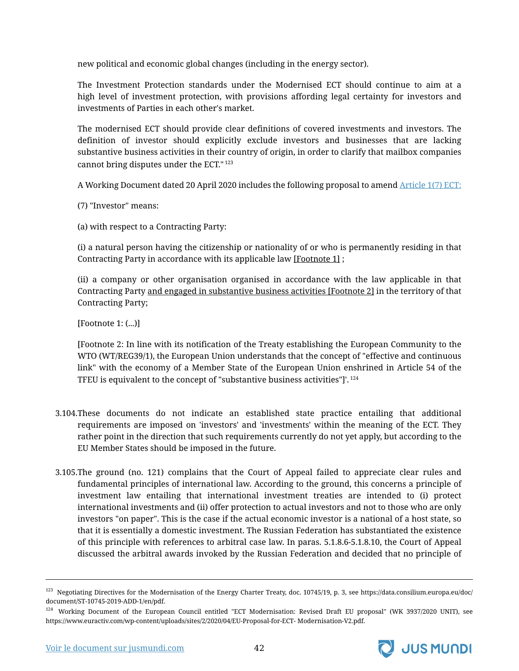new political and economic global changes (including in the energy sector).

The Investment Protection standards under the Modernised ECT should continue to aim at a high level of investment protection, with provisions affording legal certainty for investors and investments of Parties in each other's market.

The modernised ECT should provide clear definitions of covered investments and investors. The definition of investor should explicitly exclude investors and businesses that are lacking substantive business activities in their country of origin, in order to clarify that mailbox companies cannot bring disputes under the ECT." <sup>123</sup>

A Working Document dated 20 April 2020 includes the following proposal to amend [Article 1\(7\) ECT:](https://jusmundi.com/en/document/h/clljWVJHbGxISEg0VUZMdWNJazE2TnJ3Mmxwb2NlQ1R3cmNjQXR1UDFhaUg5bDhhczBqUjlmYmVtWWhITFNjK3dCV0JaSFlDK3BFbFIyL0xvSHhiR2sxdnZtV2R3TDJsQUR2Q0hoUUhPeWlwUFRXK0ZmSTJDNUVyTytCd1RRNTNQNGpLcDFlN0gyZ2tjejBrbVBPMGp3PT0=)

(7) "Investor" means:

(a) with respect to a Contracting Party:

(i) a natural person having the citizenship or nationality of or who is permanently residing in that Contracting Party in accordance with its applicable law [Footnote 1] ;

(ii) a company or other organisation organised in accordance with the law applicable in that Contracting Party and engaged in substantive business activities [Footnote 2] in the territory of that Contracting Party;

[Footnote 1: (...)]

[Footnote 2: In line with its notification of the Treaty establishing the European Community to the WTO (WT/REG39/1), the European Union understands that the concept of "effective and continuous link" with the economy of a Member State of the European Union enshrined in Article 54 of the TFEU is equivalent to the concept of "substantive business activities"]'.<sup>124</sup>

- 3.104. These documents do not indicate an established state practice entailing that additional requirements are imposed on 'investors' and 'investments' within the meaning of the ECT. They rather point in the direction that such requirements currently do not yet apply, but according to the EU Member States should be imposed in the future.
- 3.105. The ground (no. 121) complains that the Court of Appeal failed to appreciate clear rules and fundamental principles of international law. According to the ground, this concerns a principle of investment law entailing that international investment treaties are intended to (i) protect international investments and (ii) offer protection to actual investors and not to those who are only investors "on paper". This is the case if the actual economic investor is a national of a host state, so that it is essentially a domestic investment. The Russian Federation has substantiated the existence of this principle with references to arbitral case law. In paras. 5.1.8.6-5.1.8.10, the Court of Appeal discussed the arbitral awards invoked by the Russian Federation and decided that no principle of



<sup>&</sup>lt;sup>123</sup> Negotiating Directives for the Modernisation of the Energy Charter Treaty, doc. 10745/19, p. 3, see https://data.consilium.europa.eu/doc/ document/ST-10745-2019-ADD-1/en/pdf.

 $124$  Working Document of the European Council entitled "ECT Modernisation: Revised Draft EU proposal" (WK 3937/2020 UNIT), see https://www.euractiv.com/wp-content/uploads/sites/2/2020/04/EU-Proposal-for-ECT- Modernisation-V2.pdf.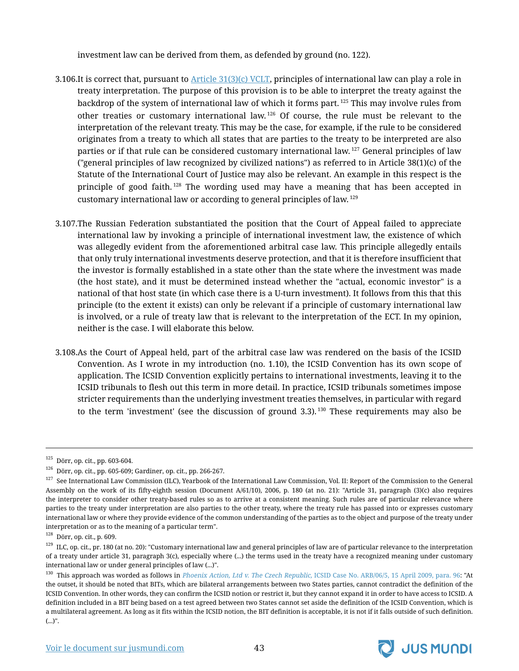investment law can be derived from them, as defended by ground (no. 122).

- 3.106.It is correct that, pursuant to <u>[Article 31\(3\)\(c\) VCLT](https://jusmundi.com/en/document/h/NVFwR2lWbkFqaXdJRmhJT3hnNFo0NEhoLzFzTjdSbU9icGpNYlQ0N3hXUjByQUw3dW1hT1I5OW90REYzWjlFYW1iQm0xR2ZxcmE5MFIwL3EyeU1DWUVRbENBMnU5S3g1dERqLzZnTWNMRHc3U0YwLzlEK2VYZ1FOT1ZFUEszei8yM25adnZnUXlFS0VUZE44K1VxYnNKZmJoVlowS2c4TGRVVGxIYnNJWU9JPQ==)</u>, principles of international law can play a role in treaty interpretation. The purpose of this provision is to be able to interpret the treaty against the backdrop of the system of international law of which it forms part.<sup>125</sup> This may involve rules from other treaties or customary international law. $^{126}$  Of course, the rule must be relevant to the interpretation of the relevant treaty. This may be the case, for example, if the rule to be considered originates from a treaty to which all states that are parties to the treaty to be interpreted are also parties or if that rule can be considered customary international law.<sup>127</sup> General principles of law ("general principles of law recognized by civilized nations") as referred to in Article 38(1)(c) of the Statute of the International Court of Justice may also be relevant. An example in this respect is the principle of good faith. <sup>128</sup> The wording used may have a meaning that has been accepted in customary international law or according to general principles of law. 129
- 3.107. The Russian Federation substantiated the position that the Court of Appeal failed to appreciate international law by invoking a principle of international investment law, the existence of which was allegedly evident from the aforementioned arbitral case law. This principle allegedly entails that only truly international investments deserve protection, and that it is therefore insufficient that the investor is formally established in a state other than the state where the investment was made (the host state), and it must be determined instead whether the "actual, economic investor" is a national of that host state (in which case there is a U-turn investment). It follows from this that this principle (to the extent it exists) can only be relevant if a principle of customary international law is involved, or a rule of treaty law that is relevant to the interpretation of the ECT. In my opinion, neither is the case. I will elaborate this below.
- 3.108. As the Court of Appeal held, part of the arbitral case law was rendered on the basis of the ICSID Convention. As I wrote in my introduction (no. 1.10), the ICSID Convention has its own scope of application. The ICSID Convention explicitly pertains to international investments, leaving it to the ICSID tribunals to flesh out this term in more detail. In practice, ICSID tribunals sometimes impose stricter requirements than the underlying investment treaties themselves, in particular with regard to the term 'investment' (see the discussion of ground  $3.3$ ).<sup>130</sup> These requirements may also be

<sup>125</sup> Dörr, op. cit., pp. 603-604.

<sup>126</sup> Dörr, op. cit., pp. 605-609; Gardiner, op. cit., pp. 266-267.

<sup>&</sup>lt;sup>127</sup> See International Law Commission (ILC), Yearbook of the International Law Commission, Vol. II: Report of the Commission to the General Assembly on the work of its fifty-eighth session (Document A/61/10), 2006, p. 180 (at no. 21): "Article 31, paragraph (3)(c) also requires the interpreter to consider other treaty-based rules so as to arrive at a consistent meaning. Such rules are of particular relevance where parties to the treaty under interpretation are also parties to the other treaty, where the treaty rule has passed into or expresses customary international law or where they provide evidence of the common understanding of the parties as to the object and purpose of the treaty under interpretation or as to the meaning of a particular term".

<sup>128</sup> Dörr, op. cit., p. 609.

<sup>129</sup> ILC, op. cit., pr. 180 (at no. 20): "Customary international law and general principles of law are of particular relevance to the interpretation of a treaty under article 31, paragraph 3(c), especially where (...) the terms used in the treaty have a recognized meaning under customary international law or under general principles of law (...)".

<sup>&</sup>lt;sup>130</sup> This approach was worded as follows in *Phoenix Action, Ltd v. The Czech Republic*, [ICSID Case No. ARB/06/5, 15 April 2009, para. 96](https://jusmundi.com/en/document/h/YU5kbXRLQ3FoUlVCUkd3aytHdkJLdmNWWjBYVWFVdm9EMy8xWkVTLzV5ZHluWWFZMlM0THBROGFaSUhuM0sxaFg3T1cwWlNxUTMvK0YxQnJIVTlPUm5TaGhJZHRTbmhsNE4rUUtYY2FxcjlzR29WdXU5MktYTVJGRW1hWlZUUzg=): "At the outset, it should be noted that BITs, which are bilateral arrangements between two States parties, cannot contradict the definition of the ICSID Convention. In other words, they can confirm the ICSID notion or restrict it, but they cannot expand it in order to have access to ICSID. A definition included in a BIT being based on a test agreed between two States cannot set aside the definition of the ICSID Convention, which is a multilateral agreement. As long as it fits within the ICSID notion, the BIT definition is acceptable, it is not if it falls outside of such definition. (...)".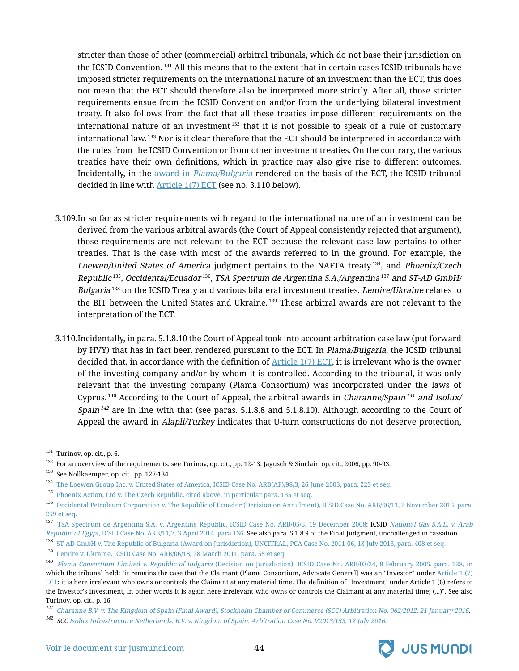stricter than those of other (commercial) arbitral tribunals, which do not base their jurisdiction on the ICSID Convention. <sup>131</sup> All this means that to the extent that in certain cases ICSID tribunals have imposed stricter requirements on the international nature of an investment than the ECT, this does not mean that the ECT should therefore also be interpreted more strictly. After all, those stricter requirements ensue from the ICSID Convention and/or from the underlying bilateral investment treaty. It also follows from the fact that all these treaties impose different requirements on the international nature of an investment<sup>132</sup> that it is not possible to speak of a rule of customary international law.  $^{\rm 133}$  Nor is it clear therefore that the ECT should be interpreted in accordance with the rules from the ICSID Convention or from other investment treaties. On the contrary, the various treaties have their own definitions, which in practice may also give rise to different outcomes. Incidentally, in the award in [Plama/Bulgaria](https://jusmundi.com/en/document/h/SUNrSHhXMXZEcUpzbHFPaStiWElMZEVYVzQxTVM3SkYwdnNoNnNwVVpPRTMxQzlWdzNiYWhlZ3lJNExTQy9zK1FQYzlZd0tvVW1xSGtUVnlvZnJiL1k2NWx5YkdOaEpqYnhFcHVwNGFmUjJhMldaeWRvaWg3dGNrTnF3SGwvb0JvbFRuRWUvWXNMdGkvYnJCWHd4NWxRPT0=) rendered on the basis of the ECT, the ICSID tribunal decided in line with [Article 1\(7\) ECT](https://jusmundi.com/en/document/h/clljWVJHbGxISEg0VUZMdWNJazE2TnJ3Mmxwb2NlQ1R3cmNjQXR1UDFhaUg5bDhhczBqUjlmYmVtWWhITFNjK3dCV0JaSFlDK3BFbFIyL0xvSHhiR2sxdnZtV2R3TDJsQUR2Q0hoUUhPeWlwUFRXK0ZmSTJDNUVyTytCd1RRNTNQNGpLcDFlN0gyZ2tjejBrbVBPMGp3PT0=) (see no. 3.110 below).

- 3.109. In so far as stricter requirements with regard to the international nature of an investment can be derived from the various arbitral awards (the Court of Appeal consistently rejected that argument), those requirements are not relevant to the ECT because the relevant case law pertains to other treaties. That is the case with most of the awards referred to in the ground. For example, the Loewen/United States of America judgment pertains to the NAFTA treaty<sup>134</sup>, and Phoenix/Czech Republic<sup>135</sup>, Occidental/Ecuador<sup>136</sup>, TSA Spectrum de Argentina S.A./Argentina<sup>137</sup> and ST-AD GmbH/ Bulgaria<sup>138</sup> on the ICSID Treaty and various bilateral investment treaties. *Lemire/Ukraine* relates to the BIT between the United States and Ukraine. <sup>139</sup> These arbitral awards are not relevant to the interpretation of the ECT.
- 3.110. Incidentally, in para. 5.1.8.10 the Court of Appeal took into account arbitration case law (put forward by HVY) that has in fact been rendered pursuant to the ECT. In *Plama/Bulgaria*, the ICSID tribunal decided that, in accordance with the definition of  $\text{Article 1(7)} ECT$ , it is irrelevant who is the owner of the investing company and/or by whom it is controlled. According to the tribunal, it was only relevant that the investing company (Plama Consortium) was incorporated under the laws of Cyprus.  $^{140}$  According to the Court of Appeal, the arbitral awards in *Charanne/Spain*  $^{141}$  *and Isolux/ Spain* $^{142}$  are in line with that (see paras. 5.1.8.8 and 5.1.8.10). Although according to the Court of Appeal the award in Alapli/Turkey indicates that U-turn constructions do not deserve protection,

<sup>142</sup> SCC [Isolux Infrastructure Netherlands. B.V. v. Kingdom of Spain,](https://jusmundi.com/en/document/h/UFdXREg5SDd1UTBJVEFoQ1pldlV3QVRQcGM4L2l2UWEyVlJqRWRNUkFLU1ZmR29PbUMyaDBqZnc3dE1xNzU0MWY4ajNRUVJwL1RBQjUxZUQ4VUFCQmJkZTFPVG1vMVpydWZ1dENZbTNNVVB0NUJnc3FSQUNKVXpvU0NYT3dMNDRqeW9HY2JKZm11OGV5RGhNb3BHcERnPT0=) Arbitration Case No. V2013/153, 12 July 2016.



 $131$  Turinov, op. cit., p. 6.

<sup>132</sup> For an overview of the requirements, see Turinov, op. cit., pp. 12-13; Jagusch & Sinclair, op. cit., 2006, pp. 90-93.

<sup>&</sup>lt;sup>133</sup> See Nollkaemper, op. cit., pp. 127-134.

<sup>134</sup> The Loewen Group Inc. v. United States of America, [ICSID Case No. ARB\(AF\)/98/3, 26 June 2003, para. 223 et seq](https://jusmundi.com/en/document/h/L3FOa2NpQlZNYUdWcVdTcjN6VVl4d2hRdVRic1dxUHNqbFNkaDM0aHdXT0s1YzR6bFdONkQ4MEtCbDkvSkY2VnN3NU1vaWJrU0hiQlNrMkY3eWJvVW1DZHhCUWtpaEMveEFmNnBNTmVZRFJVN3h0L1JpaG9EY0FIeDlmaldPOVVoYVlNOS8xdFdxdHdkK2xMdlRrVFlDQUtKK0lJOHlWZ2g3VWVhVHZ1SHdVPQ==).

<sup>135</sup> Phoenix Action, Ltd v. The Czech Republic, [cited above, in particular para. 135 et seq.](https://jusmundi.com/en/document/h/YU5kbXRLQ3FoUlVCUkd3aytHdkJLdmNWWjBYVWFVdm9EMy8xWkVTLzV5ZHluWWFZMlM0THBROGFaSUhuM0sxaFg3T1cwWlNxUTMvK0YxQnJIVTlPUm5TaGhJZHRTbmhsNE4rUUtYY2FxcitBTkZtNU56ODJFVUY3NHpSQzhBSmM=)

<sup>136</sup> [Occidental Petroleum Corporation v. The Republic of Ecuador \(Decision on Annulment\), ICSID Case No. ARB/06/11, 2 November 2015, para.](https://jusmundi.com/en/document/h/bUU3eVJybGhTdWlUWjRsaEFiMkl0ZWp5SDBkM3RlTWFldFUwQTBxY0dKaHJ3RHhDbWVxRjBRUndFWUNrR1JaL0pqTHdSRWo4QnFhdmdpclJsMU85eDloZEtsU0tCdG15djEvZnI0ZnlhclRjWjYrUk1NV2ZTK2luWEhBeUJob0FocUdvaGVBd21BNWdGM3hjMnc1SlFUMWhRUTJ5aUY2a2Z1WjA0WG5RZ3dkRmFYUmQzdVZMYnBoMWtUVmpPcGIxNjR5NmlHWGdlM2wzZ3JDSFhDU2tsRDQzYU4zNk5WZnNNa3NLMlpVVWNoNkh4Z3FmL09kUXFRNEtGVEpWVDVpMg==) [259 et seq.](https://jusmundi.com/en/document/h/bUU3eVJybGhTdWlUWjRsaEFiMkl0ZWp5SDBkM3RlTWFldFUwQTBxY0dKaHJ3RHhDbWVxRjBRUndFWUNrR1JaL0pqTHdSRWo4QnFhdmdpclJsMU85eDloZEtsU0tCdG15djEvZnI0ZnlhclRjWjYrUk1NV2ZTK2luWEhBeUJob0FocUdvaGVBd21BNWdGM3hjMnc1SlFUMWhRUTJ5aUY2a2Z1WjA0WG5RZ3dkRmFYUmQzdVZMYnBoMWtUVmpPcGIxNjR5NmlHWGdlM2wzZ3JDSFhDU2tsRDQzYU4zNk5WZnNNa3NLMlpVVWNoNkh4Z3FmL09kUXFRNEtGVEpWVDVpMg==)

<sup>137</sup> [TSA Spectrum de Argentina S.A. v. Argentine Republic](https://jusmundi.com/en/document/h/bTJGWHVUeFM4b0ZZY2hLYjFHaUIxa3NEbkJJc0F0N1RYWWFlZEVuSFlqYVlqR3BnUm5WekxiWVpoclJMK2prOHlCbUdGdHdIcE5nSU83MWZZN2Q5cnpXb08rUlBGNGJqdkh2NnJ5UENoUDY3SnhqdHRsT0wyS1N2TGE3Vms4YW4=), ICSID Case No. ARB/05/5, 19 December 2008; ICSID [National](https://jusmundi.com/en/document/h/Z2c0ZkpxU3lSb1NBYURtREtuZjloQjhqMG5IQzV5VjlRRWNzN0NJWktXMm13TDR5L3o4Y1dueis1eWw2T1ZhQkE1QzE5SmgvQ0U5cmZKQzhmeUNMSGg3QUdGQzVHelJvV28vT0NBeDB1TlltS1ZtSm14WnE4UDVVc3hVRWVDNVo=) Gas S.A.E. v. Arab Republic of Egypt, [ICSID Case No. ARB/11/7, 3 April 2014, para 136.](https://jusmundi.com/en/document/h/Z2c0ZkpxU3lSb1NBYURtREtuZjloQjhqMG5IQzV5VjlRRWNzN0NJWktXMm13TDR5L3o4Y1dueis1eWw2T1ZhQkE1QzE5SmgvQ0U5cmZKQzhmeUNMSGg3QUdGQzVHelJvV28vT0NBeDB1TlltS1ZtSm14WnE4UDVVc3hVRWVDNVo=) See also para. 5.1.8.9 of the Final Judgment, unchallenged in cassation.

<sup>138</sup> [ST-AD GmbH v. The Republic of Bulgaria \(Award on Jurisdiction\), UNCITRAL, PCA Case No. 2011-06, 18 July 2013, para. 408 et seq.](https://jusmundi.com/en/document/h/Q2VNTDRpSXlneXptN1FpSEc3R25NbXdQcjZuWENtNU5wS01YbUV2QVZ0MTBjTHM0SVpGUk9MdVJIdTFIR052ei9ZZU1kQ2JxNURwVU5HaUtkRzFQd2FnOTNiV1NzOW1nZUNrN3ZyUXNmU0tNeWx4M3ZJK21JbW9EaTdPYWRkNUhXeFFtVDBFWkxVVWZRcTZiYi9rSDZRPT0=)

<sup>139</sup> Lemire v. Ukraine, [ICSID Case No. ARB/06/18, 28 March 2011, para. 55 et seq.](https://jusmundi.com/en/document/h/YWtBUmhSY295N3FLMWEwVElWdFFLOVI5K0VvU0JKaWRRaW1oL2VueC80VUR0RXZRdVV1YzVwa3hJSTcyZ2hFWi9sVTdvWDBoQVVzMEZHYnZyV25QOTFHU0Q1ZEJrK1g2eVdnNENnYW5zb1Z3bitKQ3RlTWx0Tk1panArYnYwNjQ=)

<sup>140</sup> Plama Consortium Limited v. Republic of Bulgaria [\(Decision on Jurisdiction\), ICSID Case No. ARB/03/24, 8 February 2005, para. 128, in](https://jusmundi.com/en/document/h/SUNrSHhXMXZEcUpzbHFPaStiWElMZEVYVzQxTVM3SkYwdnNoNnNwVVpPRTMxQzlWdzNiYWhlZ3lJNExTQy9zK1FQYzlZd0tvVW1xSGtUVnlvZnJiL1k2NWx5YkdOaEpqYnhFcHVwNGFmUjJhMldaeWRvaWg3dGNrTnF3SGwvb0JXeE5VRmdzU3g3MW1kc204ZEs1L3dmTGxmYnpGY1p5Vkx3WWJGdUpOaE9JPQ==) which the tribunal held: "it remains the case that the Claimant (Plama Consortium, Advocate General] was an "Investor" under [Article 1 \(7\)](https://jusmundi.com/en/document/h/clljWVJHbGxISEg0VUZMdWNJazE2TnJ3Mmxwb2NlQ1R3cmNjQXR1UDFhaUg5bDhhczBqUjlmYmVtWWhITFNjK3dCV0JaSFlDK3BFbFIyL0xvSHhiR2sxdnZtV2R3TDJsQUR2Q0hoUUhPeWlwUFRXK0ZmSTJDNUVyTytCd1RRNTNQNGpLcDFlN0gyZ2tjejBrbVBPMGp3PT0=) [ECT:](https://jusmundi.com/en/document/h/clljWVJHbGxISEg0VUZMdWNJazE2TnJ3Mmxwb2NlQ1R3cmNjQXR1UDFhaUg5bDhhczBqUjlmYmVtWWhITFNjK3dCV0JaSFlDK3BFbFIyL0xvSHhiR2sxdnZtV2R3TDJsQUR2Q0hoUUhPeWlwUFRXK0ZmSTJDNUVyTytCd1RRNTNQNGpLcDFlN0gyZ2tjejBrbVBPMGp3PT0=) it is here irrelevant who owns or controls the Claimant at any material time. The definition of "Investment" under Article 1 (6) refers to the Investor's investment, in other words it is again here irrelevant who owns or controls the Claimant at any material time; (...)". See also Turinov, op. cit., p. 16.

<sup>141</sup> Charanne B.V. v. The Kingdom of Spain [\(Final Award\), Stockholm Chamber of Commerce \(SCC\) Arbitration No. 062/2012, 21 January 2016](https://jusmundi.com/en/document/h/RWxYSHRhVko4UXRzU3dnclU5emJUWVJ1cW5uWDNTYVdQZHUzYTI0VG5QWmRoT09wY0dFby9SNGdBMFJKSitRMVp6VXlLNjJuaWlHNXUrVWVjTHlmN2lycWc1a243Sk43Q08xbGh5eHpkM0Y0SFBzWG5MV0R0UjhZbUlnZHlLYjhXbHlSSUMxcitsc05uN1N0UjVaSlV3PT0=).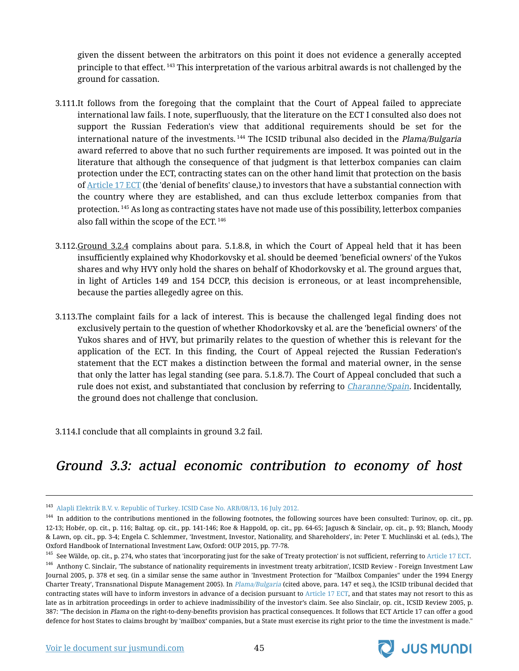given the dissent between the arbitrators on this point it does not evidence a generally accepted principle to that effect. <sup>143</sup> This interpretation of the various arbitral awards is not challenged by the ground for cassation.

- 3.111. It follows from the foregoing that the complaint that the Court of Appeal failed to appreciate international law fails. I note, superfluously, that the literature on the ECT I consulted also does not support the Russian Federation's view that additional requirements should be set for the international nature of the investments.<sup>144</sup> The ICSID tribunal also decided in the *Plama/Bulgaria* award referred to above that no such further requirements are imposed. It was pointed out in the literature that although the consequence of that judgment is that letterbox companies can claim protection under the ECT, contracting states can on the other hand limit that protection on the basis of [Article 17 ECT](https://jusmundi.com/en/document/h/clljWVJHbGxISEg0VUZMdWNJazE2TnJ3Mmxwb2NlQ1R3cmNjQXR1UDFhaUg5bDhhczBqUjlmYmVtWWhITFNjK3dCV0JaSFlDK3BFbFIyL0xvSHhiR2sxdnZtV2R3TDJsQUR2Q0hoUUhPeWlwUFRXK0ZmSTJDNUVyTytCd1RRNTNrTFNKdXRuc1d2YTVWckFIWE9rMld3PT0=) (the 'denial of benefits' clause,) to investors that have a substantial connection with the country where they are established, and can thus exclude letterbox companies from that protection. <sup>145</sup> As long as contracting states have not made use of this possibility, letterbox companies also fall within the scope of the ECT. 146
- 3.112.<u>Ground 3.2.4</u> complains about para. 5.1.8.8, in which the Court of Appeal held that it has been insufficiently explained why Khodorkovsky et al. should be deemed 'beneficial owners' of the Yukos shares and why HVY only hold the shares on behalf of Khodorkovsky et al. The ground argues that, in light of Articles 149 and 154 DCCP, this decision is erroneous, or at least incomprehensible, because the parties allegedly agree on this.
- 3.113. The complaint fails for a lack of interest. This is because the challenged legal finding does not exclusively pertain to the question of whether Khodorkovsky et al. are the 'beneficial owners' of the Yukos shares and of HVY, but primarily relates to the question of whether this is relevant for the application of the ECT. In this finding, the Court of Appeal rejected the Russian Federation's statement that the ECT makes a distinction between the formal and material owner, in the sense that only the latter has legal standing (see para. 5.1.8.7). The Court of Appeal concluded that such a rule does not exist, and substantiated that conclusion by referring to *[Charanne/Spain](https://jusmundi.com/en/document/h/RWxYSHRhVko4UXRzU3dnclU5emJUWVJ1cW5uWDNTYVdQZHUzYTI0VG5QWmRoT09wY0dFby9SNGdBMFJKSitRMVp6VXlLNjJuaWlHNXUrVWVjTHlmN2lycWc1a243Sk43Q08xbGh5eHpkM0Y0SFBzWG5MV0R0UjhZbUlnZHlLYjhXbHlSSUMxcitsc05uN1N0UjVaSlV3PT0=)*. Incidentally, the ground does not challenge that conclusion.

3.114. I conclude that all complaints in ground 3.2 fail.

### Ground 3.3: actual economic contribution to economy of host



<sup>143</sup> [Alapli Elektrik B.V. v. Republic of Turkey](https://jusmundi.com/en/document/h/bGtsTldrN1RQVWljN2ZXRlhxNDBtREk3K0pFK01KaTZXY1B0NVdtanZyMUNoamZpN2tQdWY0SkU1RUJOUDZBNzlFZUNKZjFoNk5CRDdmeWR1QkpFQjZqS0RMUXNyZ2dmbGxVbFBZWENNYTdKTTE0a1JhWDQydVF2V3ZCc3dWSTc=). ICSID Case No. ARB/08/13, 16 July 2012.

<sup>&</sup>lt;sup>144</sup> In addition to the contributions mentioned in the following footnotes, the following sources have been consulted: Turinov, op. cit., pp. 12-13; Hobér, op. cit., p. 116; Baltag. op. cit., pp. 141-146; Roe & Happold, op. cit., pp. 64-65; Jagusch & Sinclair, op. cit., p. 93; Blanch, Moody & Lawn, op. cit., pp. 3-4; Engela C. Schlemmer, 'Investment, Investor, Nationality, and Shareholders', in: Peter T. Muchlinski et al. (eds.), The Oxford Handbook of International Investment Law, Oxford: OUP 2015, pp. 77-78.

<sup>&</sup>lt;sup>145</sup> See Wälde, op. cit., p. 274, who states that 'incorporating just for the sake of Treaty protection' is not sufficient, referring to [Article 17 ECT.](https://jusmundi.com/en/document/h/clljWVJHbGxISEg0VUZMdWNJazE2TnJ3Mmxwb2NlQ1R3cmNjQXR1UDFhaUg5bDhhczBqUjlmYmVtWWhITFNjK3dCV0JaSFlDK3BFbFIyL0xvSHhiR2sxdnZtV2R3TDJsQUR2Q0hoUUhPeWlwUFRXK0ZmSTJDNUVyTytCd1RRNTNrTFNKdXRuc1d2YTVWckFIWE9rMld3PT0=) <sup>146</sup> Anthony C. Sinclair, 'The substance of nationality requirements in investment treaty arbitration', ICSID Review - Foreign Investment Law Journal 2005, p. 378 et seq. (in a similar sense the same author in 'Investment Protection for "Mailbox Companies" under the 1994 Energy Charter Treaty', Transnational Dispute Management 2005). In [Plama/Bulgaria](https://jusmundi.com/en/document/h/SUNrSHhXMXZEcUpzbHFPaStiWElMZEVYVzQxTVM3SkYwdnNoNnNwVVpPRTMxQzlWdzNiYWhlZ3lJNExTQy9zK1FQYzlZd0tvVW1xSGtUVnlvZnJiL1k2NWx5YkdOaEpqYnhFcHVwNGFmUjJhMldaeWRvaWg3dGNrTnF3SGwvb0JXeE5VRmdzU3g3MW1kc204ZEs1L3daV0ZmdzZTbXlKRXRDZGN0MmFhbjZVPQ==) (cited above, para. 147 et seq.), the ICSID tribunal decided that contracting states will have to inform investors in advance of a decision pursuant to [Article 17 ECT](https://jusmundi.com/en/document/h/clljWVJHbGxISEg0VUZMdWNJazE2TnJ3Mmxwb2NlQ1R3cmNjQXR1UDFhaUg5bDhhczBqUjlmYmVtWWhITFNjK3dCV0JaSFlDK3BFbFIyL0xvSHhiR2sxdnZtV2R3TDJsQUR2Q0hoUUhPeWlwUFRXK0ZmSTJDNUVyTytCd1RRNTNrTFNKdXRuc1d2YTVWckFIWE9rMld3PT0=), and that states may not resort to this as late as in arbitration proceedings in order to achieve inadmissibility of the investor's claim. See also Sinclair, op. cit., ICSID Review 2005, p. 387: "The decision in Plama on the right-to-deny-benefits provision has practical consequences. It follows that ECT Article 17 can offer a good defence for host States to claims brought by 'mailbox' companies, but a State must exercise its right prior to the time the investment is made."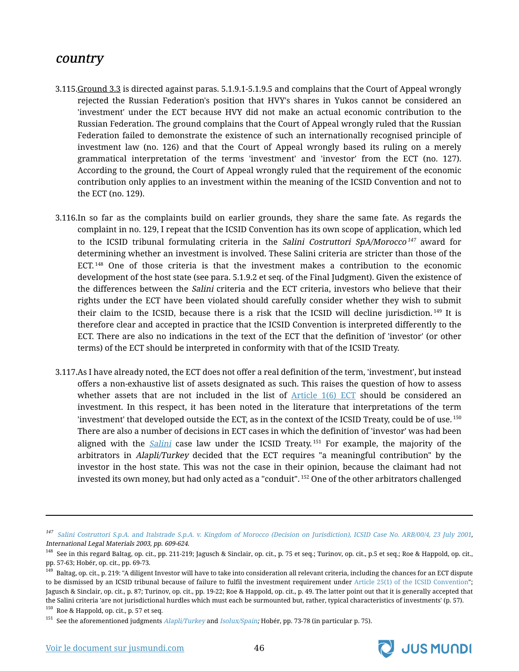### country

- 3.115.<u>Ground 3.3</u> is directed against paras. 5.1.9.1-5.1.9.5 and complains that the Court of Appeal wrongly rejected the Russian Federation's position that HVY's shares in Yukos cannot be considered an 'investment' under the ECT because HVY did not make an actual economic contribution to the Russian Federation. The ground complains that the Court of Appeal wrongly ruled that the Russian Federation failed to demonstrate the existence of such an internationally recognised principle of investment law (no. 126) and that the Court of Appeal wrongly based its ruling on a merely grammatical interpretation of the terms 'investment' and 'investor' from the ECT (no. 127). According to the ground, the Court of Appeal wrongly ruled that the requirement of the economic contribution only applies to an investment within the meaning of the ICSID Convention and not to the ECT (no. 129).
- 3.116. In so far as the complaints build on earlier grounds, they share the same fate. As regards the complaint in no. 129, I repeat that the ICSID Convention has its own scope of application, which led to the ICSID tribunal formulating criteria in the *Salini Costruttori SpA/Morocco<sup>147</sup>* award for determining whether an investment is involved. These Salini criteria are stricter than those of the ECT. <sup>148</sup> One of those criteria is that the investment makes a contribution to the economic development of the host state (see para. 5.1.9.2 et seq. of the Final Judgment). Given the existence of the differences between the *Salini* criteria and the ECT criteria, investors who believe that their rights under the ECT have been violated should carefully consider whether they wish to submit their claim to the ICSID, because there is a risk that the ICSID will decline jurisdiction. <sup>149</sup> It is therefore clear and accepted in practice that the ICSID Convention is interpreted differently to the ECT. There are also no indications in the text of the ECT that the definition of 'investor' (or other terms) of the ECT should be interpreted in conformity with that of the ICSID Treaty.
- 3.117. As I have already noted, the ECT does not offer a real definition of the term, 'investment', but instead offers a non-exhaustive list of assets designated as such. This raises the question of how to assess whether assets that are not included in the list of Article  $1(6)$  ECT should be considered an investment. In this respect, it has been noted in the literature that interpretations of the term 'investment' that developed outside the ECT, as in the context of the ICSID Treaty, could be of use. <sup>150</sup> There are also a number of decisions in ECT cases in which the definition of 'investor' was had been aligned with the <u>[Salini](https://jusmundi.com/en/document/h/OUlQMVpYSTdSS2xIT0R1ejdIcFdxaWpUdVFMaW51RnFOTEV3Zm5rQjh3VnZCY1hEMWhLNVlqUzUxNmRVK2dtRFVERDUwL0dmS0YvUUFka2htRHd2TnhDbFJOM1VlaTZjRWhzdlM0Q2xYaUsvdGhETSt2dS84UnJlZERZYi9rdWhxRkl5cEd4R01QYlhoU2lzSnAxYjQ1TkwremVlMW5zSHRPZ3NLWmFsNXBlUndvd3hVcGo3cFg5WUt2K1RQUXNL)</u> case law under the ICSID Treaty.<sup>151</sup> For example, the majority of the arbitrators in *Alapli/Turkey* decided that the ECT requires "a meaningful contribution" by the investor in the host state. This was not the case in their opinion, because the claimant had not invested its own money, but had only acted as a "conduit". <sup>152</sup> One of the other arbitrators challenged

<sup>147</sup> Salini Costruttori S.p.A. and Italstrade S.p.A. v. Kingdom of Morocco (Decision on [Jurisdiction\),](https://jusmundi.com/en/document/h/OUlQMVpYSTdSS2xIT0R1ejdIcFdxaWpUdVFMaW51RnFOTEV3Zm5rQjh3VnZCY1hEMWhLNVlqUzUxNmRVK2dtRFVERDUwL0dmS0YvUUFka2htRHd2TnhDbFJOM1VlaTZjRWhzdlM0Q2xYaUsvdGhETSt2dS84UnJlZERZYi9rdWhxRkl5cEd4R01QYlhoU2lzSnAxYjQ1TkwremVlMW5zSHRPZ3NLWmFsNXBlUndvd3hVcGo3cFg5WUt2K1RQUXNL) ICSID Case No. ARB/00/4, 23 July 2001, International Legal Materials 2003, pp. 609-624.

<sup>&</sup>lt;sup>148</sup> See in this regard Baltag, op. cit., pp. 211-219; Jagusch & Sinclair, op. cit., p. 75 et seq.; Turinov, op. cit., p.5 et seq.; Roe & Happold, op. cit., pp. 57-63; Hobér, op. cit., pp. 69-73.

 $^{149}$  Baltag, op. cit., p. 219: "A diligent Investor will have to take into consideration all relevant criteria, including the chances for an ECT dispute to be dismissed by an ICSID tribunal because of failure to fulfil the investment requirement under [Article 25\(1\) of the ICSID Convention"](https://jusmundi.com/en/document/h/S2VVN09EOGhRRHg0SlZ3SS9qUjlwSUhxOWpSbTk0ZGxsOTFuVUV3TlRXRzdrWGQyOWVoOUU0WjNBM2sxaGo0NWZ1RWpXU01heVNtdmxZZGJZRnc1dFJFMHlTYlBrTzFZbHFsK1Q5aHljTlowZUFWeHp6d1NxU0JqVXlid0dDQUo2TFlxOXJvenRhU1lvRHdFSXdtclVZdWozWS81bXZUL2JnelpFa0krdzRFRjBOUmZiRzFmb2h4d0NjWVdyN2lmejIwdEViUGRSSTY3c0JBMWRCNGExOEY5U0hON2lOM0FKQlAzNE9Fd2s4QT0=); Jagusch & Sinclair, op. cit., p. 87; Turinov, op. cit., pp. 19-22; Roe & Happold, op. cit., p. 49. The latter point out that it is generally accepted that the Salini criteria 'are not jurisdictional hurdles which must each be surmounted but, rather, typical characteristics of investments' (p. 57).

<sup>150</sup> Roe & Happold, op. cit., p. 57 et seq.

<sup>&</sup>lt;sup>151</sup> See the aforementioned judgments  $Alapli/Turkey$  and  $Isolux/Spain$ ; Hobér, pp. 73-78 (in particular p. 75).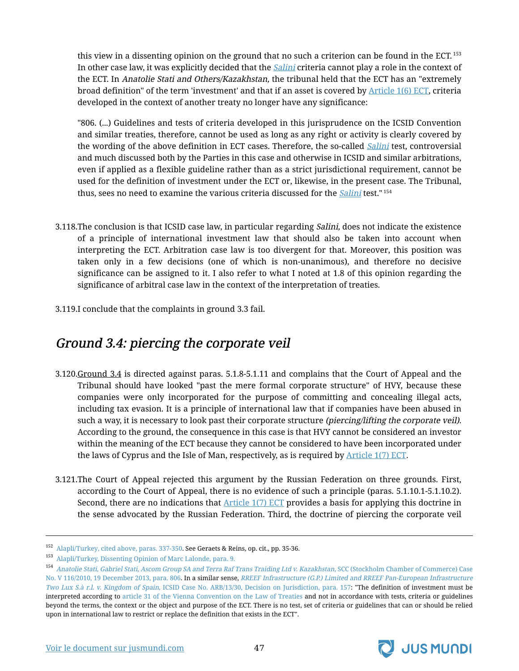this view in a dissenting opinion on the ground that no such a criterion can be found in the ECT.  $^{\rm 153}$ In other case law, it was explicitly decided that the *[Salini](https://jusmundi.com/en/document/h/OUlQMVpYSTdSS2xIT0R1ejdIcFdxaWpUdVFMaW51RnFOTEV3Zm5rQjh3VnZCY1hEMWhLNVlqUzUxNmRVK2dtRFVERDUwL0dmS0YvUUFka2htRHd2TnhDbFJOM1VlaTZjRWhzdlM0Q2xYaUsvdGhETSt2dS84UnJlZERZYi9rdWhxRkl5cEd4R01QYlhoU2lzSnAxYjQ1TkwremVlMW5zSHRPZ3NLWmFsNXBlUndvd3hVcGo3cFg5WUt2K1RQUXNL)* criteria cannot play a role in the context of the ECT. In Anatolie Stati and Others/Kazakhstan, the tribunal held that the ECT has an "extremely broad definition" of the term 'investment' and that if an asset is covered by [Article 1\(6\) ECT,](https://jusmundi.com/en/document/h/clljWVJHbGxISEg0VUZMdWNJazE2TnJ3Mmxwb2NlQ1R3cmNjQXR1UDFhaUg5bDhhczBqUjlmYmVtWWhITFNjK3dCV0JaSFlDK3BFbFIyL0xvSHhiR2sxdnZtV2R3TDJsQUR2Q0hoUUhPeWlwUFRXK0ZmSTJDNUVyTytCd1RRNTNwN01Gb3dPWkZkKy8zeWpwclM0RlZBPT0=) criteria developed in the context of another treaty no longer have any significance:

"806. (...) Guidelines and tests of criteria developed in this jurisprudence on the ICSID Convention and similar treaties, therefore, cannot be used as long as any right or activity is clearly covered by the wording of the above definition in ECT cases. Therefore, the so-called *[Salini](https://jusmundi.com/en/document/h/OUlQMVpYSTdSS2xIT0R1ejdIcFdxaWpUdVFMaW51RnFOTEV3Zm5rQjh3VnZCY1hEMWhLNVlqUzUxNmRVK2dtRFVERDUwL0dmS0YvUUFka2htRHd2TnhDbFJOM1VlaTZjRWhzdlM0Q2xYaUsvdGhETSt2dS84UnJlZERZYi9rdWhxRkl5cEd4R01QYlhoU2lzSnAxYjQ1TkwremVlMW5zSHRPZ3NLWmFsNXBlUndvd3hVcGo3cFg5WUt2K1RQUXNL)* test, controversial and much discussed both by the Parties in this case and otherwise in ICSID and similar arbitrations, even if applied as a flexible guideline rather than as a strict jurisdictional requirement, cannot be used for the definition of investment under the ECT or, likewise, in the present case. The Tribunal, thus, sees no need to examine the various criteria discussed for the *[Salini](https://jusmundi.com/en/document/h/OUlQMVpYSTdSS2xIT0R1ejdIcFdxaWpUdVFMaW51RnFOTEV3Zm5rQjh3VnZCY1hEMWhLNVlqUzUxNmRVK2dtRFVERDUwL0dmS0YvUUFka2htRHd2TnhDbFJOM1VlaTZjRWhzdlM0Q2xYaUsvdGhETSt2dS84UnJlZERZYi9rdWhxRkl5cEd4R01QYlhoU2lzSnAxYjQ1TkwremVlMW5zSHRPZ3NLWmFsNXBlUndvd3hVcGo3cFg5WUt2K1RQUXNL)* test."<sup>154</sup>

- 3.118.The conclusion is that ICSID case law, in particular regarding *Salini,* does not indicate the existence of a principle of international investment law that should also be taken into account when interpreting the ECT. Arbitration case law is too divergent for that. Moreover, this position was taken only in a few decisions (one of which is non-unanimous), and therefore no decisive significance can be assigned to it. I also refer to what I noted at 1.8 of this opinion regarding the significance of arbitral case law in the context of the interpretation of treaties.
- 3.119. I conclude that the complaints in ground 3.3 fail.

## Ground 3.4: piercing the corporate veil

- 3.120.<u>Ground 3.4</u> is directed against paras. 5.1.8-5.1.11 and complains that the Court of Appeal and the Tribunal should have looked "past the mere formal corporate structure" of HVY, because these companies were only incorporated for the purpose of committing and concealing illegal acts, including tax evasion. It is a principle of international law that if companies have been abused in such a way, it is necessary to look past their corporate structure *(piercing/lifting the corporate veil).* According to the ground, the consequence in this case is that HVY cannot be considered an investor within the meaning of the ECT because they cannot be considered to have been incorporated under the laws of Cyprus and the Isle of Man, respectively, as is required by [Article 1\(7\) ECT](https://jusmundi.com/en/document/h/clljWVJHbGxISEg0VUZMdWNJazE2TnJ3Mmxwb2NlQ1R3cmNjQXR1UDFhaUg5bDhhczBqUjlmYmVtWWhITFNjK3dCV0JaSFlDK3BFbFIyL0xvSHhiR2sxdnZtV2R3TDJsQUR2Q0hoUUhPeWlwUFRXK0ZmSTJDNUVyTytCd1RRNTNQNGpLcDFlN0gyZ2tjejBrbVBPMGp3PT0=).
- 3.121. The Court of Appeal rejected this argument by the Russian Federation on three grounds. First, according to the Court of Appeal, there is no evidence of such a principle (paras. 5.1.10.1-5.1.10.2). Second, there are no indications that [Article 1\(7\) ECT](https://jusmundi.com/en/document/h/clljWVJHbGxISEg0VUZMdWNJazE2TnJ3Mmxwb2NlQ1R3cmNjQXR1UDFhaUg5bDhhczBqUjlmYmVtWWhITFNjK3dCV0JaSFlDK3BFbFIyL0xvSHhiR2sxdnZtV2R3TDJsQUR2Q0hoUUhPeWlwUFRXK0ZmSTJDNUVyTytCd1RRNTNQNGpLcDFlN0gyZ2tjejBrbVBPMGp3PT0=) provides a basis for applying this doctrine in the sense advocated by the Russian Federation. Third, the doctrine of piercing the corporate veil

<sup>154</sup> Anatolie Stati, Gabriel Stati, Ascom Group SA and Terra Raf Trans Traiding Ltd v. Kazakhstan, [SCC \(Stockholm Chamber of Commerce\) Case](https://jusmundi.com/en/document/h/S3pSSUlVam1JclpRQkRpdkJXRlpQMXNjYXNVUy9Vc1dNTVB2c3l1RjExZmZ4dVdOZUxhSzBFSHhEeXR3RS9ualpUR21XT0s3NDA2WU0yWXJPblprLzZrSXl2SzgramMvQTdIMkUvNlMrNnh0TDhOZlQwMGU4MFlpV3A4Zlh3alpKRVg1VTNoYndmWEtjWkovRTExaGtZa0RPRFJ1ZGpaZmlKVElBNlFjbTI2WkYxb2FjZlZhc3A4YjdEbmNyUy90MWtrQmJPaWw2ZDhsZG5Id0VsVGxOUT09) [No. V 116/2010, 19 December 2013, para. 806](https://jusmundi.com/en/document/h/S3pSSUlVam1JclpRQkRpdkJXRlpQMXNjYXNVUy9Vc1dNTVB2c3l1RjExZmZ4dVdOZUxhSzBFSHhEeXR3RS9ualpUR21XT0s3NDA2WU0yWXJPblprLzZrSXl2SzgramMvQTdIMkUvNlMrNnh0TDhOZlQwMGU4MFlpV3A4Zlh3alpKRVg1VTNoYndmWEtjWkovRTExaGtZa0RPRFJ1ZGpaZmlKVElBNlFjbTI2WkYxb2FjZlZhc3A4YjdEbmNyUy90MWtrQmJPaWw2ZDhsZG5Id0VsVGxOUT09). In a similar sense, RREEF Infrastructure (G.P.) Limited and RREEF [Pan-European](https://jusmundi.com/en/document/h/bVNhaG1HM1ZHT1d0S0hpb2EzYUFDWVRoeG4vdzR3OXR3U1czZ2tJS3VaS2tiV21pWlB6UUlWMlExb2s0Mm11SVZ6YXowdW4rVGpLSXcweXpEa2x5ckdMYnVMNWVZdEs2UUJKekJDdnVnaGpwekMwems2T1VJVjhjaTNWTXQxSThuSDNrYSt3cXpybStZTzg4bWhKOERXdDY2OEU4MWtibC9aaXVaSzZubzJuN0EyY0xUWXFUbDBYcWZwZjNOdEJDN3NIRDJkdHdpV0JQc09yZjlMRFRjUE1yWEZNdENTeXd1OTFDbDhUK3g2WT0=) Infrastructure Two Lux S.à r.l. v. Kingdom of Spain, [ICSID Case No. ARB/13/30, Decision on Jurisdiction, para. 157](https://jusmundi.com/en/document/h/bVNhaG1HM1ZHT1d0S0hpb2EzYUFDWVRoeG4vdzR3OXR3U1czZ2tJS3VaS2tiV21pWlB6UUlWMlExb2s0Mm11SVZ6YXowdW4rVGpLSXcweXpEa2x5ckdMYnVMNWVZdEs2UUJKekJDdnVnaGpwekMwems2T1VJVjhjaTNWTXQxSThuSDNrYSt3cXpybStZTzg4bWhKOERXdDY2OEU4MWtibC9aaXVaSzZubzJuN0EyY0xUWXFUbDBYcWZwZjNOdEJDN3NIRDJkdHdpV0JQc09yZjlMRFRjUE1yWEZNdENTeXd1OTFDbDhUK3g2WT0=): "The definition of investment must be interpreted according to [article 31 of the Vienna Convention on the Law of Treaties](https://jusmundi.com/en/document/h/NVFwR2lWbkFqaXdJRmhJT3hnNFo0NEhoLzFzTjdSbU9icGpNYlQ0N3hXUjByQUw3dW1hT1I5OW90REYzWjlFYW1iQm0xR2ZxcmE5MFIwL3EyeU1DWUVRbENBMnU5S3g1dERqLzZnTWNMRHc3U0YwLzlEK2VYZ1FOT1ZFUEszei8yM25adnZnUXlFS0VUZE44K1VxYnNNQWhnL25UaklhUkx3TnUyNUhIdlZvPQ==) and not in accordance with tests, criteria or guidelines beyond the terms, the context or the object and purpose of the ECT. There is no test, set of criteria or guidelines that can or should be relied upon in international law to restrict or replace the definition that exists in the ECT".





<sup>152</sup> Alapli/Turkey, [cited above, paras. 337-350](https://jusmundi.com/en/document/h/bGtsTldrN1RQVWljN2ZXRlhxNDBtREk3K0pFK01KaTZXY1B0NVdtanZyMUNoamZpN2tQdWY0SkU1RUJOUDZBNzlFZUNKZjFoNk5CRDdmeWR1QkpFQjZqS0RMUXNyZ2dmbGxVbFBZWENNYTZ3aU9STGVpNXlyeEtlWTEzTC9OZkc=). See Geraets & Reins, op. cit., pp. 35-36.

<sup>153</sup> [Alapli/Turkey, Dissenting Opinion of Marc Lalonde, para. 9.](https://jusmundi.com/en/document/h/aEc2UTdnR0p4U3FHY1JQNHlnT1RtZFgyN3B5VnpUaERzb1RpV3ltcEd4aGFYdXp1RjRaSzV2QS80ZVA2Vks3NkphZys3TWVwR1hJWWE2TWpydVQ1SE5YN0hMTjZBSG5UdW9CdTNVekFROHJvcElNcGQ3NC80dWpWNnY5dFpJOERBRGpOVGVaZFFrZVZhRk9rVDJCZDlncWFubEdTdUhaOVdPKzlhZmZUUVFvPQ==)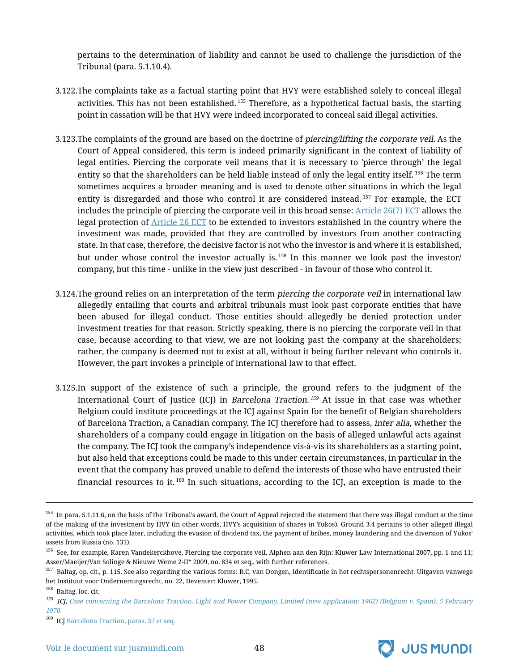pertains to the determination of liability and cannot be used to challenge the jurisdiction of the Tribunal (para. 5.1.10.4).

- 3.122. The complaints take as a factual starting point that HVY were established solely to conceal illegal activities. This has not been established.<sup>155</sup> Therefore, as a hypothetical factual basis, the starting point in cassation will be that HVY were indeed incorporated to conceal said illegal activities.
- 3.123.The complaints of the ground are based on the doctrine of *piercing/lifting the corporate veil.* As the Court of Appeal considered, this term is indeed primarily significant in the context of liability of legal entities. Piercing the corporate veil means that it is necessary to 'pierce through' the legal entity so that the shareholders can be held liable instead of only the legal entity itself.<sup>156</sup> The term sometimes acquires a broader meaning and is used to denote other situations in which the legal entity is disregarded and those who control it are considered instead.<sup>157</sup> For example, the ECT includes the principle of piercing the corporate veil in this broad sense: [Article 26\(7\) ECT](https://jusmundi.com/en/document/h/clljWVJHbGxISEg0VUZMdWNJazE2TnJ3Mmxwb2NlQ1R3cmNjQXR1UDFhaUg5bDhhczBqUjlmYmVtWWhITFNjK3dCV0JaSFlDK3BFbFIyL0xvSHhiR2sxdnZtV2R3TDJsQUR2Q0hoUUhPeWlwUFRXK0ZmSTJDNUVyTytCd1RRNTNIaldOUmt5dGIzR0dyNWZMT3IwTGlBPT0=) allows the legal protection of [Article 26 ECT](https://jusmundi.com/en/document/h/clljWVJHbGxISEg0VUZMdWNJazE2TnJ3Mmxwb2NlQ1R3cmNjQXR1UDFhaUg5bDhhczBqUjlmYmVtWWhITFNjK3dCV0JaSFlDK3BFbFIyL0xvSHhiR2sxdnZtV2R3TDJsQUR2Q0hoUUhPeWlwUFRXK0ZmSTJDNUVyTytCd1RRNTNDQmJGNXZZVGpGLzhUODVQMzdWbEl3PT0=) to be extended to investors established in the country where the investment was made, provided that they are controlled by investors from another contracting state. In that case, therefore, the decisive factor is not who the investor is and where it is established, but under whose control the investor actually is. <sup>158</sup> In this manner we look past the investor/ company, but this time - unlike in the view just described - in favour of those who control it.
- 3.124.The ground relies on an interpretation of the term *piercing the corporate veil* in international law allegedly entailing that courts and arbitral tribunals must look past corporate entities that have been abused for illegal conduct. Those entities should allegedly be denied protection under investment treaties for that reason. Strictly speaking, there is no piercing the corporate veil in that case, because according to that view, we are not looking past the company at the shareholders; rather, the company is deemed not to exist at all, without it being further relevant who controls it. However, the part invokes a principle of international law to that effect.
- 3.125. In support of the existence of such a principle, the ground refers to the judgment of the International Court of Justice (ICJ) in *Barcelona Traction.<sup>159</sup>* At issue in that case was whether Belgium could institute proceedings at the ICJ against Spain for the benefit of Belgian shareholders of Barcelona Traction, a Canadian company. The ICJ therefore had to assess, inter alia, whether the shareholders of a company could engage in litigation on the basis of alleged unlawful acts against the company. The ICJ took the company's independence vis-à-vis its shareholders as a starting point, but also held that exceptions could be made to this under certain circumstances, in particular in the event that the company has proved unable to defend the interests of those who have entrusted their financial resources to it.  $160$  In such situations, according to the ICJ, an exception is made to the



<sup>&</sup>lt;sup>155</sup> In para. 5.1.11.6, on the basis of the Tribunal's award, the Court of Appeal rejected the statement that there was illegal conduct at the time of the making of the investment by HVY (in other words, HVY's acquisition of shares in Yukos). Ground 3.4 pertains to other alleged illegal activities, which took place later, including the evasion of dividend tax, the payment of bribes, money laundering and the diversion of Yukos' assets from Russia (no. 131).

<sup>156</sup> See, for example, Karen Vandekerckhove, Piercing the corporate veil, Alphen aan den Rijn: Kluwer Law International 2007, pp. 1 and 11; Asser/Maeijer/Van Solinge & Nieuwe Weme 2-II\* 2009, no. 834 et seq,. with further references.

<sup>&</sup>lt;sup>157</sup> Baltag, op. cit., p. 115. See also regarding the various forms: R.C. van Dongen, Identificatie in het rechtspersonenrecht. Uitgaven vanwege het Instituut voor Ondernemingsrecht, no. 22, Deventer: Kluwer, 1995.

<sup>158</sup> Baltag. loc. cit.

<sup>&</sup>lt;sup>159</sup> ICJ, Case concerning the Barcelona Traction, Light and Power Company, Limited (new [application:](https://jusmundi.com/en/document/h/UllFQnZrMkd4VWRFZjFtT1VDQk5uWHY2a3BpVnE1d0dmOHpEQjRDUEt1TFo3T2Q2MWJ2R0ZmMlY4Rm1zdk5STmRDMU1QNVdiMFdUc3duY3lFNG9mdVZTVVJMcmp1cUdSZXIrTE5UaTE1VEFVOFlVYWJacnkySVNETnpqV1JYbXphTmtKa043M0FpVm5POWFvK2FJSGFzSFA3RzJyQjdVcmdENkR1NHA2T083TkE4ZTg4V0g0RFRPS2xYNW5YRXVpVlVoS1dwVFlYM3JkaThNVTNhZTJNQT09) 1962) (Belgium v. Spain), 5 February [1970.](https://jusmundi.com/en/document/h/UllFQnZrMkd4VWRFZjFtT1VDQk5uWHY2a3BpVnE1d0dmOHpEQjRDUEt1TFo3T2Q2MWJ2R0ZmMlY4Rm1zdk5STmRDMU1QNVdiMFdUc3duY3lFNG9mdVZTVVJMcmp1cUdSZXIrTE5UaTE1VEFVOFlVYWJacnkySVNETnpqV1JYbXphTmtKa043M0FpVm5POWFvK2FJSGFzSFA3RzJyQjdVcmdENkR1NHA2T083TkE4ZTg4V0g0RFRPS2xYNW5YRXVpVlVoS1dwVFlYM3JkaThNVTNhZTJNQT09)

<sup>&</sup>lt;sup>160</sup> ICJ [Barcelona Traction](https://jusmundi.com/en/document/h/UllFQnZrMkd4VWRFZjFtT1VDQk5uWHY2a3BpVnE1d0dmOHpEQjRDUEt1TFo3T2Q2MWJ2R0ZmMlY4Rm1zdk5STmRDMU1QNVdiMFdUc3duY3lFNG9mdVZTVVJMcmp1cUdSZXIrTE5UaTE1VEFVOFlVYWJacnkySVNETnpqV1JYbXphTmtKa043M0FpVm5POWFvK2FJSGFzSFA3RzJyQjdVcmdENkR1NHA2T083TkE4ZTg4V0g0RFRPS2xYNW5YRXVpR2kzK2tlL2FhNDRKOVZrbXlMdUZvUT09), paras. 37 et seq.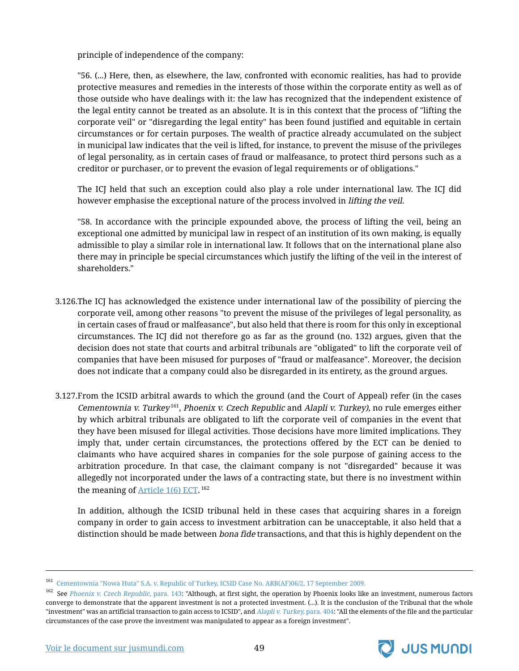principle of independence of the company:

"56. (...) Here, then, as elsewhere, the law, confronted with economic realities, has had to provide protective measures and remedies in the interests of those within the corporate entity as well as of those outside who have dealings with it: the law has recognized that the independent existence of the legal entity cannot be treated as an absolute. It is in this context that the process of "lifting the corporate veil" or "disregarding the legal entity" has been found justified and equitable in certain circumstances or for certain purposes. The wealth of practice already accumulated on the subject in municipal law indicates that the veil is lifted, for instance, to prevent the misuse of the privileges of legal personality, as in certain cases of fraud or malfeasance, to protect third persons such as a creditor or purchaser, or to prevent the evasion of legal requirements or of obligations."

The ICJ held that such an exception could also play a role under international law. The ICJ did however emphasise the exceptional nature of the process involved in lifting the veil.

"58. In accordance with the principle expounded above, the process of lifting the veil, being an exceptional one admitted by municipal law in respect of an institution of its own making, is equally admissible to play a similar role in international law. It follows that on the international plane also there may in principle be special circumstances which justify the lifting of the veil in the interest of shareholders."

- 3.126. The ICJ has acknowledged the existence under international law of the possibility of piercing the corporate veil, among other reasons "to prevent the misuse of the privileges of legal personality, as in certain cases of fraud or malfeasance", but also held that there is room for this only in exceptional circumstances. The ICJ did not therefore go as far as the ground (no. 132) argues, given that the decision does not state that courts and arbitral tribunals are "obligated" to lift the corporate veil of companies that have been misused for purposes of "fraud or malfeasance". Moreover, the decision does not indicate that a company could also be disregarded in its entirety, as the ground argues.
- 3.127. From the ICSID arbitral awards to which the ground (and the Court of Appeal) refer (in the cases Cementownia v. Turkey<sup>161</sup>, Phoenix v. Czech Republic and Alapli v. Turkey), no rule emerges either by which arbitral tribunals are obligated to lift the corporate veil of companies in the event that they have been misused for illegal activities. Those decisions have more limited implications. They imply that, under certain circumstances, the protections offered by the ECT can be denied to claimants who have acquired shares in companies for the sole purpose of gaining access to the arbitration procedure. In that case, the claimant company is not "disregarded" because it was allegedly not incorporated under the laws of a contracting state, but there is no investment within the meaning of <u>Article 1(6) ECT</u>. <sup>162</sup>

In addition, although the ICSID tribunal held in these cases that acquiring shares in a foreign company in order to gain access to investment arbitration can be unacceptable, it also held that a distinction should be made between *bona fide* transactions, and that this is highly dependent on the



<sup>161</sup> [Cementownia "Nowa Huta" S.A. v. Republic of Turkey, ICSID Case No. ARB\(AF\)06/2, 17 September 2009.](https://jusmundi.com/en/document/h/TmVtQW5Ta29aUWg3cUE3VG5OejdoMERTR3c4MUFkSERPdlpKb2premN4SVJkamxBMldGcVBMRTV0RlRnR08yVmR6S1JSZkNrL0lHd1FvVUphL0s5UGFFZFdxMUUvdm93UVRSVVI4NWFSUkswUkVKbkVsdGNISDkwZkZWMmJJUzkzeEtIR1Y1MGJ5RmJWbTQrWW9iY0JRPT0=)

<sup>&</sup>lt;sup>162</sup> See *Phoenix v. Czech Republic*, [para. 143](https://jusmundi.com/en/document/h/YU5kbXRLQ3FoUlVCUkd3aytHdkJLdmNWWjBYVWFVdm9EMy8xWkVTLzV5ZHluWWFZMlM0THBROGFaSUhuM0sxaFg3T1cwWlNxUTMvK0YxQnJIVTlPUm5TaGhJZHRTbmhsNE4rUUtYY2Fxcit5ZFk3M0lEcHc3K3hnUm56K0xvUm4=): "Although, at first sight, the operation by Phoenix looks like an investment, numerous factors converge to demonstrate that the apparent investment is not a protected investment. (...). It is the conclusion of the Tribunal that the whole "investment" was an artificial transaction to gain access to ICSID", and Alapli v. Turkey, [para. 404:](https://jusmundi.com/en/document/h/bGtsTldrN1RQVWljN2ZXRlhxNDBtREk3K0pFK01KaTZXY1B0NVdtanZyMUNoamZpN2tQdWY0SkU1RUJOUDZBNzlFZUNKZjFoNk5CRDdmeWR1QkpFQjZqS0RMUXNyZ2dmbGxVbFBZWENNYTd3NXFnVkxHYXloMnBNVVhWUWhnN0M=) "All the elements of the file and the particular circumstances of the case prove the investment was manipulated to appear as a foreign investment".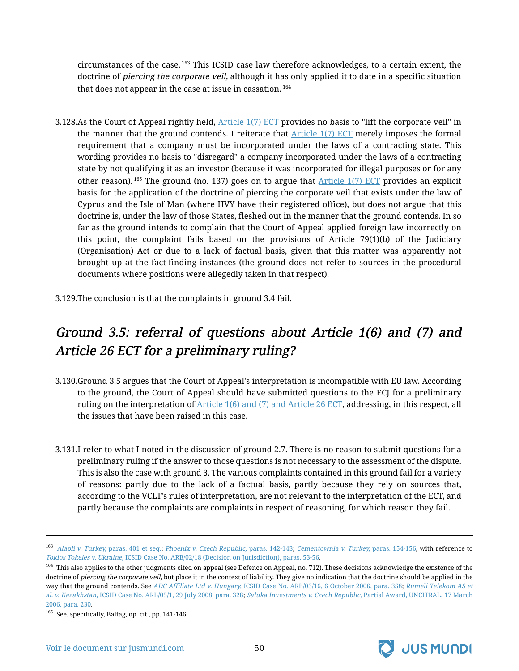circumstances of the case. <sup>163</sup> This ICSID case law therefore acknowledges, to a certain extent, the doctrine of piercing the corporate veil, although it has only applied it to date in a specific situation that does not appear in the case at issue in cassation.  $164$ 

- 3.128.As the Court of Appeal rightly held,  $\Delta$ rticle 1(7) ECT provides no basis to "lift the corporate veil" in the manner that the ground contends. I reiterate that  $Article 1(7) ECT$  merely imposes the formal requirement that a company must be incorporated under the laws of a contracting state. This wording provides no basis to "disregard" a company incorporated under the laws of a contracting state by not qualifying it as an investor (because it was incorporated for illegal purposes or for any other reason). <sup>165</sup> The ground (no. 137) goes on to argue that  $Article$  1(7) ECT provides an explicit basis for the application of the doctrine of piercing the corporate veil that exists under the law of Cyprus and the Isle of Man (where HVY have their registered office), but does not argue that this doctrine is, under the law of those States, fleshed out in the manner that the ground contends. In so far as the ground intends to complain that the Court of Appeal applied foreign law incorrectly on this point, the complaint fails based on the provisions of Article 79(1)(b) of the Judiciary (Organisation) Act or due to a lack of factual basis, given that this matter was apparently not brought up at the fact-finding instances (the ground does not refer to sources in the procedural documents where positions were allegedly taken in that respect).
- 3.129. The conclusion is that the complaints in ground 3.4 fail.

# Ground 3.5: referral of questions about Article 1(6) and (7) and Article 26 ECT for a preliminary ruling?

- 3.130.<u>Ground 3.5</u> argues that the Court of Appeal's interpretation is incompatible with EU law. According to the ground, the Court of Appeal should have submitted questions to the ECJ for a preliminary ruling on the interpretation of  $\text{Article 1}(6)$  and (7) and Article 26 ECT, addressing, in this respect, all the issues that have been raised in this case.
- 3.131. I refer to what I noted in the discussion of ground 2.7. There is no reason to submit questions for a preliminary ruling if the answer to those questions is not necessary to the assessment of the dispute. This is also the case with ground 3. The various complaints contained in this ground fail for a variety of reasons: partly due to the lack of a factual basis, partly because they rely on sources that, according to the VCLT's rules of interpretation, are not relevant to the interpretation of the ECT, and partly because the complaints are complaints in respect of reasoning, for which reason they fail.



<sup>&</sup>lt;sup>163</sup> Alapli v. Turkey, [paras. 401 et seq.](https://jusmundi.com/en/document/h/bGtsTldrN1RQVWljN2ZXRlhxNDBtREk3K0pFK01KaTZXY1B0NVdtanZyMUNoamZpN2tQdWY0SkU1RUJOUDZBNzlFZUNKZjFoNk5CRDdmeWR1QkpFQjZqS0RMUXNyZ2dmbGxVbFBZWENNYTZzdjYwTi9icFo5NzlFN3FUKzdKU1I=); Phoenix v. Czech Republic, [paras. 142-143;](https://jusmundi.com/en/document/h/YU5kbXRLQ3FoUlVCUkd3aytHdkJLdmNWWjBYVWFVdm9EMy8xWkVTLzV5ZHluWWFZMlM0THBROGFaSUhuM0sxaFg3T1cwWlNxUTMvK0YxQnJIVTlPUm5TaGhJZHRTbmhsNE4rUUtYY2Fxci9YYnJhdXJQaHl3UWxWd0VqWTdqRnc=) Cementownia v. Turkey, [paras. 154-156](https://jusmundi.com/en/document/h/TmVtQW5Ta29aUWg3cUE3VG5OejdoMERTR3c4MUFkSERPdlpKb2premN4SVJkamxBMldGcVBMRTV0RlRnR08yVmR6S1JSZkNrL0lHd1FvVUphL0s5UGFFZFdxMUUvdm93UVRSVVI4NWFSUkswUkVKbkVsdGNISDkwZkZWMmJJUzlwY1JBK0R3REJrQlBNK0NTUVU2OWFBPT0=), with reference to Tokios Tokeles v. Ukraine, [ICSID Case No. ARB/02/18 \(Decision on Jurisdiction\), paras. 53-56.](https://jusmundi.com/en/document/h/c2NzQWVDaXhreWExRlFqSjJsWkw2NW5wSUtuR3dEOEttZ0pWckV2NUdERVh5aFB0WUN5V1gzTUFhTE5XMEtTUk4rVk1Dang5bytNQUJrOHlIM2JnZUwxK1dNWC9qR2xidFdMTnByNE9FY2R4TnFrTWJnV0FaYXg5MEhGeUtuMVA4YVg2QUtzSXNRYVRPOFhNQ3E5NWVRPT0=)

<sup>&</sup>lt;sup>164</sup> This also applies to the other judgments cited on appeal (see Defence on Appeal, no. 712). These decisions acknowledge the existence of the doctrine of piercing the corporate veil, but place it in the context of liability. They give no indication that the doctrine should be applied in the way that the ground contends. See ADC Affiliate Ltd v. Hungary, [ICSID Case No. ARB/03/16, 6 October 2006, para. 358](https://jusmundi.com/en/document/h/bFlPVkJCZ3J3MGxLWTFqdXMyWjgvc3hvcElzK1hGcktyZmhmT0tMYVJhYXR6c1A0VmYxTE1MMWgvSWR4VkdxRmN0SytVRWt1cGdjc2xzOW8rbms4a1dZREM5TGZHbmU3bGpmaE4vQmM4TC9uNnozR1R4R2lqMktreFhTZ04vYTJuYWhmOXdxOUt1YmpYU2xka0s1MVl2YUNtQ0lxZDBmaWVPVlkyNjliVVowPQ==); Rumeli [Telekom](https://jusmundi.com/en/document/h/TytTcjNuYWVtTXdMay9nUUx0SCtFeElyVEY3OEV4ZFNtWVArdWFFR1lOZ1FxbUxOYkd0dlRKU3NrcFQ3RmUrWTdDS0pkeUtyQzBHUWx6S0Y1a2xKVHFzUmVJNW9ma3FqNk9GMjZ2cXlhcENmbWF5QzlZMnJwNlVOVEdIVDhhd1VoNDRabTFOOUJOUklmbVZSN1JrRi9PTlk3eGJKdmdwK2JLTTJJZDNGR0VVSUdSZUQzR0dnTFFVZTdqaWtGMzVv) AS et al. v. Kazakhstan, [ICSID Case No. ARB/05/1, 29 July 2008, para. 328](https://jusmundi.com/en/document/h/TytTcjNuYWVtTXdMay9nUUx0SCtFeElyVEY3OEV4ZFNtWVArdWFFR1lOZ1FxbUxOYkd0dlRKU3NrcFQ3RmUrWTdDS0pkeUtyQzBHUWx6S0Y1a2xKVHFzUmVJNW9ma3FqNk9GMjZ2cXlhcENmbWF5QzlZMnJwNlVOVEdIVDhhd1VoNDRabTFOOUJOUklmbVZSN1JrRi9PTlk3eGJKdmdwK2JLTTJJZDNGR0VVSUdSZUQzR0dnTFFVZTdqaWtGMzVv); Saluka Investments v. Czech Republic, [Partial Award, UNCITRAL, 17 March](https://jusmundi.com/en/document/h/OUlQMVpYSTdSS2xIT0R1ejdIcFdxa0JDSWVBUFhGSEdiMEMzRmRCQUVrNUg1S1M3L0hDTDA3andFSlR1cEtjaktzc1VyRzM5eHIzaDgwYjNwd2pVZWRuN0VxOVpkNGROT094NFFHaG1DZEswV25maWIvcWh6SmlWUk5KelU0c2xiTUZqeWVMVlI0RnJGZnZVYk1wdE9BPT0=) [2006, para. 230](https://jusmundi.com/en/document/h/OUlQMVpYSTdSS2xIT0R1ejdIcFdxa0JDSWVBUFhGSEdiMEMzRmRCQUVrNUg1S1M3L0hDTDA3andFSlR1cEtjaktzc1VyRzM5eHIzaDgwYjNwd2pVZWRuN0VxOVpkNGROT094NFFHaG1DZEswV25maWIvcWh6SmlWUk5KelU0c2xiTUZqeWVMVlI0RnJGZnZVYk1wdE9BPT0=).

<sup>165</sup> See, specifically, Baltag, op. cit., pp. 141-146.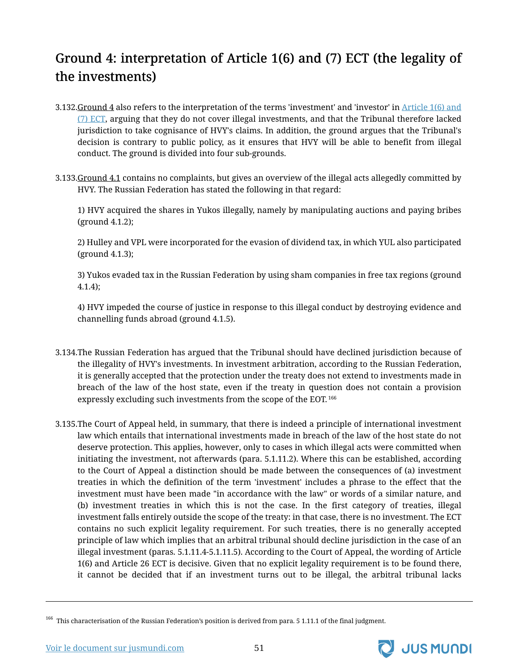# Ground 4: interpretation of Article 1(6) and (7) ECT (the legality of the investments)

- 3.132.<u>Ground 4</u> also refers to the interpretation of the terms 'investment' and 'investor' in <u>[Article 1\(6\) and](https://jusmundi.com/en/document/h/clljWVJHbGxISEg0VUZMdWNJazE2TnJ3Mmxwb2NlQ1R3cmNjQXR1UDFhaUg5bDhhczBqUjlmYmVtWWhITFNjK3dCV0JaSFlDK3BFbFIyL0xvSHhiR2sxdnZtV2R3TDJsQUR2Q0hoUUhPeWlwUFRXK0ZmSTJDNUVyTytCd1RRNTNwN01Gb3dPWkZkKy8zeWpwclM0RlZBPT0=)</u> [\(7\) ECT](https://jusmundi.com/en/document/h/clljWVJHbGxISEg0VUZMdWNJazE2TnJ3Mmxwb2NlQ1R3cmNjQXR1UDFhaUg5bDhhczBqUjlmYmVtWWhITFNjK3dCV0JaSFlDK3BFbFIyL0xvSHhiR2sxdnZtV2R3TDJsQUR2Q0hoUUhPeWlwUFRXK0ZmSTJDNUVyTytCd1RRNTNwN01Gb3dPWkZkKy8zeWpwclM0RlZBPT0=), arguing that they do not cover illegal investments, and that the Tribunal therefore lacked jurisdiction to take cognisance of HVY's claims. In addition, the ground argues that the Tribunal's decision is contrary to public policy, as it ensures that HVY will be able to benefit from illegal conduct. The ground is divided into four sub-grounds.
- 3.133.<u>Ground 4.1</u> contains no complaints, but gives an overview of the illegal acts allegedly committed by HVY. The Russian Federation has stated the following in that regard:

1) HVY acquired the shares in Yukos illegally, namely by manipulating auctions and paying bribes (ground 4.1.2);

2) Hulley and VPL were incorporated for the evasion of dividend tax, in which YUL also participated (ground 4.1.3);

3) Yukos evaded tax in the Russian Federation by using sham companies in free tax regions (ground 4.1.4);

4) HVY impeded the course of justice in response to this illegal conduct by destroying evidence and channelling funds abroad (ground 4.1.5).

- 3.134. The Russian Federation has argued that the Tribunal should have declined jurisdiction because of the illegality of HVY's investments. In investment arbitration, according to the Russian Federation, it is generally accepted that the protection under the treaty does not extend to investments made in breach of the law of the host state, even if the treaty in question does not contain a provision expressly excluding such investments from the scope of the EOT. 166
- 3.135. The Court of Appeal held, in summary, that there is indeed a principle of international investment law which entails that international investments made in breach of the law of the host state do not deserve protection. This applies, however, only to cases in which illegal acts were committed when initiating the investment, not afterwards (para. 5.1.11.2). Where this can be established, according to the Court of Appeal a distinction should be made between the consequences of (a) investment treaties in which the definition of the term 'investment' includes a phrase to the effect that the investment must have been made "in accordance with the law" or words of a similar nature, and (b) investment treaties in which this is not the case. In the first category of treaties, illegal investment falls entirely outside the scope of the treaty: in that case, there is no investment. The ECT contains no such explicit legality requirement. For such treaties, there is no generally accepted principle of law which implies that an arbitral tribunal should decline jurisdiction in the case of an illegal investment (paras. 5.1.11.4-5.1.11.5). According to the Court of Appeal, the wording of Article 1(6) and Article 26 ECT is decisive. Given that no explicit legality requirement is to be found there, it cannot be decided that if an investment turns out to be illegal, the arbitral tribunal lacks

 $^{166}\,$  This characterisation of the Russian Federation's position is derived from para. 5 1.11.1 of the final judgment.

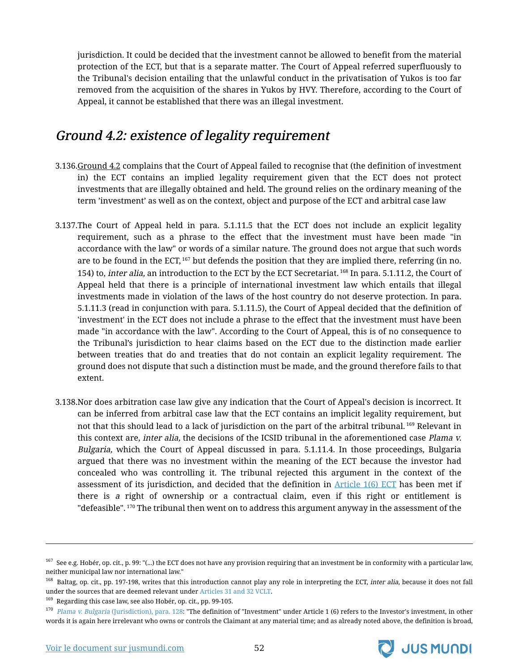jurisdiction. It could be decided that the investment cannot be allowed to benefit from the material protection of the ECT, but that is a separate matter. The Court of Appeal referred superfluously to the Tribunal's decision entailing that the unlawful conduct in the privatisation of Yukos is too far removed from the acquisition of the shares in Yukos by HVY. Therefore, according to the Court of Appeal, it cannot be established that there was an illegal investment.

### Ground 4.2: existence of legality requirement

- 3.136.<u>Ground 4.2</u> complains that the Court of Appeal failed to recognise that (the definition of investment in) the ECT contains an implied legality requirement given that the ECT does not protect investments that are illegally obtained and held. The ground relies on the ordinary meaning of the term 'investment' as well as on the context, object and purpose of the ECT and arbitral case law
- 3.137. The Court of Appeal held in para. 5.1.11.5 that the ECT does not include an explicit legality requirement, such as a phrase to the effect that the investment must have been made "in accordance with the law" or words of a similar nature. The ground does not argue that such words are to be found in the ECT,  $^{167}$  but defends the position that they are implied there, referring (in no. 154) to, *inter alia*, an introduction to the ECT by the ECT Secretariat. <sup>168</sup> In para. 5.1.11.2, the Court of Appeal held that there is a principle of international investment law which entails that illegal investments made in violation of the laws of the host country do not deserve protection. In para. 5.1.11.3 (read in conjunction with para. 5.1.11.5), the Court of Appeal decided that the definition of 'investment' in the ECT does not include a phrase to the effect that the investment must have been made "in accordance with the law". According to the Court of Appeal, this is of no consequence to the Tribunal's jurisdiction to hear claims based on the ECT due to the distinction made earlier between treaties that do and treaties that do not contain an explicit legality requirement. The ground does not dispute that such a distinction must be made, and the ground therefore fails to that extent.
- 3.138. Nor does arbitration case law give any indication that the Court of Appeal's decision is incorrect. It can be inferred from arbitral case law that the ECT contains an implicit legality requirement, but not that this should lead to a lack of jurisdiction on the part of the arbitral tribunal. <sup>169</sup> Relevant in this context are, inter alia, the decisions of the ICSID tribunal in the aforementioned case Plama v. Bulgaria, which the Court of Appeal discussed in para. 5.1.11.4. In those proceedings, Bulgaria argued that there was no investment within the meaning of the ECT because the investor had concealed who was controlling it. The tribunal rejected this argument in the context of the assessment of its jurisdiction, and decided that the definition in **[Article 1\(6\) ECT](https://jusmundi.com/en/document/h/clljWVJHbGxISEg0VUZMdWNJazE2TnJ3Mmxwb2NlQ1R3cmNjQXR1UDFhaUg5bDhhczBqUjlmYmVtWWhITFNjK3dCV0JaSFlDK3BFbFIyL0xvSHhiR2sxdnZtV2R3TDJsQUR2Q0hoUUhPeWlwUFRXK0ZmSTJDNUVyTytCd1RRNTNwN01Gb3dPWkZkKy8zeWpwclM0RlZBPT0=)** has been met if there is <sup>a</sup> right of ownership or a contractual claim, even if this right or entitlement is "defeasible".<sup>170</sup> The tribunal then went on to address this argument anyway in the assessment of the



 $167$  See e.g. Hobér, op. cit., p. 99: "(...) the ECT does not have any provision requiring that an investment be in conformity with a particular law, neither municipal law nor international law."

<sup>&</sup>lt;sup>168</sup> Baltag, op. cit., pp. 197-198, writes that this introduction cannot play any role in interpreting the ECT, *inter alia*, because it does not fall under the sources that are deemed relevant under [Articles 31 and 32 VCLT.](https://jusmundi.com/en/document/h/NVFwR2lWbkFqaXdJRmhJT3hnNFo0NEhoLzFzTjdSbU9icGpNYlQ0N3hXUjByQUw3dW1hT1I5OW90REYzWjlFYW1iQm0xR2ZxcmE5MFIwL3EyeU1DWUVRbENBMnU5S3g1dERqLzZnTWNMRHc3U0YwLzlEK2VYZ1FOT1ZFUEszei8yM25adnZnUXlFS0VUZE44K1VxYnNNQWhnL25UaklhUkx3TnUyNUhIdlZvPQ==)

<sup>169</sup> Regarding this case law, see also Hobér, op. cit., pp. 99-105.

 $170$  Plama v. Bulgaria [\(Jurisdiction\), para. 128:](https://jusmundi.com/en/document/h/SUNrSHhXMXZEcUpzbHFPaStiWElMZEVYVzQxTVM3SkYwdnNoNnNwVVpPRTMxQzlWdzNiYWhlZ3lJNExTQy9zK1FQYzlZd0tvVW1xSGtUVnlvZnJiL1k2NWx5YkdOaEpqYnhFcHVwNGFmUjJhMldaeWRvaWg3dGNrTnF3SGwvb0JXeE5VRmdzU3g3MW1kc204ZEs1L3dmTGxmYnpGY1p5Vkx3WWJGdUpOaE9JPQ==) "The definition of "Investment" under Article 1 (6) refers to the Investor's investment, in other words it is again here irrelevant who owns or controls the Claimant at any material time; and as already noted above, the definition is broad,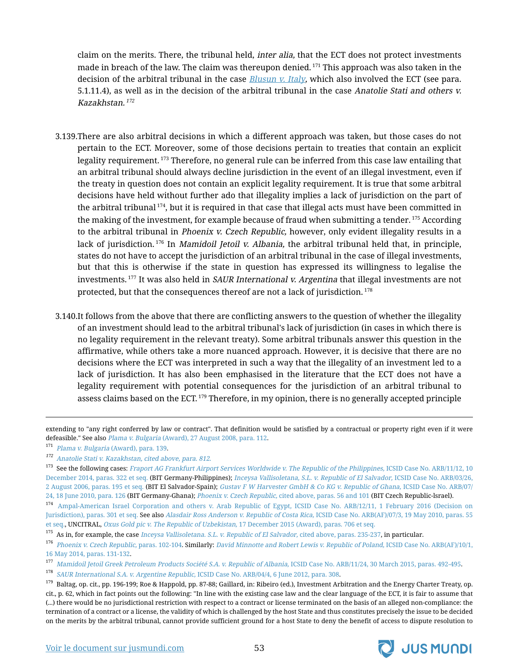claim on the merits. There, the tribunal held, inter alia, that the ECT does not protect investments made in breach of the law. The claim was thereupon denied.<sup>171</sup> This approach was also taken in the decision of the arbitral tribunal in the case  $Blusun v. Italy$  $Blusun v. Italy$ , which also involved the ECT (see para. 5.1.11.4), as well as in the decision of the arbitral tribunal in the case Anatolie Stati and others v. Kazakhstan. 172

- 3.139. There are also arbitral decisions in which a different approach was taken, but those cases do not pertain to the ECT. Moreover, some of those decisions pertain to treaties that contain an explicit legality requirement.<sup>173</sup> Therefore, no general rule can be inferred from this case law entailing that an arbitral tribunal should always decline jurisdiction in the event of an illegal investment, even if the treaty in question does not contain an explicit legality requirement. It is true that some arbitral decisions have held without further ado that illegality implies a lack of jurisdiction on the part of the arbitral tribunal  $174$ , but it is required in that case that illegal acts must have been committed in the making of the investment, for example because of fraud when submitting a tender.<sup>175</sup> According to the arbitral tribunal in *Phoenix v. Czech Republic*, however, only evident illegality results in a lack of jurisdiction. <sup>176</sup> In *Mamidoil Jetoil v. Albania*, the arbitral tribunal held that, in principle, states do not have to accept the jurisdiction of an arbitral tribunal in the case of illegal investments, but that this is otherwise if the state in question has expressed its willingness to legalise the investments.<sup>177</sup> It was also held in SAUR International v. Argentina that illegal investments are not protected, but that the consequences thereof are not a lack of jurisdiction.<sup>178</sup>
- 3.140. It follows from the above that there are conflicting answers to the question of whether the illegality of an investment should lead to the arbitral tribunal's lack of jurisdiction (in cases in which there is no legality requirement in the relevant treaty). Some arbitral tribunals answer this question in the affirmative, while others take a more nuanced approach. However, it is decisive that there are no decisions where the ECT was interpreted in such a way that the illegality of an investment led to a lack of jurisdiction. It has also been emphasised in the literature that the ECT does not have a legality requirement with potential consequences for the jurisdiction of an arbitral tribunal to assess claims based on the ECT.  $^{179}$  Therefore, in my opinion, there is no generally accepted principle

- <sup>177</sup> [Mamidoil Jetoil Greek Petroleum Products Société S.A. v. Republic of Albania,](https://jusmundi.com/en/document/h/ZjNKMENKcTR5TzEvWnhQb2lOSUxBVzV4c1dZL2RiMW95TmxLeG1tWkduaWFvRXdDL28rVVdkazZ3R2hsMTZTZC93Syt4ZkxWU3dsUk83N2d3SjZwWEZ1MnZ0WVh3cWZmZHJkSTVCOHd6ajFQT0VnakRHb3RiaTNwSytXelBCcmNvK01EWlZST0FRYit4aWRNYmlNdlNFU1JBYkVRZ1RVTUpmYlp6TjNQQ0M0dHhyQTZBRWw4WUQzYUtDcUJVNXdJ) ICSID Case No. ARB/11/24, 30 March 2015, paras. 492-495. <sup>178</sup> SAUR International S.A. v. Argentine Republic, [ICSID Case No. ARB/04/4, 6 June 2012, para. 308](https://jusmundi.com/en/document/h/U3ViNlVmbUluaUtiUkpxSHB6T0JqNzcyOWhzaXpZTHpaSjF1bThRUURRTVRCd1A4cGtMK0Jsb2ZiMStTWjlUNU42SWwyeTd2dC9COGs3Vlg2NVRhRWNaTkkyZ09xWlFsOCtFbTREQ1pjVEV1MW9JQ3k2WHdYUjk2cVBWbVg1WEV3MkhxWTFDTEl4RnorK05sdWlLRzNkbE9uSURkSmpWSnhYc1kyZkRaYVJvPQ==).
- 





extending to "any right conferred by law or contract". That definition would be satisfied by a contractual or property right even if it were defeasible." See also Plama v. Bulgaria [\(Award\), 27 August 2008, para. 112](https://jusmundi.com/en/document/h/SUNrSHhXMXZEcUpzbHFPaStiWElMZEVYVzQxTVM3SkYwdnNoNnNwVVpPRTMxQzlWdzNiYWhlZ3lJNExTQy9zK0pSd2o1RWM1c2Z5QUZYOXBXVmN5TVdCbHV0aVpTRjlsUW8xRkpVYTNtdGpoN1hzMU1jL2pOeEZyd1ZqMVBrRGt6WGFrUGRQNklhT2NEMVZyY3JqenJnPT0=).

<sup>&</sup>lt;sup>171</sup> Plama v. Bulgaria [\(Award\), para. 139.](https://jusmundi.com/en/document/h/SUNrSHhXMXZEcUpzbHFPaStiWElMZEVYVzQxTVM3SkYwdnNoNnNwVVpPRTMxQzlWdzNiYWhlZ3lJNExTQy9zK0pSd2o1RWM1c2Z5QUZYOXBXVmN5TVdCbHV0aVpTRjlsUW8xRkpVYTNtdGpoN1hzMU1jL2pOeEZyd1ZqMVBrRGtieEpZazhFby9Oa2FkLzBmS3pvMlV3PT0=)

<sup>172</sup> [Anatolie Stati v. Kazakhstan,](https://jusmundi.com/en/document/h/S3pSSUlVam1JclpRQkRpdkJXRlpQMXNjYXNVUy9Vc1dNTVB2c3l1RjExZmZ4dVdOZUxhSzBFSHhEeXR3RS9ualpUR21XT0s3NDA2WU0yWXJPblprLzZrSXl2SzgramMvQTdIMkUvNlMrNnh0TDhOZlQwMGU4MFlpV3A4Zlh3alpKRVg1VTNoYndmWEtjWkovRTExaGtZa0RPRFJ1ZGpaZmlKVElBNlFjbTI2WkYxb2FjZlZhc3A4YjdEbmNyUy90aUE3Z2VYSDBKdWVFWGlQbHpRVzNsdz09) cited above, para. 812.

<sup>&</sup>lt;sup>173</sup> See the following cases: Fraport AG Frankfurt Airport Services Worldwide v. The Republic of the Philippines, [ICSID Case No. ARB/11/12, 10](https://jusmundi.com/en/document/h/VG9IQWpkcUdjZVNRYVlIOVRGY3g4ZzhSNVlOeVdrRnhXVDFTOC9GTXZNb21UVGM5VEUrb2JWSVRPNWNhUG5pdy8zYWN2VGFHY1BianVPeE5YUmhCUHMrZzRseGRDbENZWXJsdnRrUFIwdGNxNE50dVkrZnhCeWV3b1EybHlKSFFYZVJoeG9CcVh0RzFURGFOU280SEFwckRWOXVUeXo2T1ExMm5UbWhQWlJkYVJ1ZTFGRjlzMmF0MnMzSnB2eE9M) [December 2014, paras. 322 et seq.](https://jusmundi.com/en/document/h/VG9IQWpkcUdjZVNRYVlIOVRGY3g4ZzhSNVlOeVdrRnhXVDFTOC9GTXZNb21UVGM5VEUrb2JWSVRPNWNhUG5pdy8zYWN2VGFHY1BianVPeE5YUmhCUHMrZzRseGRDbENZWXJsdnRrUFIwdGNxNE50dVkrZnhCeWV3b1EybHlKSFFYZVJoeG9CcVh0RzFURGFOU280SEFwckRWOXVUeXo2T1ExMm5UbWhQWlJkYVJ1ZTFGRjlzMmF0MnMzSnB2eE9M) (BIT Germany-Philippines); Inceysa Vallisoletana, S.L. v. Republic of El Salvador, [ICSID Case No. ARB/03/26,](https://jusmundi.com/en/document/h/Mm1YaDB0cXM0SUwwb1NtQU9TeVhWTWNPd2JZLzVtRThmUmx4dGtlQVAzWkVPN1MrRTVNa2N4cW5NWVp2QXBUNjFpRVQrY1Z2eFZPQXdTazlMZExRTFpRUzJCL1FmS1dITzI2OFViU2Q4ZW44T0FIT3R1Zys5SnRmS2xJYSt6UkZ0czI5MkxMdnJVTytmUlhZR0NQWlBnPT0=) [2 August 2006, paras. 195 et seq.](https://jusmundi.com/en/document/h/Mm1YaDB0cXM0SUwwb1NtQU9TeVhWTWNPd2JZLzVtRThmUmx4dGtlQVAzWkVPN1MrRTVNa2N4cW5NWVp2QXBUNjFpRVQrY1Z2eFZPQXdTazlMZExRTFpRUzJCL1FmS1dITzI2OFViU2Q4ZW44T0FIT3R1Zys5SnRmS2xJYSt6UkZ0czI5MkxMdnJVTytmUlhZR0NQWlBnPT0=) (BIT El Salvador-Spain); Gustav <sup>F</sup> <sup>W</sup> Harvester GmbH & Co KG v. Republic of Ghana, [ICSID Case No. ARB/07/](https://jusmundi.com/en/document/h/NzUralc2dFlTOE8xTXoxOG5Sb2ZIK2F1a1V6bFBNU1FiODQ0YUpVRzI0MlQzdUgyQ3FnTm9OclVTOThkUTVYdSttdzVwejQ2MVlVVVZONC9ObmZtTlNLbUlqeVhBU3pWT1VhUzhod2FUSkZzZWNXcTMxT3R4RmcwdHY4RFpHdzNBRm5OakFwVCt5THJiNW5Wclc0WXlRPT0=) [24, 18 June 2010, para. 126](https://jusmundi.com/en/document/h/NzUralc2dFlTOE8xTXoxOG5Sb2ZIK2F1a1V6bFBNU1FiODQ0YUpVRzI0MlQzdUgyQ3FnTm9OclVTOThkUTVYdSttdzVwejQ2MVlVVVZONC9ObmZtTlNLbUlqeVhBU3pWT1VhUzhod2FUSkZzZWNXcTMxT3R4RmcwdHY4RFpHdzNBRm5OakFwVCt5THJiNW5Wclc0WXlRPT0=) (BIT Germany-Ghana); Phoenix v. Czech Republic, [cited above, paras. 56 and 101](https://jusmundi.com/en/document/h/YU5kbXRLQ3FoUlVCUkd3aytHdkJLdmNWWjBYVWFVdm9EMy8xWkVTLzV5ZHluWWFZMlM0THBROGFaSUhuM0sxaFg3T1cwWlNxUTMvK0YxQnJIVTlPUm5TaGhJZHRTbmhsNE4rUUtYY2FxcjlFczZHYkxnRzJrT1VzNjdvSkNDb04=) (BIT Czech Republic-lsrael).

<sup>174</sup> [Ampal-American Israel Corporation and others v. Arab Republic of Egypt](https://jusmundi.com/en/document/h/U3IxMlBxUDRBUDFnb05UREg2Vm1TRy96MGErdUNUcm8zcmF2d0JEb2JkOVhOcHB1RjdRbzBVSm0xaFFwbVVXVDFLNUR1cWV5REZUQ042Y1hMM041N0RVTnZIVThqUFZyUk5OajlvemtibVNCalJET0ltZnY5TSswYlNuWUcyeDJGQmVJU0hvZDQzc09rQjV2eEpXYkJqTTVHS0RyVkgwWEcrODFFeFVFUDA1bUJBMjd0N2xPQ0tLTGVKMFFxV0pBc1VQNWg4eTFVYnJXRkZSalVOUHdzNTlzRXQrbnFxM2dVem1GVk9pYkpWYVZQUDhkcXV5MCtJVkc2OUc4S0NMWFNJQldMSjh3cmpEalZNU2J5RzRTemJrSEZ4RER1QXZSajJVYnJYRmt1SU09), ICSID Case No. ARB/12/11, 1 February 2016 (Decision on [Jurisdiction\), paras. 301 et seq.](https://jusmundi.com/en/document/h/U3IxMlBxUDRBUDFnb05UREg2Vm1TRy96MGErdUNUcm8zcmF2d0JEb2JkOVhOcHB1RjdRbzBVSm0xaFFwbVVXVDFLNUR1cWV5REZUQ042Y1hMM041N0RVTnZIVThqUFZyUk5OajlvemtibVNCalJET0ltZnY5TSswYlNuWUcyeDJGQmVJU0hvZDQzc09rQjV2eEpXYkJqTTVHS0RyVkgwWEcrODFFeFVFUDA1bUJBMjd0N2xPQ0tLTGVKMFFxV0pBc1VQNWg4eTFVYnJXRkZSalVOUHdzNTlzRXQrbnFxM2dVem1GVk9pYkpWYVZQUDhkcXV5MCtJVkc2OUc4S0NMWFNJQldMSjh3cmpEalZNU2J5RzRTemJrSEZ4RER1QXZSajJVYnJYRmt1SU09) See also Alasdair Ross Anderson v. Republic of Costa Rica, [ICSID Case No. ARB\(AF\)/07/3, 19 May 2010, paras. 55](https://jusmundi.com/en/document/h/bGtsTldrN1RQVWljN2ZXRlhxNDBtQjFQMXhTQmE5dGd0RFlEbFdtUnRjRUN0eVA0Nk5rSlIwcG5iUnJPSkdGTnplMTVYbEZkY29tMVFiMjE4bVppTjFTdy9JN1FrNm9HU0xSOFRWOUZZd2Y1QTVDcnZEQ3l4SG1HZ1FFanZmbWpFZmxvQmZTWnlpbGpQbHRDN3BCdjZ3PT0=) [et seq.](https://jusmundi.com/en/document/h/bGtsTldrN1RQVWljN2ZXRlhxNDBtQjFQMXhTQmE5dGd0RFlEbFdtUnRjRUN0eVA0Nk5rSlIwcG5iUnJPSkdGTnplMTVYbEZkY29tMVFiMjE4bVppTjFTdy9JN1FrNm9HU0xSOFRWOUZZd2Y1QTVDcnZEQ3l4SG1HZ1FFanZmbWpFZmxvQmZTWnlpbGpQbHRDN3BCdjZ3PT0=), UNCITRAL, Oxus Gold pic v. The Republic of Uzbekistan, [17 December 2015 \(Award\), paras. 706 et seq.](https://jusmundi.com/en/document/h/cFlXR3o4UTY5THgxMkFQaG1qM3NwV2I0K3ZBMjNPQkRWVURnOURDeDA2K2xJaDE1QlJjOWppZ3A2Wm5yTUFSNjVCSFpJQXpxYThoVmF2WlhIcDJoY0pzRVRLdkpXSy9sbmxyenpGSzRNY3FSTGlJZmtIYlFsSTNyYW9leFEyNXZmMDdwVk5lSUVkcW5LVGJFZmJGSFF0OWIxK2pCWmRhZ1BMalB3SW5pNUo4b2FzbzhPOEJPY3dpWjlWYzlBTTQ0cXVTQmlOK2NLT3F2RzZiRW8vM1hwL3o2Q0tQVnFCWko3Q0F1ZDRJNXJub3llQ08wRUozajJEazFtbFNoVXhpOGtpY1o5alVtUEdlaEVjTWplbU5MN3c9PQ==)

<sup>&</sup>lt;sup>175</sup> As in, for example, the case *Inceysa Vallisoletana. S.L. v. Republic of El Salvador*, cited above, paras. 235-237, in particular.

<sup>&</sup>lt;sup>176</sup> Phoenix v. Czech Republic, [paras. 102-104.](https://jusmundi.com/en/document/h/YU5kbXRLQ3FoUlVCUkd3aytHdkJLdmNWWjBYVWFVdm9EMy8xWkVTLzV5ZHluWWFZMlM0THBROGFaSUhuM0sxaFg3T1cwWlNxUTMvK0YxQnJIVTlPUm5TaGhJZHRTbmhsNE4rUUtYY2FxcjlLWnQ1bFVTS2l3UXg3R0pUWmdFNUI=) Similarly: David Minnotte and Robert Lewis v. Republic of Poland, [ICSID Case No. ARB\(AF\)/10/1,](https://jusmundi.com/en/document/h/SjNTOW12QzAvU0RaMHRvRld5N1hQNWtxbDJRMk9MZG4vcTVHME80aE5aYWpTWkVSV29VTkZ0T2lWb3VXUkdvWHZLaVZ0NGJkR1NyU0JQbUFJbG9KZEZYalhBZlk1T0V6WFpxanJlZ3pWb1NPaFY3Mk56dTI4K1k4N0FzeXN3RUt6OHJ1MGhYM1ZieTh5WmQ3RzhLQzhBPT0=) [16 May 2014, paras. 131-132](https://jusmundi.com/en/document/h/SjNTOW12QzAvU0RaMHRvRld5N1hQNWtxbDJRMk9MZG4vcTVHME80aE5aYWpTWkVSV29VTkZ0T2lWb3VXUkdvWHZLaVZ0NGJkR1NyU0JQbUFJbG9KZEZYalhBZlk1T0V6WFpxanJlZ3pWb1NPaFY3Mk56dTI4K1k4N0FzeXN3RUt6OHJ1MGhYM1ZieTh5WmQ3RzhLQzhBPT0=).

<sup>&</sup>lt;sup>179</sup> Baltag, op. cit., pp. 196-199; Roe & Happold, pp. 87-88; Gaillard, in: Ribeiro (ed.), Investment Arbitration and the Energy Charter Treaty, op. cit., p. 62, which in fact points out the following: "In line with the existing case law and the clear language of the ECT, it is fair to assume that (...) there would be no jurisdictional restriction with respect to a contract or license terminated on the basis of an alleged non-compliance: the termination of a contract or a license, the validity of which is challenged by the host State and thus constitutes precisely the issue to be decided on the merits by the arbitral tribunal, cannot provide sufficient ground for a host State to deny the benefit of access to dispute resolution to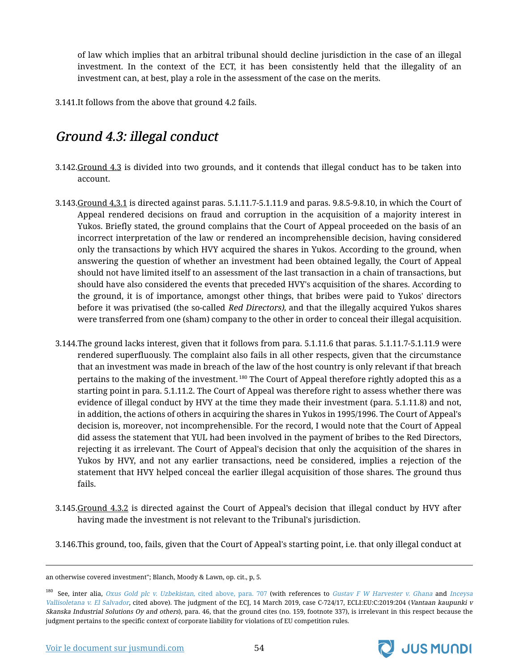of law which implies that an arbitral tribunal should decline jurisdiction in the case of an illegal investment. In the context of the ECT, it has been consistently held that the illegality of an investment can, at best, play a role in the assessment of the case on the merits.

3.141. It follows from the above that ground 4.2 fails.

## Ground 4.3: illegal conduct

- 3.142.<u>Ground 4.3</u> is divided into two grounds, and it contends that illegal conduct has to be taken into account.
- 3.143. Ground 4,3.1 is directed against paras. 5.1.11.7-5.1.11.9 and paras. 9.8.5-9.8.10, in which the Court of Appeal rendered decisions on fraud and corruption in the acquisition of a majority interest in Yukos. Briefly stated, the ground complains that the Court of Appeal proceeded on the basis of an incorrect interpretation of the law or rendered an incomprehensible decision, having considered only the transactions by which HVY acquired the shares in Yukos. According to the ground, when answering the question of whether an investment had been obtained legally, the Court of Appeal should not have limited itself to an assessment of the last transaction in a chain of transactions, but should have also considered the events that preceded HVY's acquisition of the shares. According to the ground, it is of importance, amongst other things, that bribes were paid to Yukos' directors before it was privatised (the so-called Red Directors), and that the illegally acquired Yukos shares were transferred from one (sham) company to the other in order to conceal their illegal acquisition.
- 3.144. The ground lacks interest, given that it follows from para. 5.1.11.6 that paras. 5.1.11.7-5.1.11.9 were rendered superfluously. The complaint also fails in all other respects, given that the circumstance that an investment was made in breach of the law of the host country is only relevant if that breach pertains to the making of the investment.<sup>180</sup> The Court of Appeal therefore rightly adopted this as a starting point in para. 5.1.11.2. The Court of Appeal was therefore right to assess whether there was evidence of illegal conduct by HVY at the time they made their investment (para. 5.1.11.8) and not, in addition, the actions of others in acquiring the shares in Yukos in 1995/1996. The Court of Appeal's decision is, moreover, not incomprehensible. For the record, I would note that the Court of Appeal did assess the statement that YUL had been involved in the payment of bribes to the Red Directors, rejecting it as irrelevant. The Court of Appeal's decision that only the acquisition of the shares in Yukos by HVY, and not any earlier transactions, need be considered, implies a rejection of the statement that HVY helped conceal the earlier illegal acquisition of those shares. The ground thus fails.
- 3.145. Ground 4.3.2 is directed against the Court of Appeal's decision that illegal conduct by HVY after having made the investment is not relevant to the Tribunal's jurisdiction.
- 3.146. This ground, too, fails, given that the Court of Appeal's starting point, i.e. that only illegal conduct at



an otherwise covered investment"; Blanch, Moody & Lawn, op. cit., p, 5.

<sup>&</sup>lt;sup>180</sup> See, inter alia, Oxus Gold plc v. Uzbekistan, [cited above, para. 707](https://jusmundi.com/en/document/h/cFlXR3o4UTY5THgxMkFQaG1qM3NwV2I0K3ZBMjNPQkRWVURnOURDeDA2K2xJaDE1QlJjOWppZ3A2Wm5yTUFSNjVCSFpJQXpxYThoVmF2WlhIcDJoY0pzRVRLdkpXSy9sbmxyenpGSzRNY3FSTGlJZmtIYlFsSTNyYW9leFEyNXZmMDdwVk5lSUVkcW5LVGJFZmJGSFF0OWIxK2pCWmRhZ1BMalB3SW5pNUo4b2FzbzhPOEJPY3dpWjlWYzlBTTQ0cXVTQmlOK2NLT3F2RzZiRW8vM1hwL3o2Q0tQVnFCWko3Q0F1ZDRJNXJub3llQ08wRUozajJEazFtbFNoVXhpOGxGOCs2ZDdqYk1aVDZYT3dWTXlPMEE9PQ==) (with references to Gustav F W [Harvester](https://jusmundi.com/en/document/h/NzUralc2dFlTOE8xTXoxOG5Sb2ZIK2F1a1V6bFBNU1FiODQ0YUpVRzI0MlQzdUgyQ3FnTm9OclVTOThkUTVYdSttdzVwejQ2MVlVVVZONC9ObmZtTlNLbUlqeVhBU3pWT1VhUzhod2FUSkhSV3RCK3JhUmZxTXVSS2tkd3R3VEQ=) v. Ghana and [Inceysa](https://jusmundi.com/en/document/h/Mm1YaDB0cXM0SUwwb1NtQU9TeVhWTWNPd2JZLzVtRThmUmx4dGtlQVAzWkVPN1MrRTVNa2N4cW5NWVp2QXBUNjFpRVQrY1Z2eFZPQXdTazlMZExRTFpRUzJCL1FmS1dITzI2OFViU2Q4ZW44T0FIT3R1Zys5SnRmS2xJYSt6UkYzSUxlY2ZwSFZzcktrTDRVNVJEZjZBPT0=) [Vallisoletana](https://jusmundi.com/en/document/h/Mm1YaDB0cXM0SUwwb1NtQU9TeVhWTWNPd2JZLzVtRThmUmx4dGtlQVAzWkVPN1MrRTVNa2N4cW5NWVp2QXBUNjFpRVQrY1Z2eFZPQXdTazlMZExRTFpRUzJCL1FmS1dITzI2OFViU2Q4ZW44T0FIT3R1Zys5SnRmS2xJYSt6UkYzSUxlY2ZwSFZzcktrTDRVNVJEZjZBPT0=) v. El Salvador, cited above). The judgment of the ECJ, 14 March 2019, case C-724/17, ECLI:EU:C:2019:204 (Vantaan kaupunki v Skanska Industrial Solutions Oy and others), para. 46, that the ground cites (no. 159, footnote 337), is irrelevant in this respect because the judgment pertains to the specific context of corporate liability for violations of EU competition rules.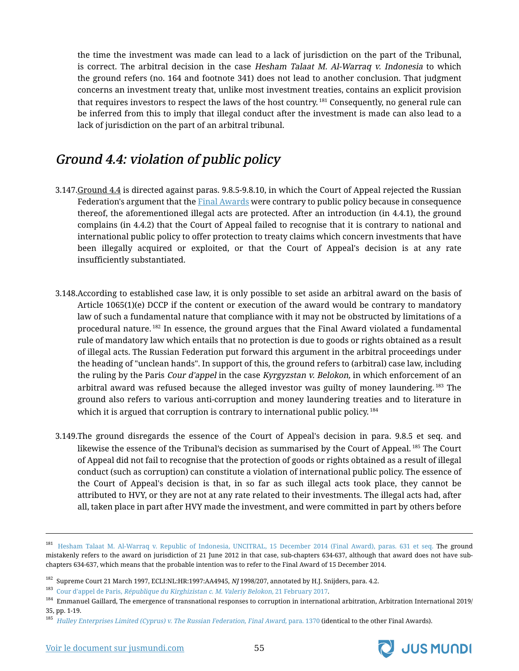the time the investment was made can lead to a lack of jurisdiction on the part of the Tribunal, is correct. The arbitral decision in the case Hesham Talaat M. Al-Warraq v. Indonesia to which the ground refers (no. 164 and footnote 341) does not lead to another conclusion. That judgment concerns an investment treaty that, unlike most investment treaties, contains an explicit provision that requires investors to respect the laws of the host country. <sup>181</sup> Consequently, no general rule can be inferred from this to imply that illegal conduct after the investment is made can also lead to a lack of jurisdiction on the part of an arbitral tribunal.

## Ground 4.4: violation of public policy

- 3.147.<u>Ground 4.4</u> is directed against paras. 9.8.5-9.8.10, in which the Court of Appeal rejected the Russian Federation's argument that the [Final Awards](https://jusmundi.com/en/document/h/WUZmZ2Vxcm9ndzJhVW44NThxNzZRZnNTeHpSMDBLRTQ5dURoNEozQ3BqbDZxSzBnTmdsY3N0UjNPaVlFUVNvZ1NWNDErcTFNYUcxamFIVW91aG1zdHdEeDQ1K0NWOE5seURVOTY2QmZDaWNlVnR2a0g5V3k5T0w1NjcxSTZzdVE=) were contrary to public policy because in consequence thereof, the aforementioned illegal acts are protected. After an introduction (in 4.4.1), the ground complains (in 4.4.2) that the Court of Appeal failed to recognise that it is contrary to national and international public policy to offer protection to treaty claims which concern investments that have been illegally acquired or exploited, or that the Court of Appeal's decision is at any rate insufficiently substantiated.
- 3.148. According to established case law, it is only possible to set aside an arbitral award on the basis of Article 1065(1)(e) DCCP if the content or execution of the award would be contrary to mandatory law of such a fundamental nature that compliance with it may not be obstructed by limitations of a procedural nature. <sup>182</sup> In essence, the ground argues that the Final Award violated a fundamental rule of mandatory law which entails that no protection is due to goods or rights obtained as a result of illegal acts. The Russian Federation put forward this argument in the arbitral proceedings under the heading of "unclean hands". In support of this, the ground refers to (arbitral) case law, including the ruling by the Paris Cour d'appel in the case Kyrgyzstan v. Belokon, in which enforcement of an arbitral award was refused because the alleged investor was guilty of money laundering. <sup>183</sup> The ground also refers to various anti-corruption and money laundering treaties and to literature in which it is argued that corruption is contrary to international public policy. 184
- 3.149. The ground disregards the essence of the Court of Appeal's decision in para. 9.8.5 et seq. and likewise the essence of the Tribunal's decision as summarised by the Court of Appeal. <sup>185</sup> The Court of Appeal did not fail to recognise that the protection of goods or rights obtained as a result of illegal conduct (such as corruption) can constitute a violation of international public policy. The essence of the Court of Appeal's decision is that, in so far as such illegal acts took place, they cannot be attributed to HVY, or they are not at any rate related to their investments. The illegal acts had, after all, taken place in part after HVY made the investment, and were committed in part by others before



<sup>181</sup> Hesham Talaat M. Al-Warraq v. Republic of Indonesia, [UNCITRAL, 15 December 2014 \(Final Award\), paras. 631 et seq.](https://jusmundi.com/en/document/h/VFFFa1kyZ094OGVnQS90eFIxSTFjeHBIUHBqNzBJKzczdTlkVk9JMS9GcTlLbS9vN01oMmpZZmFOc3pVZkZ4MEszUlNDczBQbHNPbUJrUXNrbXgzNGxBcU9tMEE5dE1JdG9EUkRmMXlqYlRvK0xVT1JpSzZ6M2h2TCswbEFISW9hUklDTEQzYzRHeFd5cVBTL25iaElqVkg5OSs3Yzc5WnJyOVhxVHYycHpzPQ==) The ground mistakenly refers to the award on jurisdiction of 21 June 2012 in that case, sub-chapters 634-637, although that award does not have subchapters 634-637, which means that the probable intention was to refer to the Final Award of 15 December 2014.

<sup>182</sup> Supreme Court 21 March 1997, ECLI:NL:HR:1997:AA4945, NJ 1998/207, annotated by H.J. Snijders, para. 4.2.

<sup>183</sup> Cour d'appel de Paris, [République du Kirghizistan c. M. Valeriy Belokon,](https://jusmundi.com/en/document/h/QVlhZlBIdSsraEtScXRvMEEvU3ExcEhMeGhOQTd4UDdzVEo2Qmd5SGhrREpIMlo3cmlFNmJWNXZTMmtzYldMbTlZakNkM2tsTnl2bm02OEFzYXFlOC9zSXp0ejhTcnZYdWtWaFY2U3BlcnlwWHhwb29lMVJ0c1YybzcwSlI0MzVJNHJHdExURjBxVEd4QTFlRlhDem9RPT0=) 21 February 2017.

<sup>184</sup> Emmanuel Gaillard, The emergence of transnational responses to corruption in international arbitration, Arbitration International 2019/ 35, pp. 1-19.

<sup>185</sup> [Hulley Enterprises Limited \(Cyprus\) v. The Russian Federation, Final Award,](https://jusmundi.com/en/document/h/WUZmZ2Vxcm9ndzJhVW44NThxNzZRZnNTeHpSMDBLRTQ5dURoNEozQ3BqbDZxSzBnTmdsY3N0UjNPaVlFUVNvZ1NWNDErcTFNYUcxamFIVW91aG1zdHdEeDQ1K0NWOE5seURVOTY2QmZDaWVJNDZQajFrREhVdUl1NURIeHBXTXNZb3pCbnZZTUw2dXdnYVlzZTRSWTRBPT0=) para. 1370 (identical to the other Final Awards).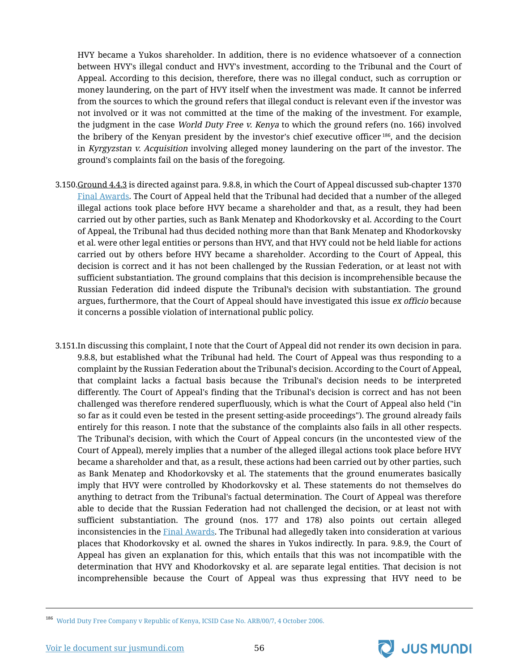HVY became a Yukos shareholder. In addition, there is no evidence whatsoever of a connection between HVY's illegal conduct and HVY's investment, according to the Tribunal and the Court of Appeal. According to this decision, therefore, there was no illegal conduct, such as corruption or money laundering, on the part of HVY itself when the investment was made. It cannot be inferred from the sources to which the ground refers that illegal conduct is relevant even if the investor was not involved or it was not committed at the time of the making of the investment. For example, the judgment in the case World Duty Free v. Kenya to which the ground refers (no. 166) involved the bribery of the Kenyan president by the investor's chief executive officer <sup>186</sup>, and the decision in Kyrgyzstan v. Acquisition involving alleged money laundering on the part of the investor. The ground's complaints fail on the basis of the foregoing.

- 3.150. Ground 4.4.3 is directed against para. 9.8.8, in which the Court of Appeal discussed sub-chapter 1370 [Final Awards](https://jusmundi.com/en/document/h/WUZmZ2Vxcm9ndzJhVW44NThxNzZRZnNTeHpSMDBLRTQ5dURoNEozQ3BqbDZxSzBnTmdsY3N0UjNPaVlFUVNvZ1NWNDErcTFNYUcxamFIVW91aG1zdHdEeDQ1K0NWOE5seURVOTY2QmZDaWNlVnR2a0g5V3k5T0w1NjcxSTZzdVE=). The Court of Appeal held that the Tribunal had decided that a number of the alleged illegal actions took place before HVY became a shareholder and that, as a result, they had been carried out by other parties, such as Bank Menatep and Khodorkovsky et al. According to the Court of Appeal, the Tribunal had thus decided nothing more than that Bank Menatep and Khodorkovsky et al. were other legal entities or persons than HVY, and that HVY could not be held liable for actions carried out by others before HVY became a shareholder. According to the Court of Appeal, this decision is correct and it has not been challenged by the Russian Federation, or at least not with sufficient substantiation. The ground complains that this decision is incomprehensible because the Russian Federation did indeed dispute the Tribunal's decision with substantiation. The ground argues, furthermore, that the Court of Appeal should have investigated this issue ex officio because it concerns a possible violation of international public policy.
- 3.151. In discussing this complaint, I note that the Court of Appeal did not render its own decision in para. 9.8.8, but established what the Tribunal had held. The Court of Appeal was thus responding to a complaint by the Russian Federation about the Tribunal's decision. According to the Court of Appeal, that complaint lacks a factual basis because the Tribunal's decision needs to be interpreted differently. The Court of Appeal's finding that the Tribunal's decision is correct and has not been challenged was therefore rendered superfluously, which is what the Court of Appeal also held ("in so far as it could even be tested in the present setting-aside proceedings"). The ground already fails entirely for this reason. I note that the substance of the complaints also fails in all other respects. The Tribunal's decision, with which the Court of Appeal concurs (in the uncontested view of the Court of Appeal), merely implies that a number of the alleged illegal actions took place before HVY became a shareholder and that, as a result, these actions had been carried out by other parties, such as Bank Menatep and Khodorkovsky et al. The statements that the ground enumerates basically imply that HVY were controlled by Khodorkovsky et al. These statements do not themselves do anything to detract from the Tribunal's factual determination. The Court of Appeal was therefore able to decide that the Russian Federation had not challenged the decision, or at least not with sufficient substantiation. The ground (nos. 177 and 178) also points out certain alleged inconsistencies in the [Final Awards](https://jusmundi.com/en/document/h/WUZmZ2Vxcm9ndzJhVW44NThxNzZRZnNTeHpSMDBLRTQ5dURoNEozQ3BqbDZxSzBnTmdsY3N0UjNPaVlFUVNvZ1NWNDErcTFNYUcxamFIVW91aG1zdHdEeDQ1K0NWOE5seURVOTY2QmZDaWNlVnR2a0g5V3k5T0w1NjcxSTZzdVE=). The Tribunal had allegedly taken into consideration at various places that Khodorkovsky et al. owned the shares in Yukos indirectly. In para. 9.8.9, the Court of Appeal has given an explanation for this, which entails that this was not incompatible with the determination that HVY and Khodorkovsky et al. are separate legal entities. That decision is not incomprehensible because the Court of Appeal was thus expressing that HVY need to be



<sup>186</sup> [World Duty Free Company v Republic of Kenya](https://jusmundi.com/en/document/h/bjZxNkx6dFBqTEJSalR1RGltNVErRmFKY1V6N2VuMHIwY21DU3JmV2xCNW0yRmJTbnB1WFhRR2xnYVErM1gxRjdDZWFlZk8rclBKWUd0LzErcUtkeDVYbzVnN1hxZW1UZ3ZtM1J4end5Zmo5a2xLRUZqTlV2dVh1K3llTE9lVWQ=), ICSID Case No. ARB/00/7, 4 October 2006.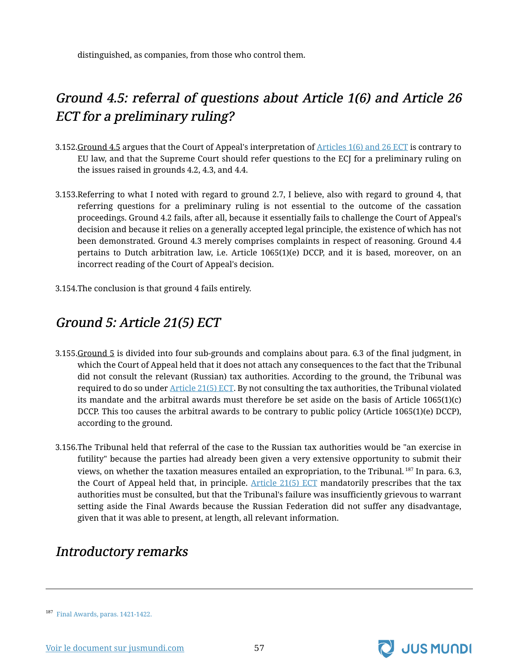distinguished, as companies, from those who control them.

# Ground 4.5: referral of questions about Article 1(6) and Article 26 ECT for a preliminary ruling?

- 3.152.<u>Ground 4.5</u> argues that the Court of Appeal's interpretation of <u>[Articles 1\(6\) and 26 ECT](https://jusmundi.com/en/document/h/clljWVJHbGxISEg0VUZMdWNJazE2TnJ3Mmxwb2NlQ1R3cmNjQXR1UDFhaUg5bDhhczBqUjlmYmVtWWhITFNjK3dCV0JaSFlDK3BFbFIyL0xvSHhiR2sxdnZtV2R3TDJsQUR2Q0hoUUhPeWlwUFRXK0ZmSTJDNUVyTytCd1RRNTNwN01Gb3dPWkZkKy8zeWpwclM0RlZBPT0=)</u> is contrary to EU law, and that the Supreme Court should refer questions to the ECJ for a preliminary ruling on the issues raised in grounds 4.2, 4.3, and 4.4.
- 3.153. Referring to what I noted with regard to ground 2.7, I believe, also with regard to ground 4, that referring questions for a preliminary ruling is not essential to the outcome of the cassation proceedings. Ground 4.2 fails, after all, because it essentially fails to challenge the Court of Appeal's decision and because it relies on a generally accepted legal principle, the existence of which has not been demonstrated. Ground 4.3 merely comprises complaints in respect of reasoning. Ground 4.4 pertains to Dutch arbitration law, i.e. Article 1065(1)(e) DCCP, and it is based, moreover, on an incorrect reading of the Court of Appeal's decision.
- 3.154. The conclusion is that ground 4 fails entirely.

# Ground 5: Article 21(5) ECT

- 3.155.<u>Ground 5</u> is divided into four sub-grounds and complains about para. 6.3 of the final judgment, in which the Court of Appeal held that it does not attach any consequences to the fact that the Tribunal did not consult the relevant (Russian) tax authorities. According to the ground, the Tribunal was required to do so under [Article 21\(5\) ECT.](https://jusmundi.com/en/document/h/clljWVJHbGxISEg0VUZMdWNJazE2TnJ3Mmxwb2NlQ1R3cmNjQXR1UDFhaUg5bDhhczBqUjlmYmVtWWhITFNjK3dCV0JaSFlDK3BFbFIyL0xvSHhiR2sxdnZtV2R3TDJsQUR2Q0hoUUhPeWlwUFRXK0ZmSTJDNUVyTytCd1RRNTNZN0M0T1JTOUIwMThFQmczaHpXcTNRPT0=) By not consulting the tax authorities, the Tribunal violated its mandate and the arbitral awards must therefore be set aside on the basis of Article 1065(1)(c) DCCP. This too causes the arbitral awards to be contrary to public policy (Article 1065(1)(e) DCCP), according to the ground.
- 3.156. The Tribunal held that referral of the case to the Russian tax authorities would be "an exercise in futility" because the parties had already been given a very extensive opportunity to submit their views, on whether the taxation measures entailed an expropriation, to the Tribunal.<sup>187</sup> In para. 6.3, the Court of Appeal held that, in principle. [Article 21\(5\) ECT](https://jusmundi.com/en/document/h/clljWVJHbGxISEg0VUZMdWNJazE2TnJ3Mmxwb2NlQ1R3cmNjQXR1UDFhaUg5bDhhczBqUjlmYmVtWWhITFNjK3dCV0JaSFlDK3BFbFIyL0xvSHhiR2sxdnZtV2R3TDJsQUR2Q0hoUUhPeWlwUFRXK0ZmSTJDNUVyTytCd1RRNTNZN0M0T1JTOUIwMThFQmczaHpXcTNRPT0=) mandatorily prescribes that the tax authorities must be consulted, but that the Tribunal's failure was insufficiently grievous to warrant setting aside the Final Awards because the Russian Federation did not suffer any disadvantage, given that it was able to present, at length, all relevant information.

## Introductory remarks



<sup>187</sup> Final Awards, [paras. 1421-1422.](https://jusmundi.com/en/document/h/WUZmZ2Vxcm9ndzJhVW44NThxNzZRZnNTeHpSMDBLRTQ5dURoNEozQ3BqbDZxSzBnTmdsY3N0UjNPaVlFUVNvZ1NWNDErcTFNYUcxamFIVW91aG1zdHdEeDQ1K0NWOE5seURVOTY2QmZDaWVJNDZQajFrREhVdUl1NURIeHBXTXNTNGYxZi94bFI3TGN5YjZlNE50eWF3PT0=)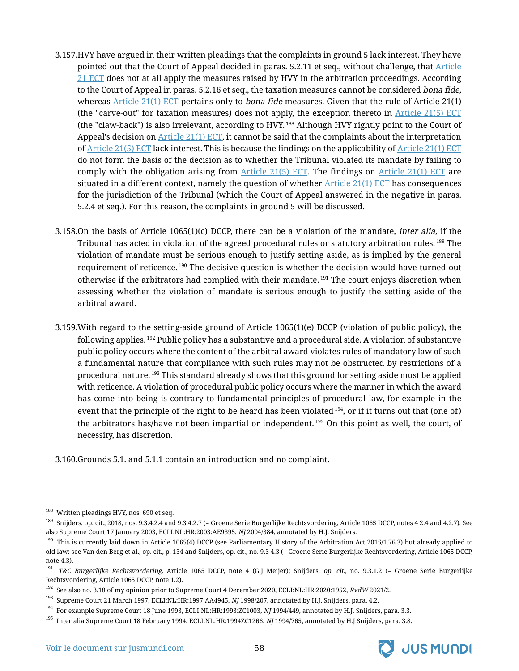- 3.157. HVY have argued in their written pleadings that the complaints in ground 5 lack interest. They have pointed out that the Court of Appeal decided in paras. 5.2.11 et seq., without challenge, that [Article](https://jusmundi.com/en/document/h/clljWVJHbGxISEg0VUZMdWNJazE2TnJ3Mmxwb2NlQ1R3cmNjQXR1UDFhaUg5bDhhczBqUjlmYmVtWWhITFNjK3dCV0JaSFlDK3BFbFIyL0xvSHhiR2sxdnZtV2R3TDJsQUR2Q0hoUUhPeWlwUFRXK0ZmSTJDNUVyTytCd1RRNTN1Q1N5b1ZkSFFxMjRaOGlnb2hPZHR3PT0=)  $21$  ECT does not at all apply the measures raised by HVY in the arbitration proceedings. According to the Court of Appeal in paras. 5.2.16 et seq., the taxation measures cannot be considered bona fide, whereas  $Article 21(1) ECT$  pertains only to *bona fide* measures. Given that the rule of Article  $21(1)$ (the "carve-out" for taxation measures) does not apply, the exception thereto in  $\text{Article 21}(5)$  ECT (the "claw-back") is also irrelevant, according to HVY. <sup>188</sup> Although HVY rightly point to the Court of Appeal's decision on  $\text{Article 21(1)} ECT$ , it cannot be said that the complaints about the interpretation of [Article 21\(5\) ECT](https://jusmundi.com/en/document/h/clljWVJHbGxISEg0VUZMdWNJazE2TnJ3Mmxwb2NlQ1R3cmNjQXR1UDFhaUg5bDhhczBqUjlmYmVtWWhITFNjK3dCV0JaSFlDK3BFbFIyL0xvSHhiR2sxdnZtV2R3TDJsQUR2Q0hoUUhPeWlwUFRXK0ZmSTJDNUVyTytCd1RRNTNZN0M0T1JTOUIwMThFQmczaHpXcTNRPT0=) lack interest. This is because the findings on the applicability of [Article 21\(1\) ECT](https://jusmundi.com/en/document/h/clljWVJHbGxISEg0VUZMdWNJazE2TnJ3Mmxwb2NlQ1R3cmNjQXR1UDFhaUg5bDhhczBqUjlmYmVtWWhITFNjK3dCV0JaSFlDK3BFbFIyL0xvSHhiR2sxdnZtV2R3TDJsQUR2Q0hoUUhPeWlwUFRXK0ZmSTJDNUVyTytCd1RRNTNld0Z0ZE9qV3FZeHI2NDZCNG1LMFZRPT0=) do not form the basis of the decision as to whether the Tribunal violated its mandate by failing to comply with the obligation arising from Article  $21(5)$  ECT. The findings on Article  $21(1)$  ECT are situated in a different context, namely the question of whether  $Article 21(1) ECT$  has consequences for the jurisdiction of the Tribunal (which the Court of Appeal answered in the negative in paras. 5.2.4 et seq.). For this reason, the complaints in ground 5 will be discussed.
- 3.158.On the basis of Article 1065(1)(c) DCCP, there can be a violation of the mandate, *inter alia,* if the Tribunal has acted in violation of the agreed procedural rules or statutory arbitration rules.<sup>189</sup> The violation of mandate must be serious enough to justify setting aside, as is implied by the general requirement of reticence. <sup>190</sup> The decisive question is whether the decision would have turned out otherwise if the arbitrators had complied with their mandate.<sup>191</sup> The court enjoys discretion when assessing whether the violation of mandate is serious enough to justify the setting aside of the arbitral award.
- 3.159. With regard to the setting-aside ground of Article 1065(1)(e) DCCP (violation of public policy), the following applies.  $192$  Public policy has a substantive and a procedural side. A violation of substantive public policy occurs where the content of the arbitral award violates rules of mandatory law of such a fundamental nature that compliance with such rules may not be obstructed by restrictions of a procedural nature. <sup>193</sup> This standard already shows that this ground for setting aside must be applied with reticence. A violation of procedural public policy occurs where the manner in which the award has come into being is contrary to fundamental principles of procedural law, for example in the event that the principle of the right to be heard has been violated  $194$ , or if it turns out that (one of) the arbitrators has/have not been impartial or independent.<sup>195</sup> On this point as well, the court, of necessity, has discretion.

3.160.<u>Grounds 5.1. and 5.1.1</u> contain an introduction and no complaint.



<sup>&</sup>lt;sup>188</sup> Written pleadings HVY, nos. 690 et seq.

<sup>&</sup>lt;sup>189</sup> Snijders, op. cit., 2018, nos. 9.3.4.2.4 and 9.3.4.2.7 (= Groene Serie Burgerlijke Rechtsvordering, Article 1065 DCCP, notes 4 2.4 and 4.2.7). See also Supreme Court 17 January 2003, ECLI:NL:HR:2003:AE9395, NJ 2004/384, annotated by H.J. Snijders.

<sup>&</sup>lt;sup>190</sup> This is currently laid down in Article 1065(4) DCCP (see Parliamentary History of the Arbitration Act 2015/1.76.3) but already applied to old law: see Van den Berg et al., op. cit., p. 134 and Snijders, op. cit., no. 9.3 4.3 (= Groene Serie Burgerlijke Rechtsvordering, Article 1065 DCCP, note 4.3).

<sup>&</sup>lt;sup>191</sup> T&C Burgerlijke Rechtsvordering, Article 1065 DCCP, note 4 (G.J Meijer); Snijders, op. cit., no. 9.3.1.2 (= Groene Serie Burgerlijke Rechtsvordering, Article 1065 DCCP, note 1.2).

<sup>&</sup>lt;sup>192</sup> See also no. 3.18 of my opinion prior to Supreme Court 4 December 2020, ECLI:NL:HR:2020:1952, RvdW 2021/2.

<sup>193</sup> Supreme Court 21 March 1997, ECLI:NL:HR:1997:AA4945, NJ 1998/207, annotated by H.J. Snijders, para. 4.2.

<sup>194</sup> For example Supreme Court 18 June 1993, ECLI:NL:HR:1993:ZC1003, NJ 1994/449, annotated by H.J. Snijders, para. 3.3.

<sup>195</sup> Inter alia Supreme Court 18 February 1994, ECLI:NL:HR:1994ZC1266, NJ 1994/765, annotated by H.J Snijders, para. 3.8.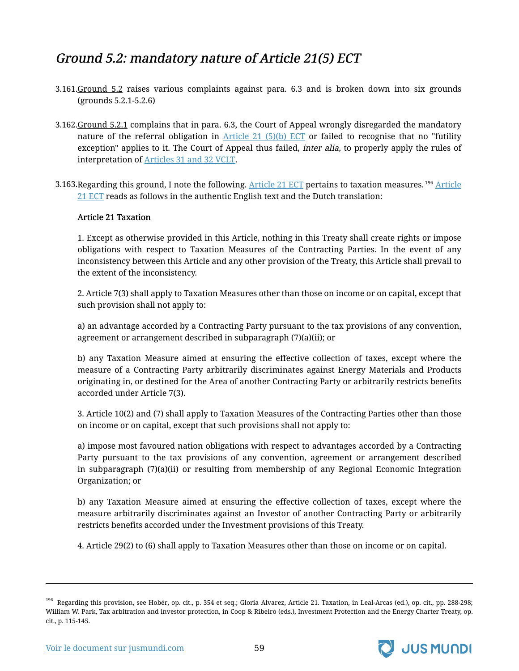# Ground 5.2: mandatory nature of Article 21(5) ECT

- 3.161.<u>Ground 5.2</u> raises various complaints against para. 6.3 and is broken down into six grounds (grounds 5.2.1-5.2.6)
- 3.162. Ground 5.2.1 complains that in para. 6.3, the Court of Appeal wrongly disregarded the mandatory nature of the referral obligation in  $Article$  21 (5)(b) ECT or failed to recognise that no "futility exception" applies to it. The Court of Appeal thus failed, *inter alia*, to properly apply the rules of interpretation of [Articles 31 and 32 VCLT.](https://jusmundi.com/en/document/h/NVFwR2lWbkFqaXdJRmhJT3hnNFo0NEhoLzFzTjdSbU9icGpNYlQ0N3hXUjByQUw3dW1hT1I5OW90REYzWjlFYW1iQm0xR2ZxcmE5MFIwL3EyeU1DWUVRbENBMnU5S3g1dERqLzZnTWNMRHc3U0YwLzlEK2VYZ1FOT1ZFUEszei8yM25adnZnUXlFS0VUZE44K1VxYnNNQWhnL25UaklhUkx3TnUyNUhIdlZvPQ==)
- 3.163.Regarding this ground, I note the following.  $\overline{\text{Article 21 ECT}}$  $\overline{\text{Article 21 ECT}}$  $\overline{\text{Article 21 ECT}}$  pertains to taxation measures.  $^{196}$   $\overline{\text{Article }}$  $\overline{\text{Article }}$  $\overline{\text{Article }}$ [21 ECT](https://jusmundi.com/en/document/h/clljWVJHbGxISEg0VUZMdWNJazE2TnJ3Mmxwb2NlQ1R3cmNjQXR1UDFhaUg5bDhhczBqUjlmYmVtWWhITFNjK3dCV0JaSFlDK3BFbFIyL0xvSHhiR2sxdnZtV2R3TDJsQUR2Q0hoUUhPeWlwUFRXK0ZmSTJDNUVyTytCd1RRNTN1Q1N5b1ZkSFFxMjRaOGlnb2hPZHR3PT0=) reads as follows in the authentic English text and the Dutch translation:

#### Article 21 Taxation

1. Except as otherwise provided in this Article, nothing in this Treaty shall create rights or impose obligations with respect to Taxation Measures of the Contracting Parties. In the event of any inconsistency between this Article and any other provision of the Treaty, this Article shall prevail to the extent of the inconsistency.

2. Article 7(3) shall apply to Taxation Measures other than those on income or on capital, except that such provision shall not apply to:

a) an advantage accorded by a Contracting Party pursuant to the tax provisions of any convention, agreement or arrangement described in subparagraph (7)(a)(ii); or

b) any Taxation Measure aimed at ensuring the effective collection of taxes, except where the measure of a Contracting Party arbitrarily discriminates against Energy Materials and Products originating in, or destined for the Area of another Contracting Party or arbitrarily restricts benefits accorded under Article 7(3).

3. Article 10(2) and (7) shall apply to Taxation Measures of the Contracting Parties other than those on income or on capital, except that such provisions shall not apply to:

a) impose most favoured nation obligations with respect to advantages accorded by a Contracting Party pursuant to the tax provisions of any convention, agreement or arrangement described in subparagraph (7)(a)(ii) or resulting from membership of any Regional Economic Integration Organization; or

b) any Taxation Measure aimed at ensuring the effective collection of taxes, except where the measure arbitrarily discriminates against an Investor of another Contracting Party or arbitrarily restricts benefits accorded under the Investment provisions of this Treaty.

4. Article 29(2) to (6) shall apply to Taxation Measures other than those on income or on capital.



<sup>&</sup>lt;sup>196</sup> Regarding this provision, see Hobér, op. cit., p. 354 et seq.; Gloria Alvarez, Article 21. Taxation, in Leal-Arcas (ed.), op. cit., pp. 288-298; William W. Park, Tax arbitration and investor protection, in Coop & Ribeiro (eds.), Investment Protection and the Energy Charter Treaty, op. cit., p. 115-145.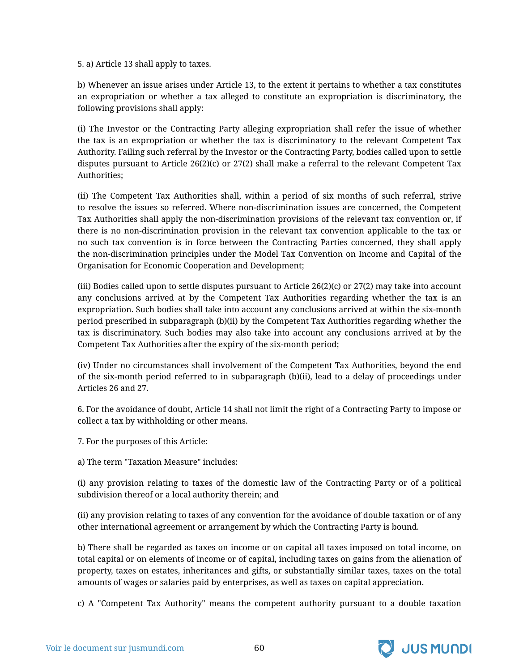5. a) Article 13 shall apply to taxes.

b) Whenever an issue arises under Article 13, to the extent it pertains to whether a tax constitutes an expropriation or whether a tax alleged to constitute an expropriation is discriminatory, the following provisions shall apply:

(i) The Investor or the Contracting Party alleging expropriation shall refer the issue of whether the tax is an expropriation or whether the tax is discriminatory to the relevant Competent Tax Authority. Failing such referral by the Investor or the Contracting Party, bodies called upon to settle disputes pursuant to Article 26(2)(c) or 27(2) shall make a referral to the relevant Competent Tax Authorities;

(ii) The Competent Tax Authorities shall, within a period of six months of such referral, strive to resolve the issues so referred. Where non-discrimination issues are concerned, the Competent Tax Authorities shall apply the non-discrimination provisions of the relevant tax convention or, if there is no non-discrimination provision in the relevant tax convention applicable to the tax or no such tax convention is in force between the Contracting Parties concerned, they shall apply the non-discrimination principles under the Model Tax Convention on Income and Capital of the Organisation for Economic Cooperation and Development;

(iii) Bodies called upon to settle disputes pursuant to Article 26(2)(c) or 27(2) may take into account any conclusions arrived at by the Competent Tax Authorities regarding whether the tax is an expropriation. Such bodies shall take into account any conclusions arrived at within the six-month period prescribed in subparagraph (b)(ii) by the Competent Tax Authorities regarding whether the tax is discriminatory. Such bodies may also take into account any conclusions arrived at by the Competent Tax Authorities after the expiry of the six-month period;

(iv) Under no circumstances shall involvement of the Competent Tax Authorities, beyond the end of the six-month period referred to in subparagraph (b)(ii), lead to a delay of proceedings under Articles 26 and 27.

6. For the avoidance of doubt, Article 14 shall not limit the right of a Contracting Party to impose or collect a tax by withholding or other means.

7. For the purposes of this Article:

a) The term "Taxation Measure" includes:

(i) any provision relating to taxes of the domestic law of the Contracting Party or of a political subdivision thereof or a local authority therein; and

(ii) any provision relating to taxes of any convention for the avoidance of double taxation or of any other international agreement or arrangement by which the Contracting Party is bound.

b) There shall be regarded as taxes on income or on capital all taxes imposed on total income, on total capital or on elements of income or of capital, including taxes on gains from the alienation of property, taxes on estates, inheritances and gifts, or substantially similar taxes, taxes on the total amounts of wages or salaries paid by enterprises, as well as taxes on capital appreciation.

c) A "Competent Tax Authority" means the competent authority pursuant to a double taxation

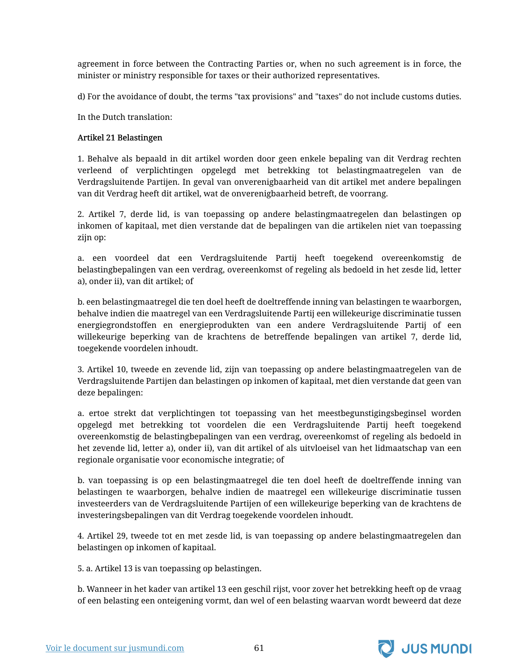agreement in force between the Contracting Parties or, when no such agreement is in force, the minister or ministry responsible for taxes or their authorized representatives.

d) For the avoidance of doubt, the terms "tax provisions" and "taxes" do not include customs duties.

In the Dutch translation:

#### Artikel 21 Belastingen

1. Behalve als bepaald in dit artikel worden door geen enkele bepaling van dit Verdrag rechten verleend of verplichtingen opgelegd met betrekking tot belastingmaatregelen van de Verdragsluitende Partijen. In geval van onverenigbaarheid van dit artikel met andere bepalingen van dit Verdrag heeft dit artikel, wat de onverenigbaarheid betreft, de voorrang.

2. Artikel 7, derde lid, is van toepassing op andere belastingmaatregelen dan belastingen op inkomen of kapitaal, met dien verstande dat de bepalingen van die artikelen niet van toepassing zijn op:

a. een voordeel dat een Verdragsluitende Partij heeft toegekend overeenkomstig de belastingbepalingen van een verdrag, overeenkomst of regeling als bedoeld in het zesde lid, letter a), onder ii), van dit artikel; of

b. een belastingmaatregel die ten doel heeft de doeltreffende inning van belastingen te waarborgen, behalve indien die maatregel van een Verdragsluitende Partij een willekeurige discriminatie tussen energiegrondstoffen en energieprodukten van een andere Verdragsluitende Partij of een willekeurige beperking van de krachtens de betreffende bepalingen van artikel 7, derde lid, toegekende voordelen inhoudt.

3. Artikel 10, tweede en zevende lid, zijn van toepassing op andere belastingmaatregelen van de Verdragsluitende Partijen dan belastingen op inkomen of kapitaal, met dien verstande dat geen van deze bepalingen:

a. ertoe strekt dat verplichtingen tot toepassing van het meestbegunstigingsbeginsel worden opgelegd met betrekking tot voordelen die een Verdragsluitende Partij heeft toegekend overeenkomstig de belastingbepalingen van een verdrag, overeenkomst of regeling als bedoeld in het zevende lid, letter a), onder ii), van dit artikel of als uitvloeisel van het lidmaatschap van een regionale organisatie voor economische integratie; of

b. van toepassing is op een belastingmaatregel die ten doel heeft de doeltreffende inning van belastingen te waarborgen, behalve indien de maatregel een willekeurige discriminatie tussen investeerders van de Verdragsluitende Partijen of een willekeurige beperking van de krachtens de investeringsbepalingen van dit Verdrag toegekende voordelen inhoudt.

4. Artikel 29, tweede tot en met zesde lid, is van toepassing op andere belastingmaatregelen dan belastingen op inkomen of kapitaal.

5. a. Artikel 13 is van toepassing op belastingen.

b. Wanneer in het kader van artikel 13 een geschil rijst, voor zover het betrekking heeft op de vraag of een belasting een onteigening vormt, dan wel of een belasting waarvan wordt beweerd dat deze

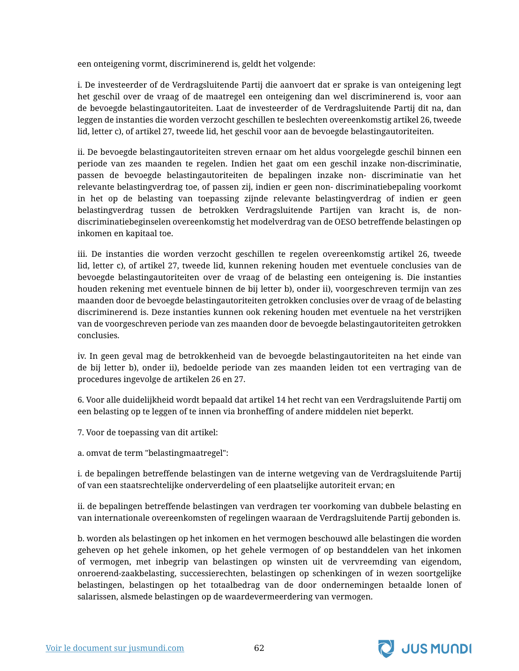een onteigening vormt, discriminerend is, geldt het volgende:

i. De investeerder of de Verdragsluitende Partij die aanvoert dat er sprake is van onteigening legt het geschil over de vraag of de maatregel een onteigening dan wel discriminerend is, voor aan de bevoegde belastingautoriteiten. Laat de investeerder of de Verdragsluitende Partij dit na, dan leggen de instanties die worden verzocht geschillen te beslechten overeenkomstig artikel 26, tweede lid, letter c), of artikel 27, tweede lid, het geschil voor aan de bevoegde belastingautoriteiten.

ii. De bevoegde belastingautoriteiten streven ernaar om het aldus voorgelegde geschil binnen een periode van zes maanden te regelen. Indien het gaat om een geschil inzake non-discriminatie, passen de bevoegde belastingautoriteiten de bepalingen inzake non- discriminatie van het relevante belastingverdrag toe, of passen zij, indien er geen non- discriminatiebepaling voorkomt in het op de belasting van toepassing zijnde relevante belastingverdrag of indien er geen belastingverdrag tussen de betrokken Verdragsluitende Partijen van kracht is, de nondiscriminatiebeginselen overeenkomstig het modelverdrag van de OESO betreffende belastingen op inkomen en kapitaal toe.

iii. De instanties die worden verzocht geschillen te regelen overeenkomstig artikel 26, tweede lid, letter c), of artikel 27, tweede lid, kunnen rekening houden met eventuele conclusies van de bevoegde belastingautoriteiten over de vraag of de belasting een onteigening is. Die instanties houden rekening met eventuele binnen de bij letter b), onder ii), voorgeschreven termijn van zes maanden door de bevoegde belastingautoriteiten getrokken conclusies over de vraag of de belasting discriminerend is. Deze instanties kunnen ook rekening houden met eventuele na het verstrijken van de voorgeschreven periode van zes maanden door de bevoegde belastingautoriteiten getrokken conclusies.

iv. In geen geval mag de betrokkenheid van de bevoegde belastingautoriteiten na het einde van de bij letter b), onder ii), bedoelde periode van zes maanden leiden tot een vertraging van de procedures ingevolge de artikelen 26 en 27.

6. Voor alle duidelijkheid wordt bepaald dat artikel 14 het recht van een Verdragsluitende Partij om een belasting op te leggen of te innen via bronheffing of andere middelen niet beperkt.

7. Voor de toepassing van dit artikel:

a. omvat de term "belastingmaatregel":

i. de bepalingen betreffende belastingen van de interne wetgeving van de Verdragsluitende Partij of van een staatsrechtelijke onderverdeling of een plaatselijke autoriteit ervan; en

ii. de bepalingen betreffende belastingen van verdragen ter voorkoming van dubbele belasting en van internationale overeenkomsten of regelingen waaraan de Verdragsluitende Partij gebonden is.

b. worden als belastingen op het inkomen en het vermogen beschouwd alle belastingen die worden geheven op het gehele inkomen, op het gehele vermogen of op bestanddelen van het inkomen of vermogen, met inbegrip van belastingen op winsten uit de vervreemding van eigendom, onroerend-zaakbelasting, successierechten, belastingen op schenkingen of in wezen soortgelijke belastingen, belastingen op het totaalbedrag van de door ondernemingen betaalde lonen of salarissen, alsmede belastingen op de waardevermeerdering van vermogen.

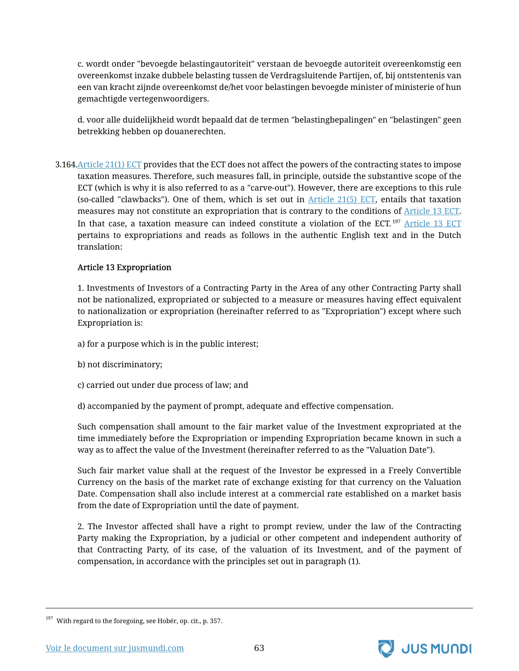c. wordt onder "bevoegde belastingautoriteit" verstaan de bevoegde autoriteit overeenkomstig een overeenkomst inzake dubbele belasting tussen de Verdragsluitende Partijen, of, bij ontstentenis van een van kracht zijnde overeenkomst de/het voor belastingen bevoegde minister of ministerie of hun gemachtigde vertegenwoordigers.

d. voor alle duidelijkheid wordt bepaald dat de termen "belastingbepalingen" en "belastingen" geen betrekking hebben op douanerechten.

3.164. $\rm Article$  21(1)  $\rm ECT$  provides that the ECT does not affect the powers of the contracting states to impose taxation measures. Therefore, such measures fall, in principle, outside the substantive scope of the ECT (which is why it is also referred to as a "carve-out"). However, there are exceptions to this rule (so-called "clawbacks"). One of them, which is set out in  $Article\ 21(5) ECT$ , entails that taxation measures may not constitute an expropriation that is contrary to the conditions of [Article 13 ECT](https://jusmundi.com/en/document/h/clljWVJHbGxISEg0VUZMdWNJazE2TnJ3Mmxwb2NlQ1R3cmNjQXR1UDFhaUg5bDhhczBqUjlmYmVtWWhITFNjK3dCV0JaSFlDK3BFbFIyL0xvSHhiR2sxdnZtV2R3TDJsQUR2Q0hoUUhPeWlwUFRXK0ZmSTJDNUVyTytCd1RRNTNSYXViUlpqUzFGenBGbnhsRUZWM3pRPT0=). In that case, a taxation measure can indeed constitute a violation of the ECT. $^\mathrm{197}$  [Article 13 ECT](https://jusmundi.com/en/document/h/clljWVJHbGxISEg0VUZMdWNJazE2TnJ3Mmxwb2NlQ1R3cmNjQXR1UDFhaUg5bDhhczBqUjlmYmVtWWhITFNjK3dCV0JaSFlDK3BFbFIyL0xvSHhiR2sxdnZtV2R3TDJsQUR2Q0hoUUhPeWlwUFRXK0ZmSTJDNUVyTytCd1RRNTNSYXViUlpqUzFGenBGbnhsRUZWM3pRPT0=) pertains to expropriations and reads as follows in the authentic English text and in the Dutch translation:

#### Article 13 Expropriation

1. Investments of Investors of a Contracting Party in the Area of any other Contracting Party shall not be nationalized, expropriated or subjected to a measure or measures having effect equivalent to nationalization or expropriation (hereinafter referred to as "Expropriation") except where such Expropriation is:

- a) for a purpose which is in the public interest;
- b) not discriminatory;
- c) carried out under due process of law; and
- d) accompanied by the payment of prompt, adequate and effective compensation.

Such compensation shall amount to the fair market value of the Investment expropriated at the time immediately before the Expropriation or impending Expropriation became known in such a way as to affect the value of the Investment (hereinafter referred to as the "Valuation Date").

Such fair market value shall at the request of the Investor be expressed in a Freely Convertible Currency on the basis of the market rate of exchange existing for that currency on the Valuation Date. Compensation shall also include interest at a commercial rate established on a market basis from the date of Expropriation until the date of payment.

2. The Investor affected shall have a right to prompt review, under the law of the Contracting Party making the Expropriation, by a judicial or other competent and independent authority of that Contracting Party, of its case, of the valuation of its Investment, and of the payment of compensation, in accordance with the principles set out in paragraph (1).



 $^{197}\,$  With regard to the foregoing, see Hobér, op. cit., p. 357.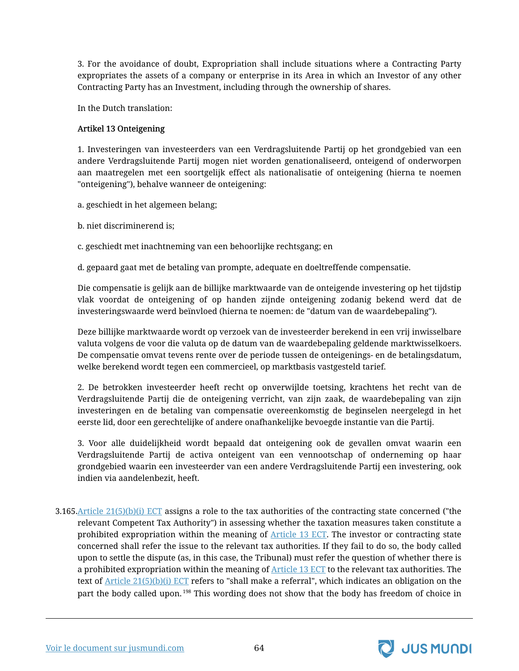3. For the avoidance of doubt, Expropriation shall include situations where a Contracting Party expropriates the assets of a company or enterprise in its Area in which an Investor of any other Contracting Party has an Investment, including through the ownership of shares.

In the Dutch translation:

#### Artikel 13 Onteigening

1. Investeringen van investeerders van een Verdragsluitende Partij op het grondgebied van een andere Verdragsluitende Partij mogen niet worden genationaliseerd, onteigend of onderworpen aan maatregelen met een soortgelijk effect als nationalisatie of onteigening (hierna te noemen "onteigening"), behalve wanneer de onteigening:

- a. geschiedt in het algemeen belang;
- b. niet discriminerend is;
- c. geschiedt met inachtneming van een behoorlijke rechtsgang; en

d. gepaard gaat met de betaling van prompte, adequate en doeltreffende compensatie.

Die compensatie is gelijk aan de billijke marktwaarde van de onteigende investering op het tijdstip vlak voordat de onteigening of op handen zijnde onteigening zodanig bekend werd dat de investeringswaarde werd beïnvloed (hierna te noemen: de "datum van de waardebepaling").

Deze billijke marktwaarde wordt op verzoek van de investeerder berekend in een vrij inwisselbare valuta volgens de voor die valuta op de datum van de waardebepaling geldende marktwisselkoers. De compensatie omvat tevens rente over de periode tussen de onteigenings- en de betalingsdatum, welke berekend wordt tegen een commercieel, op marktbasis vastgesteld tarief.

2. De betrokken investeerder heeft recht op onverwijlde toetsing, krachtens het recht van de Verdragsluitende Partij die de onteigening verricht, van zijn zaak, de waardebepaling van zijn investeringen en de betaling van compensatie overeenkomstig de beginselen neergelegd in het eerste lid, door een gerechtelijke of andere onafhankelijke bevoegde instantie van die Partij.

3. Voor alle duidelijkheid wordt bepaald dat onteigening ook de gevallen omvat waarin een Verdragsluitende Partij de activa onteigent van een vennootschap of onderneming op haar grondgebied waarin een investeerder van een andere Verdragsluitende Partij een investering, ook indien via aandelenbezit, heeft.

 $3.165$ . $\Delta$ rticle  $21(5)$ (b)(i) ECT assigns a role to the tax authorities of the contracting state concerned ("the relevant Competent Tax Authority") in assessing whether the taxation measures taken constitute a prohibited expropriation within the meaning of [Article 13 ECT.](https://jusmundi.com/en/document/h/clljWVJHbGxISEg0VUZMdWNJazE2TnJ3Mmxwb2NlQ1R3cmNjQXR1UDFhaUg5bDhhczBqUjlmYmVtWWhITFNjK3dCV0JaSFlDK3BFbFIyL0xvSHhiR2sxdnZtV2R3TDJsQUR2Q0hoUUhPeWlwUFRXK0ZmSTJDNUVyTytCd1RRNTNSYXViUlpqUzFGenBGbnhsRUZWM3pRPT0=) The investor or contracting state concerned shall refer the issue to the relevant tax authorities. If they fail to do so, the body called upon to settle the dispute (as, in this case, the Tribunal) must refer the question of whether there is a prohibited expropriation within the meaning of  $\overline{\text{Article 13 ECT}}$  $\overline{\text{Article 13 ECT}}$  $\overline{\text{Article 13 ECT}}$  to the relevant tax authorities. The text of  $\text{Article } 21(5)(b)(i)$  ECT refers to "shall make a referral", which indicates an obligation on the part the body called upon.<sup>198</sup> This wording does not show that the body has freedom of choice in



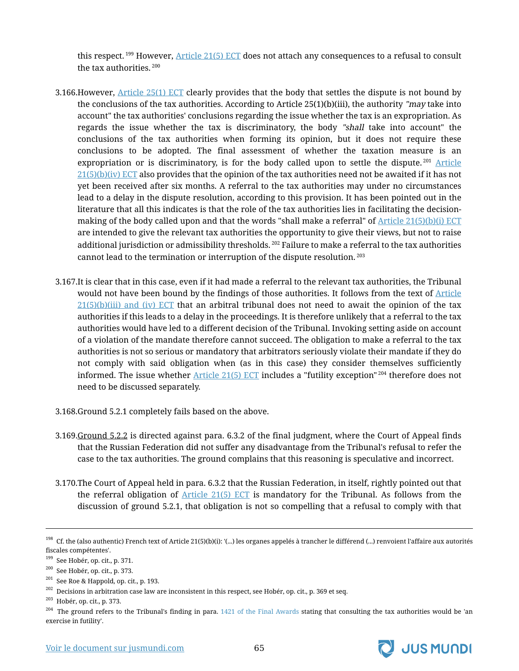this respect.<sup>199</sup> However, **[Article 21\(5\) ECT](https://jusmundi.com/en/document/h/clljWVJHbGxISEg0VUZMdWNJazE2TnJ3Mmxwb2NlQ1R3cmNjQXR1UDFhaUg5bDhhczBqUjlmYmVtWWhITFNjK3dCV0JaSFlDK3BFbFIyL0xvSHhiR2sxdnZtV2R3TDJsQUR2Q0hoUUhPeWlwUFRXK0ZmSTJDNUVyTytCd1RRNTNZN0M0T1JTOUIwMThFQmczaHpXcTNRPT0=)** does not attach any consequences to a refusal to consult the tax authorities.<sup>200</sup>

- 3.166. However, [Article 25\(1\) ECT](https://jusmundi.com/en/document/h/clljWVJHbGxISEg0VUZMdWNJazE2TnJ3Mmxwb2NlQ1R3cmNjQXR1UDFhaUg5bDhhczBqUjlmYmVtWWhITFNjK3dCV0JaSFlDK3BFbFIyL0xvSHhiR2sxdnZtV2R3TDJsQUR2Q0hoUUhPeWlwUFRXK0ZmSTJDNUVyTytCd1RRNTM4RnY5QmpiN21TM081ejhnaittSlZBPT0=) clearly provides that the body that settles the dispute is not bound by the conclusions of the tax authorities. According to Article 25(1)(b)(iii), the authority "may take into account" the tax authorities' conclusions regarding the issue whether the tax is an expropriation. As regards the issue whether the tax is discriminatory, the body "shall take into account" the conclusions of the tax authorities when forming its opinion, but it does not require these conclusions to be adopted. The final assessment of whether the taxation measure is an expropriation or is discriminatory, is for the body called upon to settle the dispute.<sup>201</sup> [Article](https://jusmundi.com/en/document/h/clljWVJHbGxISEg0VUZMdWNJazE2TnJ3Mmxwb2NlQ1R3cmNjQXR1UDFhaUg5bDhhczBqUjlmYmVtWWhITFNjK3dCV0JaSFlDK3BFbFIyL0xvSHhiR2sxdnZtV2R3TDJsQUR2Q0hoUUhPeWlwUFRXK0ZmSTJDNUVyTytCd1RRNTNTL01ITDJLLzEvTzgrdGFGTStCSnZ3PT0=)  $21(5)(b)(iv)$  ECT also provides that the opinion of the tax authorities need not be awaited if it has not yet been received after six months. A referral to the tax authorities may under no circumstances lead to a delay in the dispute resolution, according to this provision. It has been pointed out in the literature that all this indicates is that the role of the tax authorities lies in facilitating the decision-making of the body called upon and that the words "shall make a referral" of [Article 21\(5\)\(b\)\(i\) ECT](https://jusmundi.com/en/document/h/clljWVJHbGxISEg0VUZMdWNJazE2TnJ3Mmxwb2NlQ1R3cmNjQXR1UDFhaUg5bDhhczBqUjlmYmVtWWhITFNjK3dCV0JaSFlDK3BFbFIyL0xvSHhiR2sxdnZtV2R3TDJsQUR2Q0hoUUhPeWlwUFRXK0ZmSTJDNUVyTytCd1RRNTNkVjQrenhidWlNTU8wM0Vwb3RMK3pBPT0=) are intended to give the relevant tax authorities the opportunity to give their views, but not to raise additional jurisdiction or admissibility thresholds.<sup>202</sup> Failure to make a referral to the tax authorities cannot lead to the termination or interruption of the dispute resolution.<sup>203</sup>
- 3.167. It is clear that in this case, even if it had made a referral to the relevant tax authorities, the Tribunal would not have been bound by the findings of those authorities. It follows from the text of [Article](https://jusmundi.com/en/document/h/clljWVJHbGxISEg0VUZMdWNJazE2TnJ3Mmxwb2NlQ1R3cmNjQXR1UDFhaUg5bDhhczBqUjlmYmVtWWhITFNjK3dCV0JaSFlDK3BFbFIyL0xvSHhiR2sxdnZtV2R3TDJsQUR2Q0hoUUhPeWlwUFRXK0ZmSTJDNUVyTytCd1RRNTM5MjVXOXhuYVZPUTlJUWR5QVRIdlF3PT0=)  $21(5)(b)(iii)$  and (iv) ECT that an arbitral tribunal does not need to await the opinion of the tax authorities if this leads to a delay in the proceedings. It is therefore unlikely that a referral to the tax authorities would have led to a different decision of the Tribunal. Invoking setting aside on account of a violation of the mandate therefore cannot succeed. The obligation to make a referral to the tax authorities is not so serious or mandatory that arbitrators seriously violate their mandate if they do not comply with said obligation when (as in this case) they consider themselves sufficiently informed. The issue whether  $\frac{\text{Article 21(5)} ECT}{\text{include}}$  includes a "futility exception"  $^{204}$  therefore does not need to be discussed separately.
- 3.168. Ground 5.2.1 completely fails based on the above.
- 3.169. Ground 5.2.2 is directed against para. 6.3.2 of the final judgment, where the Court of Appeal finds that the Russian Federation did not suffer any disadvantage from the Tribunal's refusal to refer the case to the tax authorities. The ground complains that this reasoning is speculative and incorrect.
- 3.170. The Court of Appeal held in para. 6.3.2 that the Russian Federation, in itself, rightly pointed out that the referral obligation of [Article 21\(5\) ECT](https://jusmundi.com/en/document/h/clljWVJHbGxISEg0VUZMdWNJazE2TnJ3Mmxwb2NlQ1R3cmNjQXR1UDFhaUg5bDhhczBqUjlmYmVtWWhITFNjK3dCV0JaSFlDK3BFbFIyL0xvSHhiR2sxdnZtV2R3TDJsQUR2Q0hoUUhPeWlwUFRXK0ZmSTJDNUVyTytCd1RRNTNZN0M0T1JTOUIwMThFQmczaHpXcTNRPT0=) is mandatory for the Tribunal. As follows from the discussion of ground 5.2.1, that obligation is not so compelling that a refusal to comply with that



 $198$  Cf. the (also authentic) French text of Article 21(5)(b)(i): '(...) les organes appelés à trancher le différend (...) renvoient l'affaire aux autorités fiscales compétentes'.

<sup>199</sup> See Hobér, op. cit., p. 371.

 $200$  See Hobér, op. cit., p. 373.

 $201$  See Roe & Happold, op. cit., p. 193.

 $202$  Decisions in arbitration case law are inconsistent in this respect, see Hobér, op. cit., p. 369 et seq.

<sup>203</sup> Hobér, op. cit., p. 373.

<sup>&</sup>lt;sup>204</sup> The ground refers to the Tribunal's finding in para. [1421 of the Final Awards](https://jusmundi.com/en/document/h/WUZmZ2Vxcm9ndzJhVW44NThxNzZRZnNTeHpSMDBLRTQ5dURoNEozQ3BqbDZxSzBnTmdsY3N0UjNPaVlFUVNvZ1NWNDErcTFNYUcxamFIVW91aG1zdHdEeDQ1K0NWOE5seURVOTY2QmZDaWVJNDZQajFrREhVdUl1NURIeHBXTXNTNGYxZi94bFI3TGN5YjZlNE50eWF3PT0=) stating that consulting the tax authorities would be 'an exercise in futility'.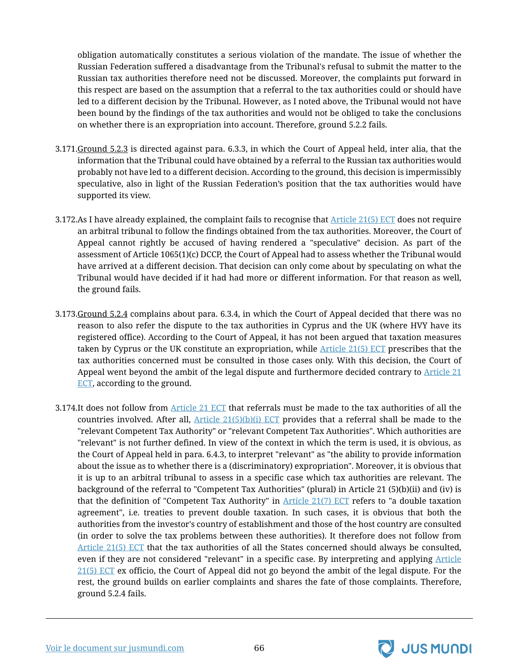obligation automatically constitutes a serious violation of the mandate. The issue of whether the Russian Federation suffered a disadvantage from the Tribunal's refusal to submit the matter to the Russian tax authorities therefore need not be discussed. Moreover, the complaints put forward in this respect are based on the assumption that a referral to the tax authorities could or should have led to a different decision by the Tribunal. However, as I noted above, the Tribunal would not have been bound by the findings of the tax authorities and would not be obliged to take the conclusions on whether there is an expropriation into account. Therefore, ground 5.2.2 fails.

- 3.171.<u>Ground 5.2.3</u> is directed against para. 6.3.3, in which the Court of Appeal held, inter alia, that the information that the Tribunal could have obtained by a referral to the Russian tax authorities would probably not have led to a different decision. According to the ground, this decision is impermissibly speculative, also in light of the Russian Federation's position that the tax authorities would have supported its view.
- 3.172.As I have already explained, the complaint fails to recognise that  $\Delta$ rticle 21(5) ECT does not require an arbitral tribunal to follow the findings obtained from the tax authorities. Moreover, the Court of Appeal cannot rightly be accused of having rendered a "speculative" decision. As part of the assessment of Article 1065(1)(c) DCCP, the Court of Appeal had to assess whether the Tribunal would have arrived at a different decision. That decision can only come about by speculating on what the Tribunal would have decided if it had had more or different information. For that reason as well, the ground fails.
- 3.173. Ground 5.2.4 complains about para. 6.3.4, in which the Court of Appeal decided that there was no reason to also refer the dispute to the tax authorities in Cyprus and the UK (where HVY have its registered office). According to the Court of Appeal, it has not been argued that taxation measures taken by Cyprus or the UK constitute an expropriation, while  $Article$   $21(5)$   $ECT$  prescribes that the tax authorities concerned must be consulted in those cases only. With this decision, the Court of Appeal went beyond the ambit of the legal dispute and furthermore decided contrary to  $Article$   $21$ [ECT](https://jusmundi.com/en/document/h/clljWVJHbGxISEg0VUZMdWNJazE2TnJ3Mmxwb2NlQ1R3cmNjQXR1UDFhaUg5bDhhczBqUjlmYmVtWWhITFNjK3dCV0JaSFlDK3BFbFIyL0xvSHhiR2sxdnZtV2R3TDJsQUR2Q0hoUUhPeWlwUFRXK0ZmSTJDNUVyTytCd1RRNTN1Q1N5b1ZkSFFxMjRaOGlnb2hPZHR3PT0=), according to the ground.
- 3.174.It does not follow from  $\overline{\text{Article 21 ECT}}$  $\overline{\text{Article 21 ECT}}$  $\overline{\text{Article 21 ECT}}$  that referrals must be made to the tax authorities of all the countries involved. After all,  $Article 21(5)(b)(i) ECT$  provides that a referral shall be made to the "relevant Competent Tax Authority" or "relevant Competent Tax Authorities". Which authorities are "relevant" is not further defined. In view of the context in which the term is used, it is obvious, as the Court of Appeal held in para. 6.4.3, to interpret "relevant" as "the ability to provide information about the issue as to whether there is a (discriminatory) expropriation". Moreover, it is obvious that it is up to an arbitral tribunal to assess in a specific case which tax authorities are relevant. The background of the referral to "Competent Tax Authorities" (plural) in Article 21 (5)(b)(ii) and (iv) is that the definition of "Competent Tax Authority" in  $\triangle$  [Article 21\(7\) ECT](https://jusmundi.com/en/document/h/clljWVJHbGxISEg0VUZMdWNJazE2TnJ3Mmxwb2NlQ1R3cmNjQXR1UDFhaUg5bDhhczBqUjlmYmVtWWhITFNjK3dCV0JaSFlDK3BFbFIyL0xvSHhiR2sxdnZtV2R3TDJsQUR2Q0hoUUhPeWlwUFRXK0ZmSTJDNUVyTytCd1RRNTNlSFNmZDNHNFY0OWMrOHMySHB6dkZ3PT0=) refers to "a double taxation agreement", i.e. treaties to prevent double taxation. In such cases, it is obvious that both the authorities from the investor's country of establishment and those of the host country are consulted (in order to solve the tax problems between these authorities). It therefore does not follow from [Article 21\(5\) ECT](https://jusmundi.com/en/document/h/clljWVJHbGxISEg0VUZMdWNJazE2TnJ3Mmxwb2NlQ1R3cmNjQXR1UDFhaUg5bDhhczBqUjlmYmVtWWhITFNjK3dCV0JaSFlDK3BFbFIyL0xvSHhiR2sxdnZtV2R3TDJsQUR2Q0hoUUhPeWlwUFRXK0ZmSTJDNUVyTytCd1RRNTNZN0M0T1JTOUIwMThFQmczaHpXcTNRPT0=) that the tax authorities of all the States concerned should always be consulted, even if they are not considered "relevant" in a specific case. By interpreting and applying [Article](https://jusmundi.com/en/document/h/clljWVJHbGxISEg0VUZMdWNJazE2TnJ3Mmxwb2NlQ1R3cmNjQXR1UDFhaUg5bDhhczBqUjlmYmVtWWhITFNjK3dCV0JaSFlDK3BFbFIyL0xvSHhiR2sxdnZtV2R3TDJsQUR2Q0hoUUhPeWlwUFRXK0ZmSTJDNUVyTytCd1RRNTNZN0M0T1JTOUIwMThFQmczaHpXcTNRPT0=)  $21(5)$  ECT ex officio, the Court of Appeal did not go beyond the ambit of the legal dispute. For the rest, the ground builds on earlier complaints and shares the fate of those complaints. Therefore, ground 5.2.4 fails.



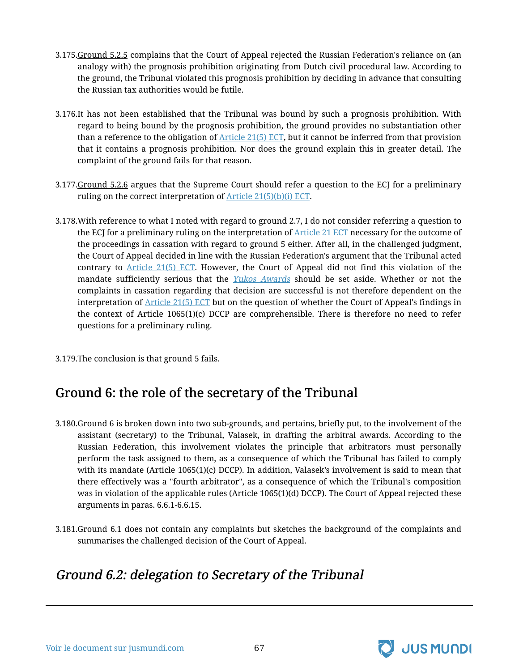- 3.175.<u>Ground 5.2.5</u> complains that the Court of Appeal rejected the Russian Federation's reliance on (an analogy with) the prognosis prohibition originating from Dutch civil procedural law. According to the ground, the Tribunal violated this prognosis prohibition by deciding in advance that consulting the Russian tax authorities would be futile.
- 3.176. It has not been established that the Tribunal was bound by such a prognosis prohibition. With regard to being bound by the prognosis prohibition, the ground provides no substantiation other than a reference to the obligation of [Article 21\(5\) ECT,](https://jusmundi.com/en/document/h/clljWVJHbGxISEg0VUZMdWNJazE2TnJ3Mmxwb2NlQ1R3cmNjQXR1UDFhaUg5bDhhczBqUjlmYmVtWWhITFNjK3dCV0JaSFlDK3BFbFIyL0xvSHhiR2sxdnZtV2R3TDJsQUR2Q0hoUUhPeWlwUFRXK0ZmSTJDNUVyTytCd1RRNTNZN0M0T1JTOUIwMThFQmczaHpXcTNRPT0=) but it cannot be inferred from that provision that it contains a prognosis prohibition. Nor does the ground explain this in greater detail. The complaint of the ground fails for that reason.
- 3.177.<u>Ground 5.2.6</u> argues that the Supreme Court should refer a question to the ECJ for a preliminary ruling on the correct interpretation of [Article 21\(5\)\(b\)\(i\) ECT.](https://jusmundi.com/en/document/h/clljWVJHbGxISEg0VUZMdWNJazE2TnJ3Mmxwb2NlQ1R3cmNjQXR1UDFhaUg5bDhhczBqUjlmYmVtWWhITFNjK3dCV0JaSFlDK3BFbFIyL0xvSHhiR2sxdnZtV2R3TDJsQUR2Q0hoUUhPeWlwUFRXK0ZmSTJDNUVyTytCd1RRNTNkVjQrenhidWlNTU8wM0Vwb3RMK3pBPT0=)
- 3.178. With reference to what I noted with regard to ground 2.7, I do not consider referring a question to the ECJ for a preliminary ruling on the interpretation of [Article 21 ECT](https://jusmundi.com/en/document/h/clljWVJHbGxISEg0VUZMdWNJazE2TnJ3Mmxwb2NlQ1R3cmNjQXR1UDFhaUg5bDhhczBqUjlmYmVtWWhITFNjK3dCV0JaSFlDK3BFbFIyL0xvSHhiR2sxdnZtV2R3TDJsQUR2Q0hoUUhPeWlwUFRXK0ZmSTJDNUVyTytCd1RRNTN1Q1N5b1ZkSFFxMjRaOGlnb2hPZHR3PT0=) necessary for the outcome of the proceedings in cassation with regard to ground 5 either. After all, in the challenged judgment, the Court of Appeal decided in line with the Russian Federation's argument that the Tribunal acted contrary to [Article 21\(5\) ECT.](https://jusmundi.com/en/document/h/clljWVJHbGxISEg0VUZMdWNJazE2TnJ3Mmxwb2NlQ1R3cmNjQXR1UDFhaUg5bDhhczBqUjlmYmVtWWhITFNjK3dCV0JaSFlDK3BFbFIyL0xvSHhiR2sxdnZtV2R3TDJsQUR2Q0hoUUhPeWlwUFRXK0ZmSTJDNUVyTytCd1RRNTNZN0M0T1JTOUIwMThFQmczaHpXcTNRPT0=) However, the Court of Appeal did not find this violation of the mandate sufficiently serious that the Yukos [Awards](https://jusmundi.com/en/document/h/VkVabHFaZE1BSjY0RitpYTBTdEc4Uy9nYkdoN01STUs2c3RzODQ0TW5COWhkU2N3MUgzV2dhSXBPWjhza1hBcE5oMHJBVjhDdTIveFMrRTZzVWtPVzRhR083ZGZ1Z2VJaHEzTVBlVnRTNmRzMEtBeU5tS1grb3lKbmdOSjJSZkZERGIvU0ZSa1lLd1ZmMklIQWxKSzVnPT0=) should be set aside. Whether or not the complaints in cassation regarding that decision are successful is not therefore dependent on the interpretation of  $Article$   $21(5)$   $ECT$  but on the question of whether the Court of Appeal's findings in the context of Article 1065(1)(c) DCCP are comprehensible. There is therefore no need to refer questions for a preliminary ruling.
- 3.179. The conclusion is that ground 5 fails.

### Ground 6: the role of the secretary of the Tribunal

- 3.180. Ground 6 is broken down into two sub-grounds, and pertains, briefly put, to the involvement of the assistant (secretary) to the Tribunal, Valasek, in drafting the arbitral awards. According to the Russian Federation, this involvement violates the principle that arbitrators must personally perform the task assigned to them, as a consequence of which the Tribunal has failed to comply with its mandate (Article 1065(1)(c) DCCP). In addition, Valasek's involvement is said to mean that there effectively was a "fourth arbitrator", as a consequence of which the Tribunal's composition was in violation of the applicable rules (Article 1065(1)(d) DCCP). The Court of Appeal rejected these arguments in paras. 6.6.1-6.6.15.
- 3.181.<u>Ground 6.1</u> does not contain any complaints but sketches the background of the complaints and summarises the challenged decision of the Court of Appeal.

## Ground 6.2: delegation to Secretary of the Tribunal

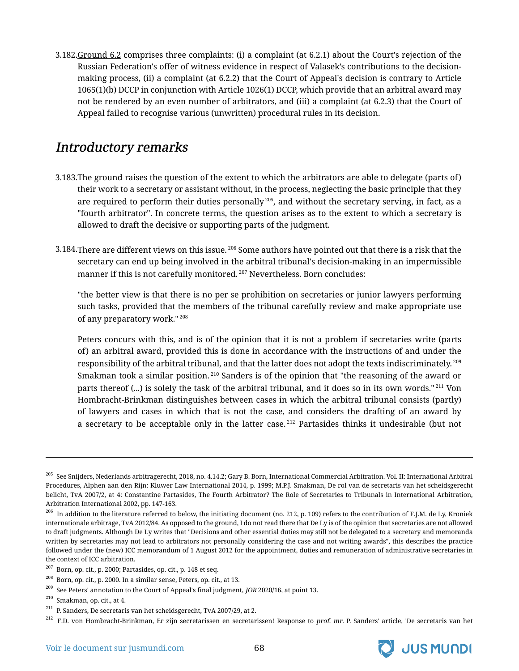3.182.<u>Ground 6.2</u> comprises three complaints: (i) a complaint (at 6.2.1) about the Court's rejection of the Russian Federation's offer of witness evidence in respect of Valasek's contributions to the decisionmaking process, (ii) a complaint (at 6.2.2) that the Court of Appeal's decision is contrary to Article 1065(1)(b) DCCP in conjunction with Article 1026(1) DCCP, which provide that an arbitral award may not be rendered by an even number of arbitrators, and (iii) a complaint (at 6.2.3) that the Court of Appeal failed to recognise various (unwritten) procedural rules in its decision.

### Introductory remarks

- 3.183. The ground raises the question of the extent to which the arbitrators are able to delegate (parts of) their work to a secretary or assistant without, in the process, neglecting the basic principle that they are required to perform their duties personally<sup>205</sup>, and without the secretary serving, in fact, as a "fourth arbitrator". In concrete terms, the question arises as to the extent to which a secretary is allowed to draft the decisive or supporting parts of the judgment.
- 3.184.There are different views on this issue.  $^{206}$  Some authors have pointed out that there is a risk that the secretary can end up being involved in the arbitral tribunal's decision-making in an impermissible manner if this is not carefully monitored.<sup>207</sup> Nevertheless. Born concludes:

"the better view is that there is no per se prohibition on secretaries or junior lawyers performing such tasks, provided that the members of the tribunal carefully review and make appropriate use of any preparatory work." <sup>208</sup>

Peters concurs with this, and is of the opinion that it is not a problem if secretaries write (parts of) an arbitral award, provided this is done in accordance with the instructions of and under the responsibility of the arbitral tribunal, and that the latter does not adopt the texts indiscriminately. 209 Smakman took a similar position.<sup>210</sup> Sanders is of the opinion that "the reasoning of the award or parts thereof (...) is solely the task of the arbitral tribunal, and it does so in its own words."<sup>211</sup> Von Hombracht-Brinkman distinguishes between cases in which the arbitral tribunal consists (partly) of lawyers and cases in which that is not the case, and considers the drafting of an award by a secretary to be acceptable only in the latter case.<sup>212</sup> Partasides thinks it undesirable (but not

<sup>209</sup> See Peters' annotation to the Court of Appeal's final judgment, *JOR* 2020/16, at point 13.<br><sup>210</sup> Smakman on cit, at 4



<sup>&</sup>lt;sup>205</sup> See Snijders, Nederlands arbitragerecht, 2018, no. 4.14.2; Gary B. Born, International Commercial Arbitration. Vol. II: International Arbitral Procedures, Alphen aan den Rijn: Kluwer Law International 2014, p. 1999; M.P.J. Smakman, De rol van de secretaris van het scheidsgerecht belicht, TvA 2007/2, at 4: Constantine Partasides, The Fourth Arbitrator? The Role of Secretaries to Tribunals in International Arbitration, Arbitration International 2002, pp. 147-163.

 $^{206}$  In addition to the literature referred to below, the initiating document (no. 212, p. 109) refers to the contribution of F.J.M. de Ly, Kroniek internationale arbitrage, TvA 2012/84. As opposed to the ground, I do not read there that De Ly is of the opinion that secretaries are not allowed to draft judgments. Although De Ly writes that "Decisions and other essential duties may still not be delegated to a secretary and memoranda written by secretaries may not lead to arbitrators not personally considering the case and not writing awards", this describes the practice followed under the (new) ICC memorandum of 1 August 2012 for the appointment, duties and remuneration of administrative secretaries in the context of ICC arbitration.

 $207$  Born, op. cit., p. 2000; Partasides, op. cit., p. 148 et seq.

<sup>208</sup> Born, op. cit., p. 2000. In a similar sense, Peters, op. cit., at 13.

Smakman, op. cit., at 4.

<sup>211</sup> P. Sanders, De secretaris van het scheidsgerecht, TvA 2007/29, at 2.

<sup>&</sup>lt;sup>212</sup> F.D. von Hombracht-Brinkman, Er zijn secretarissen en secretarissen! Response to *prof. mr.* P. Sanders' article, 'De secretaris van het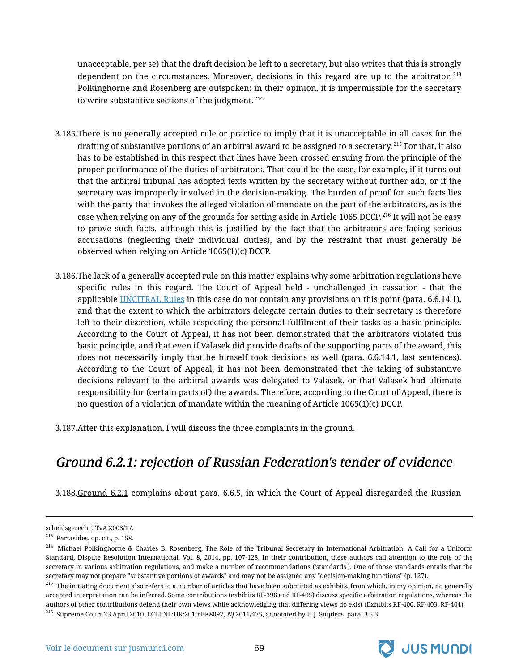unacceptable, per se) that the draft decision be left to a secretary, but also writes that this is strongly dependent on the circumstances. Moreover, decisions in this regard are up to the arbitrator. $^{213}$ Polkinghorne and Rosenberg are outspoken: in their opinion, it is impermissible for the secretary to write substantive sections of the judgment.  $214$ 

- 3.185. There is no generally accepted rule or practice to imply that it is unacceptable in all cases for the drafting of substantive portions of an arbitral award to be assigned to a secretary.<sup>215</sup> For that, it also has to be established in this respect that lines have been crossed ensuing from the principle of the proper performance of the duties of arbitrators. That could be the case, for example, if it turns out that the arbitral tribunal has adopted texts written by the secretary without further ado, or if the secretary was improperly involved in the decision-making. The burden of proof for such facts lies with the party that invokes the alleged violation of mandate on the part of the arbitrators, as is the case when relying on any of the grounds for setting aside in Article 1065 DCCP. <sup>216</sup> It will not be easy to prove such facts, although this is justified by the fact that the arbitrators are facing serious accusations (neglecting their individual duties), and by the restraint that must generally be observed when relying on Article 1065(1)(c) DCCP.
- 3.186. The lack of a generally accepted rule on this matter explains why some arbitration regulations have specific rules in this regard. The Court of Appeal held - unchallenged in cassation - that the applicable [UNCITRAL Rules](https://jusmundi.com/en/document/h/K3c3WHBLTUlqbG80TVZ5dlN0TWIyT1BOMVlIY3VQdXZSYUtDM1ZKZkkxaVlid1lJcUFSVHR1VHNrQ2dYZzdVNGk3VHlybFpHc0JZMlJjNEFtNHZGdmxQQ3ZaTFpwdE5PRXFwR1lndDRuNzQ9) in this case do not contain any provisions on this point (para. 6.6.14.1), and that the extent to which the arbitrators delegate certain duties to their secretary is therefore left to their discretion, while respecting the personal fulfilment of their tasks as a basic principle. According to the Court of Appeal, it has not been demonstrated that the arbitrators violated this basic principle, and that even if Valasek did provide drafts of the supporting parts of the award, this does not necessarily imply that he himself took decisions as well (para. 6.6.14.1, last sentences). According to the Court of Appeal, it has not been demonstrated that the taking of substantive decisions relevant to the arbitral awards was delegated to Valasek, or that Valasek had ultimate responsibility for (certain parts of) the awards. Therefore, according to the Court of Appeal, there is no question of a violation of mandate within the meaning of Article 1065(1)(c) DCCP.
- 3.187. After this explanation, I will discuss the three complaints in the ground.

# Ground 6.2.1: rejection of Russian Federation's tender of evidence

3.188.<u>Ground 6.2.1</u> complains about para. 6.6.5, in which the Court of Appeal disregarded the Russian

 $^{216}\,$  Supreme Court 23 April 2010, ECLI:NL:HR:2010:BK8097, NJ 2011/475, annotated by H.J. Snijders, para. 3.5.3.



scheidsgerecht', TvA 2008/17.

<sup>213</sup> Partasides, op. cit., p. 158.

 $^{214}$  Michael Polkinghorne & Charles B. Rosenberg, The Role of the Tribunal Secretary in International Arbitration: A Call for a Uniform Standard, Dispute Resolution International. Vol. 8, 2014, pp. 107-128. In their contribution, these authors call attention to the role of the secretary in various arbitration regulations, and make a number of recommendations ('standards'). One of those standards entails that the secretary may not prepare "substantive portions of awards" and may not be assigned any "decision-making functions" (p. 127).

<sup>&</sup>lt;sup>215</sup> The initiating document also refers to a number of articles that have been submitted as exhibits, from which, in my opinion, no generally accepted interpretation can be inferred. Some contributions (exhibits RF-396 and RF-405) discuss specific arbitration regulations, whereas the authors of other contributions defend their own views while acknowledging that differing views do exist (Exhibits RF-400, RF-403, RF-404).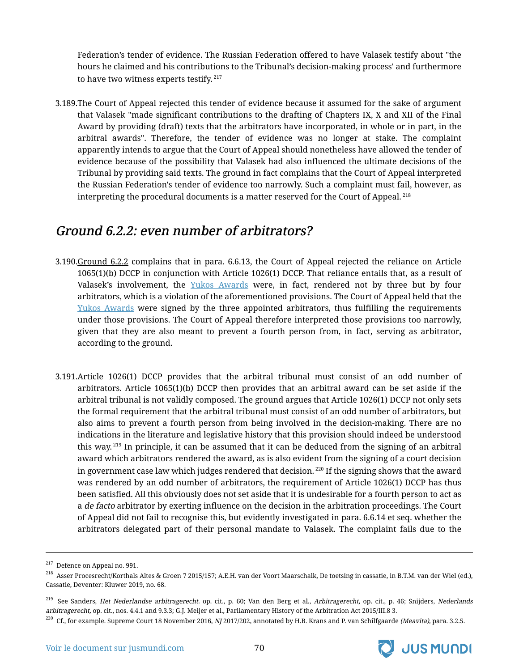Federation's tender of evidence. The Russian Federation offered to have Valasek testify about "the hours he claimed and his contributions to the Tribunal's decision-making process' and furthermore to have two witness experts testify.  $^{\scriptscriptstyle 217}$ 

3.189. The Court of Appeal rejected this tender of evidence because it assumed for the sake of argument that Valasek "made significant contributions to the drafting of Chapters IX, X and XII of the Final Award by providing (draft) texts that the arbitrators have incorporated, in whole or in part, in the arbitral awards". Therefore, the tender of evidence was no longer at stake. The complaint apparently intends to argue that the Court of Appeal should nonetheless have allowed the tender of evidence because of the possibility that Valasek had also influenced the ultimate decisions of the Tribunal by providing said texts. The ground in fact complains that the Court of Appeal interpreted the Russian Federation's tender of evidence too narrowly. Such a complaint must fail, however, as interpreting the procedural documents is a matter reserved for the Court of Appeal. <sup>218</sup>

#### Ground 6.2.2: even number of arbitrators?

- 3.190. Ground 6.2.2 complains that in para. 6.6.13, the Court of Appeal rejected the reliance on Article 1065(1)(b) DCCP in conjunction with Article 1026(1) DCCP. That reliance entails that, as a result of Valasek's involvement, the [Yukos Awards](https://jusmundi.com/en/document/h/VkVabHFaZE1BSjY0RitpYTBTdEc4Uy9nYkdoN01STUs2c3RzODQ0TW5COWhkU2N3MUgzV2dhSXBPWjhza1hBcE5oMHJBVjhDdTIveFMrRTZzVWtPVzRhR083ZGZ1Z2VJaHEzTVBlVnRTNmRzMEtBeU5tS1grb3lKbmdOSjJSZkZERGIvU0ZSa1lLd1ZmMklIQWxKSzVnPT0=) were, in fact, rendered not by three but by four arbitrators, which is a violation of the aforementioned provisions. The Court of Appeal held that the [Yukos Awards](https://jusmundi.com/en/document/h/VkVabHFaZE1BSjY0RitpYTBTdEc4Uy9nYkdoN01STUs2c3RzODQ0TW5COWhkU2N3MUgzV2dhSXBPWjhza1hBcE5oMHJBVjhDdTIveFMrRTZzVWtPVzRhR083ZGZ1Z2VJaHEzTVBlVnRTNmRzMEtBeU5tS1grb3lKbmdOSjJSZkZERGIvU0ZSa1lLd1ZmMklIQWxKSzVnPT0=) were signed by the three appointed arbitrators, thus fulfilling the requirements under those provisions. The Court of Appeal therefore interpreted those provisions too narrowly, given that they are also meant to prevent a fourth person from, in fact, serving as arbitrator, according to the ground.
- 3.191. Article 1026(1) DCCP provides that the arbitral tribunal must consist of an odd number of arbitrators. Article 1065(1)(b) DCCP then provides that an arbitral award can be set aside if the arbitral tribunal is not validly composed. The ground argues that Article 1026(1) DCCP not only sets the formal requirement that the arbitral tribunal must consist of an odd number of arbitrators, but also aims to prevent a fourth person from being involved in the decision-making. There are no indications in the literature and legislative history that this provision should indeed be understood this way. <sup>219</sup> In principle, it can be assumed that it can be deduced from the signing of an arbitral award which arbitrators rendered the award, as is also evident from the signing of a court decision in government case law which judges rendered that decision.  $220$  If the signing shows that the award was rendered by an odd number of arbitrators, the requirement of Article 1026(1) DCCP has thus been satisfied. All this obviously does not set aside that it is undesirable for a fourth person to act as a de facto arbitrator by exerting influence on the decision in the arbitration proceedings. The Court of Appeal did not fail to recognise this, but evidently investigated in para. 6.6.14 et seq. whether the arbitrators delegated part of their personal mandate to Valasek. The complaint fails due to the



<sup>&</sup>lt;sup>217</sup> Defence on Appeal no. 991.

<sup>218</sup> Asser Procesrecht/Korthals Altes & Groen 7 2015/157; A.E.H. van der Voort Maarschalk, De toetsing in cassatie, in B.T.M. van der Wiel (ed.), Cassatie, Deventer: Kluwer 2019, no. 68.

<sup>&</sup>lt;sup>219</sup> See Sanders, Het Nederlandse arbitragerecht. op. cit., p. 60; Van den Berg et al., Arbitragerecht, op. cit., p. 46; Snijders, Nederlands arbitragerecht, op. cit., nos. 4.4.1 and 9.3.3; G.J. Meijer et al., Parliamentary History of the Arbitration Act 2015/III.8 3.

 $^{220}$  Cf., for example. Supreme Court 18 November 2016, NJ 2017/202, annotated by H.B. Krans and P. van Schilfgaarde (Meavita), para. 3.2.5.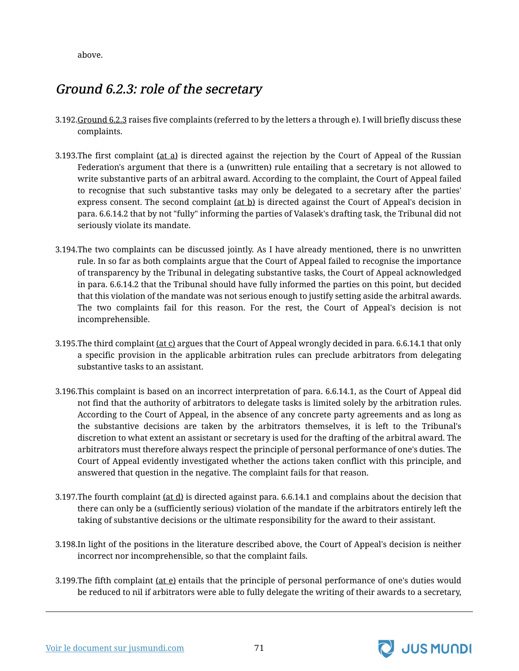above.

## Ground 6.2.3: role of the secretary

- 3.192.<u>Ground 6.2.3</u> raises five complaints (referred to by the letters a through e). I will briefly discuss these complaints.
- 3.193.The first complaint <u>(at a)</u> is directed against the rejection by the Court of Appeal of the Russian Federation's argument that there is a (unwritten) rule entailing that a secretary is not allowed to write substantive parts of an arbitral award. According to the complaint, the Court of Appeal failed to recognise that such substantive tasks may only be delegated to a secretary after the parties' express consent. The second complaint  $(at b)$  is directed against the Court of Appeal's decision in para. 6.6.14.2 that by not "fully" informing the parties of Valasek's drafting task, the Tribunal did not seriously violate its mandate.
- 3.194. The two complaints can be discussed jointly. As I have already mentioned, there is no unwritten rule. In so far as both complaints argue that the Court of Appeal failed to recognise the importance of transparency by the Tribunal in delegating substantive tasks, the Court of Appeal acknowledged in para. 6.6.14.2 that the Tribunal should have fully informed the parties on this point, but decided that this violation of the mandate was not serious enough to justify setting aside the arbitral awards. The two complaints fail for this reason. For the rest, the Court of Appeal's decision is not incomprehensible.
- 3.195.The third complaint <u>(at c)</u> argues that the Court of Appeal wrongly decided in para. 6.6.14.1 that only a specific provision in the applicable arbitration rules can preclude arbitrators from delegating substantive tasks to an assistant.
- 3.196. This complaint is based on an incorrect interpretation of para. 6.6.14.1, as the Court of Appeal did not find that the authority of arbitrators to delegate tasks is limited solely by the arbitration rules. According to the Court of Appeal, in the absence of any concrete party agreements and as long as the substantive decisions are taken by the arbitrators themselves, it is left to the Tribunal's discretion to what extent an assistant or secretary is used for the drafting of the arbitral award. The arbitrators must therefore always respect the principle of personal performance of one's duties. The Court of Appeal evidently investigated whether the actions taken conflict with this principle, and answered that question in the negative. The complaint fails for that reason.
- 3.197.The fourth complaint <u>(at d)</u> is directed against para. 6.6.14.1 and complains about the decision that there can only be a (sufficiently serious) violation of the mandate if the arbitrators entirely left the taking of substantive decisions or the ultimate responsibility for the award to their assistant.
- 3.198. In light of the positions in the literature described above, the Court of Appeal's decision is neither incorrect nor incomprehensible, so that the complaint fails.
- 3.199.The fifth complaint <u>(at e)</u> entails that the principle of personal performance of one's duties would be reduced to nil if arbitrators were able to fully delegate the writing of their awards to a secretary,



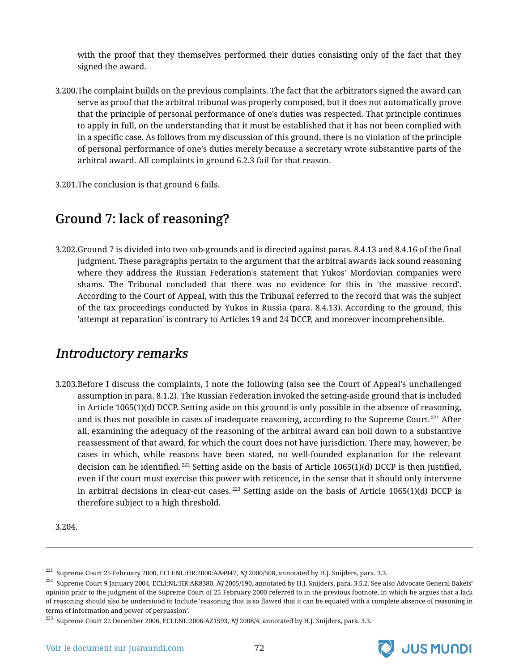with the proof that they themselves performed their duties consisting only of the fact that they signed the award.

3.200. The complaint builds on the previous complaints. The fact that the arbitrators signed the award can serve as proof that the arbitral tribunal was properly composed, but it does not automatically prove that the principle of personal performance of one's duties was respected. That principle continues to apply in full, on the understanding that it must be established that it has not been complied with in a specific case. As follows from my discussion of this ground, there is no violation of the principle of personal performance of one's duties merely because a secretary wrote substantive parts of the arbitral award. All complaints in ground 6.2.3 fail for that reason.

3.201. The conclusion is that ground 6 fails.

# Ground 7: lack of reasoning?

3.202. Ground 7 is divided into two sub-grounds and is directed against paras. 8.4.13 and 8.4.16 of the final judgment. These paragraphs pertain to the argument that the arbitral awards lack sound reasoning where they address the Russian Federation's statement that Yukos' Mordovian companies were shams. The Tribunal concluded that there was no evidence for this in 'the massive record'. According to the Court of Appeal, with this the Tribunal referred to the record that was the subject of the tax proceedings conducted by Yukos in Russia (para. 8.4.13). According to the ground, this 'attempt at reparation' is contrary to Articles 19 and 24 DCCP, and moreover incomprehensible.

# Introductory remarks

3.203. Before I discuss the complaints, I note the following (also see the Court of Appeal's unchallenged assumption in para. 8.1.2). The Russian Federation invoked the setting-aside ground that is included in Article 1065(1)(d) DCCP. Setting aside on this ground is only possible in the absence of reasoning, and is thus not possible in cases of inadequate reasoning, according to the Supreme Court.<sup>221</sup> After all, examining the adequacy of the reasoning of the arbitral award can boil down to a substantive reassessment of that award, for which the court does not have jurisdiction. There may, however, be cases in which, while reasons have been stated, no well-founded explanation for the relevant decision can be identified. <sup>222</sup> Setting aside on the basis of Article 1065(1)(d) DCCP is then justified, even if the court must exercise this power with reticence, in the sense that it should only intervene in arbitral decisions in clear-cut cases.  $223$  Setting aside on the basis of Article 1065(1)(d) DCCP is therefore subject to a high threshold.

3.204.



 $^{221}$  Supreme Court 25 February 2000, ECLI:NL:HR:2000:AA4947, NJ 2000/508, annotated by H.J. Snijders, para. 3.3.

 $^{222}$  Supreme Court 9 January 2004, ECLI:NL:HR:AK8380, NJ 2005/190, annotated by H.J. Snijders, para. 3.5.2. See also Advocate General Bakels' opinion prior to the judgment of the Supreme Court of 25 February 2000 referred to in the previous footnote, in which he argues that a lack of reasoning should also be understood to Include 'reasoning that is so flawed that it can be equated with a complete absence of reasoning in terms of information and power of persuasion'.

 $^{223}$  Supreme Court 22 December 2006, ECLI:NL:2006:AZ1593, NJ 2008/4, annotated by H.J. Snijders, para. 3.3.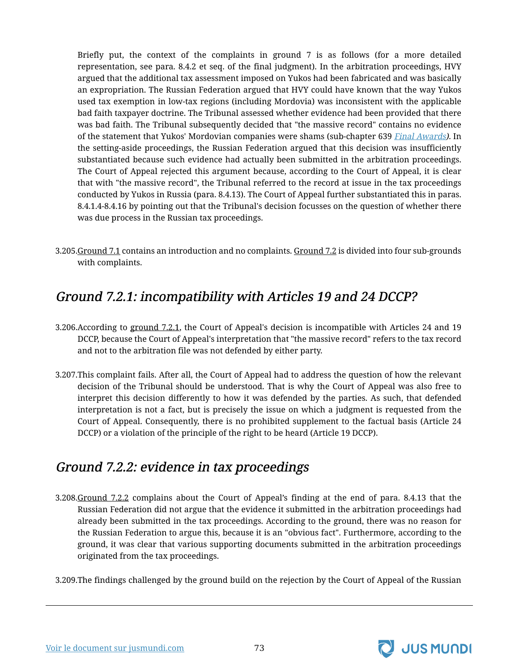Briefly put, the context of the complaints in ground 7 is as follows (for a more detailed representation, see para. 8.4.2 et seq. of the final judgment). In the arbitration proceedings, HVY argued that the additional tax assessment imposed on Yukos had been fabricated and was basically an expropriation. The Russian Federation argued that HVY could have known that the way Yukos used tax exemption in low-tax regions (including Mordovia) was inconsistent with the applicable bad faith taxpayer doctrine. The Tribunal assessed whether evidence had been provided that there was bad faith. The Tribunal subsequently decided that "the massive record" contains no evidence of the statement that Yukos' Mordovian companies were shams (sub-chapter 639 Final [Awards](https://jusmundi.com/en/document/h/WUZmZ2Vxcm9ndzJhVW44NThxNzZRZnNTeHpSMDBLRTQ5dURoNEozQ3BqbDZxSzBnTmdsY3N0UjNPaVlFUVNvZ1NWNDErcTFNYUcxamFIVW91aG1zdHdEeDQ1K0NWOE5seURVOTY2QmZDaWNlVnR2a0g5V3k5T0w1NjcxSTZzdVE=)). In the setting-aside proceedings, the Russian Federation argued that this decision was insufficiently substantiated because such evidence had actually been submitted in the arbitration proceedings. The Court of Appeal rejected this argument because, according to the Court of Appeal, it is clear that with "the massive record", the Tribunal referred to the record at issue in the tax proceedings conducted by Yukos in Russia (para. 8.4.13). The Court of Appeal further substantiated this in paras. 8.4.1.4-8.4.16 by pointing out that the Tribunal's decision focusses on the question of whether there was due process in the Russian tax proceedings.

3.205.<u>Ground 7.1</u> contains an introduction and no complaints. <u>Ground 7.2</u> is divided into four sub-grounds with complaints.

## Ground 7.2.1: incompatibility with Articles 19 and 24 DCCP?

- 3.206. According to ground 7.2.1, the Court of Appeal's decision is incompatible with Articles 24 and 19 DCCP, because the Court of Appeal's interpretation that "the massive record" refers to the tax record and not to the arbitration file was not defended by either party.
- 3.207. This complaint fails. After all, the Court of Appeal had to address the question of how the relevant decision of the Tribunal should be understood. That is why the Court of Appeal was also free to interpret this decision differently to how it was defended by the parties. As such, that defended interpretation is not a fact, but is precisely the issue on which a judgment is requested from the Court of Appeal. Consequently, there is no prohibited supplement to the factual basis (Article 24 DCCP) or a violation of the principle of the right to be heard (Article 19 DCCP).

#### Ground 7.2.2: evidence in tax proceedings

3.208. Ground 7.2.2 complains about the Court of Appeal's finding at the end of para. 8.4.13 that the Russian Federation did not argue that the evidence it submitted in the arbitration proceedings had already been submitted in the tax proceedings. According to the ground, there was no reason for the Russian Federation to argue this, because it is an "obvious fact". Furthermore, according to the ground, it was clear that various supporting documents submitted in the arbitration proceedings originated from the tax proceedings.

3.209. The findings challenged by the ground build on the rejection by the Court of Appeal of the Russian

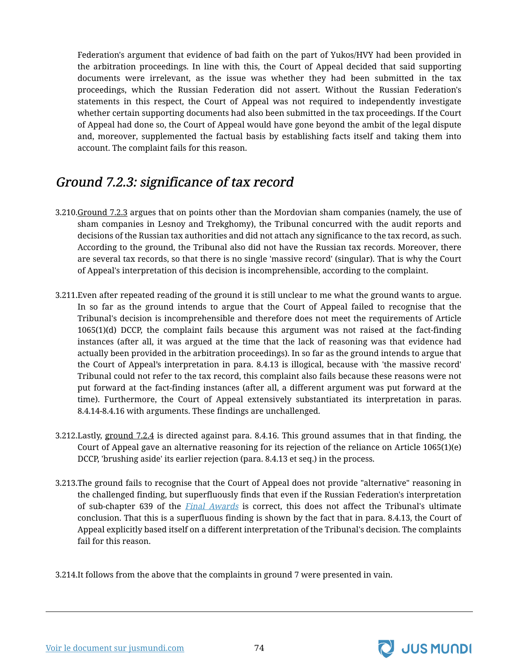Federation's argument that evidence of bad faith on the part of Yukos/HVY had been provided in the arbitration proceedings. In line with this, the Court of Appeal decided that said supporting documents were irrelevant, as the issue was whether they had been submitted in the tax proceedings, which the Russian Federation did not assert. Without the Russian Federation's statements in this respect, the Court of Appeal was not required to independently investigate whether certain supporting documents had also been submitted in the tax proceedings. If the Court of Appeal had done so, the Court of Appeal would have gone beyond the ambit of the legal dispute and, moreover, supplemented the factual basis by establishing facts itself and taking them into account. The complaint fails for this reason.

## Ground 7.2.3: significance of tax record

- 3.210. Ground 7.2.3 argues that on points other than the Mordovian sham companies (namely, the use of sham companies in Lesnoy and Trekghomy), the Tribunal concurred with the audit reports and decisions of the Russian tax authorities and did not attach any significance to the tax record, as such. According to the ground, the Tribunal also did not have the Russian tax records. Moreover, there are several tax records, so that there is no single 'massive record' (singular). That is why the Court of Appeal's interpretation of this decision is incomprehensible, according to the complaint.
- 3.211. Even after repeated reading of the ground it is still unclear to me what the ground wants to argue. In so far as the ground intends to argue that the Court of Appeal failed to recognise that the Tribunal's decision is incomprehensible and therefore does not meet the requirements of Article 1065(1)(d) DCCP, the complaint fails because this argument was not raised at the fact-finding instances (after all, it was argued at the time that the lack of reasoning was that evidence had actually been provided in the arbitration proceedings). In so far as the ground intends to argue that the Court of Appeal's interpretation in para. 8.4.13 is illogical, because with 'the massive record' Tribunal could not refer to the tax record, this complaint also fails because these reasons were not put forward at the fact-finding instances (after all, a different argument was put forward at the time). Furthermore, the Court of Appeal extensively substantiated its interpretation in paras. 8.4.14-8.4.16 with arguments. These findings are unchallenged.
- 3.212.Lastly, <u>ground 7.2.4</u> is directed against para. 8.4.16. This ground assumes that in that finding, the Court of Appeal gave an alternative reasoning for its rejection of the reliance on Article 1065(1)(e) DCCP, 'brushing aside' its earlier rejection (para. 8.4.13 et seq.) in the process.
- 3.213. The ground fails to recognise that the Court of Appeal does not provide "alternative" reasoning in the challenged finding, but superfluously finds that even if the Russian Federation's interpretation of sub-chapter 639 of the *Final [Awards](https://jusmundi.com/en/document/h/WUZmZ2Vxcm9ndzJhVW44NThxNzZRZnNTeHpSMDBLRTQ5dURoNEozQ3BqbDZxSzBnTmdsY3N0UjNPaVlFUVNvZ1NWNDErcTFNYUcxamFIVW91aG1zdHdEeDQ1K0NWOE5seURVOTY2QmZDaWNlVnR2a0g5V3k5T0w1NjcxSTZzdVE=)* is correct, this does not affect the Tribunal's ultimate conclusion. That this is a superfluous finding is shown by the fact that in para. 8.4.13, the Court of Appeal explicitly based itself on a different interpretation of the Tribunal's decision. The complaints fail for this reason.
- 3.214. It follows from the above that the complaints in ground 7 were presented in vain.